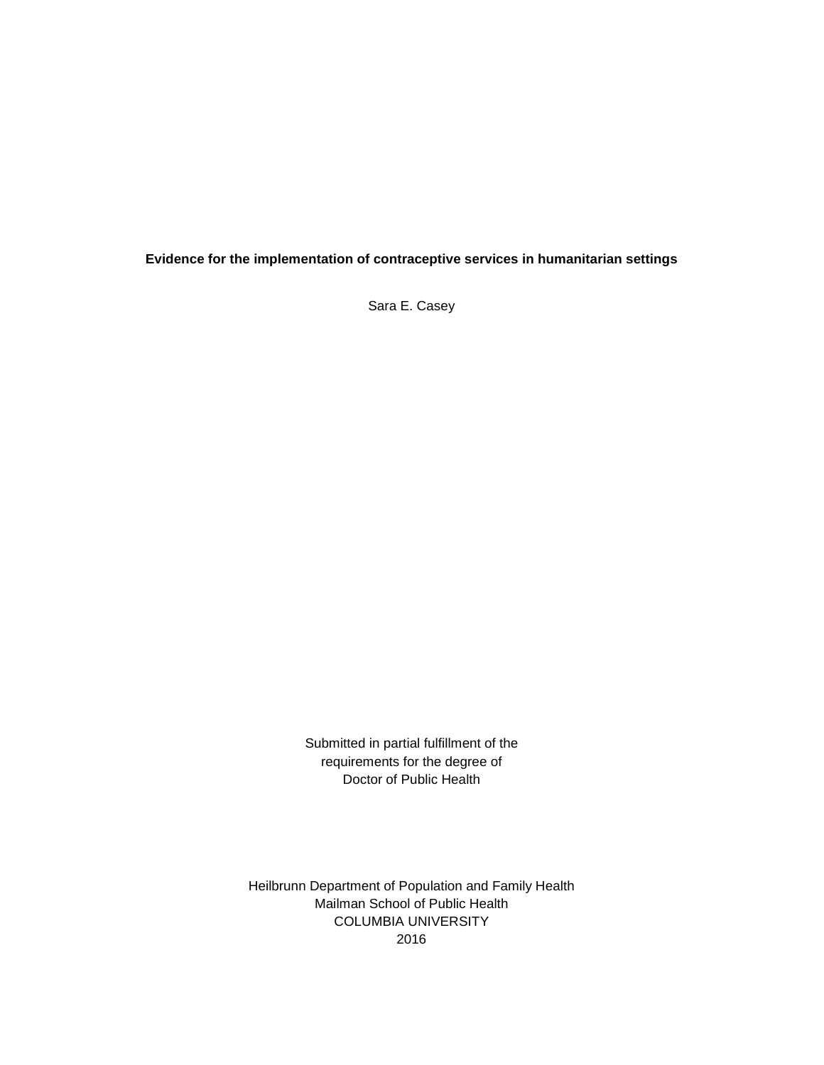**Evidence for the implementation of contraceptive services in humanitarian settings**

Sara E. Casey

Submitted in partial fulfillment of the requirements for the degree of Doctor of Public Health

Heilbrunn Department of Population and Family Health Mailman School of Public Health COLUMBIA UNIVERSITY 2016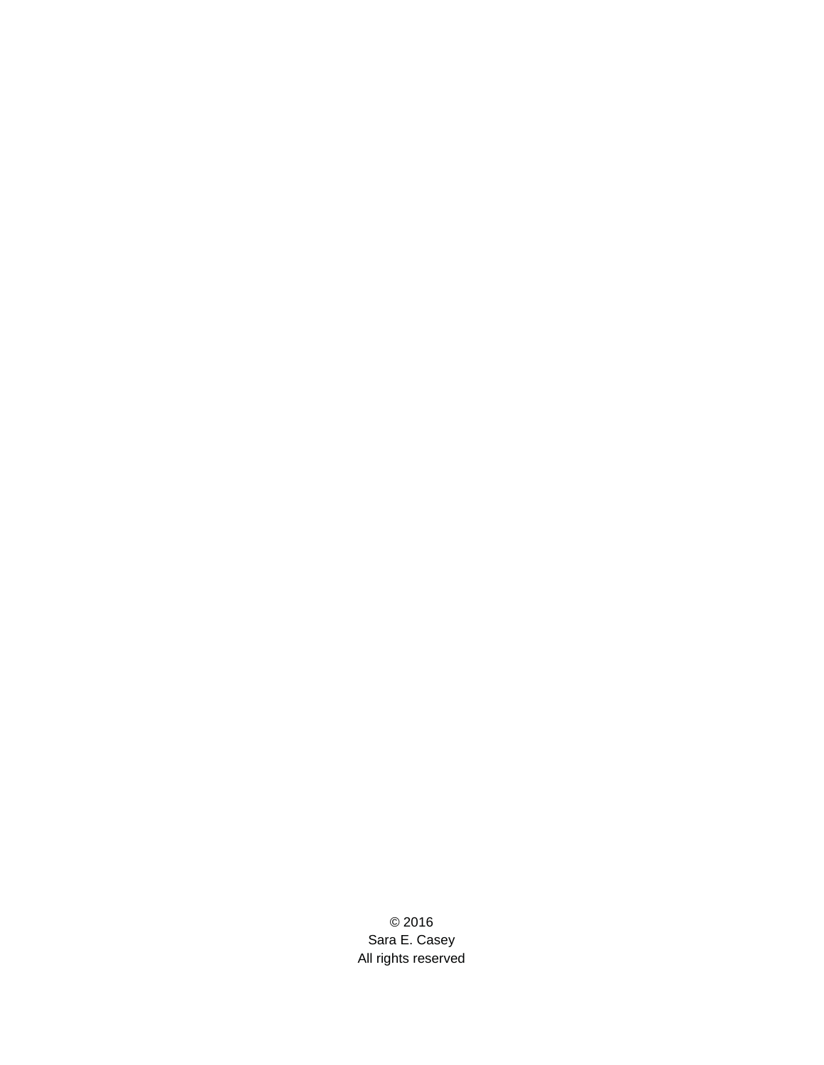© 2016 Sara E. Casey All rights reserved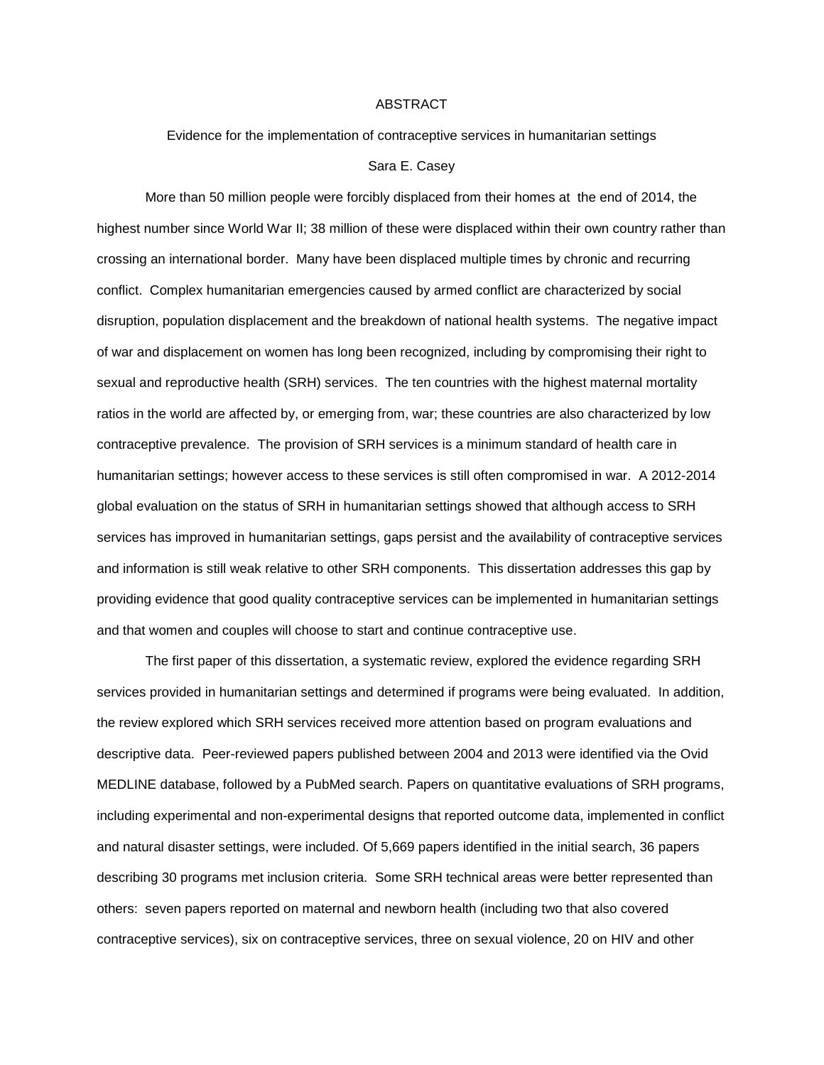#### ABSTRACT

Evidence for the implementation of contraceptive services in humanitarian settings

#### Sara E. Casey

More than 50 million people were forcibly displaced from their homes at the end of 2014, the highest number since World War II; 38 million of these were displaced within their own country rather than crossing an international border. Many have been displaced multiple times by chronic and recurring conflict. Complex humanitarian emergencies caused by armed conflict are characterized by social disruption, population displacement and the breakdown of national health systems. The negative impact of war and displacement on women has long been recognized, including by compromising their right to sexual and reproductive health (SRH) services. The ten countries with the highest maternal mortality ratios in the world are affected by, or emerging from, war; these countries are also characterized by low contraceptive prevalence. The provision of SRH services is a minimum standard of health care in humanitarian settings; however access to these services is still often compromised in war. A 2012-2014 global evaluation on the status of SRH in humanitarian settings showed that although access to SRH services has improved in humanitarian settings, gaps persist and the availability of contraceptive services and information is still weak relative to other SRH components. This dissertation addresses this gap by providing evidence that good quality contraceptive services can be implemented in humanitarian settings and that women and couples will choose to start and continue contraceptive use.

The first paper of this dissertation, a systematic review, explored the evidence regarding SRH services provided in humanitarian settings and determined if programs were being evaluated. In addition, the review explored which SRH services received more attention based on program evaluations and descriptive data. Peer-reviewed papers published between 2004 and 2013 were identified via the Ovid MEDLINE database, followed by a PubMed search. Papers on quantitative evaluations of SRH programs, including experimental and non-experimental designs that reported outcome data, implemented in conflict and natural disaster settings, were included. Of 5,669 papers identified in the initial search, 36 papers describing 30 programs met inclusion criteria. Some SRH technical areas were better represented than others: seven papers reported on maternal and newborn health (including two that also covered contraceptive services), six on contraceptive services, three on sexual violence, 20 on HIV and other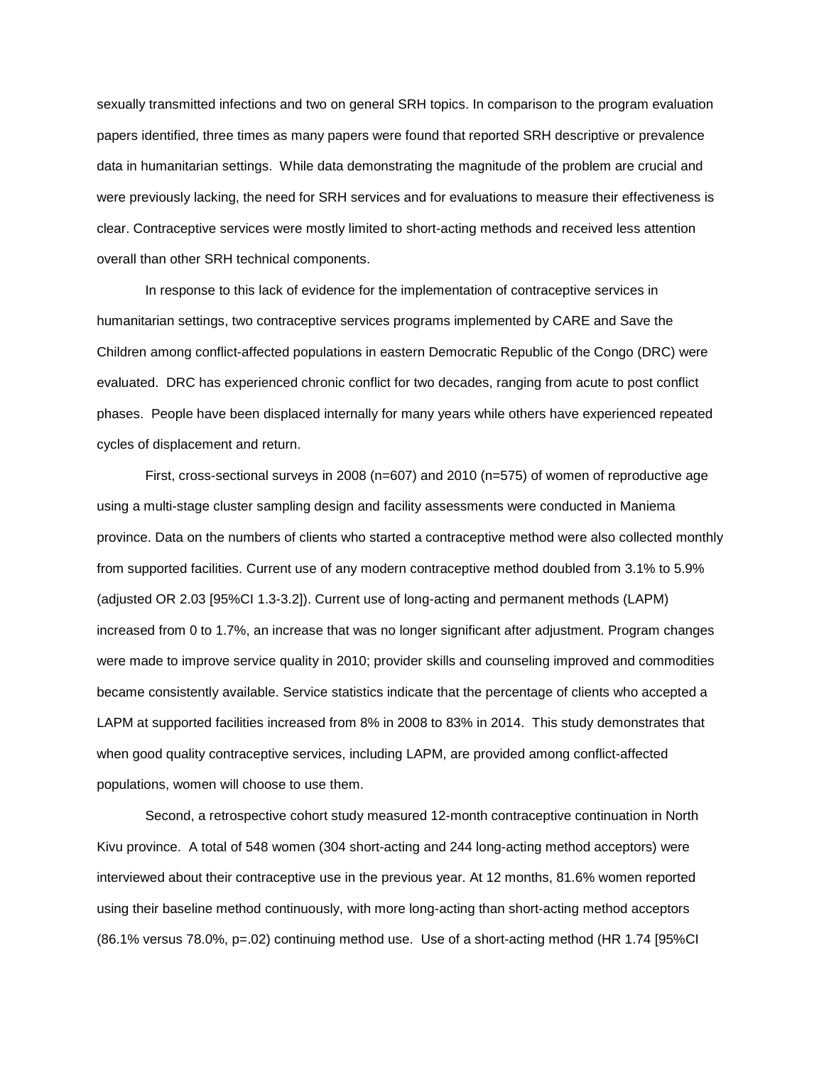sexually transmitted infections and two on general SRH topics. In comparison to the program evaluation papers identified, three times as many papers were found that reported SRH descriptive or prevalence data in humanitarian settings. While data demonstrating the magnitude of the problem are crucial and were previously lacking, the need for SRH services and for evaluations to measure their effectiveness is clear. Contraceptive services were mostly limited to short-acting methods and received less attention overall than other SRH technical components.

In response to this lack of evidence for the implementation of contraceptive services in humanitarian settings, two contraceptive services programs implemented by CARE and Save the Children among conflict-affected populations in eastern Democratic Republic of the Congo (DRC) were evaluated. DRC has experienced chronic conflict for two decades, ranging from acute to post conflict phases. People have been displaced internally for many years while others have experienced repeated cycles of displacement and return.

First, cross-sectional surveys in 2008 (n=607) and 2010 (n=575) of women of reproductive age using a multi-stage cluster sampling design and facility assessments were conducted in Maniema province. Data on the numbers of clients who started a contraceptive method were also collected monthly from supported facilities. Current use of any modern contraceptive method doubled from 3.1% to 5.9% (adjusted OR 2.03 [95%CI 1.3-3.2]). Current use of long-acting and permanent methods (LAPM) increased from 0 to 1.7%, an increase that was no longer significant after adjustment. Program changes were made to improve service quality in 2010; provider skills and counseling improved and commodities became consistently available. Service statistics indicate that the percentage of clients who accepted a LAPM at supported facilities increased from 8% in 2008 to 83% in 2014. This study demonstrates that when good quality contraceptive services, including LAPM, are provided among conflict-affected populations, women will choose to use them.

Second, a retrospective cohort study measured 12-month contraceptive continuation in North Kivu province. A total of 548 women (304 short-acting and 244 long-acting method acceptors) were interviewed about their contraceptive use in the previous year. At 12 months, 81.6% women reported using their baseline method continuously, with more long-acting than short-acting method acceptors (86.1% versus 78.0%, p=.02) continuing method use. Use of a short-acting method (HR 1.74 [95%CI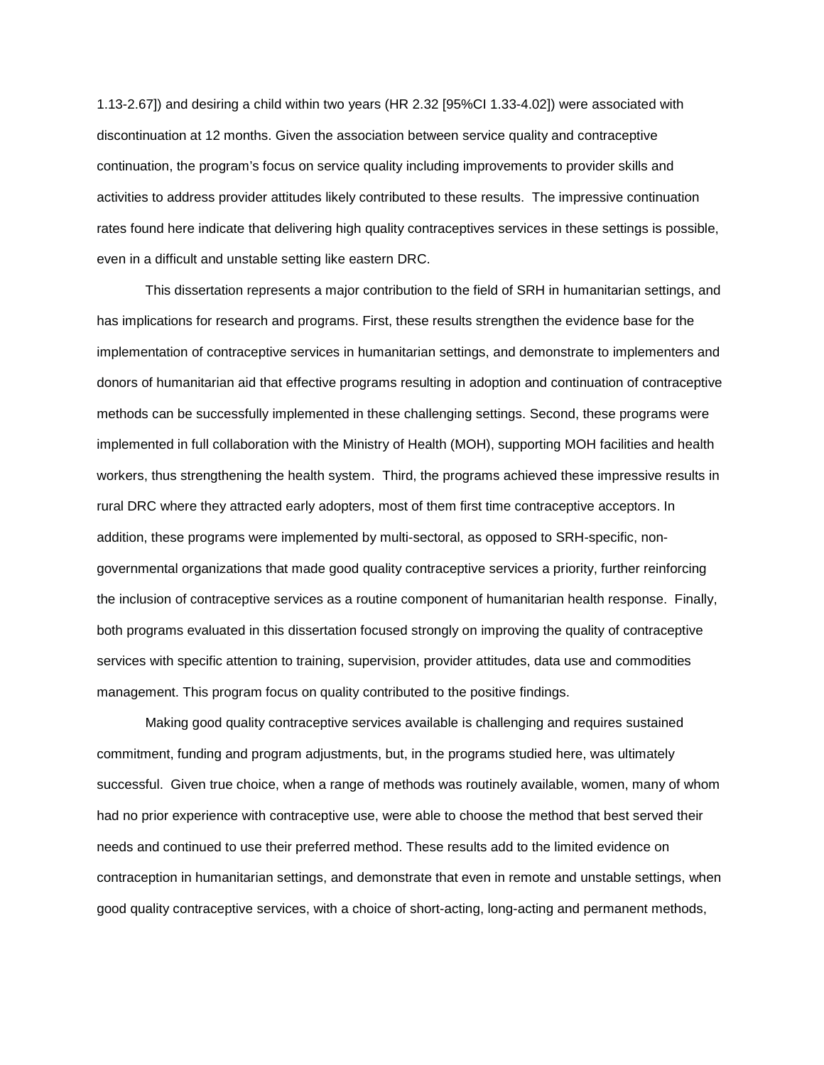1.13-2.67]) and desiring a child within two years (HR 2.32 [95%CI 1.33-4.02]) were associated with discontinuation at 12 months. Given the association between service quality and contraceptive continuation, the program's focus on service quality including improvements to provider skills and activities to address provider attitudes likely contributed to these results. The impressive continuation rates found here indicate that delivering high quality contraceptives services in these settings is possible, even in a difficult and unstable setting like eastern DRC.

This dissertation represents a major contribution to the field of SRH in humanitarian settings, and has implications for research and programs. First, these results strengthen the evidence base for the implementation of contraceptive services in humanitarian settings, and demonstrate to implementers and donors of humanitarian aid that effective programs resulting in adoption and continuation of contraceptive methods can be successfully implemented in these challenging settings. Second, these programs were implemented in full collaboration with the Ministry of Health (MOH), supporting MOH facilities and health workers, thus strengthening the health system. Third, the programs achieved these impressive results in rural DRC where they attracted early adopters, most of them first time contraceptive acceptors. In addition, these programs were implemented by multi-sectoral, as opposed to SRH-specific, nongovernmental organizations that made good quality contraceptive services a priority, further reinforcing the inclusion of contraceptive services as a routine component of humanitarian health response. Finally, both programs evaluated in this dissertation focused strongly on improving the quality of contraceptive services with specific attention to training, supervision, provider attitudes, data use and commodities management. This program focus on quality contributed to the positive findings.

Making good quality contraceptive services available is challenging and requires sustained commitment, funding and program adjustments, but, in the programs studied here, was ultimately successful. Given true choice, when a range of methods was routinely available, women, many of whom had no prior experience with contraceptive use, were able to choose the method that best served their needs and continued to use their preferred method. These results add to the limited evidence on contraception in humanitarian settings, and demonstrate that even in remote and unstable settings, when good quality contraceptive services, with a choice of short-acting, long-acting and permanent methods,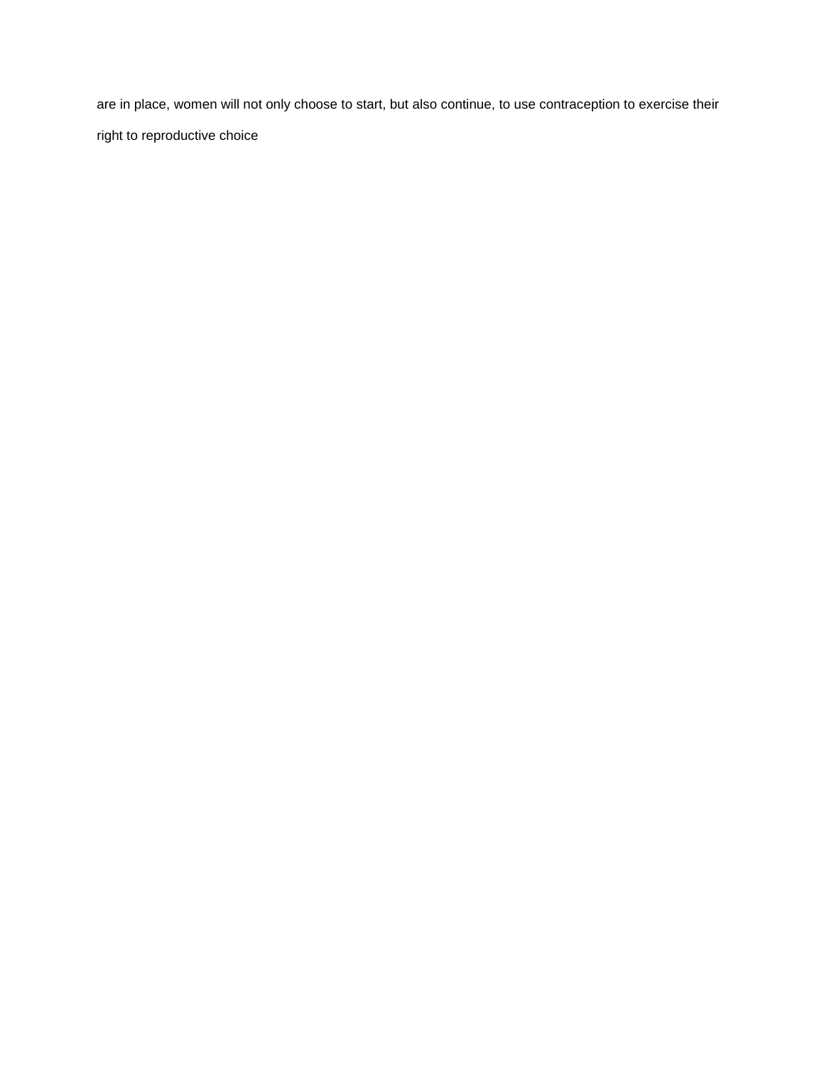are in place, women will not only choose to start, but also continue, to use contraception to exercise their right to reproductive choice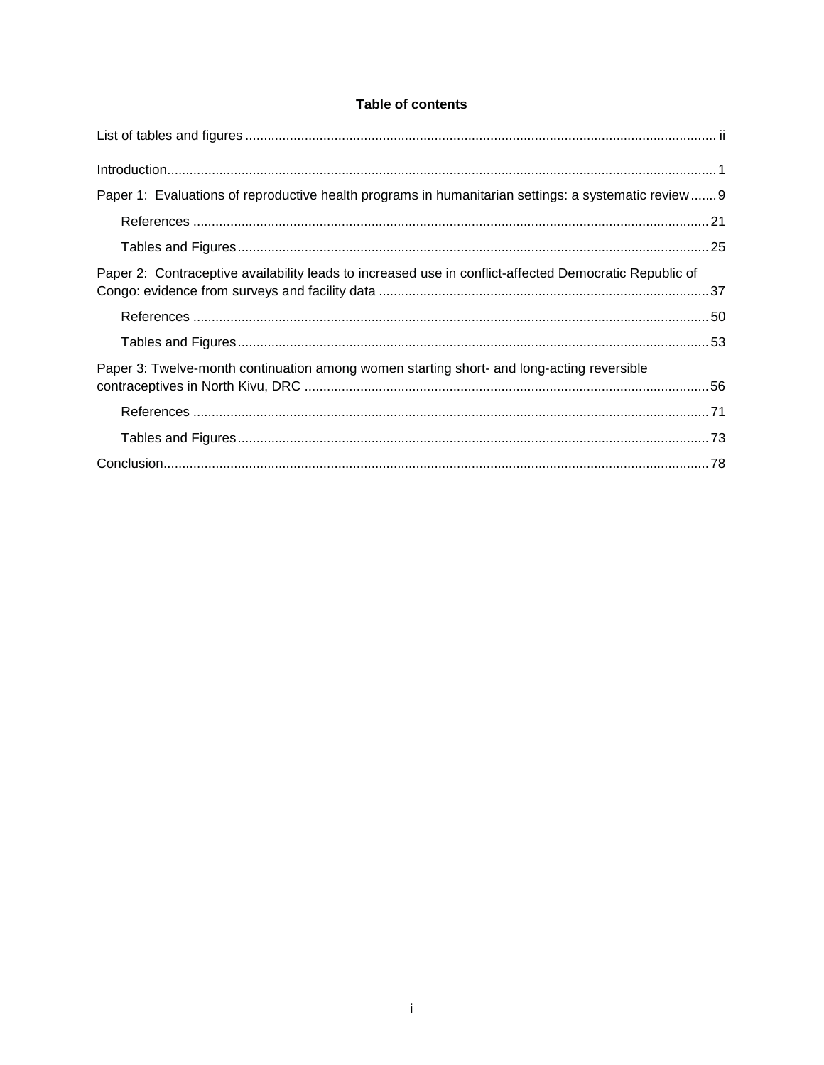# **Table of contents**

| Paper 1: Evaluations of reproductive health programs in humanitarian settings: a systematic review 9   |  |
|--------------------------------------------------------------------------------------------------------|--|
|                                                                                                        |  |
|                                                                                                        |  |
| Paper 2: Contraceptive availability leads to increased use in conflict-affected Democratic Republic of |  |
|                                                                                                        |  |
|                                                                                                        |  |
| Paper 3: Twelve-month continuation among women starting short- and long-acting reversible              |  |
|                                                                                                        |  |
|                                                                                                        |  |
|                                                                                                        |  |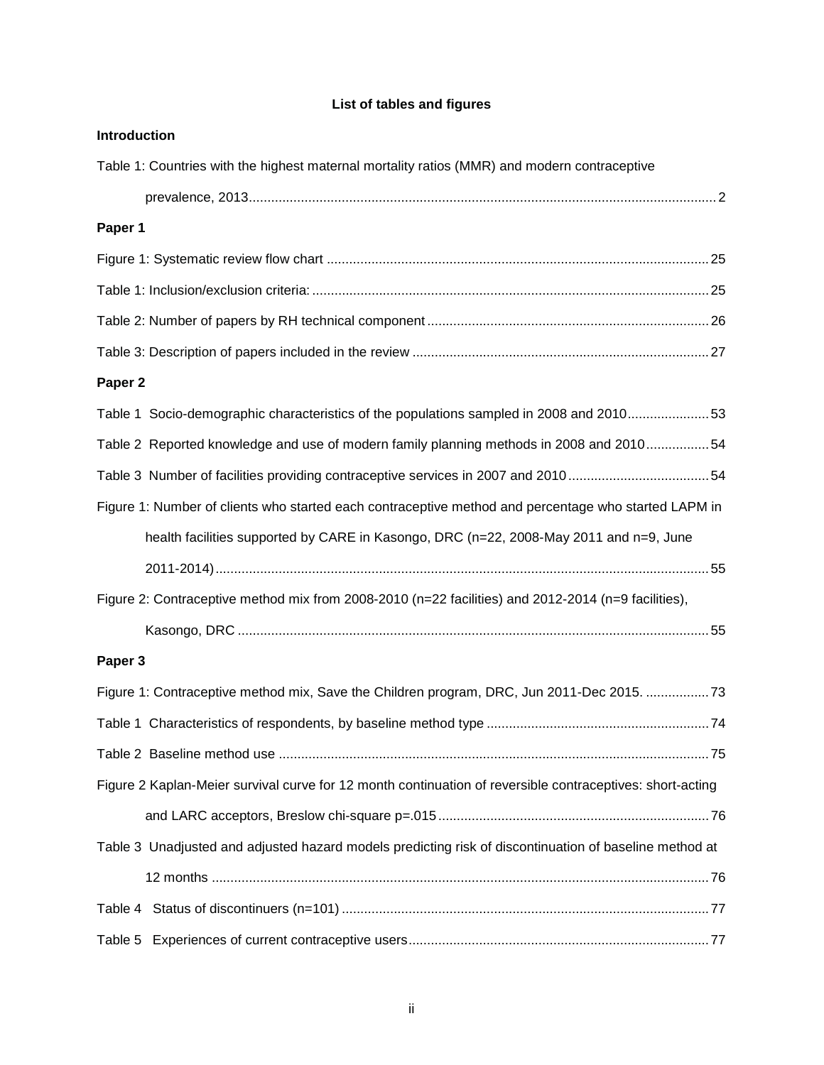# **List of tables and figures**

| Table 1: Countries with the highest maternal mortality ratios (MMR) and modern contraceptive<br>Paper 1<br>Paper <sub>2</sub><br>Table 1 Socio-demographic characteristics of the populations sampled in 2008 and 201053<br>Table 2 Reported knowledge and use of modern family planning methods in 2008 and 2010 54<br>Table 3 Number of facilities providing contraceptive services in 2007 and 201054<br>Figure 1: Number of clients who started each contraceptive method and percentage who started LAPM in<br>health facilities supported by CARE in Kasongo, DRC (n=22, 2008-May 2011 and n=9, June<br>Figure 2: Contraceptive method mix from 2008-2010 (n=22 facilities) and 2012-2014 (n=9 facilities),<br>Paper <sub>3</sub><br>Figure 1: Contraceptive method mix, Save the Children program, DRC, Jun 2011-Dec 2015.  73<br>Figure 2 Kaplan-Meier survival curve for 12 month continuation of reversible contraceptives: short-acting<br>Table 3 Unadjusted and adjusted hazard models predicting risk of discontinuation of baseline method at | <b>Introduction</b> |
|--------------------------------------------------------------------------------------------------------------------------------------------------------------------------------------------------------------------------------------------------------------------------------------------------------------------------------------------------------------------------------------------------------------------------------------------------------------------------------------------------------------------------------------------------------------------------------------------------------------------------------------------------------------------------------------------------------------------------------------------------------------------------------------------------------------------------------------------------------------------------------------------------------------------------------------------------------------------------------------------------------------------------------------------------------------|---------------------|
|                                                                                                                                                                                                                                                                                                                                                                                                                                                                                                                                                                                                                                                                                                                                                                                                                                                                                                                                                                                                                                                              |                     |
|                                                                                                                                                                                                                                                                                                                                                                                                                                                                                                                                                                                                                                                                                                                                                                                                                                                                                                                                                                                                                                                              |                     |
|                                                                                                                                                                                                                                                                                                                                                                                                                                                                                                                                                                                                                                                                                                                                                                                                                                                                                                                                                                                                                                                              |                     |
|                                                                                                                                                                                                                                                                                                                                                                                                                                                                                                                                                                                                                                                                                                                                                                                                                                                                                                                                                                                                                                                              |                     |
|                                                                                                                                                                                                                                                                                                                                                                                                                                                                                                                                                                                                                                                                                                                                                                                                                                                                                                                                                                                                                                                              |                     |
|                                                                                                                                                                                                                                                                                                                                                                                                                                                                                                                                                                                                                                                                                                                                                                                                                                                                                                                                                                                                                                                              |                     |
|                                                                                                                                                                                                                                                                                                                                                                                                                                                                                                                                                                                                                                                                                                                                                                                                                                                                                                                                                                                                                                                              |                     |
|                                                                                                                                                                                                                                                                                                                                                                                                                                                                                                                                                                                                                                                                                                                                                                                                                                                                                                                                                                                                                                                              |                     |
|                                                                                                                                                                                                                                                                                                                                                                                                                                                                                                                                                                                                                                                                                                                                                                                                                                                                                                                                                                                                                                                              |                     |
|                                                                                                                                                                                                                                                                                                                                                                                                                                                                                                                                                                                                                                                                                                                                                                                                                                                                                                                                                                                                                                                              |                     |
|                                                                                                                                                                                                                                                                                                                                                                                                                                                                                                                                                                                                                                                                                                                                                                                                                                                                                                                                                                                                                                                              |                     |
|                                                                                                                                                                                                                                                                                                                                                                                                                                                                                                                                                                                                                                                                                                                                                                                                                                                                                                                                                                                                                                                              |                     |
|                                                                                                                                                                                                                                                                                                                                                                                                                                                                                                                                                                                                                                                                                                                                                                                                                                                                                                                                                                                                                                                              |                     |
|                                                                                                                                                                                                                                                                                                                                                                                                                                                                                                                                                                                                                                                                                                                                                                                                                                                                                                                                                                                                                                                              |                     |
|                                                                                                                                                                                                                                                                                                                                                                                                                                                                                                                                                                                                                                                                                                                                                                                                                                                                                                                                                                                                                                                              |                     |
|                                                                                                                                                                                                                                                                                                                                                                                                                                                                                                                                                                                                                                                                                                                                                                                                                                                                                                                                                                                                                                                              |                     |
|                                                                                                                                                                                                                                                                                                                                                                                                                                                                                                                                                                                                                                                                                                                                                                                                                                                                                                                                                                                                                                                              |                     |
|                                                                                                                                                                                                                                                                                                                                                                                                                                                                                                                                                                                                                                                                                                                                                                                                                                                                                                                                                                                                                                                              |                     |
|                                                                                                                                                                                                                                                                                                                                                                                                                                                                                                                                                                                                                                                                                                                                                                                                                                                                                                                                                                                                                                                              |                     |
|                                                                                                                                                                                                                                                                                                                                                                                                                                                                                                                                                                                                                                                                                                                                                                                                                                                                                                                                                                                                                                                              |                     |
|                                                                                                                                                                                                                                                                                                                                                                                                                                                                                                                                                                                                                                                                                                                                                                                                                                                                                                                                                                                                                                                              |                     |
|                                                                                                                                                                                                                                                                                                                                                                                                                                                                                                                                                                                                                                                                                                                                                                                                                                                                                                                                                                                                                                                              |                     |
|                                                                                                                                                                                                                                                                                                                                                                                                                                                                                                                                                                                                                                                                                                                                                                                                                                                                                                                                                                                                                                                              |                     |
|                                                                                                                                                                                                                                                                                                                                                                                                                                                                                                                                                                                                                                                                                                                                                                                                                                                                                                                                                                                                                                                              |                     |
|                                                                                                                                                                                                                                                                                                                                                                                                                                                                                                                                                                                                                                                                                                                                                                                                                                                                                                                                                                                                                                                              |                     |
|                                                                                                                                                                                                                                                                                                                                                                                                                                                                                                                                                                                                                                                                                                                                                                                                                                                                                                                                                                                                                                                              |                     |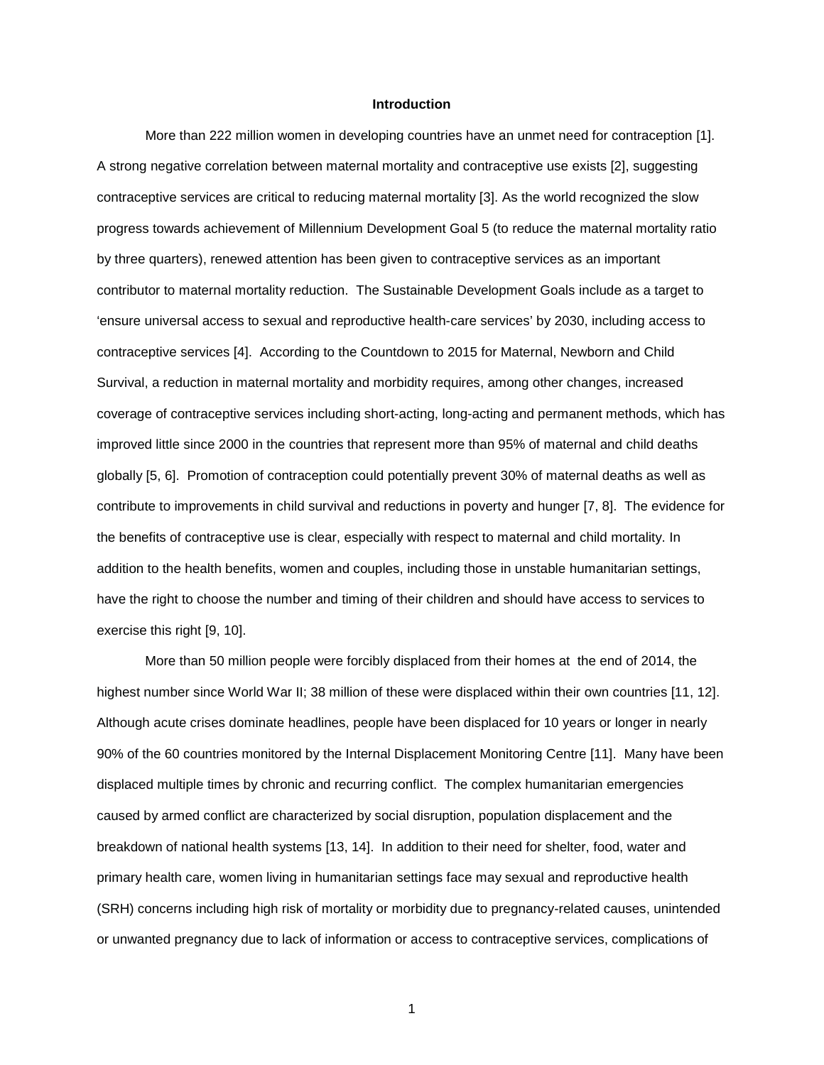#### **Introduction**

More than 222 million women in developing countries have an unmet need for contraception [1]. A strong negative correlation between maternal mortality and contraceptive use exists [2], suggesting contraceptive services are critical to reducing maternal mortality [3]. As the world recognized the slow progress towards achievement of Millennium Development Goal 5 (to reduce the maternal mortality ratio by three quarters), renewed attention has been given to contraceptive services as an important contributor to maternal mortality reduction. The Sustainable Development Goals include as a target to 'ensure universal access to sexual and reproductive health-care services' by 2030, including access to contraceptive services [4]. According to the Countdown to 2015 for Maternal, Newborn and Child Survival, a reduction in maternal mortality and morbidity requires, among other changes, increased coverage of contraceptive services including short-acting, long-acting and permanent methods, which has improved little since 2000 in the countries that represent more than 95% of maternal and child deaths globally [5, 6]. Promotion of contraception could potentially prevent 30% of maternal deaths as well as contribute to improvements in child survival and reductions in poverty and hunger [7, 8]. The evidence for the benefits of contraceptive use is clear, especially with respect to maternal and child mortality. In addition to the health benefits, women and couples, including those in unstable humanitarian settings, have the right to choose the number and timing of their children and should have access to services to exercise this right [9, 10].

More than 50 million people were forcibly displaced from their homes at the end of 2014, the highest number since World War II; 38 million of these were displaced within their own countries [11, 12]. Although acute crises dominate headlines, people have been displaced for 10 years or longer in nearly 90% of the 60 countries monitored by the Internal Displacement Monitoring Centre [11]. Many have been displaced multiple times by chronic and recurring conflict. The complex humanitarian emergencies caused by armed conflict are characterized by social disruption, population displacement and the breakdown of national health systems [13, 14]. In addition to their need for shelter, food, water and primary health care, women living in humanitarian settings face may sexual and reproductive health (SRH) concerns including high risk of mortality or morbidity due to pregnancy-related causes, unintended or unwanted pregnancy due to lack of information or access to contraceptive services, complications of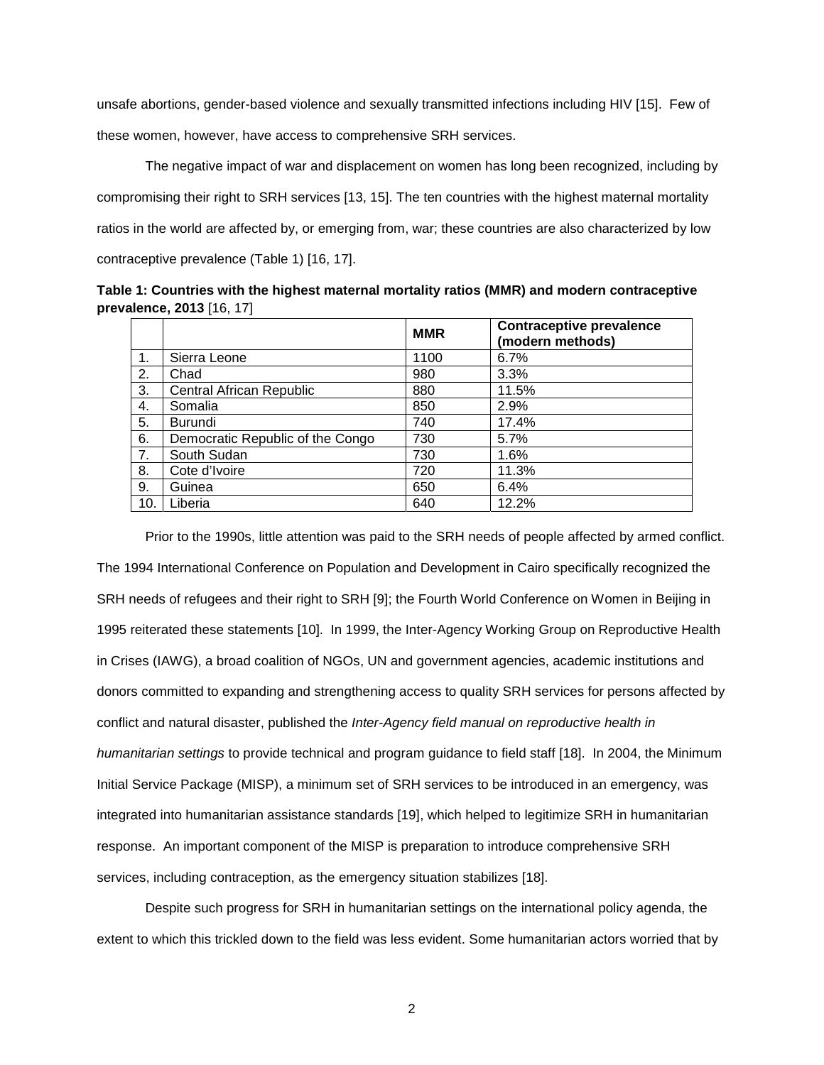unsafe abortions, gender-based violence and sexually transmitted infections including HIV [15]. Few of these women, however, have access to comprehensive SRH services.

The negative impact of war and displacement on women has long been recognized, including by compromising their right to SRH services [13, 15]. The ten countries with the highest maternal mortality ratios in the world are affected by, or emerging from, war; these countries are also characterized by low contraceptive prevalence (Table 1) [16, 17].

**Table 1: Countries with the highest maternal mortality ratios (MMR) and modern contraceptive prevalence, 2013** [16, 17]

|     |                                  | <b>MMR</b> | <b>Contraceptive prevalence</b><br>(modern methods) |
|-----|----------------------------------|------------|-----------------------------------------------------|
| 1.  | Sierra Leone                     | 1100       | 6.7%                                                |
| 2.  | Chad                             | 980        | 3.3%                                                |
| 3.  | Central African Republic         | 880        | 11.5%                                               |
| 4.  | Somalia                          | 850        | 2.9%                                                |
| 5.  | Burundi                          | 740        | 17.4%                                               |
| 6.  | Democratic Republic of the Congo | 730        | 5.7%                                                |
| 7.  | South Sudan                      | 730        | 1.6%                                                |
| 8.  | Cote d'Ivoire                    | 720        | 11.3%                                               |
| 9.  | Guinea                           | 650        | 6.4%                                                |
| 10. | Liberia                          | 640        | 12.2%                                               |

Prior to the 1990s, little attention was paid to the SRH needs of people affected by armed conflict. The 1994 International Conference on Population and Development in Cairo specifically recognized the SRH needs of refugees and their right to SRH [9]; the Fourth World Conference on Women in Beijing in 1995 reiterated these statements [10]. In 1999, the Inter-Agency Working Group on Reproductive Health in Crises (IAWG), a broad coalition of NGOs, UN and government agencies, academic institutions and donors committed to expanding and strengthening access to quality SRH services for persons affected by conflict and natural disaster, published the *Inter-Agency field manual on reproductive health in humanitarian settings* to provide technical and program guidance to field staff [18]. In 2004, the Minimum Initial Service Package (MISP), a minimum set of SRH services to be introduced in an emergency, was integrated into humanitarian assistance standards [19], which helped to legitimize SRH in humanitarian response. An important component of the MISP is preparation to introduce comprehensive SRH services, including contraception, as the emergency situation stabilizes [18].

Despite such progress for SRH in humanitarian settings on the international policy agenda, the extent to which this trickled down to the field was less evident. Some humanitarian actors worried that by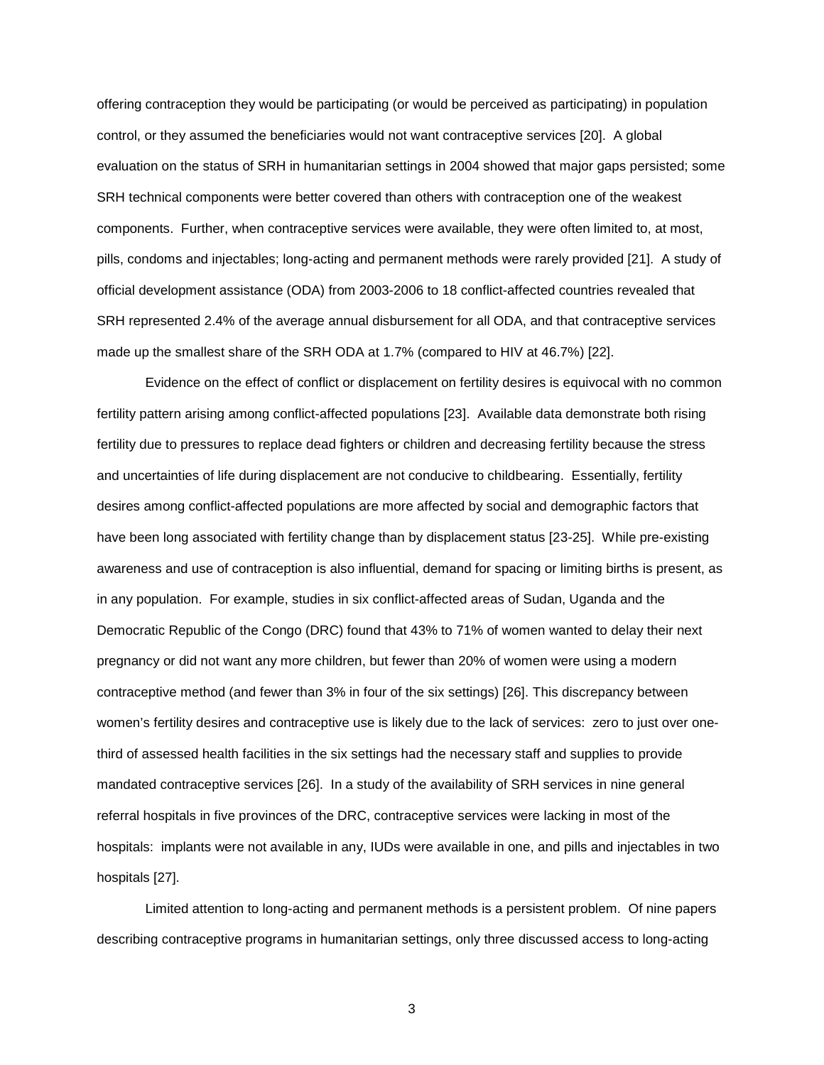offering contraception they would be participating (or would be perceived as participating) in population control, or they assumed the beneficiaries would not want contraceptive services [20]. A global evaluation on the status of SRH in humanitarian settings in 2004 showed that major gaps persisted; some SRH technical components were better covered than others with contraception one of the weakest components. Further, when contraceptive services were available, they were often limited to, at most, pills, condoms and injectables; long-acting and permanent methods were rarely provided [21]. A study of official development assistance (ODA) from 2003-2006 to 18 conflict-affected countries revealed that SRH represented 2.4% of the average annual disbursement for all ODA, and that contraceptive services made up the smallest share of the SRH ODA at 1.7% (compared to HIV at 46.7%) [22].

Evidence on the effect of conflict or displacement on fertility desires is equivocal with no common fertility pattern arising among conflict-affected populations [23]. Available data demonstrate both rising fertility due to pressures to replace dead fighters or children and decreasing fertility because the stress and uncertainties of life during displacement are not conducive to childbearing. Essentially, fertility desires among conflict-affected populations are more affected by social and demographic factors that have been long associated with fertility change than by displacement status [23-25]. While pre-existing awareness and use of contraception is also influential, demand for spacing or limiting births is present, as in any population. For example, studies in six conflict-affected areas of Sudan, Uganda and the Democratic Republic of the Congo (DRC) found that 43% to 71% of women wanted to delay their next pregnancy or did not want any more children, but fewer than 20% of women were using a modern contraceptive method (and fewer than 3% in four of the six settings) [26]. This discrepancy between women's fertility desires and contraceptive use is likely due to the lack of services: zero to just over onethird of assessed health facilities in the six settings had the necessary staff and supplies to provide mandated contraceptive services [26]. In a study of the availability of SRH services in nine general referral hospitals in five provinces of the DRC, contraceptive services were lacking in most of the hospitals: implants were not available in any, IUDs were available in one, and pills and injectables in two hospitals [27].

Limited attention to long-acting and permanent methods is a persistent problem. Of nine papers describing contraceptive programs in humanitarian settings, only three discussed access to long-acting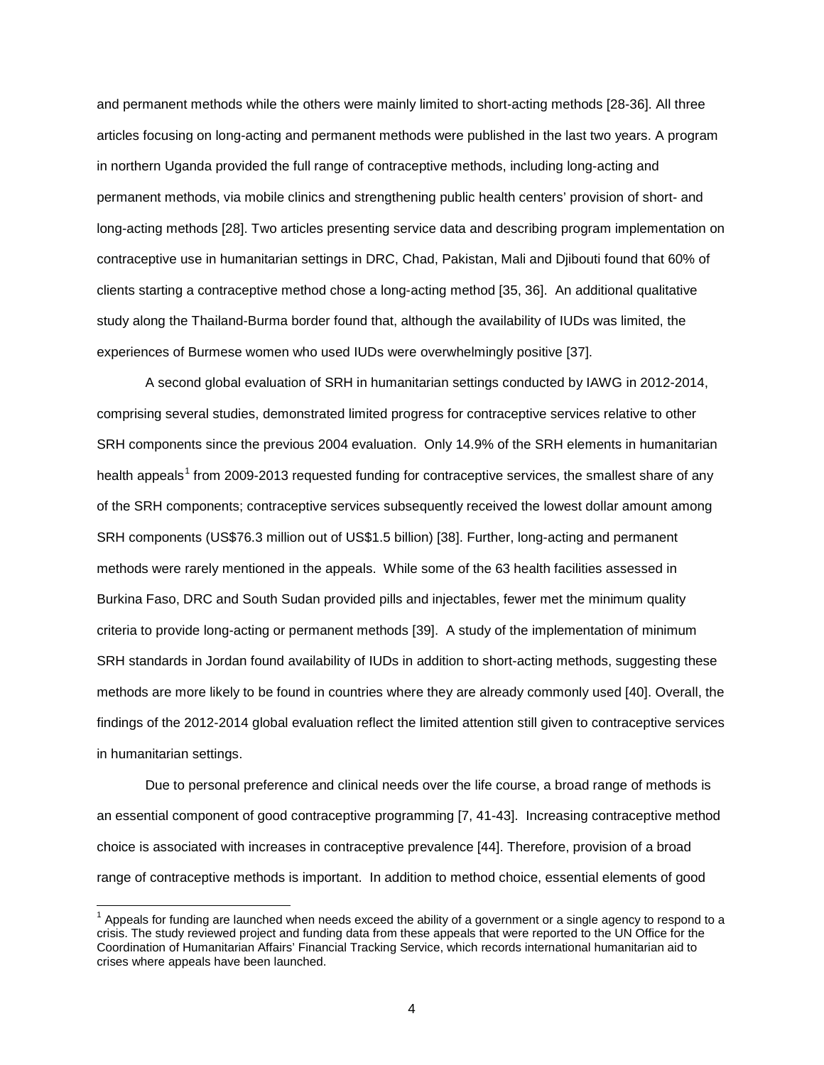and permanent methods while the others were mainly limited to short-acting methods [28-36]. All three articles focusing on long-acting and permanent methods were published in the last two years. A program in northern Uganda provided the full range of contraceptive methods, including long-acting and permanent methods, via mobile clinics and strengthening public health centers' provision of short- and long-acting methods [28]. Two articles presenting service data and describing program implementation on contraceptive use in humanitarian settings in DRC, Chad, Pakistan, Mali and Djibouti found that 60% of clients starting a contraceptive method chose a long-acting method [35, 36]. An additional qualitative study along the Thailand-Burma border found that, although the availability of IUDs was limited, the experiences of Burmese women who used IUDs were overwhelmingly positive [37].

A second global evaluation of SRH in humanitarian settings conducted by IAWG in 2012-2014, comprising several studies, demonstrated limited progress for contraceptive services relative to other SRH components since the previous 2004 evaluation. Only 14.9% of the SRH elements in humanitarian health appeals<sup>1</sup> from 2009-2013 requested funding for contraceptive services, the smallest share of any of the SRH components; contraceptive services subsequently received the lowest dollar amount among SRH components (US\$76.3 million out of US\$1.5 billion) [38]. Further, long-acting and permanent methods were rarely mentioned in the appeals. While some of the 63 health facilities assessed in Burkina Faso, DRC and South Sudan provided pills and injectables, fewer met the minimum quality criteria to provide long-acting or permanent methods [39]. A study of the implementation of minimum SRH standards in Jordan found availability of IUDs in addition to short-acting methods, suggesting these methods are more likely to be found in countries where they are already commonly used [40]. Overall, the findings of the 2012-2014 global evaluation reflect the limited attention still given to contraceptive services in humanitarian settings.

Due to personal preference and clinical needs over the life course, a broad range of methods is an essential component of good contraceptive programming [7, 41-43]. Increasing contraceptive method choice is associated with increases in contraceptive prevalence [44]. Therefore, provision of a broad range of contraceptive methods is important. In addition to method choice, essential elements of good

 $1$  Appeals for funding are launched when needs exceed the ability of a government or a single agency to respond to a crisis. The study reviewed project and funding data from these appeals that were reported to the UN Office for the Coordination of Humanitarian Affairs' Financial Tracking Service, which records international humanitarian aid to crises where appeals have been launched.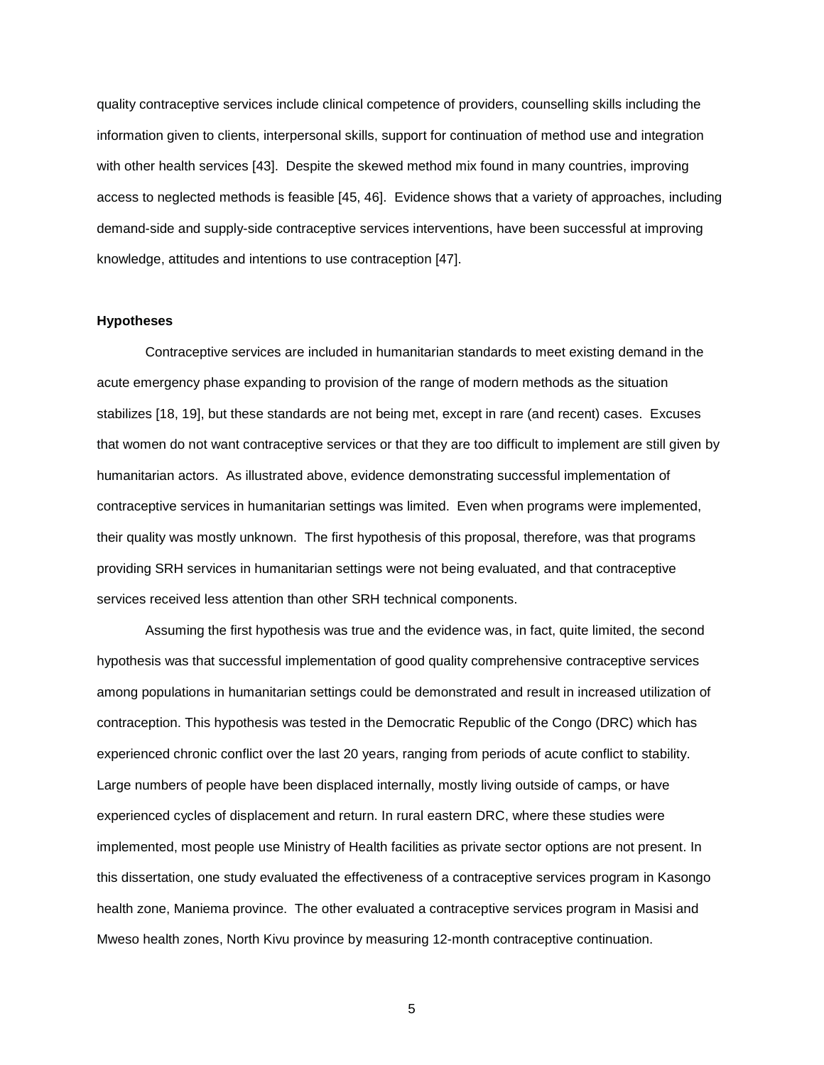quality contraceptive services include clinical competence of providers, counselling skills including the information given to clients, interpersonal skills, support for continuation of method use and integration with other health services [43]. Despite the skewed method mix found in many countries, improving access to neglected methods is feasible [45, 46]. Evidence shows that a variety of approaches, including demand-side and supply-side contraceptive services interventions, have been successful at improving knowledge, attitudes and intentions to use contraception [47].

#### **Hypotheses**

Contraceptive services are included in humanitarian standards to meet existing demand in the acute emergency phase expanding to provision of the range of modern methods as the situation stabilizes [18, 19], but these standards are not being met, except in rare (and recent) cases. Excuses that women do not want contraceptive services or that they are too difficult to implement are still given by humanitarian actors. As illustrated above, evidence demonstrating successful implementation of contraceptive services in humanitarian settings was limited. Even when programs were implemented, their quality was mostly unknown. The first hypothesis of this proposal, therefore, was that programs providing SRH services in humanitarian settings were not being evaluated, and that contraceptive services received less attention than other SRH technical components.

Assuming the first hypothesis was true and the evidence was, in fact, quite limited, the second hypothesis was that successful implementation of good quality comprehensive contraceptive services among populations in humanitarian settings could be demonstrated and result in increased utilization of contraception. This hypothesis was tested in the Democratic Republic of the Congo (DRC) which has experienced chronic conflict over the last 20 years, ranging from periods of acute conflict to stability. Large numbers of people have been displaced internally, mostly living outside of camps, or have experienced cycles of displacement and return. In rural eastern DRC, where these studies were implemented, most people use Ministry of Health facilities as private sector options are not present. In this dissertation, one study evaluated the effectiveness of a contraceptive services program in Kasongo health zone, Maniema province. The other evaluated a contraceptive services program in Masisi and Mweso health zones, North Kivu province by measuring 12-month contraceptive continuation.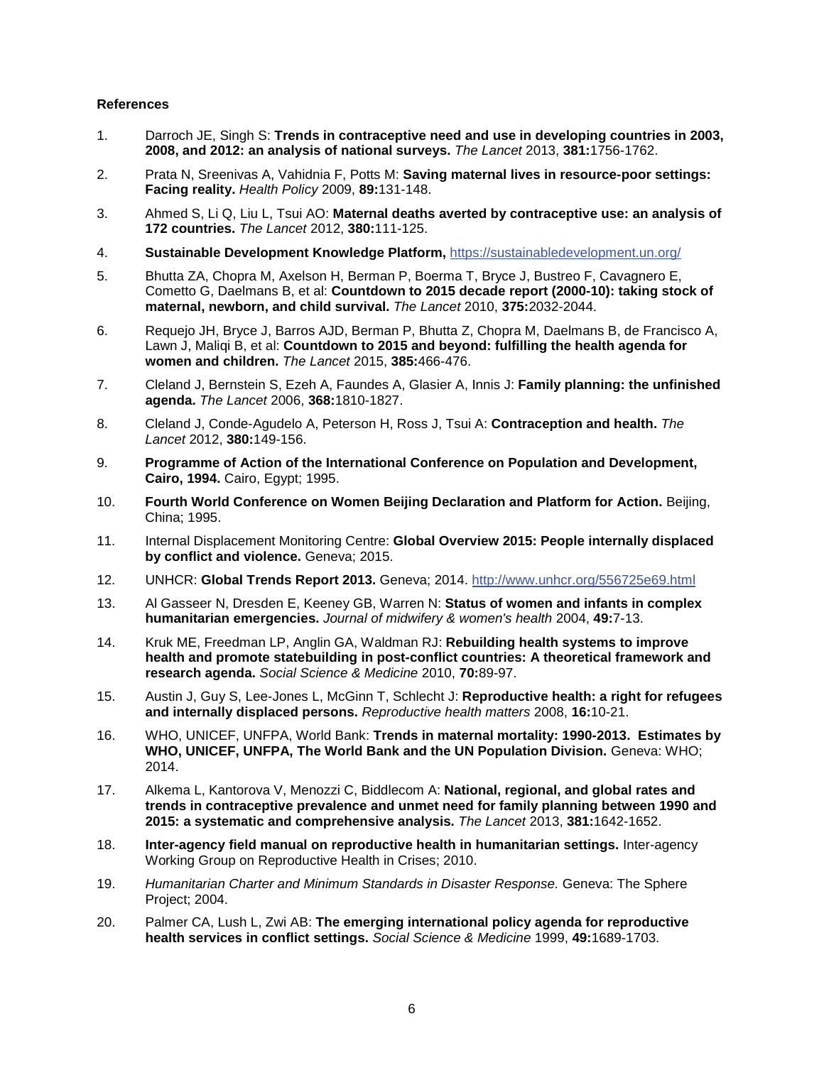## **References**

- 1. Darroch JE, Singh S: **Trends in contraceptive need and use in developing countries in 2003, 2008, and 2012: an analysis of national surveys.** *The Lancet* 2013, **381:**1756-1762.
- 2. Prata N, Sreenivas A, Vahidnia F, Potts M: **Saving maternal lives in resource-poor settings: Facing reality.** *Health Policy* 2009, **89:**131-148.
- 3. Ahmed S, Li Q, Liu L, Tsui AO: **Maternal deaths averted by contraceptive use: an analysis of 172 countries.** *The Lancet* 2012, **380:**111-125.
- 4. **Sustainable Development Knowledge Platform,** https://sustainabledevelopment.un.org/
- 5. Bhutta ZA, Chopra M, Axelson H, Berman P, Boerma T, Bryce J, Bustreo F, Cavagnero E, Cometto G, Daelmans B, et al: **Countdown to 2015 decade report (2000-10): taking stock of maternal, newborn, and child survival.** *The Lancet* 2010, **375:**2032-2044.
- 6. Requejo JH, Bryce J, Barros AJD, Berman P, Bhutta Z, Chopra M, Daelmans B, de Francisco A, Lawn J, Maliqi B, et al: **Countdown to 2015 and beyond: fulfilling the health agenda for women and children.** *The Lancet* 2015, **385:**466-476.
- 7. Cleland J, Bernstein S, Ezeh A, Faundes A, Glasier A, Innis J: **Family planning: the unfinished agenda.** *The Lancet* 2006, **368:**1810-1827.
- 8. Cleland J, Conde-Agudelo A, Peterson H, Ross J, Tsui A: **Contraception and health.** *The Lancet* 2012, **380:**149-156.
- 9. **Programme of Action of the International Conference on Population and Development, Cairo, 1994.** Cairo, Egypt; 1995.
- 10. **Fourth World Conference on Women Beijing Declaration and Platform for Action.** Beijing, China; 1995.
- 11. Internal Displacement Monitoring Centre: **Global Overview 2015: People internally displaced by conflict and violence.** Geneva; 2015.
- 12. UNHCR: **Global Trends Report 2013.** Geneva; 2014. http://www.unhcr.org/556725e69.html
- 13. Al Gasseer N, Dresden E, Keeney GB, Warren N: **Status of women and infants in complex humanitarian emergencies.** *Journal of midwifery & women's health* 2004, **49:**7-13.
- 14. Kruk ME, Freedman LP, Anglin GA, Waldman RJ: **Rebuilding health systems to improve health and promote statebuilding in post-conflict countries: A theoretical framework and research agenda.** *Social Science & Medicine* 2010, **70:**89-97.
- 15. Austin J, Guy S, Lee-Jones L, McGinn T, Schlecht J: **Reproductive health: a right for refugees and internally displaced persons.** *Reproductive health matters* 2008, **16:**10-21.
- 16. WHO, UNICEF, UNFPA, World Bank: **Trends in maternal mortality: 1990-2013. Estimates by WHO, UNICEF, UNFPA, The World Bank and the UN Population Division.** Geneva: WHO; 2014.
- 17. Alkema L, Kantorova V, Menozzi C, Biddlecom A: **National, regional, and global rates and trends in contraceptive prevalence and unmet need for family planning between 1990 and 2015: a systematic and comprehensive analysis.** *The Lancet* 2013, **381:**1642-1652.
- 18. **Inter-agency field manual on reproductive health in humanitarian settings.** Inter-agency Working Group on Reproductive Health in Crises; 2010.
- 19. *Humanitarian Charter and Minimum Standards in Disaster Response.* Geneva: The Sphere Project; 2004.
- 20. Palmer CA, Lush L, Zwi AB: **The emerging international policy agenda for reproductive health services in conflict settings.** *Social Science & Medicine* 1999, **49:**1689-1703.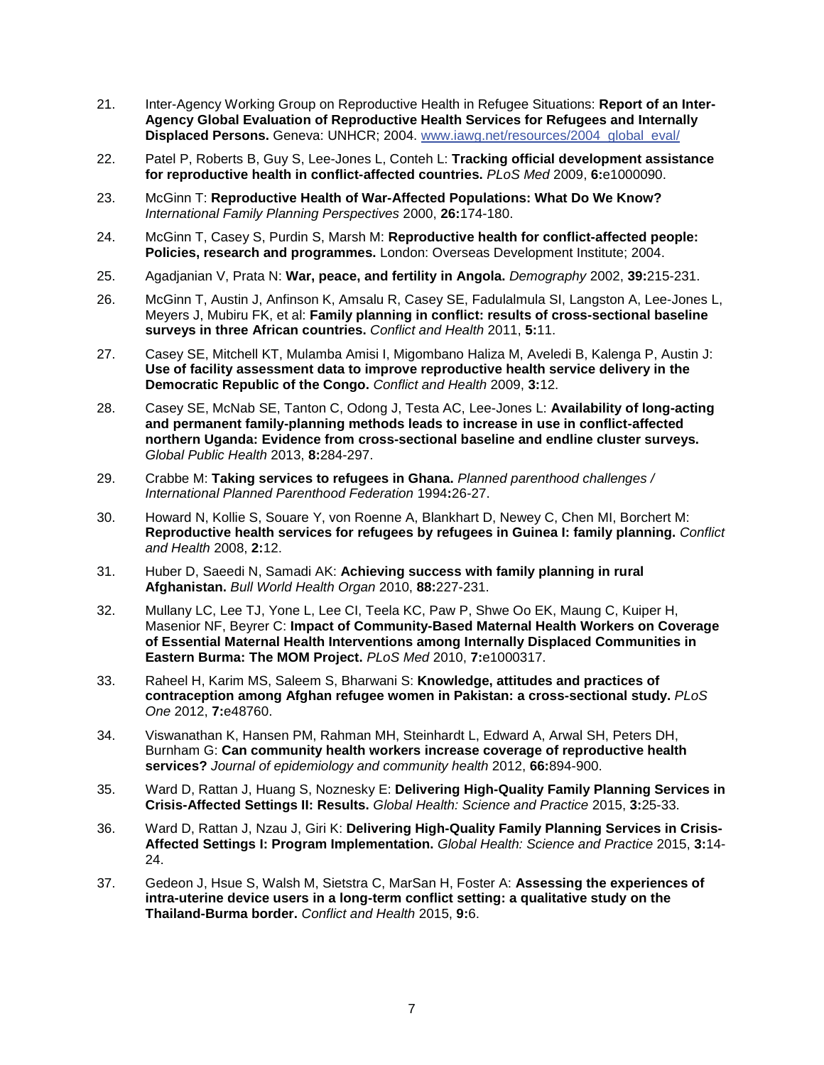- 21. Inter-Agency Working Group on Reproductive Health in Refugee Situations: **Report of an Inter-Agency Global Evaluation of Reproductive Health Services for Refugees and Internally Displaced Persons.** Geneva: UNHCR: 2004. www.iawg.net/resources/2004\_global\_eval/
- 22. Patel P, Roberts B, Guy S, Lee-Jones L, Conteh L: **Tracking official development assistance for reproductive health in conflict-affected countries.** *PLoS Med* 2009, **6:**e1000090.
- 23. McGinn T: **Reproductive Health of War-Affected Populations: What Do We Know?** *International Family Planning Perspectives* 2000, **26:**174-180.
- 24. McGinn T, Casey S, Purdin S, Marsh M: **Reproductive health for conflict-affected people: Policies, research and programmes.** London: Overseas Development Institute; 2004.
- 25. Agadjanian V, Prata N: **War, peace, and fertility in Angola.** *Demography* 2002, **39:**215-231.
- 26. McGinn T, Austin J, Anfinson K, Amsalu R, Casey SE, Fadulalmula SI, Langston A, Lee-Jones L, Meyers J, Mubiru FK, et al: **Family planning in conflict: results of cross-sectional baseline surveys in three African countries.** *Conflict and Health* 2011, **5:**11.
- 27. Casey SE, Mitchell KT, Mulamba Amisi I, Migombano Haliza M, Aveledi B, Kalenga P, Austin J: **Use of facility assessment data to improve reproductive health service delivery in the Democratic Republic of the Congo.** *Conflict and Health* 2009, **3:**12.
- 28. Casey SE, McNab SE, Tanton C, Odong J, Testa AC, Lee-Jones L: **Availability of long-acting and permanent family-planning methods leads to increase in use in conflict-affected northern Uganda: Evidence from cross-sectional baseline and endline cluster surveys.** *Global Public Health* 2013, **8:**284-297.
- 29. Crabbe M: **Taking services to refugees in Ghana.** *Planned parenthood challenges / International Planned Parenthood Federation* 1994**:**26-27.
- 30. Howard N, Kollie S, Souare Y, von Roenne A, Blankhart D, Newey C, Chen MI, Borchert M: **Reproductive health services for refugees by refugees in Guinea I: family planning.** *Conflict and Health* 2008, **2:**12.
- 31. Huber D, Saeedi N, Samadi AK: **Achieving success with family planning in rural Afghanistan.** *Bull World Health Organ* 2010, **88:**227-231.
- 32. Mullany LC, Lee TJ, Yone L, Lee CI, Teela KC, Paw P, Shwe Oo EK, Maung C, Kuiper H, Masenior NF, Beyrer C: **Impact of Community-Based Maternal Health Workers on Coverage of Essential Maternal Health Interventions among Internally Displaced Communities in Eastern Burma: The MOM Project.** *PLoS Med* 2010, **7:**e1000317.
- 33. Raheel H, Karim MS, Saleem S, Bharwani S: **Knowledge, attitudes and practices of contraception among Afghan refugee women in Pakistan: a cross-sectional study.** *PLoS One* 2012, **7:**e48760.
- 34. Viswanathan K, Hansen PM, Rahman MH, Steinhardt L, Edward A, Arwal SH, Peters DH, Burnham G: **Can community health workers increase coverage of reproductive health services?** *Journal of epidemiology and community health* 2012, **66:**894-900.
- 35. Ward D, Rattan J, Huang S, Noznesky E: **Delivering High-Quality Family Planning Services in Crisis-Affected Settings II: Results.** *Global Health: Science and Practice* 2015, **3:**25-33.
- 36. Ward D, Rattan J, Nzau J, Giri K: **Delivering High-Quality Family Planning Services in Crisis-Affected Settings I: Program Implementation.** *Global Health: Science and Practice* 2015, **3:**14- 24.
- 37. Gedeon J, Hsue S, Walsh M, Sietstra C, MarSan H, Foster A: **Assessing the experiences of intra-uterine device users in a long-term conflict setting: a qualitative study on the Thailand-Burma border.** *Conflict and Health* 2015, **9:**6.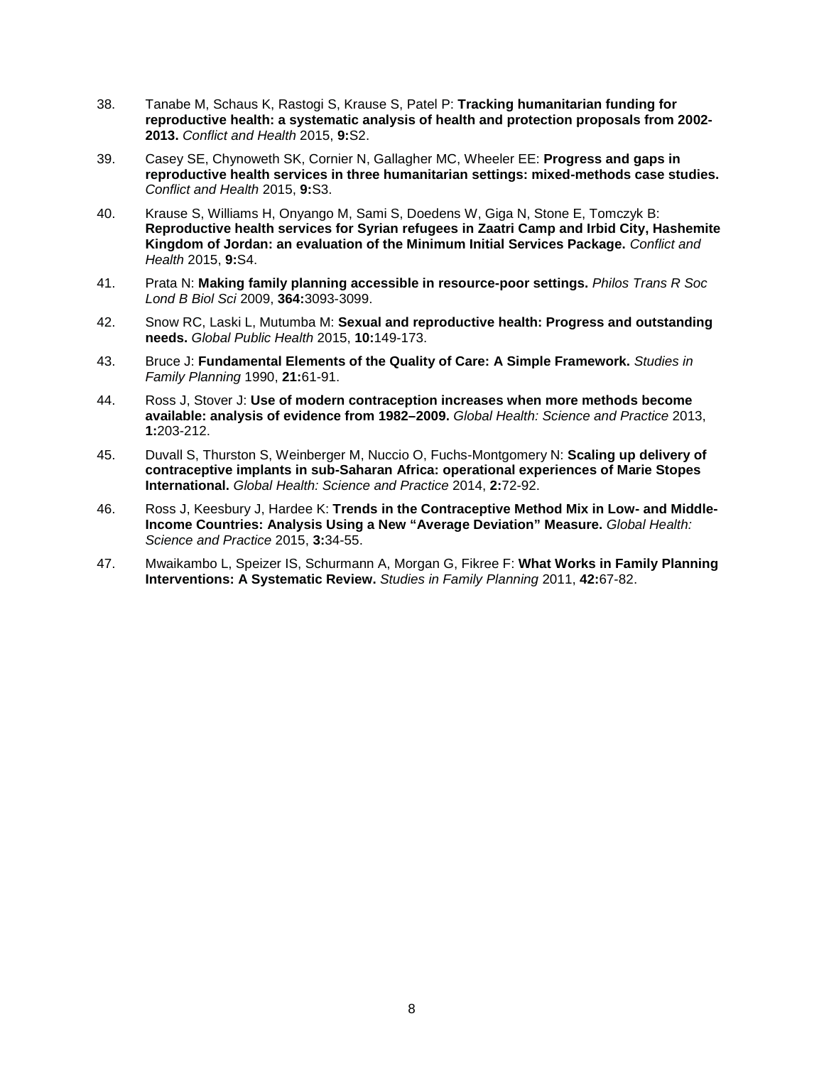- 38. Tanabe M, Schaus K, Rastogi S, Krause S, Patel P: **Tracking humanitarian funding for reproductive health: a systematic analysis of health and protection proposals from 2002- 2013.** *Conflict and Health* 2015, **9:**S2.
- 39. Casey SE, Chynoweth SK, Cornier N, Gallagher MC, Wheeler EE: **Progress and gaps in reproductive health services in three humanitarian settings: mixed-methods case studies.** *Conflict and Health* 2015, **9:**S3.
- 40. Krause S, Williams H, Onyango M, Sami S, Doedens W, Giga N, Stone E, Tomczyk B: **Reproductive health services for Syrian refugees in Zaatri Camp and Irbid City, Hashemite Kingdom of Jordan: an evaluation of the Minimum Initial Services Package.** *Conflict and Health* 2015, **9:**S4.
- 41. Prata N: **Making family planning accessible in resource-poor settings.** *Philos Trans R Soc Lond B Biol Sci* 2009, **364:**3093-3099.
- 42. Snow RC, Laski L, Mutumba M: **Sexual and reproductive health: Progress and outstanding needs.** *Global Public Health* 2015, **10:**149-173.
- 43. Bruce J: **Fundamental Elements of the Quality of Care: A Simple Framework.** *Studies in Family Planning* 1990, **21:**61-91.
- 44. Ross J, Stover J: **Use of modern contraception increases when more methods become available: analysis of evidence from 1982–2009.** *Global Health: Science and Practice* 2013, **1:**203-212.
- 45. Duvall S, Thurston S, Weinberger M, Nuccio O, Fuchs-Montgomery N: **Scaling up delivery of contraceptive implants in sub-Saharan Africa: operational experiences of Marie Stopes International.** *Global Health: Science and Practice* 2014, **2:**72-92.
- 46. Ross J, Keesbury J, Hardee K: **Trends in the Contraceptive Method Mix in Low- and Middle-Income Countries: Analysis Using a New "Average Deviation" Measure.** *Global Health: Science and Practice* 2015, **3:**34-55.
- 47. Mwaikambo L, Speizer IS, Schurmann A, Morgan G, Fikree F: **What Works in Family Planning Interventions: A Systematic Review.** *Studies in Family Planning* 2011, **42:**67-82.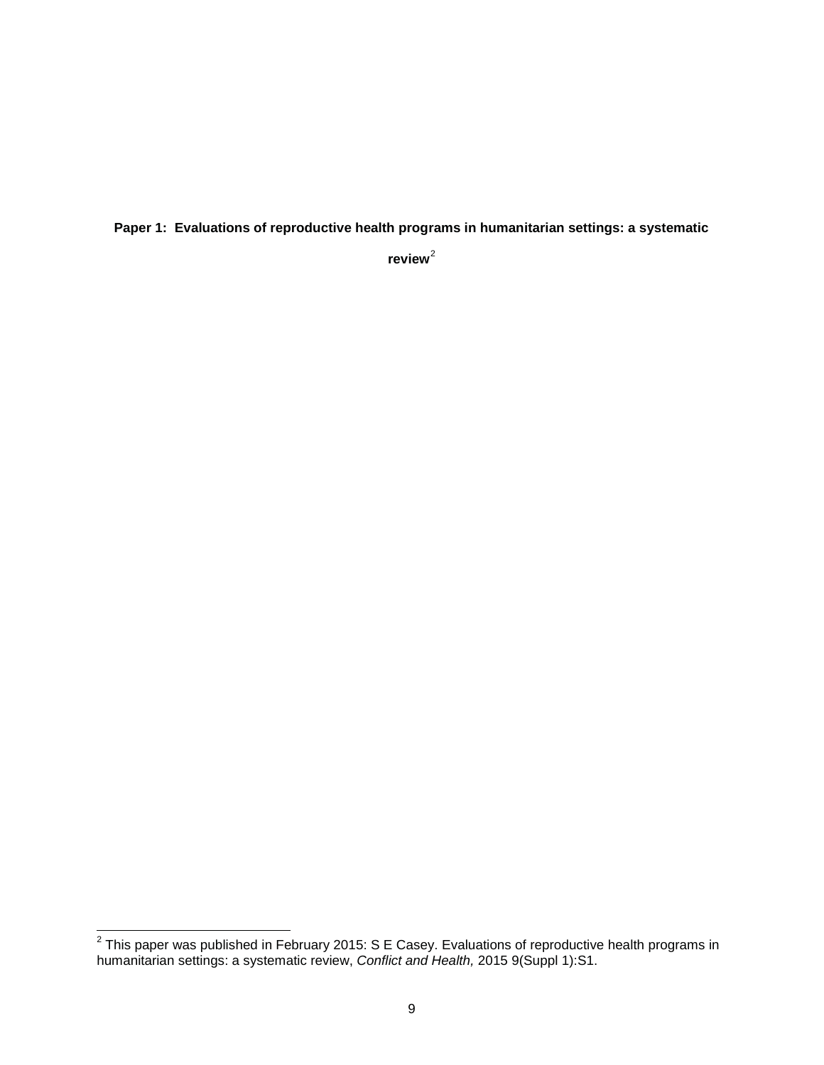**Paper 1: Evaluations of reproductive health programs in humanitarian settings: a systematic** 

review<sup>2</sup>

 $^{2}$  This paper was published in February 2015: S E Casey. Evaluations of reproductive health programs in humanitarian settings: a systematic review, *Conflict and Health,* 2015 9(Suppl 1):S1.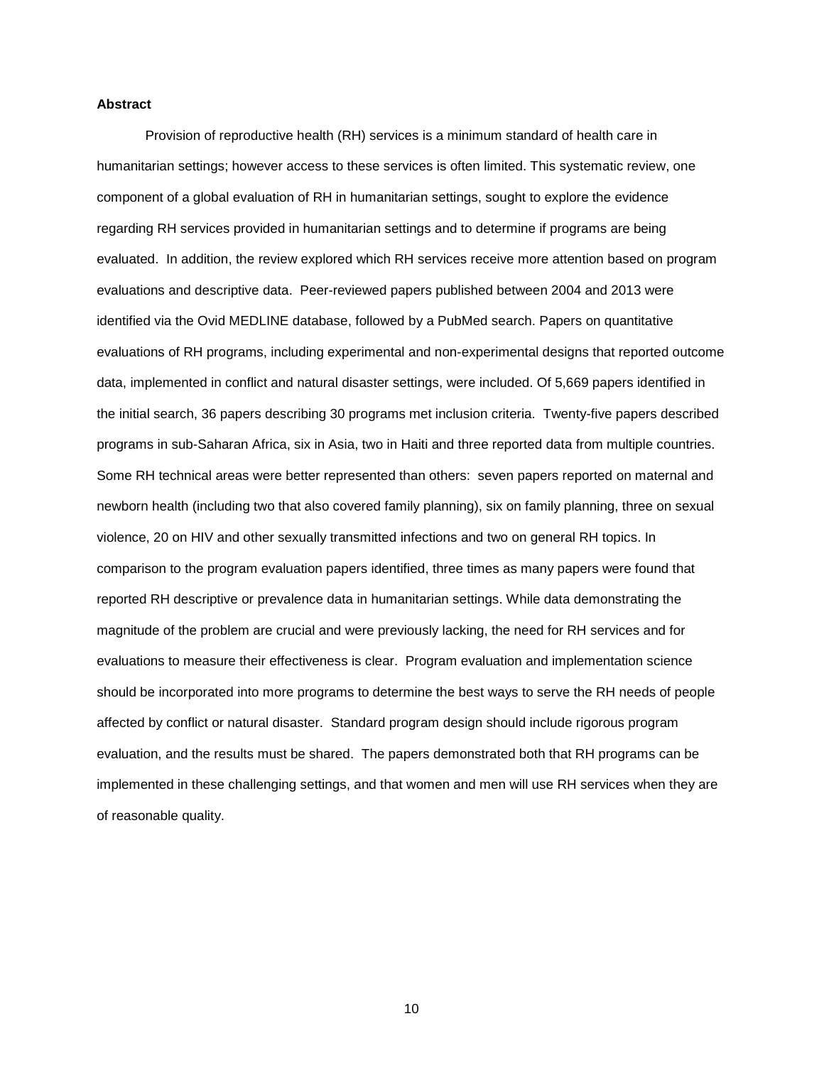#### **Abstract**

Provision of reproductive health (RH) services is a minimum standard of health care in humanitarian settings; however access to these services is often limited. This systematic review, one component of a global evaluation of RH in humanitarian settings, sought to explore the evidence regarding RH services provided in humanitarian settings and to determine if programs are being evaluated. In addition, the review explored which RH services receive more attention based on program evaluations and descriptive data. Peer-reviewed papers published between 2004 and 2013 were identified via the Ovid MEDLINE database, followed by a PubMed search. Papers on quantitative evaluations of RH programs, including experimental and non-experimental designs that reported outcome data, implemented in conflict and natural disaster settings, were included. Of 5,669 papers identified in the initial search, 36 papers describing 30 programs met inclusion criteria. Twenty-five papers described programs in sub-Saharan Africa, six in Asia, two in Haiti and three reported data from multiple countries. Some RH technical areas were better represented than others: seven papers reported on maternal and newborn health (including two that also covered family planning), six on family planning, three on sexual violence, 20 on HIV and other sexually transmitted infections and two on general RH topics. In comparison to the program evaluation papers identified, three times as many papers were found that reported RH descriptive or prevalence data in humanitarian settings. While data demonstrating the magnitude of the problem are crucial and were previously lacking, the need for RH services and for evaluations to measure their effectiveness is clear. Program evaluation and implementation science should be incorporated into more programs to determine the best ways to serve the RH needs of people affected by conflict or natural disaster. Standard program design should include rigorous program evaluation, and the results must be shared. The papers demonstrated both that RH programs can be implemented in these challenging settings, and that women and men will use RH services when they are of reasonable quality.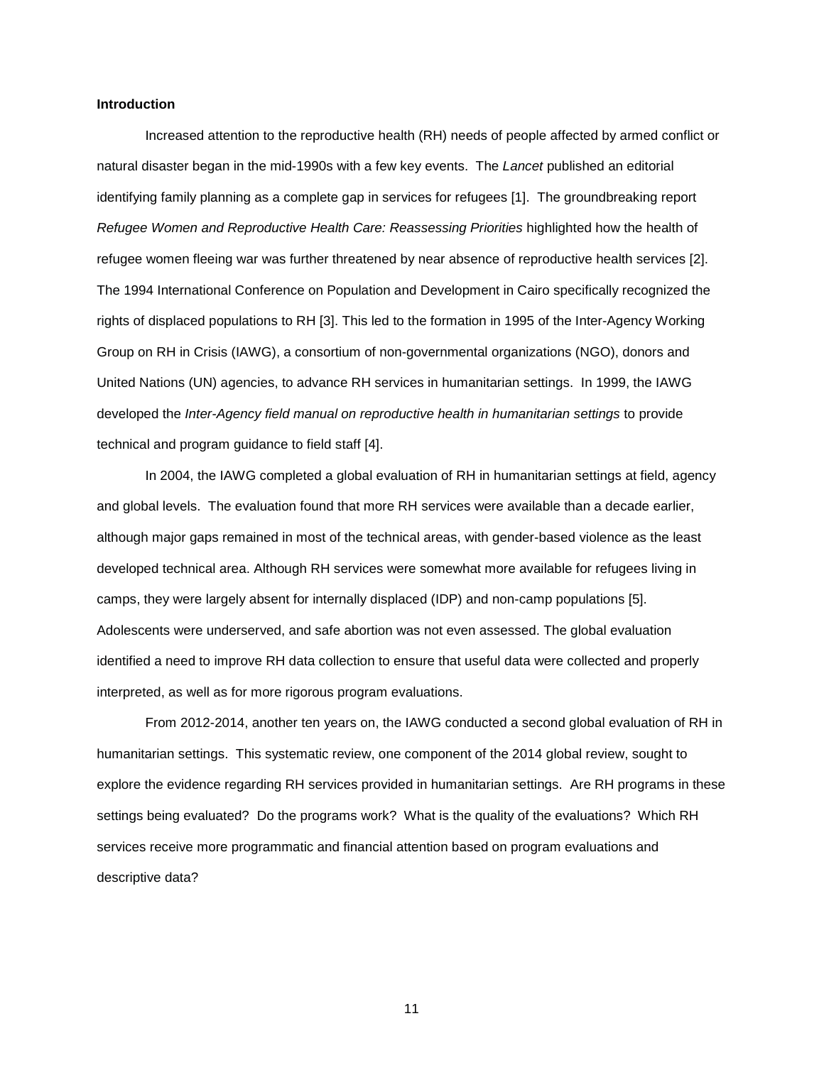#### **Introduction**

Increased attention to the reproductive health (RH) needs of people affected by armed conflict or natural disaster began in the mid-1990s with a few key events. The *Lancet* published an editorial identifying family planning as a complete gap in services for refugees [1]. The groundbreaking report *Refugee Women and Reproductive Health Care: Reassessing Priorities* highlighted how the health of refugee women fleeing war was further threatened by near absence of reproductive health services [2]. The 1994 International Conference on Population and Development in Cairo specifically recognized the rights of displaced populations to RH [3]. This led to the formation in 1995 of the Inter-Agency Working Group on RH in Crisis (IAWG), a consortium of non-governmental organizations (NGO), donors and United Nations (UN) agencies, to advance RH services in humanitarian settings. In 1999, the IAWG developed the *Inter-Agency field manual on reproductive health in humanitarian settings* to provide technical and program guidance to field staff [4].

In 2004, the IAWG completed a global evaluation of RH in humanitarian settings at field, agency and global levels. The evaluation found that more RH services were available than a decade earlier, although major gaps remained in most of the technical areas, with gender-based violence as the least developed technical area. Although RH services were somewhat more available for refugees living in camps, they were largely absent for internally displaced (IDP) and non-camp populations [5]. Adolescents were underserved, and safe abortion was not even assessed. The global evaluation identified a need to improve RH data collection to ensure that useful data were collected and properly interpreted, as well as for more rigorous program evaluations.

From 2012-2014, another ten years on, the IAWG conducted a second global evaluation of RH in humanitarian settings. This systematic review, one component of the 2014 global review, sought to explore the evidence regarding RH services provided in humanitarian settings. Are RH programs in these settings being evaluated? Do the programs work? What is the quality of the evaluations? Which RH services receive more programmatic and financial attention based on program evaluations and descriptive data?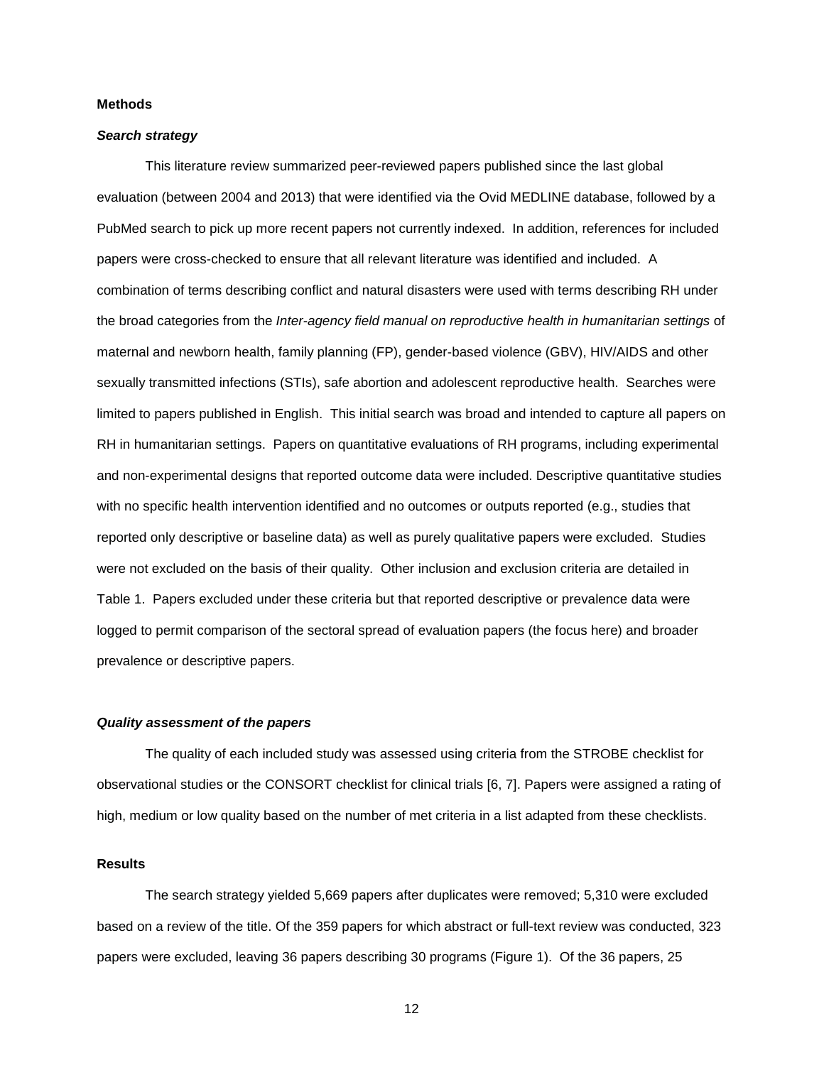### **Methods**

#### *Search strategy*

This literature review summarized peer-reviewed papers published since the last global evaluation (between 2004 and 2013) that were identified via the Ovid MEDLINE database, followed by a PubMed search to pick up more recent papers not currently indexed. In addition, references for included papers were cross-checked to ensure that all relevant literature was identified and included. A combination of terms describing conflict and natural disasters were used with terms describing RH under the broad categories from the *Inter-agency field manual on reproductive health in humanitarian settings* of maternal and newborn health, family planning (FP), gender-based violence (GBV), HIV/AIDS and other sexually transmitted infections (STIs), safe abortion and adolescent reproductive health. Searches were limited to papers published in English. This initial search was broad and intended to capture all papers on RH in humanitarian settings. Papers on quantitative evaluations of RH programs, including experimental and non-experimental designs that reported outcome data were included. Descriptive quantitative studies with no specific health intervention identified and no outcomes or outputs reported (e.g., studies that reported only descriptive or baseline data) as well as purely qualitative papers were excluded. Studies were not excluded on the basis of their quality. Other inclusion and exclusion criteria are detailed in Table 1. Papers excluded under these criteria but that reported descriptive or prevalence data were logged to permit comparison of the sectoral spread of evaluation papers (the focus here) and broader prevalence or descriptive papers.

#### *Quality assessment of the papers*

The quality of each included study was assessed using criteria from the STROBE checklist for observational studies or the CONSORT checklist for clinical trials [6, 7]. Papers were assigned a rating of high, medium or low quality based on the number of met criteria in a list adapted from these checklists.

### **Results**

The search strategy yielded 5,669 papers after duplicates were removed; 5,310 were excluded based on a review of the title. Of the 359 papers for which abstract or full-text review was conducted, 323 papers were excluded, leaving 36 papers describing 30 programs (Figure 1). Of the 36 papers, 25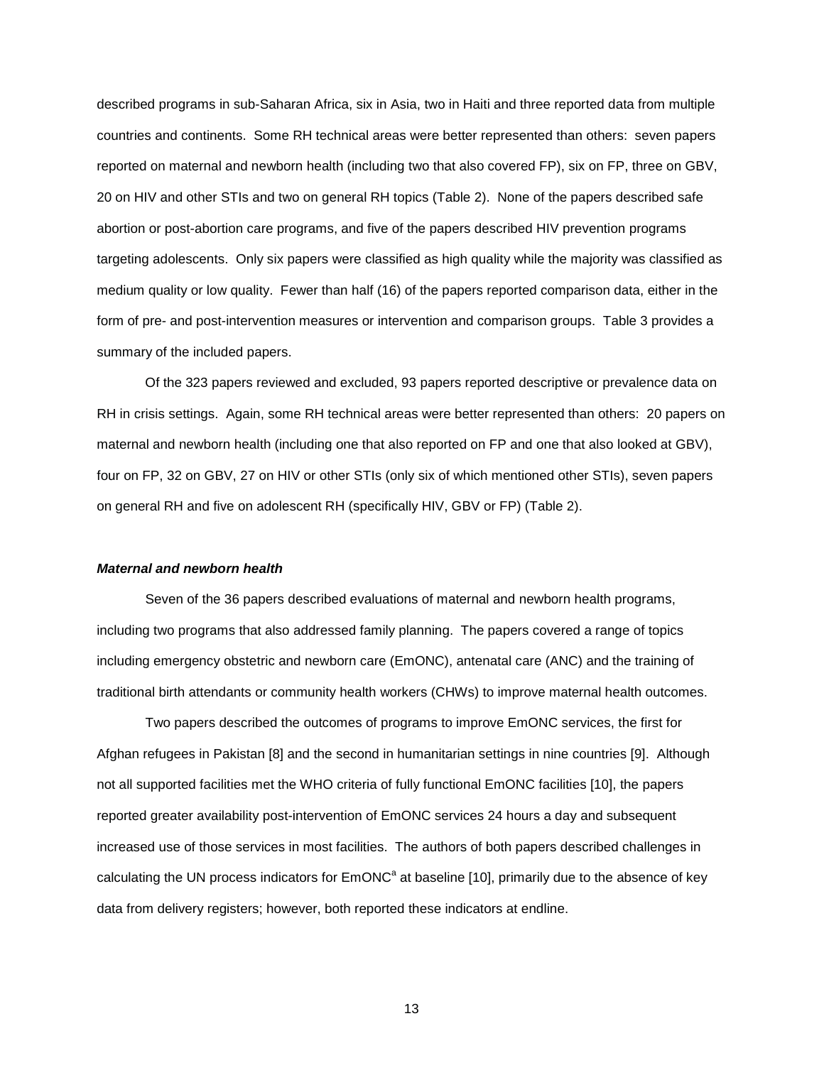described programs in sub-Saharan Africa, six in Asia, two in Haiti and three reported data from multiple countries and continents. Some RH technical areas were better represented than others: seven papers reported on maternal and newborn health (including two that also covered FP), six on FP, three on GBV, 20 on HIV and other STIs and two on general RH topics (Table 2). None of the papers described safe abortion or post-abortion care programs, and five of the papers described HIV prevention programs targeting adolescents. Only six papers were classified as high quality while the majority was classified as medium quality or low quality. Fewer than half (16) of the papers reported comparison data, either in the form of pre- and post-intervention measures or intervention and comparison groups. Table 3 provides a summary of the included papers.

Of the 323 papers reviewed and excluded, 93 papers reported descriptive or prevalence data on RH in crisis settings. Again, some RH technical areas were better represented than others: 20 papers on maternal and newborn health (including one that also reported on FP and one that also looked at GBV), four on FP, 32 on GBV, 27 on HIV or other STIs (only six of which mentioned other STIs), seven papers on general RH and five on adolescent RH (specifically HIV, GBV or FP) (Table 2).

#### *Maternal and newborn health*

Seven of the 36 papers described evaluations of maternal and newborn health programs, including two programs that also addressed family planning. The papers covered a range of topics including emergency obstetric and newborn care (EmONC), antenatal care (ANC) and the training of traditional birth attendants or community health workers (CHWs) to improve maternal health outcomes.

Two papers described the outcomes of programs to improve EmONC services, the first for Afghan refugees in Pakistan [8] and the second in humanitarian settings in nine countries [9]. Although not all supported facilities met the WHO criteria of fully functional EmONC facilities [10], the papers reported greater availability post-intervention of EmONC services 24 hours a day and subsequent increased use of those services in most facilities. The authors of both papers described challenges in calculating the UN process indicators for  $EmONC<sup>a</sup>$  at baseline [10], primarily due to the absence of key data from delivery registers; however, both reported these indicators at endline.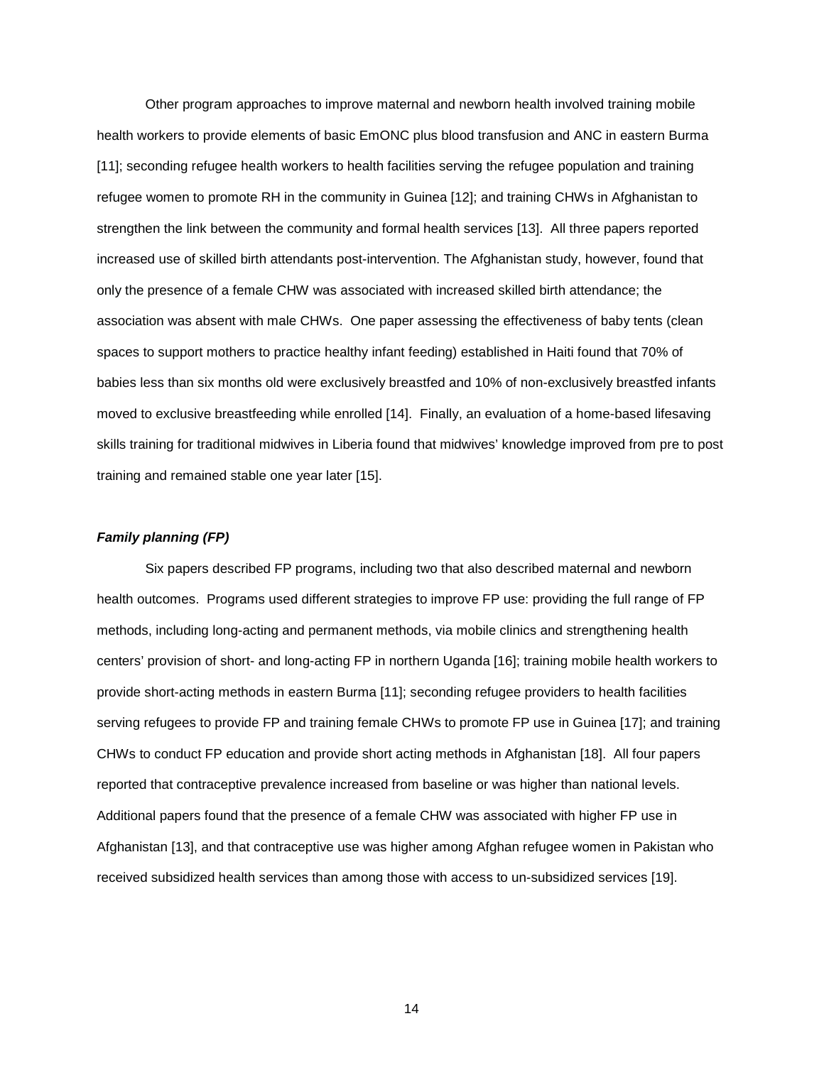Other program approaches to improve maternal and newborn health involved training mobile health workers to provide elements of basic EmONC plus blood transfusion and ANC in eastern Burma [11]; seconding refugee health workers to health facilities serving the refugee population and training refugee women to promote RH in the community in Guinea [12]; and training CHWs in Afghanistan to strengthen the link between the community and formal health services [13]. All three papers reported increased use of skilled birth attendants post-intervention. The Afghanistan study, however, found that only the presence of a female CHW was associated with increased skilled birth attendance; the association was absent with male CHWs. One paper assessing the effectiveness of baby tents (clean spaces to support mothers to practice healthy infant feeding) established in Haiti found that 70% of babies less than six months old were exclusively breastfed and 10% of non-exclusively breastfed infants moved to exclusive breastfeeding while enrolled [14]. Finally, an evaluation of a home-based lifesaving skills training for traditional midwives in Liberia found that midwives' knowledge improved from pre to post training and remained stable one year later [15].

#### *Family planning (FP)*

Six papers described FP programs, including two that also described maternal and newborn health outcomes. Programs used different strategies to improve FP use: providing the full range of FP methods, including long-acting and permanent methods, via mobile clinics and strengthening health centers' provision of short- and long-acting FP in northern Uganda [16]; training mobile health workers to provide short-acting methods in eastern Burma [11]; seconding refugee providers to health facilities serving refugees to provide FP and training female CHWs to promote FP use in Guinea [17]; and training CHWs to conduct FP education and provide short acting methods in Afghanistan [18]. All four papers reported that contraceptive prevalence increased from baseline or was higher than national levels. Additional papers found that the presence of a female CHW was associated with higher FP use in Afghanistan [13], and that contraceptive use was higher among Afghan refugee women in Pakistan who received subsidized health services than among those with access to un-subsidized services [19].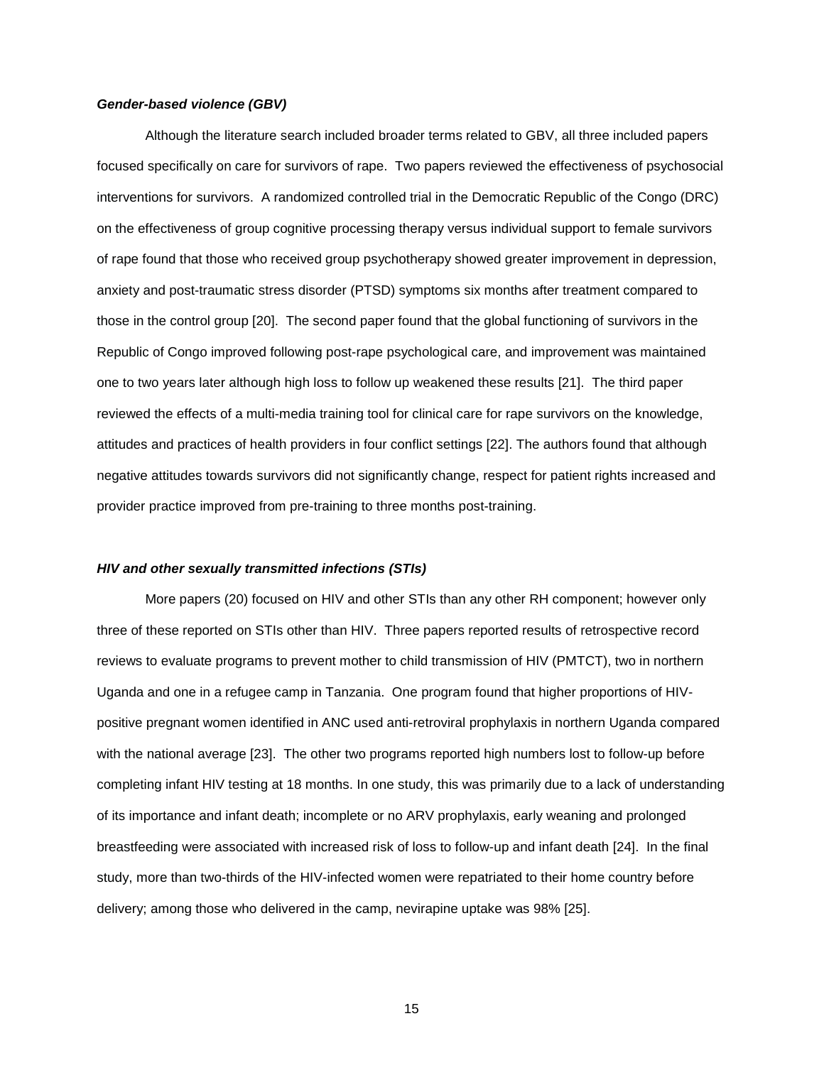#### *Gender-based violence (GBV)*

Although the literature search included broader terms related to GBV, all three included papers focused specifically on care for survivors of rape. Two papers reviewed the effectiveness of psychosocial interventions for survivors. A randomized controlled trial in the Democratic Republic of the Congo (DRC) on the effectiveness of group cognitive processing therapy versus individual support to female survivors of rape found that those who received group psychotherapy showed greater improvement in depression, anxiety and post-traumatic stress disorder (PTSD) symptoms six months after treatment compared to those in the control group [20]. The second paper found that the global functioning of survivors in the Republic of Congo improved following post-rape psychological care, and improvement was maintained one to two years later although high loss to follow up weakened these results [21]. The third paper reviewed the effects of a multi-media training tool for clinical care for rape survivors on the knowledge, attitudes and practices of health providers in four conflict settings [22]. The authors found that although negative attitudes towards survivors did not significantly change, respect for patient rights increased and provider practice improved from pre-training to three months post-training.

#### *HIV and other sexually transmitted infections (STIs)*

More papers (20) focused on HIV and other STIs than any other RH component; however only three of these reported on STIs other than HIV. Three papers reported results of retrospective record reviews to evaluate programs to prevent mother to child transmission of HIV (PMTCT), two in northern Uganda and one in a refugee camp in Tanzania. One program found that higher proportions of HIVpositive pregnant women identified in ANC used anti-retroviral prophylaxis in northern Uganda compared with the national average [23]. The other two programs reported high numbers lost to follow-up before completing infant HIV testing at 18 months. In one study, this was primarily due to a lack of understanding of its importance and infant death; incomplete or no ARV prophylaxis, early weaning and prolonged breastfeeding were associated with increased risk of loss to follow-up and infant death [24]. In the final study, more than two-thirds of the HIV-infected women were repatriated to their home country before delivery; among those who delivered in the camp, nevirapine uptake was 98% [25].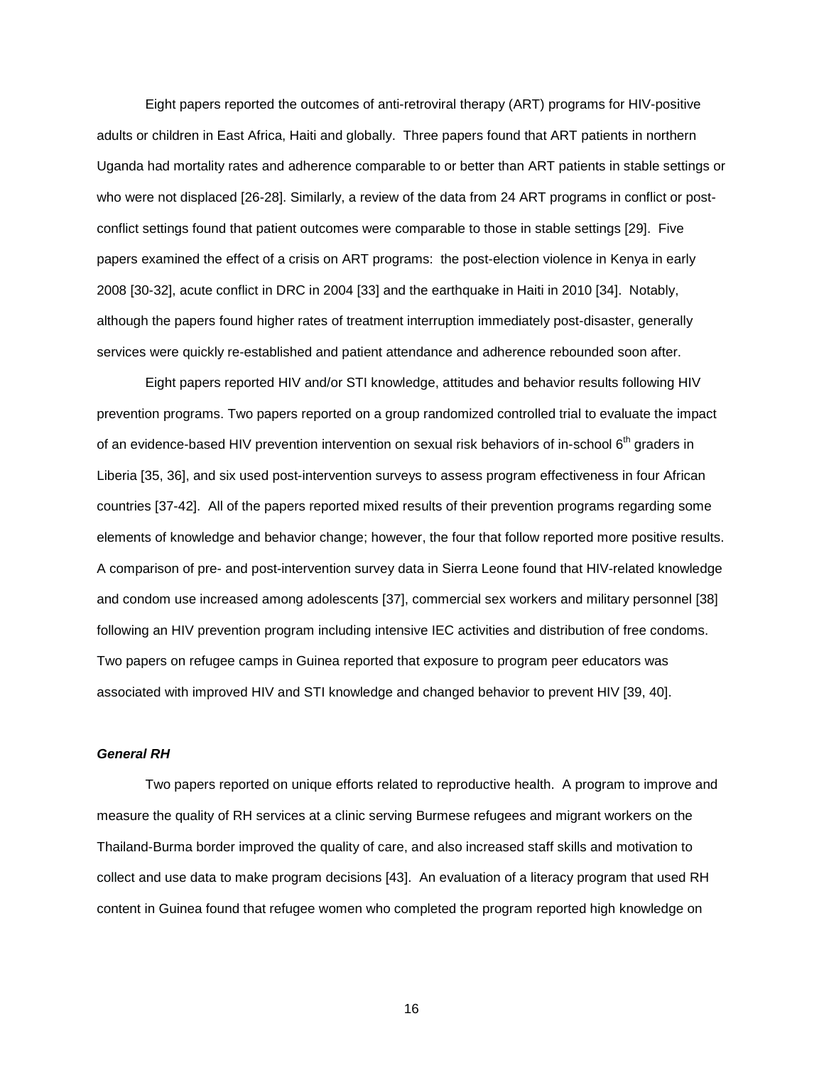Eight papers reported the outcomes of anti-retroviral therapy (ART) programs for HIV-positive adults or children in East Africa, Haiti and globally. Three papers found that ART patients in northern Uganda had mortality rates and adherence comparable to or better than ART patients in stable settings or who were not displaced [26-28]. Similarly, a review of the data from 24 ART programs in conflict or postconflict settings found that patient outcomes were comparable to those in stable settings [29]. Five papers examined the effect of a crisis on ART programs: the post-election violence in Kenya in early 2008 [30-32], acute conflict in DRC in 2004 [33] and the earthquake in Haiti in 2010 [34]. Notably, although the papers found higher rates of treatment interruption immediately post-disaster, generally services were quickly re-established and patient attendance and adherence rebounded soon after.

Eight papers reported HIV and/or STI knowledge, attitudes and behavior results following HIV prevention programs. Two papers reported on a group randomized controlled trial to evaluate the impact of an evidence-based HIV prevention intervention on sexual risk behaviors of in-school  $6<sup>th</sup>$  graders in Liberia [35, 36], and six used post-intervention surveys to assess program effectiveness in four African countries [37-42]. All of the papers reported mixed results of their prevention programs regarding some elements of knowledge and behavior change; however, the four that follow reported more positive results. A comparison of pre- and post-intervention survey data in Sierra Leone found that HIV-related knowledge and condom use increased among adolescents [37], commercial sex workers and military personnel [38] following an HIV prevention program including intensive IEC activities and distribution of free condoms. Two papers on refugee camps in Guinea reported that exposure to program peer educators was associated with improved HIV and STI knowledge and changed behavior to prevent HIV [39, 40].

### *General RH*

Two papers reported on unique efforts related to reproductive health. A program to improve and measure the quality of RH services at a clinic serving Burmese refugees and migrant workers on the Thailand-Burma border improved the quality of care, and also increased staff skills and motivation to collect and use data to make program decisions [43]. An evaluation of a literacy program that used RH content in Guinea found that refugee women who completed the program reported high knowledge on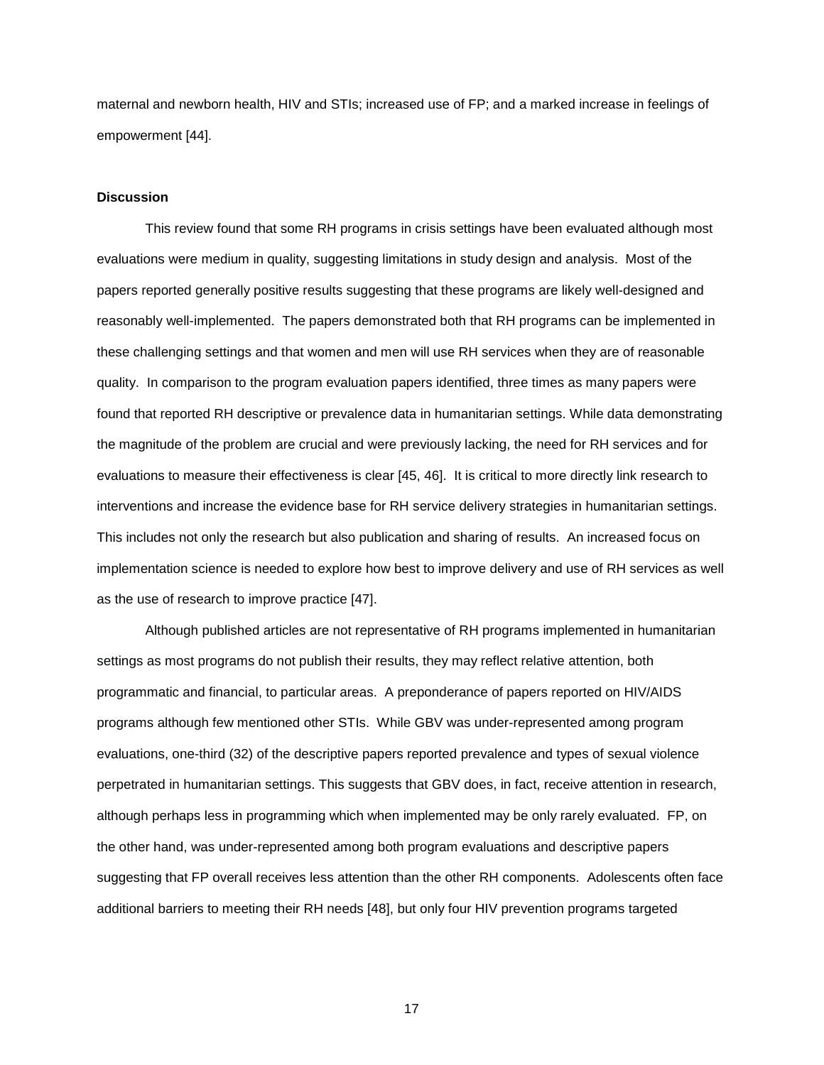maternal and newborn health, HIV and STIs; increased use of FP; and a marked increase in feelings of empowerment [44].

#### **Discussion**

This review found that some RH programs in crisis settings have been evaluated although most evaluations were medium in quality, suggesting limitations in study design and analysis. Most of the papers reported generally positive results suggesting that these programs are likely well-designed and reasonably well-implemented. The papers demonstrated both that RH programs can be implemented in these challenging settings and that women and men will use RH services when they are of reasonable quality. In comparison to the program evaluation papers identified, three times as many papers were found that reported RH descriptive or prevalence data in humanitarian settings. While data demonstrating the magnitude of the problem are crucial and were previously lacking, the need for RH services and for evaluations to measure their effectiveness is clear [45, 46]. It is critical to more directly link research to interventions and increase the evidence base for RH service delivery strategies in humanitarian settings. This includes not only the research but also publication and sharing of results. An increased focus on implementation science is needed to explore how best to improve delivery and use of RH services as well as the use of research to improve practice [47].

Although published articles are not representative of RH programs implemented in humanitarian settings as most programs do not publish their results, they may reflect relative attention, both programmatic and financial, to particular areas. A preponderance of papers reported on HIV/AIDS programs although few mentioned other STIs. While GBV was under-represented among program evaluations, one-third (32) of the descriptive papers reported prevalence and types of sexual violence perpetrated in humanitarian settings. This suggests that GBV does, in fact, receive attention in research, although perhaps less in programming which when implemented may be only rarely evaluated. FP, on the other hand, was under-represented among both program evaluations and descriptive papers suggesting that FP overall receives less attention than the other RH components. Adolescents often face additional barriers to meeting their RH needs [48], but only four HIV prevention programs targeted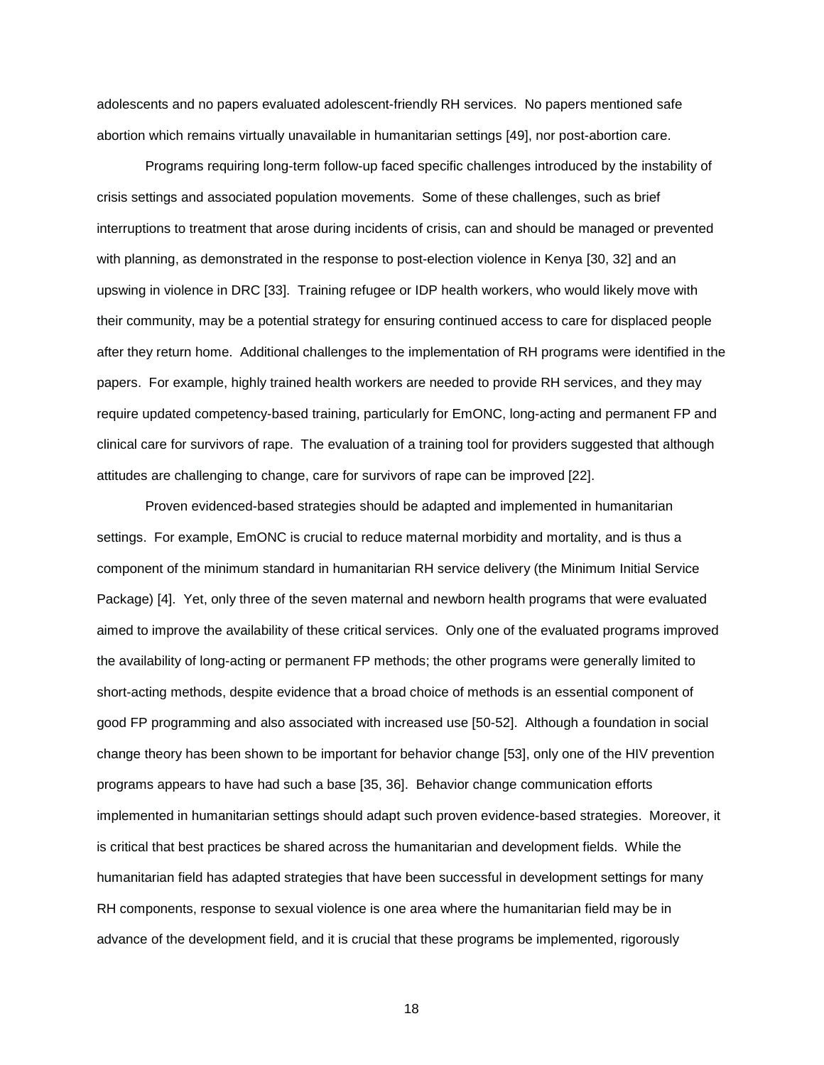adolescents and no papers evaluated adolescent-friendly RH services. No papers mentioned safe abortion which remains virtually unavailable in humanitarian settings [49], nor post-abortion care.

Programs requiring long-term follow-up faced specific challenges introduced by the instability of crisis settings and associated population movements. Some of these challenges, such as brief interruptions to treatment that arose during incidents of crisis, can and should be managed or prevented with planning, as demonstrated in the response to post-election violence in Kenya [30, 32] and an upswing in violence in DRC [33]. Training refugee or IDP health workers, who would likely move with their community, may be a potential strategy for ensuring continued access to care for displaced people after they return home. Additional challenges to the implementation of RH programs were identified in the papers. For example, highly trained health workers are needed to provide RH services, and they may require updated competency-based training, particularly for EmONC, long-acting and permanent FP and clinical care for survivors of rape. The evaluation of a training tool for providers suggested that although attitudes are challenging to change, care for survivors of rape can be improved [22].

Proven evidenced-based strategies should be adapted and implemented in humanitarian settings. For example, EmONC is crucial to reduce maternal morbidity and mortality, and is thus a component of the minimum standard in humanitarian RH service delivery (the Minimum Initial Service Package) [4]. Yet, only three of the seven maternal and newborn health programs that were evaluated aimed to improve the availability of these critical services. Only one of the evaluated programs improved the availability of long-acting or permanent FP methods; the other programs were generally limited to short-acting methods, despite evidence that a broad choice of methods is an essential component of good FP programming and also associated with increased use [50-52]. Although a foundation in social change theory has been shown to be important for behavior change [53], only one of the HIV prevention programs appears to have had such a base [35, 36]. Behavior change communication efforts implemented in humanitarian settings should adapt such proven evidence-based strategies. Moreover, it is critical that best practices be shared across the humanitarian and development fields. While the humanitarian field has adapted strategies that have been successful in development settings for many RH components, response to sexual violence is one area where the humanitarian field may be in advance of the development field, and it is crucial that these programs be implemented, rigorously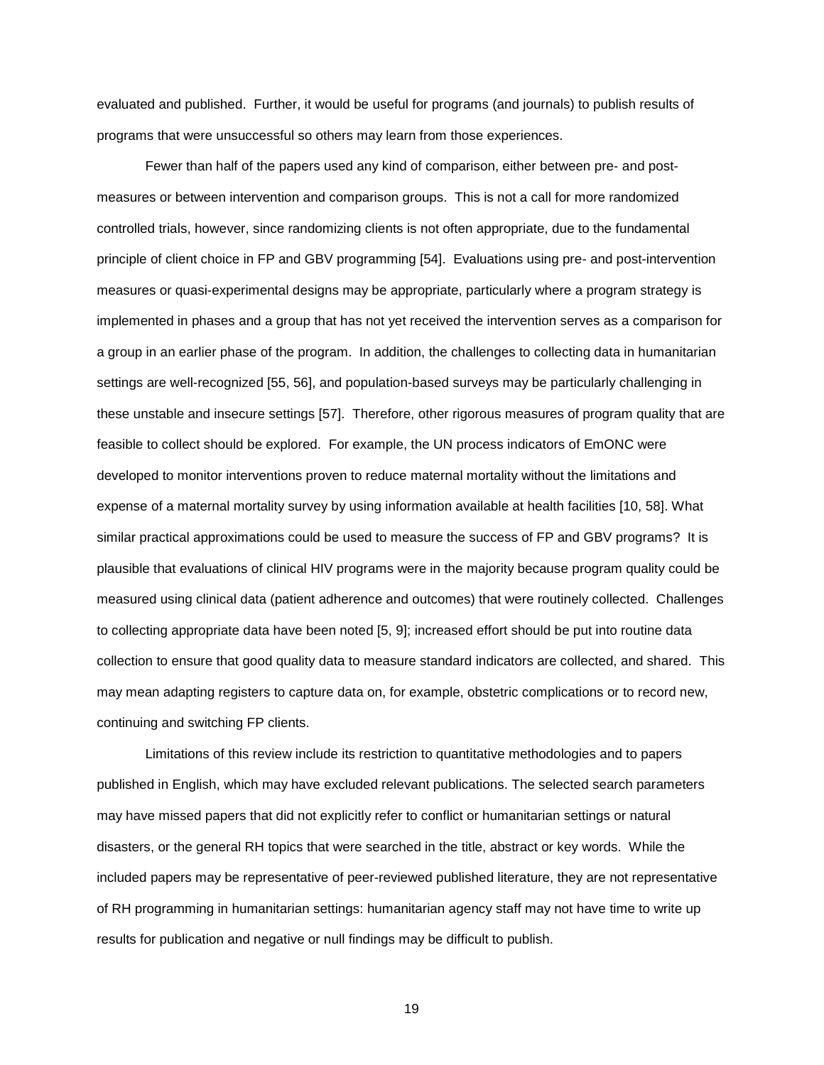evaluated and published. Further, it would be useful for programs (and journals) to publish results of programs that were unsuccessful so others may learn from those experiences.

Fewer than half of the papers used any kind of comparison, either between pre- and postmeasures or between intervention and comparison groups. This is not a call for more randomized controlled trials, however, since randomizing clients is not often appropriate, due to the fundamental principle of client choice in FP and GBV programming [54]. Evaluations using pre- and post-intervention measures or quasi-experimental designs may be appropriate, particularly where a program strategy is implemented in phases and a group that has not yet received the intervention serves as a comparison for a group in an earlier phase of the program. In addition, the challenges to collecting data in humanitarian settings are well-recognized [55, 56], and population-based surveys may be particularly challenging in these unstable and insecure settings [57]. Therefore, other rigorous measures of program quality that are feasible to collect should be explored. For example, the UN process indicators of EmONC were developed to monitor interventions proven to reduce maternal mortality without the limitations and expense of a maternal mortality survey by using information available at health facilities [10, 58]. What similar practical approximations could be used to measure the success of FP and GBV programs? It is plausible that evaluations of clinical HIV programs were in the majority because program quality could be measured using clinical data (patient adherence and outcomes) that were routinely collected. Challenges to collecting appropriate data have been noted [5, 9]; increased effort should be put into routine data collection to ensure that good quality data to measure standard indicators are collected, and shared. This may mean adapting registers to capture data on, for example, obstetric complications or to record new, continuing and switching FP clients.

Limitations of this review include its restriction to quantitative methodologies and to papers published in English, which may have excluded relevant publications. The selected search parameters may have missed papers that did not explicitly refer to conflict or humanitarian settings or natural disasters, or the general RH topics that were searched in the title, abstract or key words. While the included papers may be representative of peer-reviewed published literature, they are not representative of RH programming in humanitarian settings: humanitarian agency staff may not have time to write up results for publication and negative or null findings may be difficult to publish.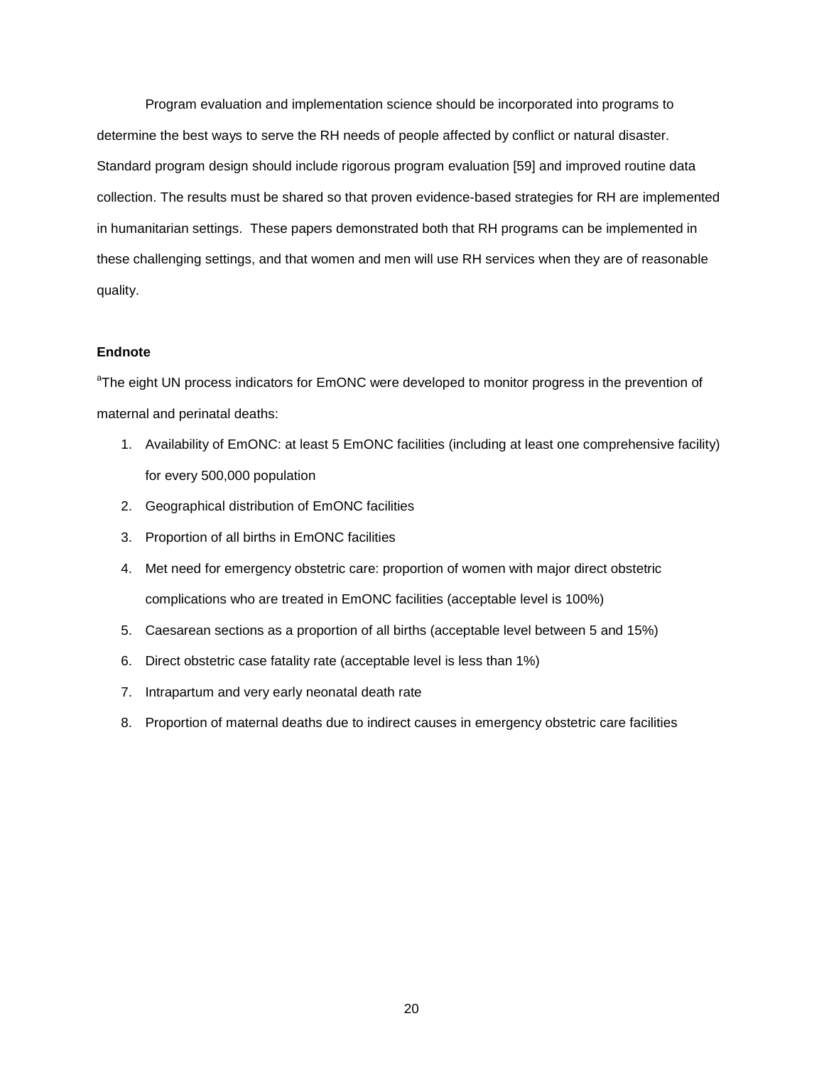Program evaluation and implementation science should be incorporated into programs to determine the best ways to serve the RH needs of people affected by conflict or natural disaster. Standard program design should include rigorous program evaluation [59] and improved routine data collection. The results must be shared so that proven evidence-based strategies for RH are implemented in humanitarian settings. These papers demonstrated both that RH programs can be implemented in these challenging settings, and that women and men will use RH services when they are of reasonable quality.

### **Endnote**

<sup>a</sup>The eight UN process indicators for EmONC were developed to monitor progress in the prevention of maternal and perinatal deaths:

- 1. Availability of EmONC: at least 5 EmONC facilities (including at least one comprehensive facility) for every 500,000 population
- 2. Geographical distribution of EmONC facilities
- 3. Proportion of all births in EmONC facilities
- 4. Met need for emergency obstetric care: proportion of women with major direct obstetric complications who are treated in EmONC facilities (acceptable level is 100%)
- 5. Caesarean sections as a proportion of all births (acceptable level between 5 and 15%)
- 6. Direct obstetric case fatality rate (acceptable level is less than 1%)
- 7. Intrapartum and very early neonatal death rate
- 8. Proportion of maternal deaths due to indirect causes in emergency obstetric care facilities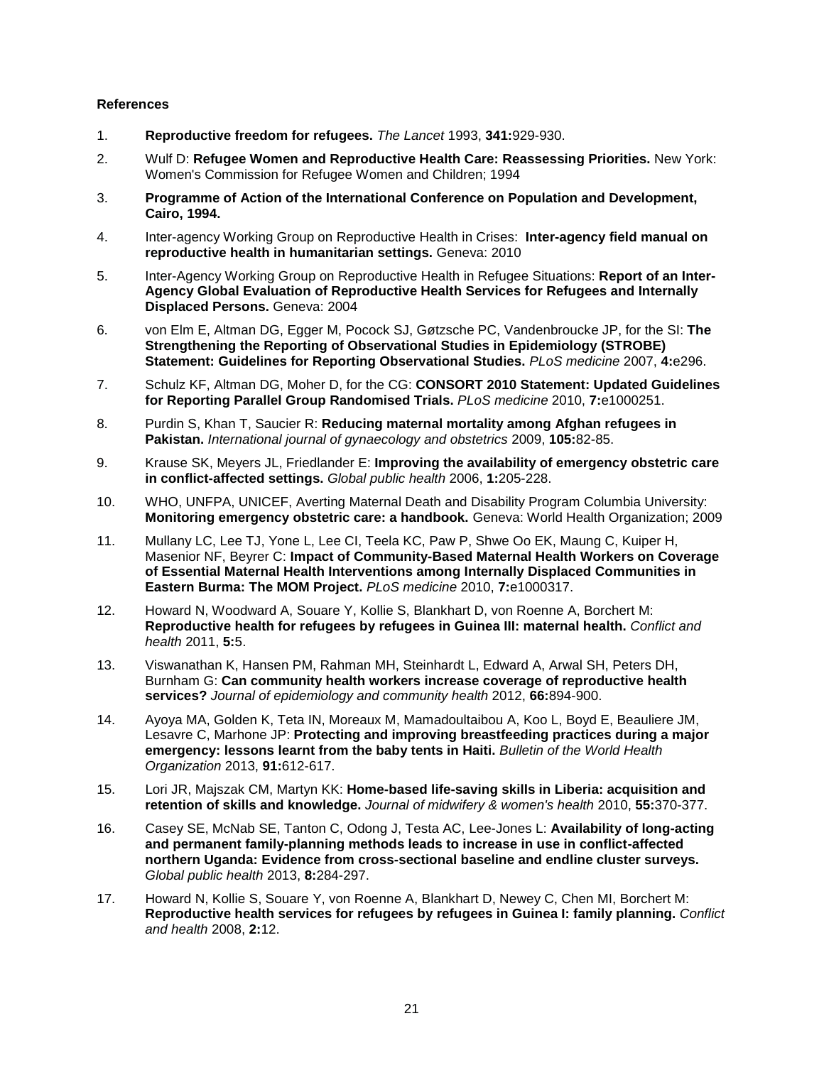## **References**

- 1. **Reproductive freedom for refugees.** *The Lancet* 1993, **341:**929-930.
- 2. Wulf D: **Refugee Women and Reproductive Health Care: Reassessing Priorities.** New York: Women's Commission for Refugee Women and Children; 1994
- 3. **Programme of Action of the International Conference on Population and Development, Cairo, 1994.**
- 4. Inter-agency Working Group on Reproductive Health in Crises: **Inter-agency field manual on reproductive health in humanitarian settings.** Geneva: 2010
- 5. Inter-Agency Working Group on Reproductive Health in Refugee Situations: **Report of an Inter-Agency Global Evaluation of Reproductive Health Services for Refugees and Internally Displaced Persons.** Geneva: 2004
- 6. von Elm E, Altman DG, Egger M, Pocock SJ, Gøtzsche PC, Vandenbroucke JP, for the SI: **The Strengthening the Reporting of Observational Studies in Epidemiology (STROBE) Statement: Guidelines for Reporting Observational Studies.** *PLoS medicine* 2007, **4:**e296.
- 7. Schulz KF, Altman DG, Moher D, for the CG: **CONSORT 2010 Statement: Updated Guidelines for Reporting Parallel Group Randomised Trials.** *PLoS medicine* 2010, **7:**e1000251.
- 8. Purdin S, Khan T, Saucier R: **Reducing maternal mortality among Afghan refugees in Pakistan.** *International journal of gynaecology and obstetrics* 2009, **105:**82-85.
- 9. Krause SK, Meyers JL, Friedlander E: **Improving the availability of emergency obstetric care in conflict-affected settings.** *Global public health* 2006, **1:**205-228.
- 10. WHO, UNFPA, UNICEF, Averting Maternal Death and Disability Program Columbia University: **Monitoring emergency obstetric care: a handbook.** Geneva: World Health Organization; 2009
- 11. Mullany LC, Lee TJ, Yone L, Lee CI, Teela KC, Paw P, Shwe Oo EK, Maung C, Kuiper H, Masenior NF, Beyrer C: **Impact of Community-Based Maternal Health Workers on Coverage of Essential Maternal Health Interventions among Internally Displaced Communities in Eastern Burma: The MOM Project.** *PLoS medicine* 2010, **7:**e1000317.
- 12. Howard N, Woodward A, Souare Y, Kollie S, Blankhart D, von Roenne A, Borchert M: **Reproductive health for refugees by refugees in Guinea III: maternal health.** *Conflict and health* 2011, **5:**5.
- 13. Viswanathan K, Hansen PM, Rahman MH, Steinhardt L, Edward A, Arwal SH, Peters DH, Burnham G: **Can community health workers increase coverage of reproductive health services?** *Journal of epidemiology and community health* 2012, **66:**894-900.
- 14. Ayoya MA, Golden K, Teta IN, Moreaux M, Mamadoultaibou A, Koo L, Boyd E, Beauliere JM, Lesavre C, Marhone JP: **Protecting and improving breastfeeding practices during a major emergency: lessons learnt from the baby tents in Haiti.** *Bulletin of the World Health Organization* 2013, **91:**612-617.
- 15. Lori JR, Majszak CM, Martyn KK: **Home-based life-saving skills in Liberia: acquisition and retention of skills and knowledge.** *Journal of midwifery & women's health* 2010, **55:**370-377.
- 16. Casey SE, McNab SE, Tanton C, Odong J, Testa AC, Lee-Jones L: **Availability of long-acting and permanent family-planning methods leads to increase in use in conflict-affected northern Uganda: Evidence from cross-sectional baseline and endline cluster surveys.** *Global public health* 2013, **8:**284-297.
- 17. Howard N, Kollie S, Souare Y, von Roenne A, Blankhart D, Newey C, Chen MI, Borchert M: **Reproductive health services for refugees by refugees in Guinea I: family planning.** *Conflict and health* 2008, **2:**12.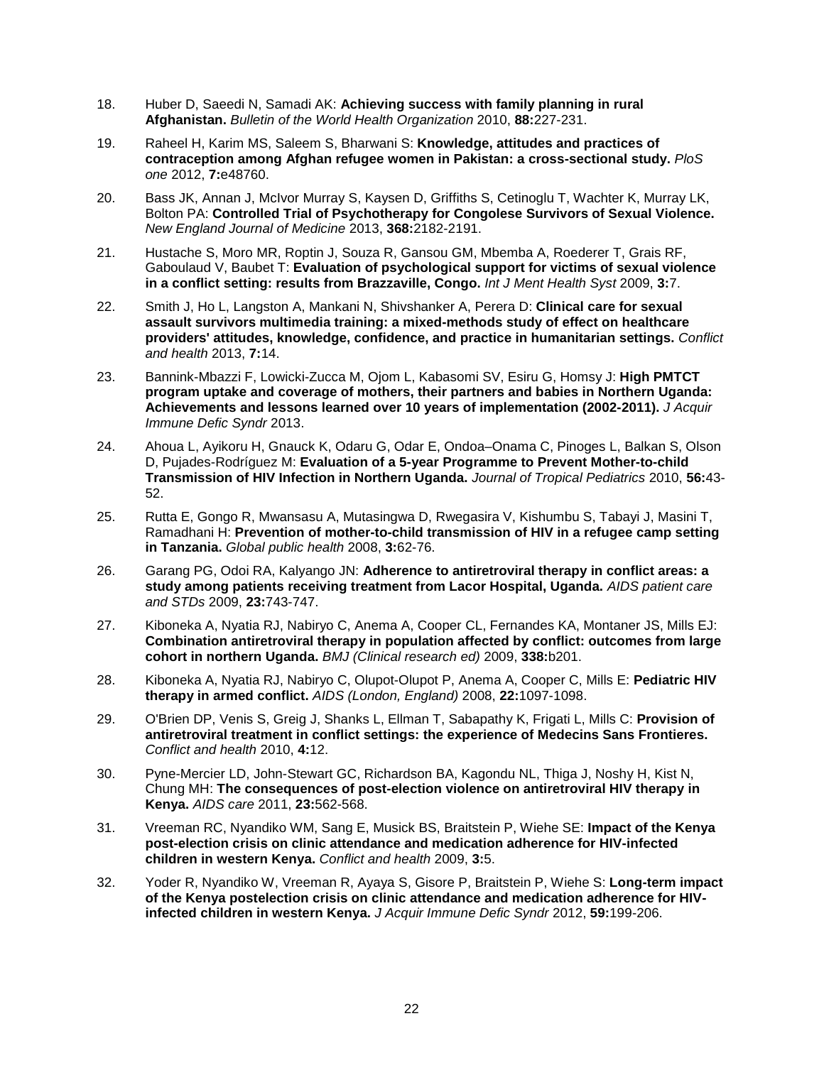- 18. Huber D, Saeedi N, Samadi AK: **Achieving success with family planning in rural Afghanistan.** *Bulletin of the World Health Organization* 2010, **88:**227-231.
- 19. Raheel H, Karim MS, Saleem S, Bharwani S: **Knowledge, attitudes and practices of contraception among Afghan refugee women in Pakistan: a cross-sectional study.** *PloS one* 2012, **7:**e48760.
- 20. Bass JK, Annan J, McIvor Murray S, Kaysen D, Griffiths S, Cetinoglu T, Wachter K, Murray LK, Bolton PA: **Controlled Trial of Psychotherapy for Congolese Survivors of Sexual Violence.** *New England Journal of Medicine* 2013, **368:**2182-2191.
- 21. Hustache S, Moro MR, Roptin J, Souza R, Gansou GM, Mbemba A, Roederer T, Grais RF, Gaboulaud V, Baubet T: **Evaluation of psychological support for victims of sexual violence in a conflict setting: results from Brazzaville, Congo.** *Int J Ment Health Syst* 2009, **3:**7.
- 22. Smith J, Ho L, Langston A, Mankani N, Shivshanker A, Perera D: **Clinical care for sexual assault survivors multimedia training: a mixed-methods study of effect on healthcare providers' attitudes, knowledge, confidence, and practice in humanitarian settings.** *Conflict and health* 2013, **7:**14.
- 23. Bannink-Mbazzi F, Lowicki-Zucca M, Ojom L, Kabasomi SV, Esiru G, Homsy J: **High PMTCT program uptake and coverage of mothers, their partners and babies in Northern Uganda: Achievements and lessons learned over 10 years of implementation (2002-2011).** *J Acquir Immune Defic Syndr* 2013.
- 24. Ahoua L, Ayikoru H, Gnauck K, Odaru G, Odar E, Ondoa–Onama C, Pinoges L, Balkan S, Olson D, Pujades-Rodríguez M: **Evaluation of a 5-year Programme to Prevent Mother-to-child Transmission of HIV Infection in Northern Uganda.** *Journal of Tropical Pediatrics* 2010, **56:**43- 52.
- 25. Rutta E, Gongo R, Mwansasu A, Mutasingwa D, Rwegasira V, Kishumbu S, Tabayi J, Masini T, Ramadhani H: **Prevention of mother-to-child transmission of HIV in a refugee camp setting in Tanzania.** *Global public health* 2008, **3:**62-76.
- 26. Garang PG, Odoi RA, Kalyango JN: **Adherence to antiretroviral therapy in conflict areas: a study among patients receiving treatment from Lacor Hospital, Uganda.** *AIDS patient care and STDs* 2009, **23:**743-747.
- 27. Kiboneka A, Nyatia RJ, Nabiryo C, Anema A, Cooper CL, Fernandes KA, Montaner JS, Mills EJ: **Combination antiretroviral therapy in population affected by conflict: outcomes from large cohort in northern Uganda.** *BMJ (Clinical research ed)* 2009, **338:**b201.
- 28. Kiboneka A, Nyatia RJ, Nabiryo C, Olupot-Olupot P, Anema A, Cooper C, Mills E: **Pediatric HIV therapy in armed conflict.** *AIDS (London, England)* 2008, **22:**1097-1098.
- 29. O'Brien DP, Venis S, Greig J, Shanks L, Ellman T, Sabapathy K, Frigati L, Mills C: **Provision of antiretroviral treatment in conflict settings: the experience of Medecins Sans Frontieres.** *Conflict and health* 2010, **4:**12.
- 30. Pyne-Mercier LD, John-Stewart GC, Richardson BA, Kagondu NL, Thiga J, Noshy H, Kist N, Chung MH: **The consequences of post-election violence on antiretroviral HIV therapy in Kenya.** *AIDS care* 2011, **23:**562-568.
- 31. Vreeman RC, Nyandiko WM, Sang E, Musick BS, Braitstein P, Wiehe SE: **Impact of the Kenya post-election crisis on clinic attendance and medication adherence for HIV-infected children in western Kenya.** *Conflict and health* 2009, **3:**5.
- 32. Yoder R, Nyandiko W, Vreeman R, Ayaya S, Gisore P, Braitstein P, Wiehe S: **Long-term impact of the Kenya postelection crisis on clinic attendance and medication adherence for HIVinfected children in western Kenya.** *J Acquir Immune Defic Syndr* 2012, **59:**199-206.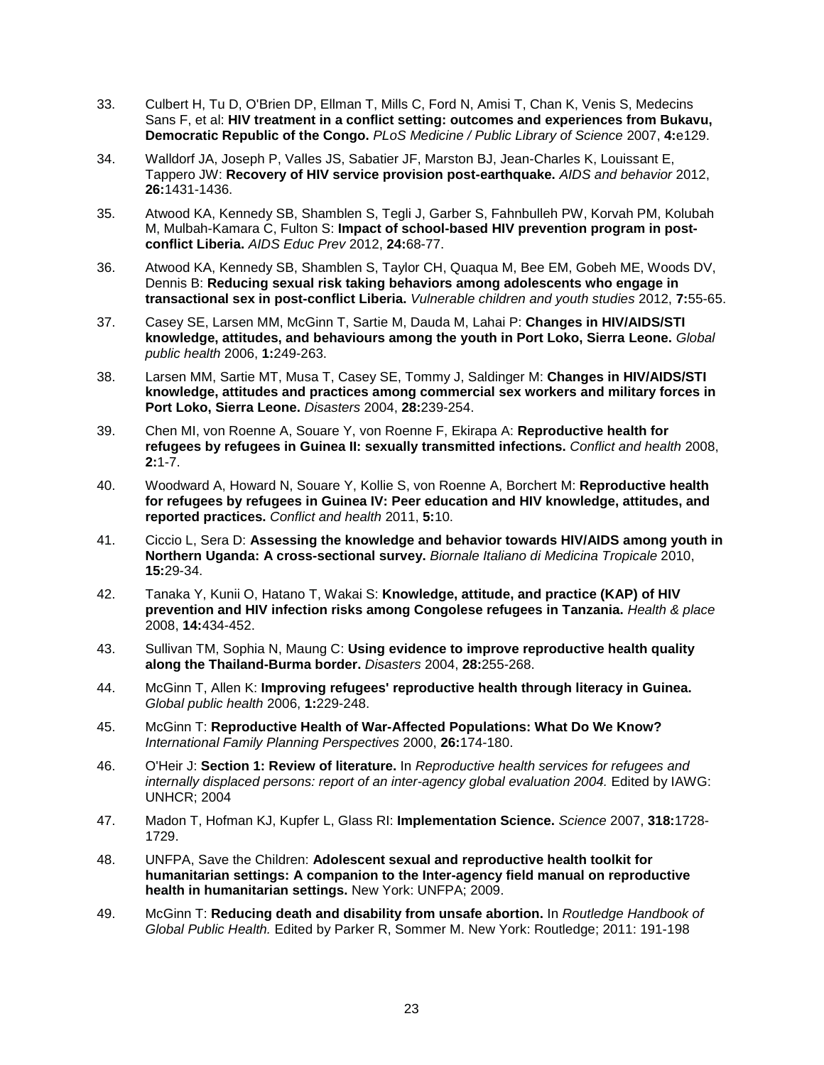- 33. Culbert H, Tu D, O'Brien DP, Ellman T, Mills C, Ford N, Amisi T, Chan K, Venis S, Medecins Sans F, et al: **HIV treatment in a conflict setting: outcomes and experiences from Bukavu, Democratic Republic of the Congo.** *PLoS Medicine / Public Library of Science* 2007, **4:**e129.
- 34. Walldorf JA, Joseph P, Valles JS, Sabatier JF, Marston BJ, Jean-Charles K, Louissant E, Tappero JW: **Recovery of HIV service provision post-earthquake.** *AIDS and behavior* 2012, **26:**1431-1436.
- 35. Atwood KA, Kennedy SB, Shamblen S, Tegli J, Garber S, Fahnbulleh PW, Korvah PM, Kolubah M, Mulbah-Kamara C, Fulton S: **Impact of school-based HIV prevention program in postconflict Liberia.** *AIDS Educ Prev* 2012, **24:**68-77.
- 36. Atwood KA, Kennedy SB, Shamblen S, Taylor CH, Quaqua M, Bee EM, Gobeh ME, Woods DV, Dennis B: **Reducing sexual risk taking behaviors among adolescents who engage in transactional sex in post-conflict Liberia.** *Vulnerable children and youth studies* 2012, **7:**55-65.
- 37. Casey SE, Larsen MM, McGinn T, Sartie M, Dauda M, Lahai P: **Changes in HIV/AIDS/STI knowledge, attitudes, and behaviours among the youth in Port Loko, Sierra Leone.** *Global public health* 2006, **1:**249-263.
- 38. Larsen MM, Sartie MT, Musa T, Casey SE, Tommy J, Saldinger M: **Changes in HIV/AIDS/STI knowledge, attitudes and practices among commercial sex workers and military forces in Port Loko, Sierra Leone.** *Disasters* 2004, **28:**239-254.
- 39. Chen MI, von Roenne A, Souare Y, von Roenne F, Ekirapa A: **Reproductive health for refugees by refugees in Guinea II: sexually transmitted infections.** *Conflict and health* 2008, **2:**1-7.
- 40. Woodward A, Howard N, Souare Y, Kollie S, von Roenne A, Borchert M: **Reproductive health for refugees by refugees in Guinea IV: Peer education and HIV knowledge, attitudes, and reported practices.** *Conflict and health* 2011, **5:**10.
- 41. Ciccio L, Sera D: **Assessing the knowledge and behavior towards HIV/AIDS among youth in Northern Uganda: A cross-sectional survey.** *Biornale Italiano di Medicina Tropicale* 2010, **15:**29-34.
- 42. Tanaka Y, Kunii O, Hatano T, Wakai S: **Knowledge, attitude, and practice (KAP) of HIV prevention and HIV infection risks among Congolese refugees in Tanzania.** *Health & place*  2008, **14:**434-452.
- 43. Sullivan TM, Sophia N, Maung C: **Using evidence to improve reproductive health quality along the Thailand-Burma border.** *Disasters* 2004, **28:**255-268.
- 44. McGinn T, Allen K: **Improving refugees' reproductive health through literacy in Guinea.** *Global public health* 2006, **1:**229-248.
- 45. McGinn T: **Reproductive Health of War-Affected Populations: What Do We Know?** *International Family Planning Perspectives* 2000, **26:**174-180.
- 46. O'Heir J: **Section 1: Review of literature.** In *Reproductive health services for refugees and internally displaced persons: report of an inter-agency global evaluation 2004.* Edited by IAWG: UNHCR; 2004
- 47. Madon T, Hofman KJ, Kupfer L, Glass RI: **Implementation Science.** *Science* 2007, **318:**1728- 1729.
- 48. UNFPA, Save the Children: **Adolescent sexual and reproductive health toolkit for humanitarian settings: A companion to the Inter-agency field manual on reproductive health in humanitarian settings.** New York: UNFPA; 2009.
- 49. McGinn T: **Reducing death and disability from unsafe abortion.** In *Routledge Handbook of Global Public Health.* Edited by Parker R, Sommer M. New York: Routledge; 2011: 191-198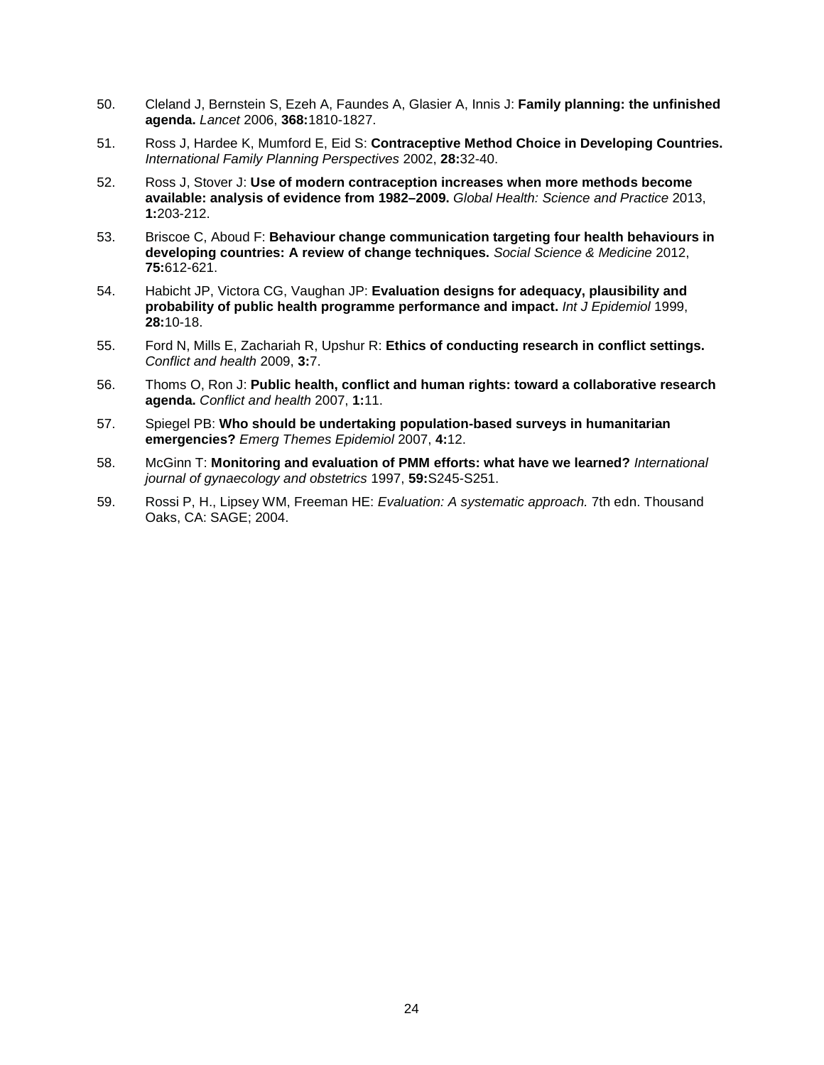- 50. Cleland J, Bernstein S, Ezeh A, Faundes A, Glasier A, Innis J: **Family planning: the unfinished agenda.** *Lancet* 2006, **368:**1810-1827.
- 51. Ross J, Hardee K, Mumford E, Eid S: **Contraceptive Method Choice in Developing Countries.** *International Family Planning Perspectives* 2002, **28:**32-40.
- 52. Ross J, Stover J: **Use of modern contraception increases when more methods become available: analysis of evidence from 1982–2009.** *Global Health: Science and Practice* 2013, **1:**203-212.
- 53. Briscoe C, Aboud F: **Behaviour change communication targeting four health behaviours in developing countries: A review of change techniques.** *Social Science & Medicine* 2012, **75:**612-621.
- 54. Habicht JP, Victora CG, Vaughan JP: **Evaluation designs for adequacy, plausibility and probability of public health programme performance and impact.** *Int J Epidemiol* 1999, **28:**10-18.
- 55. Ford N, Mills E, Zachariah R, Upshur R: **Ethics of conducting research in conflict settings.** *Conflict and health* 2009, **3:**7.
- 56. Thoms O, Ron J: **Public health, conflict and human rights: toward a collaborative research agenda.** *Conflict and health* 2007, **1:**11.
- 57. Spiegel PB: **Who should be undertaking population-based surveys in humanitarian emergencies?** *Emerg Themes Epidemiol* 2007, **4:**12.
- 58. McGinn T: **Monitoring and evaluation of PMM efforts: what have we learned?** *International journal of gynaecology and obstetrics* 1997, **59:**S245-S251.
- 59. Rossi P, H., Lipsey WM, Freeman HE: *Evaluation: A systematic approach.* 7th edn. Thousand Oaks, CA: SAGE; 2004.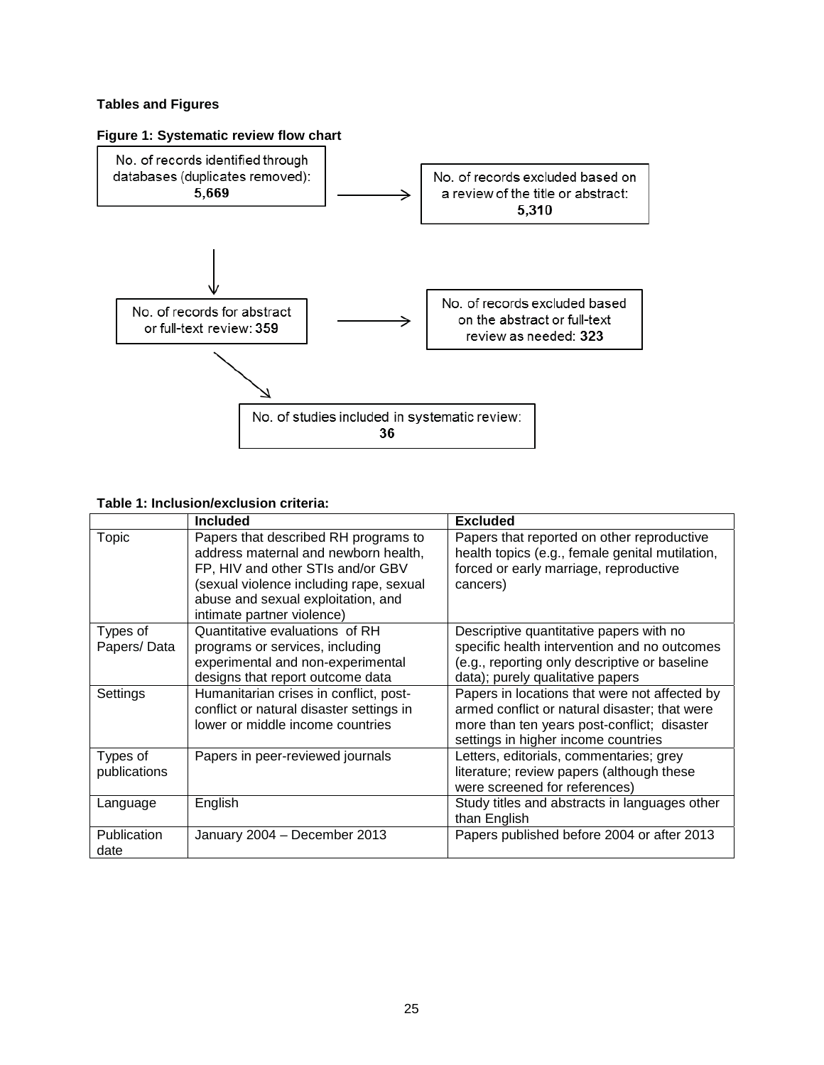## **Tables and Figures**





## **Table 1: Inclusion/exclusion criteria:**

|                          | <b>Included</b>                                                                                                                                                                                                                  | <b>Excluded</b>                                                                                                                                                                      |
|--------------------------|----------------------------------------------------------------------------------------------------------------------------------------------------------------------------------------------------------------------------------|--------------------------------------------------------------------------------------------------------------------------------------------------------------------------------------|
| Topic                    | Papers that described RH programs to<br>address maternal and newborn health,<br>FP, HIV and other STIs and/or GBV<br>(sexual violence including rape, sexual<br>abuse and sexual exploitation, and<br>intimate partner violence) | Papers that reported on other reproductive<br>health topics (e.g., female genital mutilation,<br>forced or early marriage, reproductive<br>cancers)                                  |
| Types of<br>Papers/Data  | Quantitative evaluations of RH<br>programs or services, including<br>experimental and non-experimental<br>designs that report outcome data                                                                                       | Descriptive quantitative papers with no<br>specific health intervention and no outcomes<br>(e.g., reporting only descriptive or baseline<br>data); purely qualitative papers         |
| Settings                 | Humanitarian crises in conflict, post-<br>conflict or natural disaster settings in<br>lower or middle income countries                                                                                                           | Papers in locations that were not affected by<br>armed conflict or natural disaster; that were<br>more than ten years post-conflict; disaster<br>settings in higher income countries |
| Types of<br>publications | Papers in peer-reviewed journals                                                                                                                                                                                                 | Letters, editorials, commentaries; grey<br>literature; review papers (although these<br>were screened for references)                                                                |
| Language                 | English                                                                                                                                                                                                                          | Study titles and abstracts in languages other<br>than English                                                                                                                        |
| Publication<br>date      | January 2004 - December 2013                                                                                                                                                                                                     | Papers published before 2004 or after 2013                                                                                                                                           |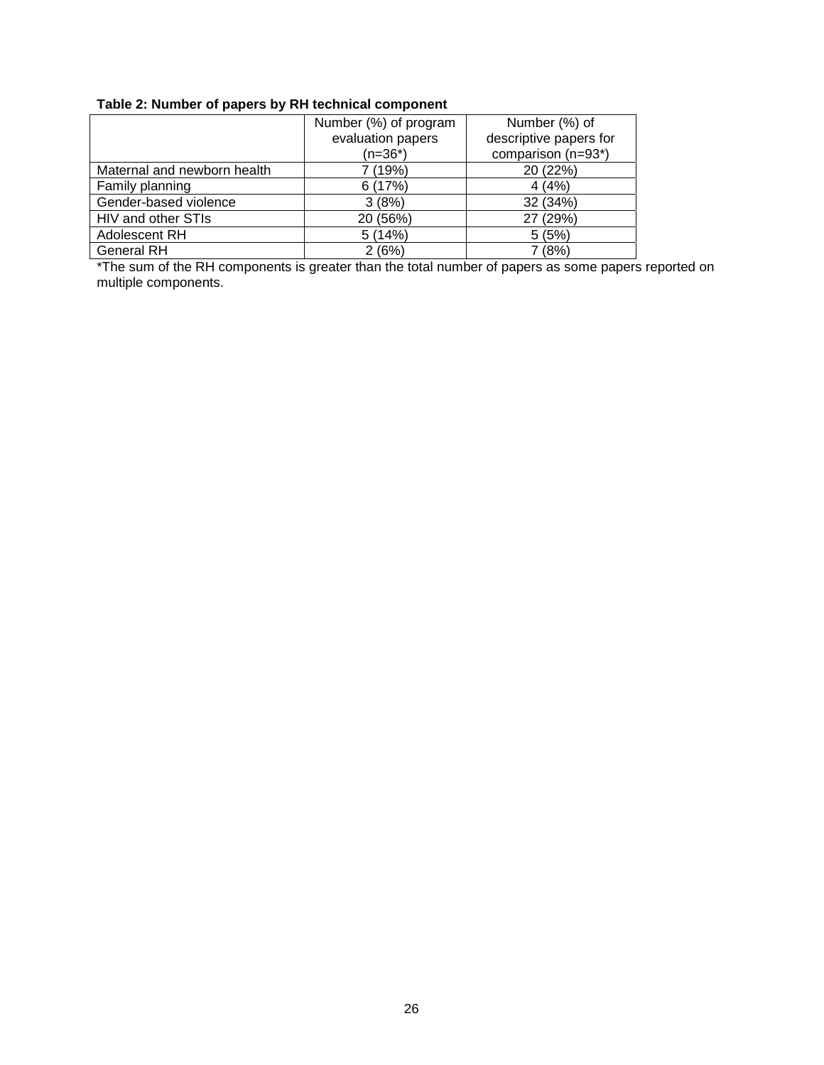# **Table 2: Number of papers by RH technical component**

|                             | Number (%) of program | Number (%) of          |
|-----------------------------|-----------------------|------------------------|
|                             | evaluation papers     | descriptive papers for |
|                             | (n=36*)               | comparison (n=93*)     |
| Maternal and newborn health | 7 (19%)               | 20 (22%)               |
| Family planning             | 6(17%)                | 4(4%)                  |
| Gender-based violence       | 3(8%)                 | 32 (34%)               |
| HIV and other STIs          | 20 (56%)              | 27 (29%)               |
| Adolescent RH               | 5(14%)                | 5(5%)                  |
| <b>General RH</b>           | 2(6%)                 | 7 (8%)                 |

\*The sum of the RH components is greater than the total number of papers as some papers reported on multiple components.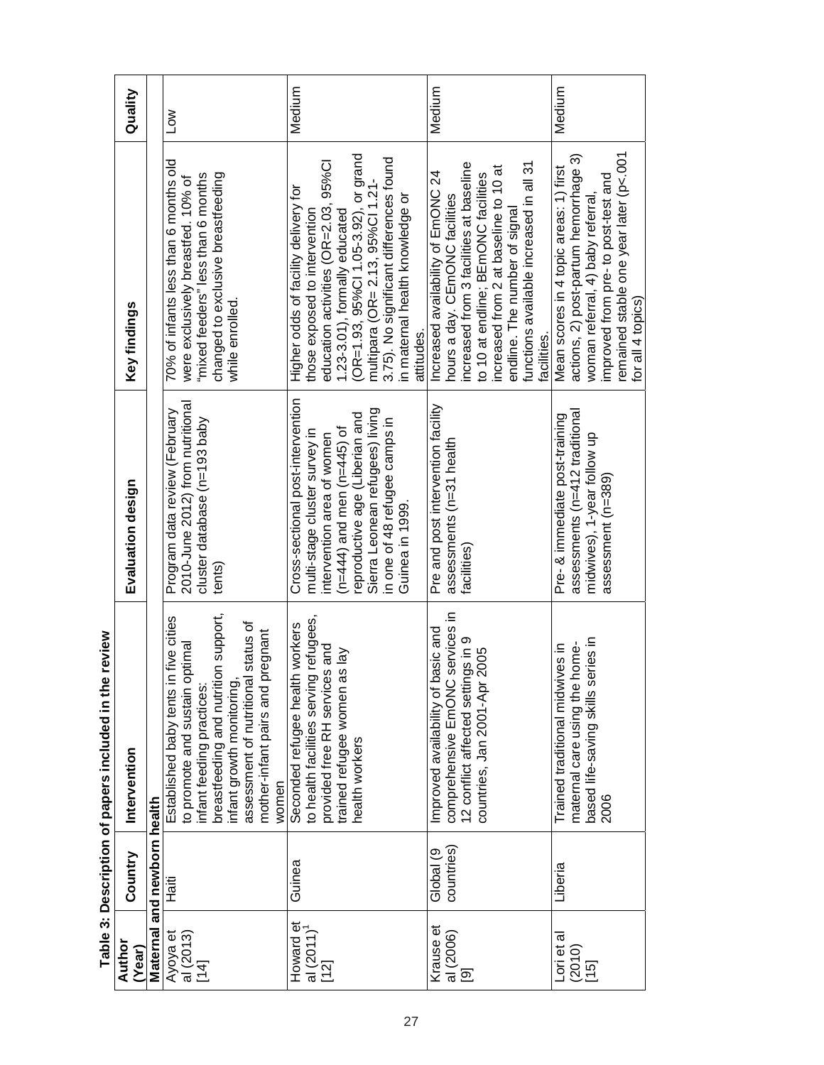|                                             |                                    | Table 3: Description of papers included in the review                                                                                                                                                                                                                 |                                                                                                                                                                                                                                                             |                                                                                                                                                                                                                                                                                                                        |                  |
|---------------------------------------------|------------------------------------|-----------------------------------------------------------------------------------------------------------------------------------------------------------------------------------------------------------------------------------------------------------------------|-------------------------------------------------------------------------------------------------------------------------------------------------------------------------------------------------------------------------------------------------------------|------------------------------------------------------------------------------------------------------------------------------------------------------------------------------------------------------------------------------------------------------------------------------------------------------------------------|------------------|
| Author<br>(Year)                            | Country                            | Intervention                                                                                                                                                                                                                                                          | Evaluation design                                                                                                                                                                                                                                           | Key findings                                                                                                                                                                                                                                                                                                           | Quality          |
|                                             | Maternal and newborn health        |                                                                                                                                                                                                                                                                       |                                                                                                                                                                                                                                                             |                                                                                                                                                                                                                                                                                                                        |                  |
| Ayoya et<br>al (2013)<br>$[14]$             | Haiti                              | breastfeeding and nutrition support,<br>Established baby tents in five cities<br>assessment of nutritional status of<br>pregnant<br>optimal<br>infant growth monitoring<br>to promote and sustain of<br>mother-infant pairs and<br>infant feeding practices:<br>women | 2010-June 2012) from nutritional<br>Program data review (February<br>cluster database (n=193 baby<br>tents)                                                                                                                                                 | 70% of infants less than 6 months old<br>changed to exclusive breastfeeding<br>"mixed feeders" less than 6 months<br>were exclusively breastfed. 10% of<br>while enrolled.                                                                                                                                             | $\sum_{i=1}^{n}$ |
| Howard et<br>al (2011) <sup>1</sup><br>[12] | Guinea                             | Seconded refugee health workers<br>to health facilities serving refugees,<br>provided free RH services and<br>as lay<br>trained refugee women<br>health workers                                                                                                       | Cross-sectional post-intervention<br>Sierra Leonean refugees) living<br>reproductive age (Liberian and<br>in one of 48 refugee camps in<br>$(n=444)$ and men $(n=445)$ of<br>multi-stage cluster survey in<br>intervention area of women<br>Guinea in 1999. | (OR=1.93, 95%Cl 1.05-3.92), or grand<br>multipara (OR= 2.13, 95%Cl 1.21-<br>3.75). No significant differences found<br>education activities (OR=2.03, 95%CI<br>Higher odds of facility delivery for<br>in maternal health knowledge or<br>1.23-3.01), formally educated<br>those exposed to intervention<br>attitudes. | Medium           |
| Krause et<br>al (2006)<br>[9]               | countries)<br>Global <sub>(9</sub> | services in<br>Improved availability of basic and<br>12 conflict affected settings in 9<br>2005<br>comprehensive EmONC<br>countries, Jan 2001-Apr                                                                                                                     | Pre and post intervention facility<br>assessments (n=31 health<br>facilities)                                                                                                                                                                               | increased from 3 facilities at baseline<br>functions available increased in all 31<br>increased from 2 at baseline to 10 at<br>Increased availability of EmONC 24<br>to 10 at endline; BEmONC facilities<br>hours a day. CEmONC facilities<br>endline. The number of signal<br>facilities.                             | Medium           |
| Lori et al<br>$(2010)$<br>[15]              | Liberia                            | based life-saving skills series in<br>home-<br>Trained traditional midwives in<br>maternal care using the<br>2006                                                                                                                                                     | assessments (n=412 traditional<br>Pre- & immediate post-training<br>midwives), 1-year follow up<br>assessment (n=389)                                                                                                                                       | remained stable one year later (p<.001<br>actions, 2) post-partum hemorrhage 3)<br>Mean scores in 4 topic areas: 1) first<br>improved from pre- to post-test and<br>woman referral, 4) baby referral,<br>for all 4 topics)                                                                                             | Medium           |

| $\frac{1}{2}$ |
|---------------|
|               |
| i             |
| inch room to  |
| 5             |
|               |
|               |
| į<br>ŕ        |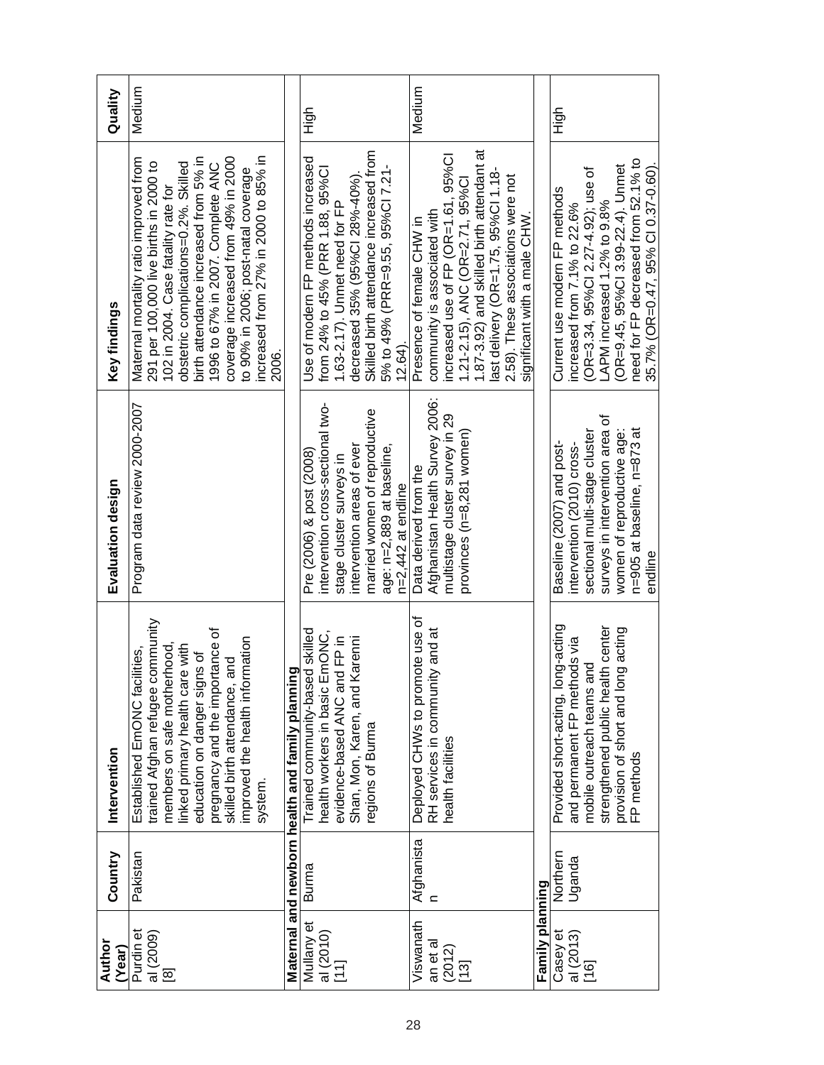| Author<br>(Year)                          | Country            | Intervention                                                                                                                                                                                                                                                                                | Evaluation design                                                                                                        | Key findings                                                                                                                                                                                                                                                                                                                                                                  | Quality |
|-------------------------------------------|--------------------|---------------------------------------------------------------------------------------------------------------------------------------------------------------------------------------------------------------------------------------------------------------------------------------------|--------------------------------------------------------------------------------------------------------------------------|-------------------------------------------------------------------------------------------------------------------------------------------------------------------------------------------------------------------------------------------------------------------------------------------------------------------------------------------------------------------------------|---------|
| Purdin et<br>al (2009)<br>[8]             | Pakistan           | community<br>pregnancy and the importance of<br>improved the health information<br>members on safe motherhood,<br>linked primary health care with<br>Established EmONC facilities,<br>education on danger signs of<br>and<br>trained Afghan refugee<br>skilled birth attendance,<br>system. | Program data review 2000-2007                                                                                            | Maternal mortality ratio improved from<br>increased from 27% in 2000 to 85% in<br>coverage increased from 49% in 2000<br>birth attendance increased from 5% in<br>291 per 100,000 live births in 2000 to<br>obstetric complications=0.2%. Skilled<br>1996 to 67% in 2007. Complete ANC<br>to 90% in 2006; post-natal coverage<br>102 in 2004. Case fatality rate for<br>2006. | Medium  |
|                                           |                    | Maternal and newborn health and family planning                                                                                                                                                                                                                                             |                                                                                                                          |                                                                                                                                                                                                                                                                                                                                                                               |         |
| Mullany et<br>al (2010)<br>[11]           | Burma              | Trained community-based skilled<br>EmONC,<br>nd FP in<br>health workers in basic<br>evidence-based ANC ar                                                                                                                                                                                   | intervention cross-sectional two-<br>Pre (2006) & post (2008)<br>stage cluster surveys in                                | Use of modern FP methods increased<br>from 24% to 45% (PRR 1.88, 95%CI<br>1.63-2.17). Unmet need for FP                                                                                                                                                                                                                                                                       | igh     |
|                                           |                    | Karenni<br>Shan, Mon, Karen, and<br>regions of Burma                                                                                                                                                                                                                                        | married women of reproductive<br>intervention areas of ever<br>age: n=2,889 at baseline,<br>n=2,442 at endline           | Skilled birth attendance increased from<br>5% to 49% (PRR=9.55, 95%Cl 7.21-<br>decreased 35% (95%Cl 28%-40%)<br>12.64                                                                                                                                                                                                                                                         |         |
| Viswanath<br>an et al<br>$(2012)$<br>[13] | Afghanista<br>n    | Deployed CHWs to promote use of<br>RH services in community and at<br>health facilities                                                                                                                                                                                                     | Afghanistan Health Survey 2006:<br>multistage cluster survey in 29<br>provinces (n=8,281 women)<br>Data derived from the | 1.87-3.92) and skilled birth attendant at<br>increased use of FP (OR=1.61, 95%CI<br>last delivery (OR=1.75, 95%Cl 1.18-<br>2.58). These associations were not<br>1.21-2.15), ANC (OR=2.71, 95%CI<br>community is associated with<br>significant with a male CHW.<br>Presence of female CHW in                                                                                 | Medium  |
| Family planning                           |                    |                                                                                                                                                                                                                                                                                             |                                                                                                                          |                                                                                                                                                                                                                                                                                                                                                                               |         |
| Casey et<br>al (2013)<br>[16]             | Northern<br>Uganda | Provided short-acting, long-acting<br>ods via<br>mobile outreach teams and<br>and permanent FP meth                                                                                                                                                                                         | sectional multi-stage cluster<br>Baseline (2007) and post-<br>intervention (2010) cross-                                 | (OR=3.34, 95%Cl 2.27-4.92); use of<br>Current use modern FP methods<br>increased from 7.1% to 22.6%                                                                                                                                                                                                                                                                           | High    |
|                                           |                    | strengthened public health center<br>provision of short and long acting                                                                                                                                                                                                                     | surveys in intervention area of<br>women of reproductive age:                                                            | (OR=9.45, 95%Cl 3.99-22.4). Unmet<br>LAPM increased 1.2% to 9.8%                                                                                                                                                                                                                                                                                                              |         |
|                                           |                    | FP methods                                                                                                                                                                                                                                                                                  | n=905 at baseline, n=873 at<br>endline                                                                                   | need for FP decreased from 52.1% to<br>35.7% (OR=0.47, 95% CI 0.37-0.60)                                                                                                                                                                                                                                                                                                      |         |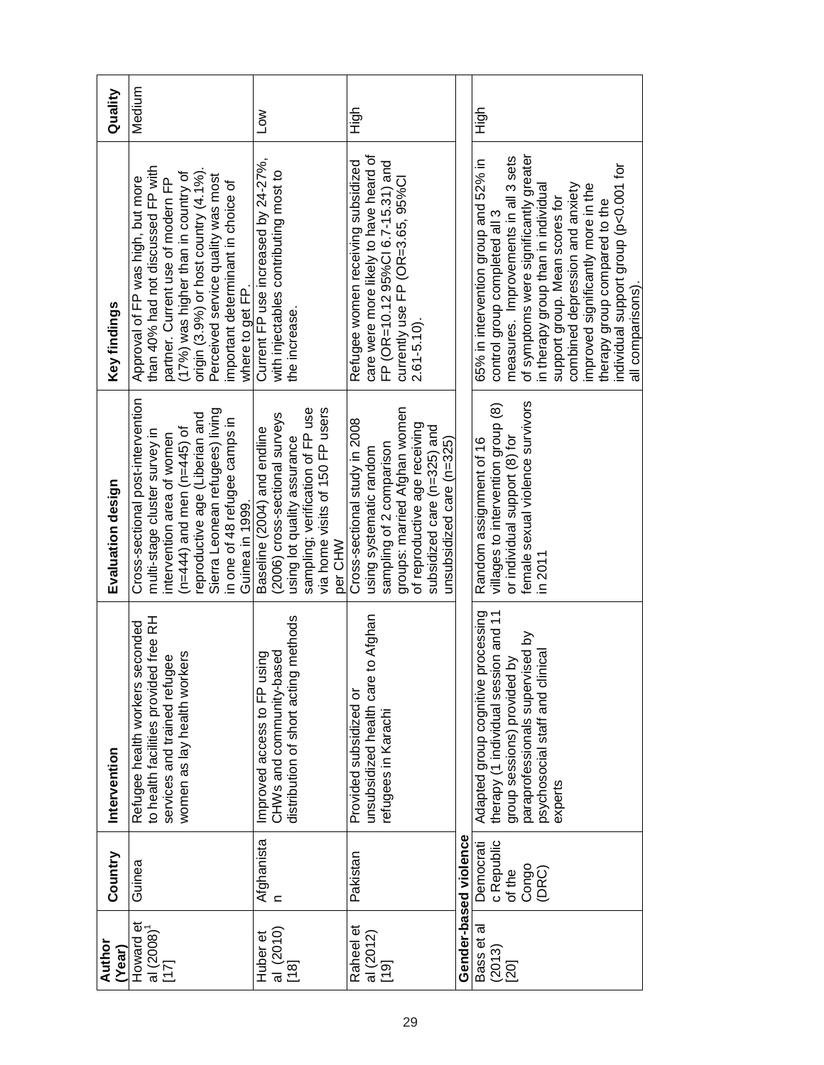| Author<br>(Year)                       | Country                                             | Intervention                                                                                                                                                                                  | Evaluation design                                                                                                                                                                                                                                           | Key findings                                                                                                                                                                                                                                                                                                                                                                                            | Quality          |
|----------------------------------------|-----------------------------------------------------|-----------------------------------------------------------------------------------------------------------------------------------------------------------------------------------------------|-------------------------------------------------------------------------------------------------------------------------------------------------------------------------------------------------------------------------------------------------------------|---------------------------------------------------------------------------------------------------------------------------------------------------------------------------------------------------------------------------------------------------------------------------------------------------------------------------------------------------------------------------------------------------------|------------------|
| Howard et<br>al (2008)<br><sup>1</sup> | Guinea                                              | to health facilities provided free RH<br>seconded<br>rkers<br>services and trained refugee<br>women as lay health wor<br>Refugee health workers                                               | Cross-sectional post-intervention<br>Sierra Leonean refugees) living<br>reproductive age (Liberian and<br>in one of 48 refugee camps in<br>$(n=444)$ and men $(n=445)$ of<br>multi-stage cluster survey in<br>intervention area of women<br>Guinea in 1999. | than 40% had not discussed FP with<br>origin $(3.9\%)$ or host country $(4.1\%)$ .<br>(17%) was higher than in country of<br>Perceived service quality was most<br>Approval of FP was high, but more<br>partner. Current use of modern FP<br>important determinant in choice of<br>where to get FP.                                                                                                     | Medium           |
| al (2010)<br>Huber et<br>$[18]$        | Afghanista<br>n                                     | distribution of short acting methods<br>CHWs and community-based<br>using<br>Improved access to FP                                                                                            | sampling; verification of FP use<br>via home visits of 150 FP users<br>(2006) cross-sectional surveys<br>Baseline (2004) and endline<br>using lot quality assurance<br>per CHW                                                                              | Current FP use increased by 24-27%,<br>with injectables contributing most to<br>the increase.                                                                                                                                                                                                                                                                                                           | $\sum_{i=1}^{n}$ |
| Raheel et<br>al (2012)<br>[19]         | Pakistan                                            | unsubsidized health care to Afghan<br>Provided subsidized or<br>efugees in Karachi                                                                                                            | groups: married Afghan women<br>Cross-sectional study in 2008<br>of reproductive age receiving<br>subsidized care (n=325) and<br>unsubsidized care (n=325)<br>sampling of 2 comparison<br>using systematic random                                           | care were more likely to have heard of<br>Refugee women receiving subsidized<br>FP (OR=10.12 95%CI 6.7-15.31) and<br>currently use FP (OR=3.65, 95%Cl<br>$2.61 - 5.10$                                                                                                                                                                                                                                  | tigh             |
|                                        | Gender-based violence                               |                                                                                                                                                                                               |                                                                                                                                                                                                                                                             |                                                                                                                                                                                                                                                                                                                                                                                                         |                  |
| Bass et a<br>$(2013)$<br>$[20]$        | c Republic<br>Democrati<br>Congo<br>(DRC)<br>of the | processing<br>therapy (1 individual session and 11<br>paraprofessionals supervised by<br>psychosocial staff and clinical<br>group sessions) provided by<br>Adapted group cognitive<br>experts | female sexual violence survivors<br>villages to intervention group (8)<br>or individual support (8) for<br>Random assignment of 16<br>in 2011                                                                                                               | of symptoms were significantly greater<br>measures. Improvements in all 3 sets<br>65% in intervention group and 52% in<br>individual support group (p<0.01 for<br>combined depression and anxiety<br>improved significantly more in the<br>in therapy group than in individual<br>support group. Mean scores for<br>therapy group compared to the<br>control group completed all 3<br>all comparisons). | High             |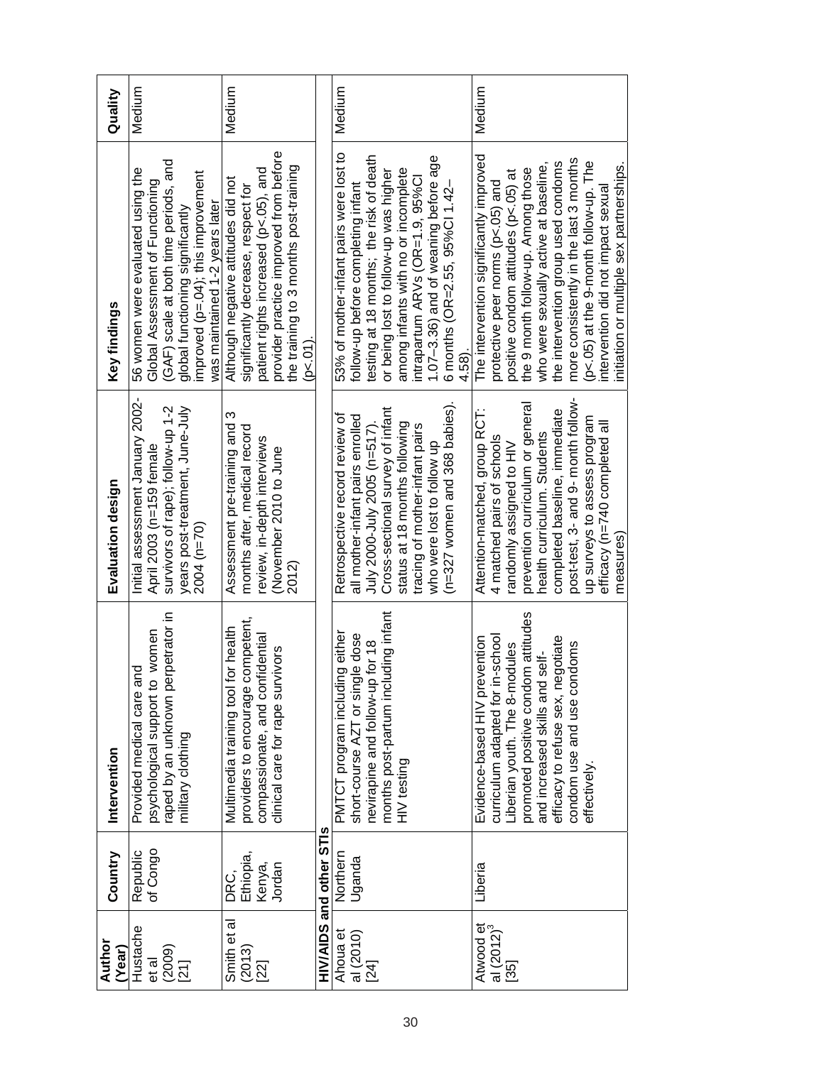| Author<br>(Year)                            | Country                               | Intervention                                                                                                                                                                                                                                                 | Evaluation design                                                                                                                                                                                                                                                                                               | Key findings                                                                                                                                                                                                                                                                                                                                                                                                   | Quality |
|---------------------------------------------|---------------------------------------|--------------------------------------------------------------------------------------------------------------------------------------------------------------------------------------------------------------------------------------------------------------|-----------------------------------------------------------------------------------------------------------------------------------------------------------------------------------------------------------------------------------------------------------------------------------------------------------------|----------------------------------------------------------------------------------------------------------------------------------------------------------------------------------------------------------------------------------------------------------------------------------------------------------------------------------------------------------------------------------------------------------------|---------|
| Hustache<br>(2009)<br>et al<br>$[21]$       | of Congo<br>Republic                  | raped by an unknown perpetrator in<br>women<br>Provided medical care and<br>psychological support to<br>military clothing                                                                                                                                    | Initial assessment January 2002-<br>survivors of rape); follow-up 1-2<br>years post-treatment, June-July<br>April 2003 (n=159 female<br>$2004(n=70)$                                                                                                                                                            | (GAF) scale at both time periods, and<br>56 women were evaluated using the<br>improved (p=.04); this improvement<br>Global Assessment of Functioning<br>was maintained 1-2 years later<br>global functioning significantly                                                                                                                                                                                     | Medium  |
| Smith et al<br>(2013)<br>$[22]$             | Ethiopia,<br>Jordan<br>Kenya,<br>DRC, | competent,<br>for health<br>compassionate, and confidential<br>clinical care for rape survivors<br>providers to encourage<br>Multimedia training tool                                                                                                        | Assessment pre-training and 3<br>months after, medical record<br>review, in-depth interviews<br>November 2010 to June<br>2012)                                                                                                                                                                                  | provider practice improved from before<br>the training to 3 months post-training<br>patient rights increased (p<.05), and<br>Although negative attitudes did not<br>significantly decrease, respect for<br>(p<.01)                                                                                                                                                                                             | Medium  |
|                                             | HIV/AIDS and other STIs               |                                                                                                                                                                                                                                                              |                                                                                                                                                                                                                                                                                                                 |                                                                                                                                                                                                                                                                                                                                                                                                                |         |
| Ahoua et<br>al (2010)<br>$[24]$             | Northern<br>Uganda                    | months post-partum including infant<br>PMTCT program including either<br>short-course AZT or single dose<br>nevirapine and follow-up for 18<br>HIV testing                                                                                                   | (n=327 women and 368 babies).<br>Cross-sectional survey of infant<br>Retrospective record review of<br>all mother-infant pairs enrolled<br>July 2000-July 2005 (n=517).<br>status at 18 months following<br>tracing of mother-infant pairs<br>who were lost to follow up                                        | 53% of mother-infant pairs were lost to<br>testing at 18 months; the risk of death<br>1.07-3.36) and of weaning before age<br>among infants with no or incomplete<br>or being lost to follow-up was higher<br>intrapartum ARVs (OR=1.9, 95%CI<br>6 months (OR=2.55, 95%CI 1.42-<br>follow-up before completing infant<br>4.58).                                                                                | Medium  |
| Atwood et<br>al (2012) <sup>3</sup><br>[35] | Liberia                               | promoted positive condom attitudes<br>curriculum adapted for in-school<br>efficacy to refuse sex, negotiate<br>Evidence-based HIV prevention<br>condom use and use condoms<br>-iberian youth. The 8-modules<br>and increased skills and self-<br>effectively | post-test, 3- and 9- month follow-<br>prevention curriculum or general<br>Attention-matched, group RCT:<br>completed baseline, immediate<br>up surveys to assess program<br>efficacy (n=740 completed all<br>health curriculum. Students<br>4 matched pairs of schools<br>randomly assigned to HIV<br>measures) | The intervention significantly improved<br>more consistently in the last 3 months<br>(p<.05) at the 9-month follow-up. The<br>the intervention group used condoms<br>who were sexually active at baseline,<br>nitiation or multiple sex partnerships.<br>the 9 month follow-up. Among those<br>oositive condom attitudes (p<.05) at<br>protective peer norms (p<.05) and<br>intervention did not impact sexual | Medium  |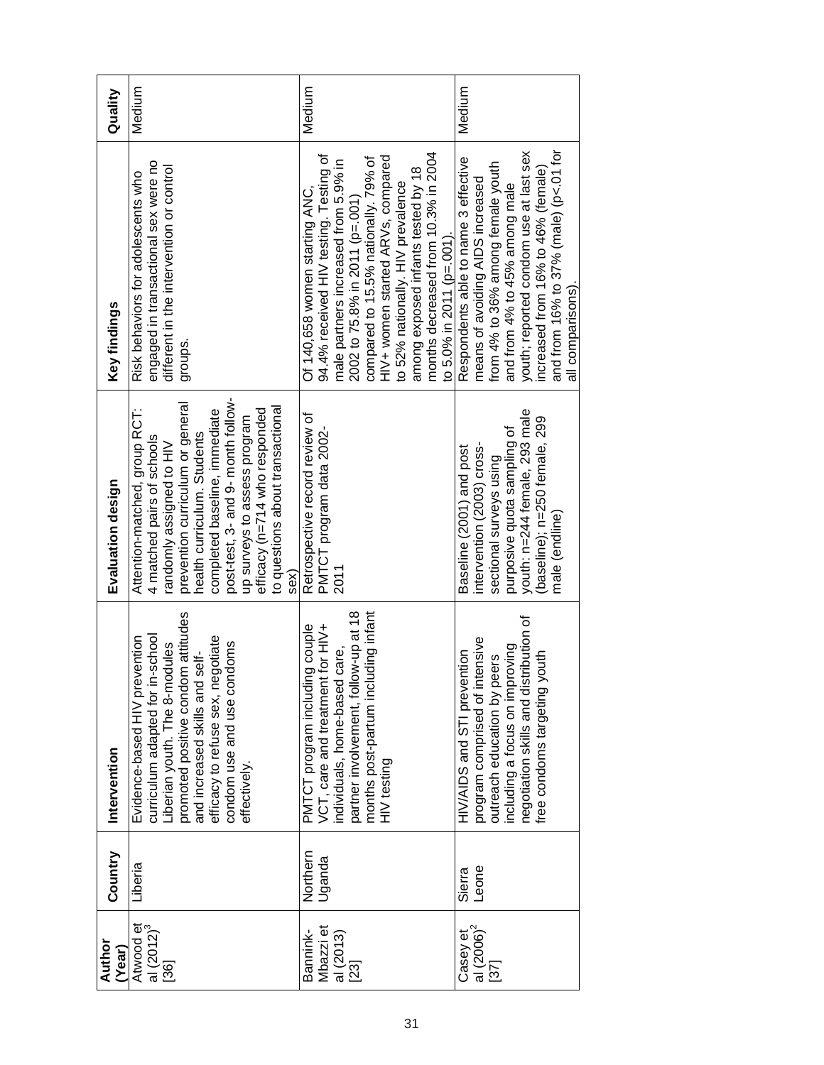| Quality           | Medium                                                                                                                                                                                                                                                                                                                                         | Medium                                                                                                                                                                                                                                                                                                                                                                         | Medium                                                                                                                                                                                                                                                                                       |
|-------------------|------------------------------------------------------------------------------------------------------------------------------------------------------------------------------------------------------------------------------------------------------------------------------------------------------------------------------------------------|--------------------------------------------------------------------------------------------------------------------------------------------------------------------------------------------------------------------------------------------------------------------------------------------------------------------------------------------------------------------------------|----------------------------------------------------------------------------------------------------------------------------------------------------------------------------------------------------------------------------------------------------------------------------------------------|
| Key findings      | engaged in transactional sex were no<br>different in the intervention or control<br>Risk behaviors for adolescents who<br>groups.                                                                                                                                                                                                              | months decreased from 10.3% in 2004<br>94.4% received HIV testing. Testing of<br>HIV+ women started ARVs, compared<br>compared to 15.5% nationally. 79% of<br>male partners increased from 5.9% in<br>among exposed infants tested by 18<br>to 52% nationally. HIV prevalence<br>Of 140,658 women starting ANC,<br>2002 to 75.8% in 2011 (p=.001)<br>to 5.0% in 2011 (p=.001). | and from 16% to 37% (male) (p<.01 for<br>youth; reported condom use at last sex<br>Respondents able to name 3 effective<br>from 4% to 36% among female youth<br>increased from 16% to 46% (female)<br>means of avoiding AIDS increased<br>and from 4% to 45% among male<br>all comparisons). |
| Evaluation design | post-test, 3- and 9- month follow-<br>prevention curriculum or general<br>to questions about transactional<br>efficacy (n=714 who responded<br>Attention-matched, group RCT:<br>completed baseline, immediate<br>up surveys to assess program<br>health curriculum. Students<br>4 matched pairs of schools<br>randomly assigned to HIV<br>sex) | Retrospective record review of<br>PMTCT program data 2002-<br>2011                                                                                                                                                                                                                                                                                                             | youth: n=244 female, 293 male<br>(baseline); n=250 female, 299<br>purposive quota sampling of<br>intervention (2003) cross-<br>Baseline (2001) and post<br>sectional surveys using<br>male (endline)                                                                                         |
| Intervention      | promoted positive condom attitudes<br>curriculum adapted for in-school<br>efficacy to refuse sex, negotiate<br>Evidence-based HIV prevention<br>condom use and use condoms<br>Liberian youth. The 8-modules<br>and increased skills and self-<br>effectively.                                                                                  | partner involvement, follow-up at 18<br>uding infant<br>PMTCT program including couple<br>VCT, care and treatment for HIV+<br>care,<br>individuals, home-based<br>months post-partum incl<br>HIV testing                                                                                                                                                                       | negotiation skills and distribution of<br>program comprised of intensive<br>including a focus on improving<br>HIV/AIDS and STI prevention<br>youth<br>outreach education by peers<br>free condoms targeting                                                                                  |
| Country           | Liberia                                                                                                                                                                                                                                                                                                                                        | Northern<br>Uganda                                                                                                                                                                                                                                                                                                                                                             | Leone<br>Sierra                                                                                                                                                                                                                                                                              |
| Author<br>(Year)  | Atwood et<br>al $(2012)^3$<br>$\begin{bmatrix} 36 \end{bmatrix}$                                                                                                                                                                                                                                                                               | Mbazzi et<br>Bannink-<br>al (2013)<br>$[23]$                                                                                                                                                                                                                                                                                                                                   | Casey et<br>al (2006) <sup>2</sup><br>$[37]$                                                                                                                                                                                                                                                 |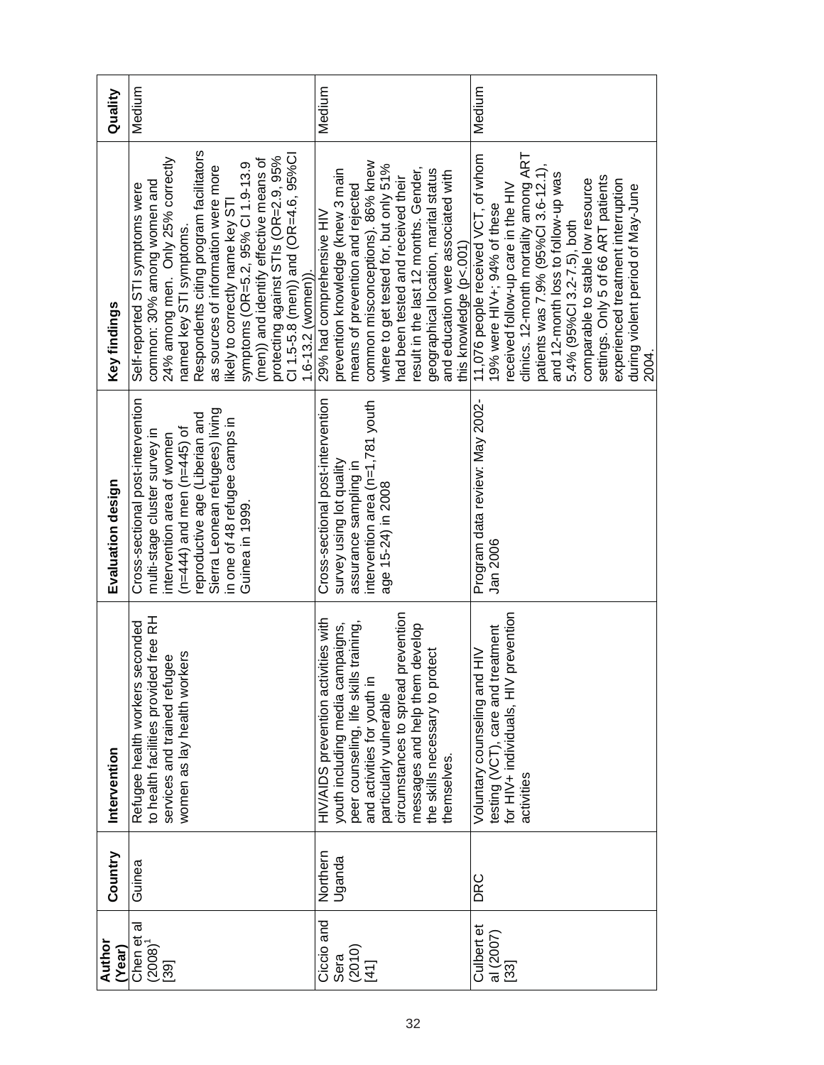| Quality           | Medium                                                                                                                                                                                                                                                                                                                                                                                                                                      | Medium                                                                                                                                                                                                                                                                                                                                                                 | Medium                                                                                                                                                                                                                                                                                                                                                                                                                     |
|-------------------|---------------------------------------------------------------------------------------------------------------------------------------------------------------------------------------------------------------------------------------------------------------------------------------------------------------------------------------------------------------------------------------------------------------------------------------------|------------------------------------------------------------------------------------------------------------------------------------------------------------------------------------------------------------------------------------------------------------------------------------------------------------------------------------------------------------------------|----------------------------------------------------------------------------------------------------------------------------------------------------------------------------------------------------------------------------------------------------------------------------------------------------------------------------------------------------------------------------------------------------------------------------|
| Key findings      | Respondents citing program facilitators<br>Cl 1.5-5.8 (men)) and (OR=4.6, 95%Cl<br>protecting against STIs (OR=2.9, 95%<br>24% among men. Only 25% correctly<br>men)) and identify effective means of<br>symptoms (OR=5.2, 95% C11.9-13.9<br>as sources of information were more<br>common: 30% among women and<br>Self-reported STI symptoms were<br>likely to correctly name key STI<br>named key STI symptoms.<br>$1.6 - 13.2$ (women)). | common misconceptions). 86% knew<br>where to get tested for, but only 51%<br>esult in the last 12 months. Gender,<br>geographical location, marital status<br>prevention knowledge (knew 3 main<br>and education were associated with<br>had been tested and received their<br>means of prevention and rejected<br>29% had comprehensive HIV<br>this knowledge (p<.001 | clinics. 12-month mortality among ART<br>11,076 people received VCT, of whom<br>patients was 7.9% (95%Cl 3.6-12.1),<br>and 12-month loss to follow-up was<br>5.4% (95%Cl 3.2-7.5), both<br>settings. Only 5 of 66 ART patients<br>comparable to stable low resource<br>experienced treatment interruption<br>eceived follow-up care in the HIV<br>during violent period of May-June<br>9% were HIV+; 94% of these<br>2004. |
| Evaluation design | Cross-sectional post-intervention<br>Sierra Leonean refugees) living<br>reproductive age (Liberian and<br>in one of 48 refugee camps in<br>( $n=444$ ) and men ( $n=445$ ) of<br>multi-stage cluster survey in<br>intervention area of women<br>Guinea in 1999.                                                                                                                                                                             | Cross-sectional post-intervention<br>intervention area (n=1,781 youth<br>Alland duising forms<br>assurance sampling in<br>age 15-24) in 2008                                                                                                                                                                                                                           | Program data review: May 2002-<br>Jan 2006                                                                                                                                                                                                                                                                                                                                                                                 |
| Intervention      | to health facilities provided free RH<br>seconded<br>women as lay health workers<br>services and trained refugee<br>Refugee health workers                                                                                                                                                                                                                                                                                                  | circumstances to spread prevention<br>HIV/AIDS prevention activities with<br>Ils training,<br>youth including media campaigns,<br>messages and help them develop<br>the skills necessary to protect<br>and activities for youth in<br>peer counseling, life skil<br>particularly vulnerable<br>themselves.                                                             | for HIV+ individuals, HIV prevention<br>treatment<br>Voluntary counseling and HIV<br>testing (VCT), care and<br>activities                                                                                                                                                                                                                                                                                                 |
| Country           | Guinea                                                                                                                                                                                                                                                                                                                                                                                                                                      | Northern<br>Uganda                                                                                                                                                                                                                                                                                                                                                     | DRC                                                                                                                                                                                                                                                                                                                                                                                                                        |
| Author<br>(Year)  | ত<br>Chen et<br>$(2008)^{1}$<br>[39]                                                                                                                                                                                                                                                                                                                                                                                                        | Ciccio and<br>$(2010)$<br>$[41]$<br>Sera                                                                                                                                                                                                                                                                                                                               | Culbert et<br>al (2007)<br>$[33]$                                                                                                                                                                                                                                                                                                                                                                                          |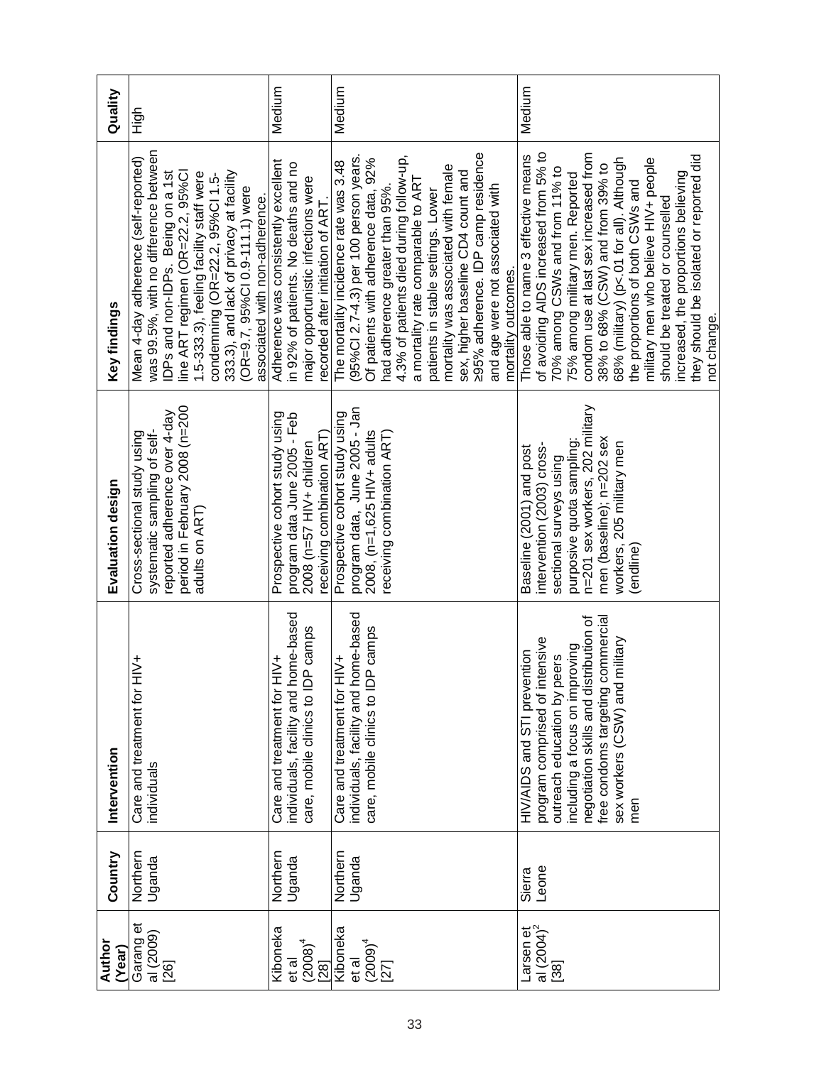| Quality           | High                                                                                                                                                                                                                                                                                                                                                   | Medium                                                                                                                                                  | Medium                                                                                                                                                                                                                                                                                                                                                                                                                                                         | Medium                                                                                                                                                                                                                                                                                                                                                                                                                                                                                        |
|-------------------|--------------------------------------------------------------------------------------------------------------------------------------------------------------------------------------------------------------------------------------------------------------------------------------------------------------------------------------------------------|---------------------------------------------------------------------------------------------------------------------------------------------------------|----------------------------------------------------------------------------------------------------------------------------------------------------------------------------------------------------------------------------------------------------------------------------------------------------------------------------------------------------------------------------------------------------------------------------------------------------------------|-----------------------------------------------------------------------------------------------------------------------------------------------------------------------------------------------------------------------------------------------------------------------------------------------------------------------------------------------------------------------------------------------------------------------------------------------------------------------------------------------|
| Key findings      | was 99.5%, with no difference between<br>Mean 4-day adherence (self-reported)<br>333.3), and lack of privacy at facility<br>(OR=9.7, 95%Cl 0.9-111.1) were<br>Being on a 1st<br>line ART regimen (OR=22.2, 95%Cl<br>1.5-333.3), feeling facility staff were<br>condemning (OR=22.2, 95%Cl 1.5-<br>associated with non-adherence.<br>IDPs and non-IDPs. | Adherence was consistently excellent<br>in 92% of patients. No deaths and no<br>major opportunistic infections were<br>ecorded after initiation of ART. | 295% adherence. IDP camp residence<br>4.3% of patients died during follow-up,<br>(95%Cl 2.7-4.3) per 100 person years<br>Of patients with adherence data, 92%<br>The mortality incidence rate was 3.48<br>mortality was associated with female<br>sex, higher baseline CD4 count and<br>a mortality rate comparable to ART<br>and age were not associated with<br>had adherence greater than 95%.<br>patients in stable settings. Lower<br>mortality outcomes. | of avoiding AIDS increased from 5% to<br>condom use at last sex increased from<br>Those able to name 3 effective means<br>they should be isolated or reported did<br>68% (military) (p<.01 for all). Although<br>military men who believe HIV+ people<br>38% to 68% (CSW) and from 39% to<br>70% among CSWs and from 11% to<br>increased, the proportions believing<br>75% among military men. Reported<br>the proportions of both CSWs and<br>should be treated or counselled<br>not change. |
| Evaluation design | period in February 2008 (n=200<br>reported adherence over 4-day<br>systematic sampling of self-<br>Cross-sectional study using<br>adults on ART)                                                                                                                                                                                                       | Prospective cohort study using<br>program data June 2005 - Feb<br>receiving combination ART<br>2008 (n=57 HIV+ children                                 | program data, June 2005 - Jan<br>Prospective cohort study using<br>2008, (n=1,625 HIV+ adults<br>receiving combination ART                                                                                                                                                                                                                                                                                                                                     | n=201 sex workers, 202 military<br>men (baseline); n=202 sex<br>purposive quota sampling:<br>workers, 205 military men<br>intervention (2003) cross-<br>Baseline (2001) and post<br>sectional surveys using<br>(endline)                                                                                                                                                                                                                                                                      |
| Intervention      | Care and treatment for HIV+<br>individuals                                                                                                                                                                                                                                                                                                             | ndividuals, facility and home-based<br>JP camps<br>Care and treatment for HIV+<br>care, mobile clinics to ID                                            | individuals, facility and home-based<br>P camps<br>Care and treatment for HIV+<br>care, mobile clinics to ID                                                                                                                                                                                                                                                                                                                                                   | negotiation skills and distribution of<br>free condoms targeting commercial<br>program comprised of intensive<br>military<br>including a focus on improving<br>HIV/AIDS and STI prevention<br>outreach education by peers<br>sex workers (CSW) and<br>men                                                                                                                                                                                                                                     |
| Country           | Northern<br>Uganda                                                                                                                                                                                                                                                                                                                                     | Northern<br>Uganda                                                                                                                                      | Northern<br>Uganda                                                                                                                                                                                                                                                                                                                                                                                                                                             | Leone<br>Sierra                                                                                                                                                                                                                                                                                                                                                                                                                                                                               |
| Author<br>(Year)  | Garang et<br>al (2009)<br>[26]                                                                                                                                                                                                                                                                                                                         | Kiboneka<br>$(2008)^4$<br>et al<br>$[28]$                                                                                                               | Kiboneka<br>$\left(2009\right)^4$ [27]<br>et al                                                                                                                                                                                                                                                                                                                                                                                                                | al $(2004)^2$<br>[38]<br>Larsen et                                                                                                                                                                                                                                                                                                                                                                                                                                                            |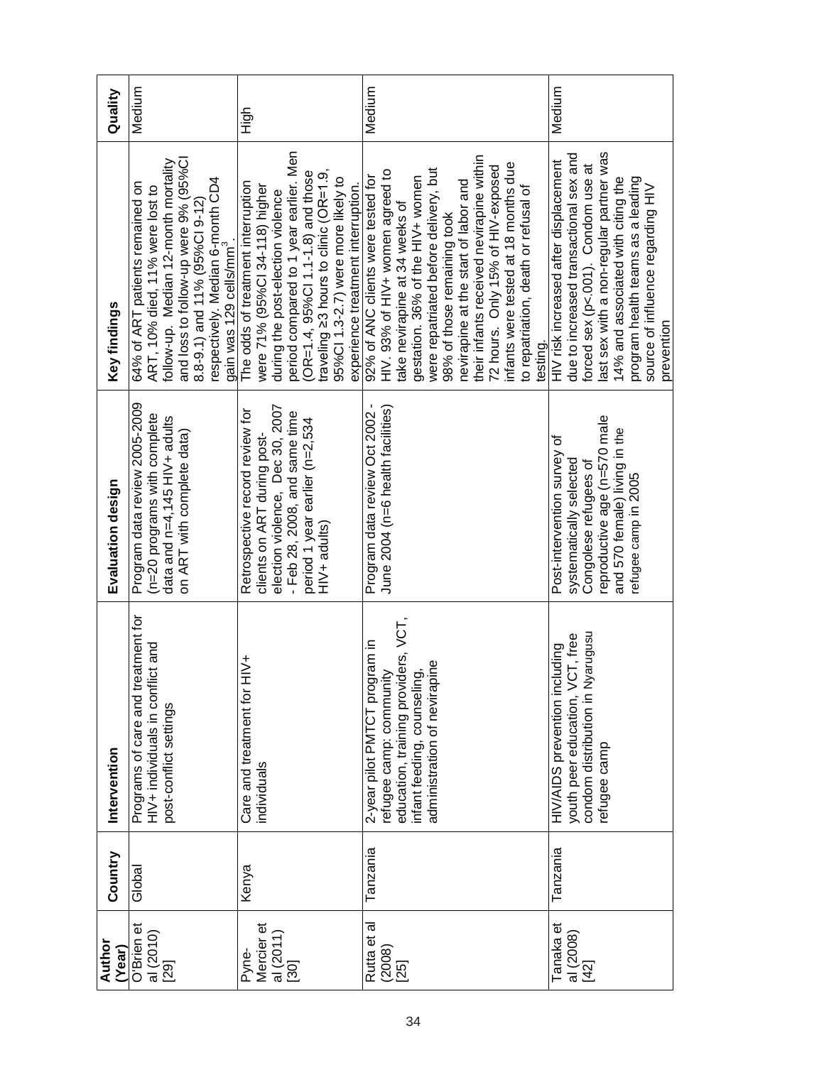| Author<br>(Year)                         | Country  | Intervention                                                                                                                                                   | Evaluation design                                                                                                                                                                      | Key findings                                                                                                                                                                                                                                                                                                                                                                                                                              | Quality |
|------------------------------------------|----------|----------------------------------------------------------------------------------------------------------------------------------------------------------------|----------------------------------------------------------------------------------------------------------------------------------------------------------------------------------------|-------------------------------------------------------------------------------------------------------------------------------------------------------------------------------------------------------------------------------------------------------------------------------------------------------------------------------------------------------------------------------------------------------------------------------------------|---------|
| O'Brien et<br>al (2010)<br>$[29]$        | Global   | Programs of care and treatment for<br>HIV+ individuals in conflict and<br>post-conflict settings                                                               | Program data review 2005-2009<br>(n=20 programs with complete<br>data and n=4,145 HIV+ adults<br>on ART with complete data)                                                            | and loss to follow-up were 9% (95%CI<br>follow-up. Median 12-month mortality<br>respectively. Median 6-month CD4<br>64% of ART patients remained on<br>ART, 10% died, 11% were lost to<br>8.8-9.1) and 11% (95%Cl 9-12<br>gain was 129 cells/mm <sup>3</sup> .                                                                                                                                                                            | Medium  |
| Mercier et<br>al (2011)<br>[30]<br>Pyne- | Kenya    | $+5 +$<br>Care and treatment for I<br>individuals                                                                                                              | election violence, Dec 30, 2007<br>Retrospective record review for<br>- Feb 28, 2008, and same time<br>period 1 year earlier (n=2,534<br>clients on ART during post-<br>$H/V+$ adults) | period compared to 1 year earlier. Men<br>traveling $\geq$ 3 hours to clinic (OR=1.9,<br>(OR=1.4, 95%Cl 1.1-1.8) and those<br>95%Cl 1.3-2.7) were more likely to<br>The odds of treatment interruption<br>were 71% (95%Cl 34-118) higher<br>experience treatment interruption.<br>during the post-election violence                                                                                                                       | High    |
| Rutta et al<br>$(2008)$<br>$[25]$        | Tanzania | education, training providers, VCT,<br>2-year pilot PMTCT program in<br>administration of nevirapine<br>refugee camp: community<br>infant feeding, counseling, | June 2004 (n=6 health facilities)<br>Program data review Oct 2002                                                                                                                      | their infants received nevirapine within<br>infants were tested at 18 months due<br>72 hours. Only 15% of HIV-exposed<br>were repatriated before delivery, but<br>HIV. 93% of HIV+ women agreed to<br>92% of ANC clients were tested for<br>gestation. 36% of the HIV+ women<br>nevirapine at the start of labor and<br>to repatriation, death or refusal of<br>take nevirapine at 34 weeks of<br>98% of those remaining took<br>testing. | Medium  |
| Tanaka et<br>al (2008)<br>[42]           | Tanzania | condom distribution in Nyarugusu<br>youth peer education, VCT, free<br>HIV/AIDS prevention including<br>efugee camp                                            | reproductive age (n=570 male<br>and 570 female) living in the<br>Post-intervention survey of<br>systematically selected<br>Congolese refugees of<br>refugee camp in 2005               | ast sex with a non-regular partner was<br>due to increased transactional sex and<br>HIV risk increased after displacement<br>forced sex (p<.001). Condom use at<br>program health teams as a leading<br>14% and associated with citing the<br>source of influence regarding HIV<br>prevention                                                                                                                                             | Medium  |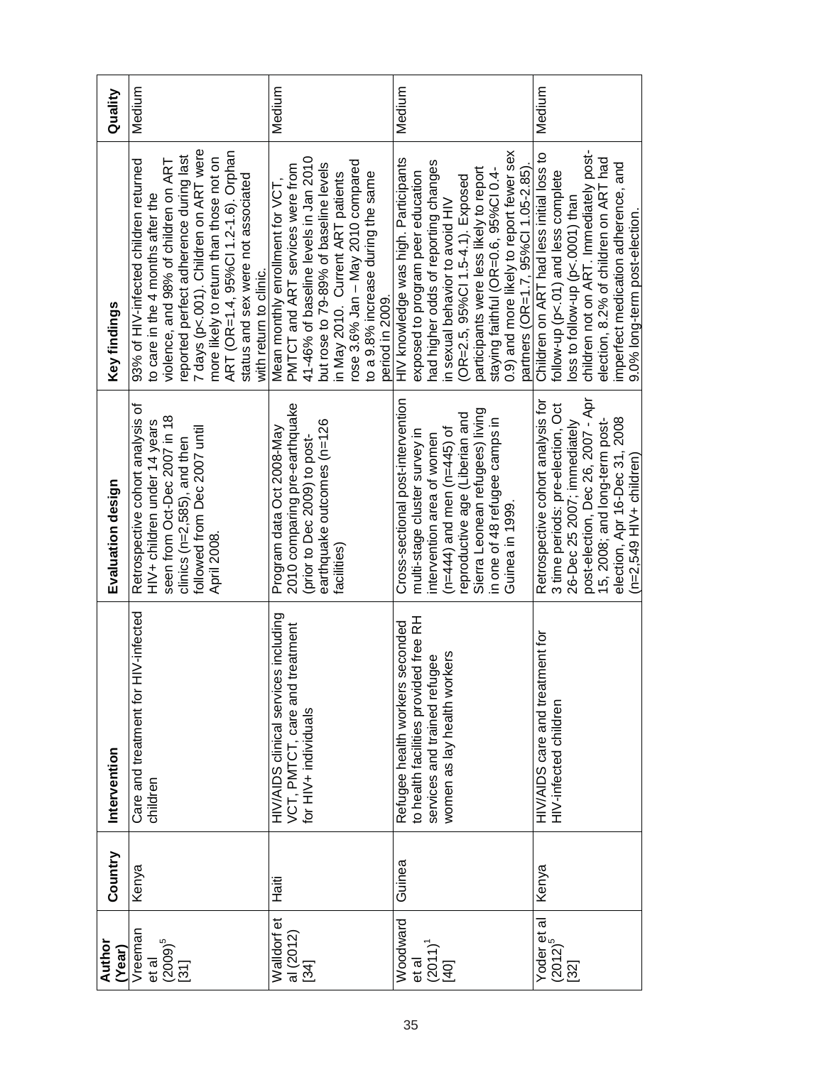| Author<br>(Year)                                 | Country | Intervention                                                                                                                               | Evaluation design                                                                                                                                                                                                                                               | Key findings                                                                                                                                                                                                                                                                                                                                                  | Quality |
|--------------------------------------------------|---------|--------------------------------------------------------------------------------------------------------------------------------------------|-----------------------------------------------------------------------------------------------------------------------------------------------------------------------------------------------------------------------------------------------------------------|---------------------------------------------------------------------------------------------------------------------------------------------------------------------------------------------------------------------------------------------------------------------------------------------------------------------------------------------------------------|---------|
| Vreeman<br>et al<br>$(2009)^5$<br>$[31]$         | Kenya   | Care and treatment for HIV-infected<br>children                                                                                            | Retrospective cohort analysis of<br>seen from Oct-Dec 2007 in 18<br>HIV+ children under 14 years<br>followed from Dec 2007 until<br>$\text{clinics}$ (n=2,585), and then<br>April 2008.                                                                         | 7 days (p<.001). Children on ART were<br>ART (OR=1.4, 95%Cl 1.2-1.6). Orphan<br>reported perfect adherence during last<br>more likely to return than those not on<br>93% of HIV-infected children returned<br>violence, and 98% of children on ART<br>status and sex were not associated<br>to care in the 4 months after the<br>with return to clinic.       | Medium  |
| Walldorf et<br>al (2012)<br>[34]                 | 三<br>上  | HIV/AIDS clinical services including<br>VCT, PMTCT, care and treatment<br>for HIV+ individuals                                             | 2010 comparing pre-earthquake<br>earthquake outcomes (n=126<br>Program data Oct 2008-May<br>(prior to Dec 2009) to post-<br>facilities                                                                                                                          | 41-46% of baseline levels in Jan 2010<br>rose 3.6% Jan - May 2010 compared<br>but rose to 79-89% of baseline levels<br>PMTCT and ART services were from<br>to a 9.8% increase during the same<br>in May 2010. Current ART patients<br>Mean monthly enrollment for VCT<br>period in 2009.                                                                      | Medium  |
| Woodward<br>et al<br>(2011) <sup>1</sup><br>[40] | Guinea  | to health facilities provided free RH<br>seconded<br>women as lay health workers<br>services and trained refugee<br>Refugee health workers | Cross-sectional post-intervention<br>Sierra Leonean refugees) living<br>reproductive age (Liberian and<br>in one of 48 refugee camps in<br>( $n=444$ ) and men ( $n=445$ ) of<br>multi-stage cluster survey in<br>intervention area of women<br>Guinea in 1999. | 0.9) and more likely to report fewer sex<br>HIV knowledge was high. Participants<br>had higher odds of reporting changes<br>participants were less likely to report<br>staying faithful (OR=0.6, 95%Cl 0.4-<br>partners (OR=1.7, 95%Cl 1.05-2.85)<br>exposed to program peer education<br>(OR=2.5, 95%Cl 1.5-4.1). Exposed<br>in sexual behavior to avoid HIV | Medium  |
| Yoder et al<br>(2012) <sup>5</sup><br>[32]       | Kenya   | HIV/AIDS care and treatment for<br>HIV-infected children                                                                                   | post-election, Dec 26, 2007 - Apr<br>Retrospective cohort analysis for<br>3 time periods: pre-election, Oct<br>election, Apr 16-Dec 31, 2008<br>5, 2008; and long-term post-<br>26-Dec 25 2007; immediately<br>$(n=2,549$ HIV+ children)                        | children not on ART. Immediately post-<br>Children on ART had less initial loss to<br>election, 8.2% of children on ART had<br>imperfect medication adherence, and<br>follow-up (p<.01) and less complete<br>loss to follow-up (p<.0001) than<br>9.0% long-term post-election.                                                                                | Medium  |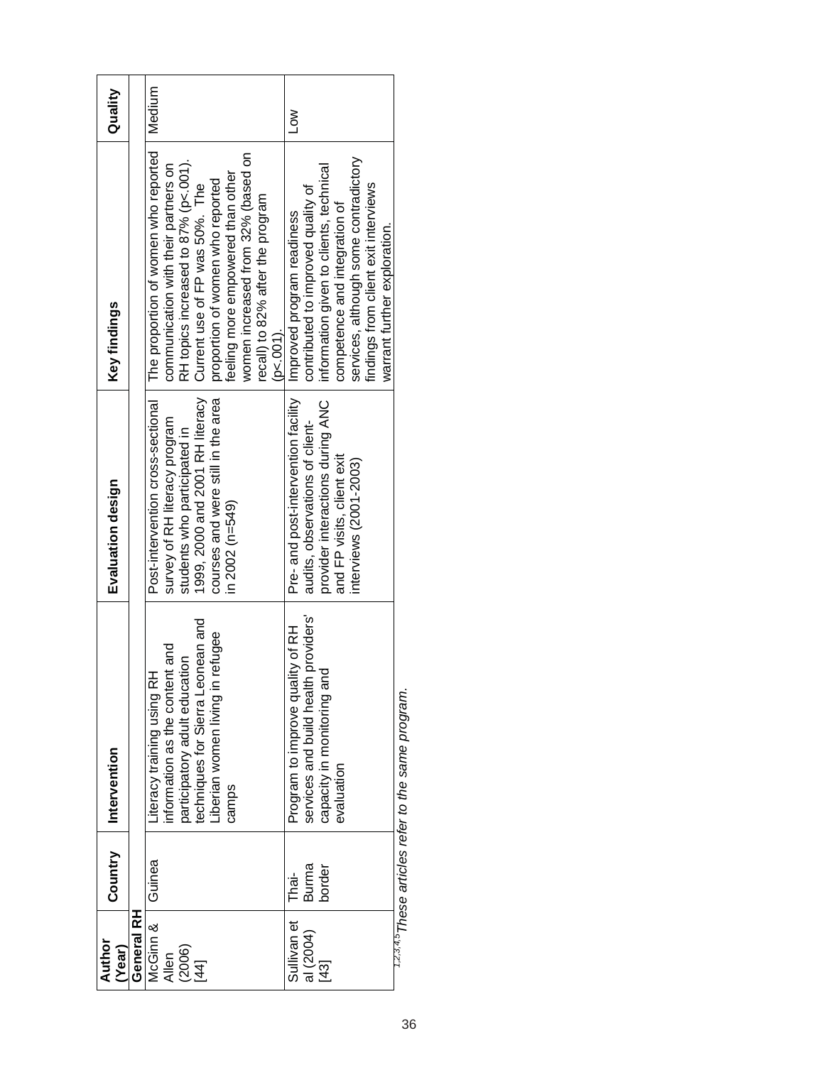| Author<br>(Year)                               | Country                  | Intervention                                                                                                                                                                    | Evaluation design                                                                                                                                                                              | Key findings                                                                                                                                                                                                                                                                                                              | Quality          |
|------------------------------------------------|--------------------------|---------------------------------------------------------------------------------------------------------------------------------------------------------------------------------|------------------------------------------------------------------------------------------------------------------------------------------------------------------------------------------------|---------------------------------------------------------------------------------------------------------------------------------------------------------------------------------------------------------------------------------------------------------------------------------------------------------------------------|------------------|
| General RH                                     |                          |                                                                                                                                                                                 |                                                                                                                                                                                                |                                                                                                                                                                                                                                                                                                                           |                  |
| McGinn &<br>(2006)<br>Allen<br>[44]            | Guinea                   | techniques for Sierra Leonean and<br>Liberian women living in refugee<br>information as the content and<br>participatory adult education<br>Literacy training using RI<br>camps | 1999, 2000 and 2001 RH literacy<br>courses and were still in the area<br>Post-intervention cross-sectional<br>survey of RH literacy program<br>students who participated in<br>in 2002 (n=549) | The proportion of women who reported<br>women increased from 32% (based on<br>RH topics increased to 87% (p<.001).<br>communication with their partners on<br>feeling more empowered than other<br>proportion of women who reported<br>Current use of FP was 50%. The<br>recall) to 82% after the program<br>$(p<.001)$ . | Medium           |
| Sullivan et<br>al (2004)<br>$\left[ 43\right]$ | Burma<br>border<br>Thai- | services and build health providers'<br>Program to improve quality of RH<br>ਹੁ<br>capacity in monitoring an<br>evaluation                                                       | Pre- and post-intervention facility<br>provider interactions during ANC<br>audits, observations of client-<br>and FP visits, client exit<br>interviews (2001-2003)                             | services, although some contradictory<br>information given to clients, technical<br>findings from client exit interviews<br>contributed to improved quality of<br>competence and integration of<br>Improved program readiness<br>warrant further exploration.                                                             | $\sum_{i=1}^{n}$ |
|                                                |                          | <sup>7,3,4,5</sup> Thaca articlas rafar to the sama nronram                                                                                                                     |                                                                                                                                                                                                |                                                                                                                                                                                                                                                                                                                           |                  |

*1,2,3,4,5These articles refer to the same program.*  to the same program. *I hese articles reter*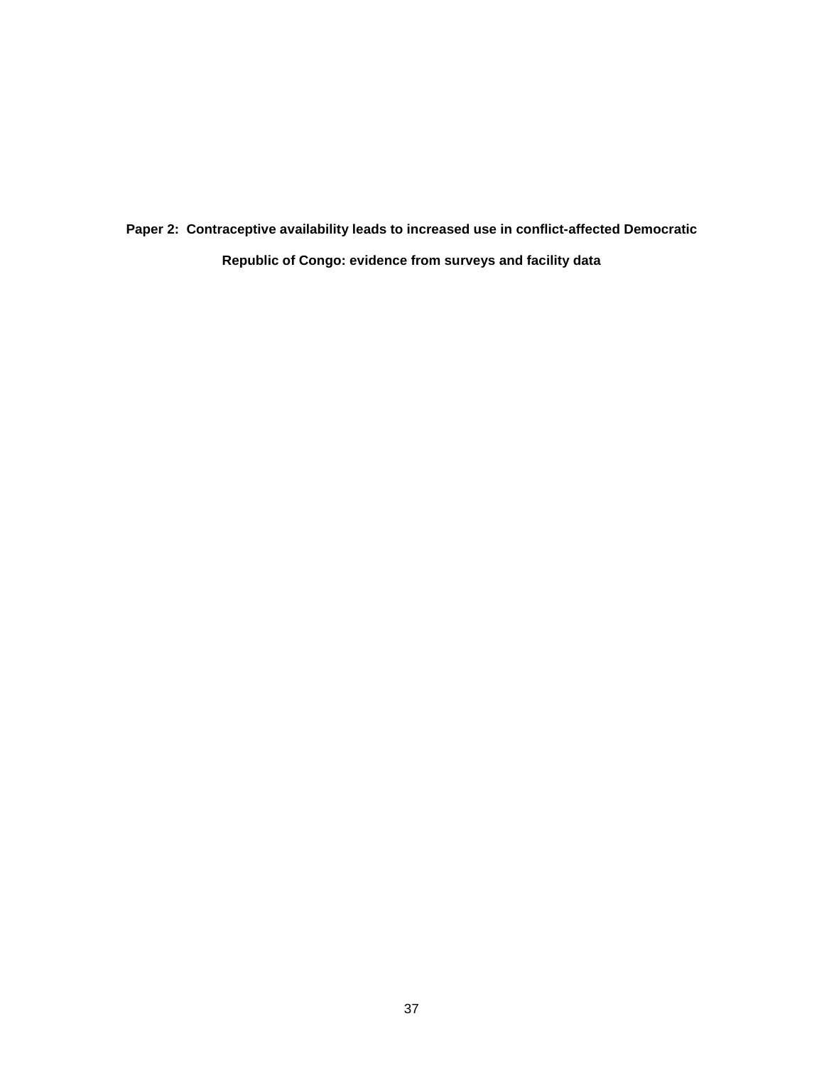**Paper 2: Contraceptive availability leads to increased use in conflict-affected Democratic Republic of Congo: evidence from surveys and facility data**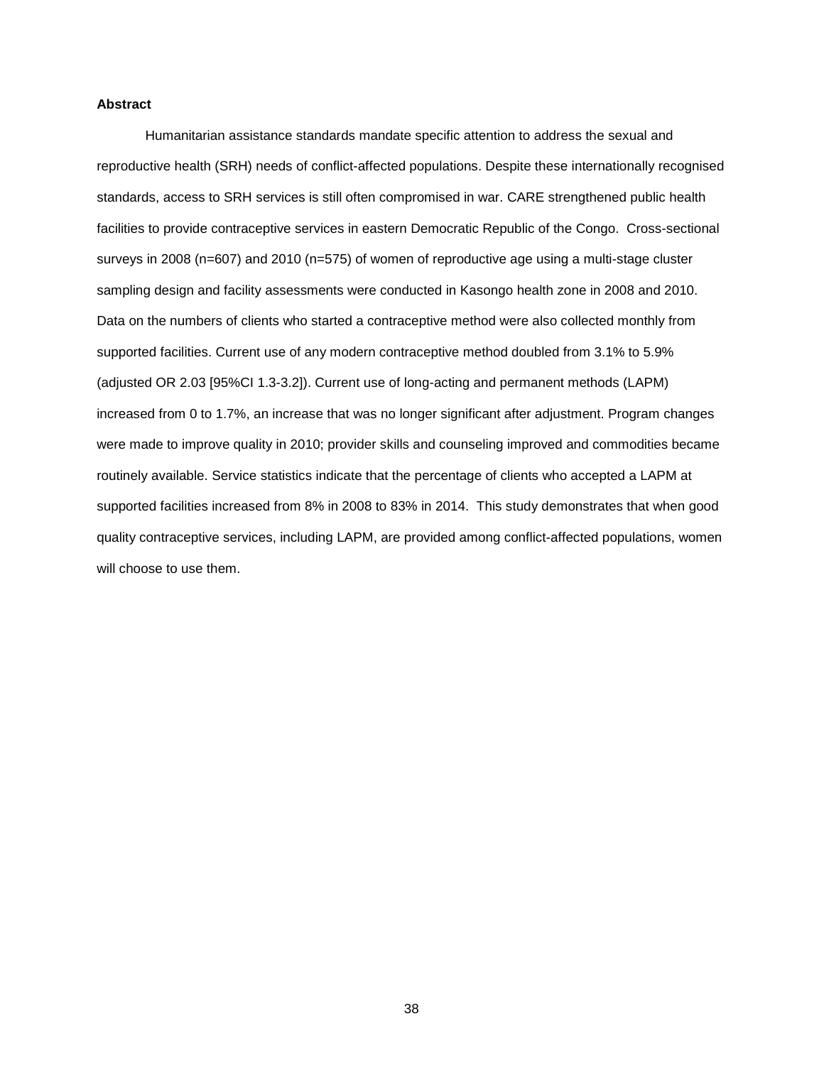# **Abstract**

Humanitarian assistance standards mandate specific attention to address the sexual and reproductive health (SRH) needs of conflict-affected populations. Despite these internationally recognised standards, access to SRH services is still often compromised in war. CARE strengthened public health facilities to provide contraceptive services in eastern Democratic Republic of the Congo. Cross-sectional surveys in 2008 (n=607) and 2010 (n=575) of women of reproductive age using a multi-stage cluster sampling design and facility assessments were conducted in Kasongo health zone in 2008 and 2010. Data on the numbers of clients who started a contraceptive method were also collected monthly from supported facilities. Current use of any modern contraceptive method doubled from 3.1% to 5.9% (adjusted OR 2.03 [95%CI 1.3-3.2]). Current use of long-acting and permanent methods (LAPM) increased from 0 to 1.7%, an increase that was no longer significant after adjustment. Program changes were made to improve quality in 2010; provider skills and counseling improved and commodities became routinely available. Service statistics indicate that the percentage of clients who accepted a LAPM at supported facilities increased from 8% in 2008 to 83% in 2014. This study demonstrates that when good quality contraceptive services, including LAPM, are provided among conflict-affected populations, women will choose to use them.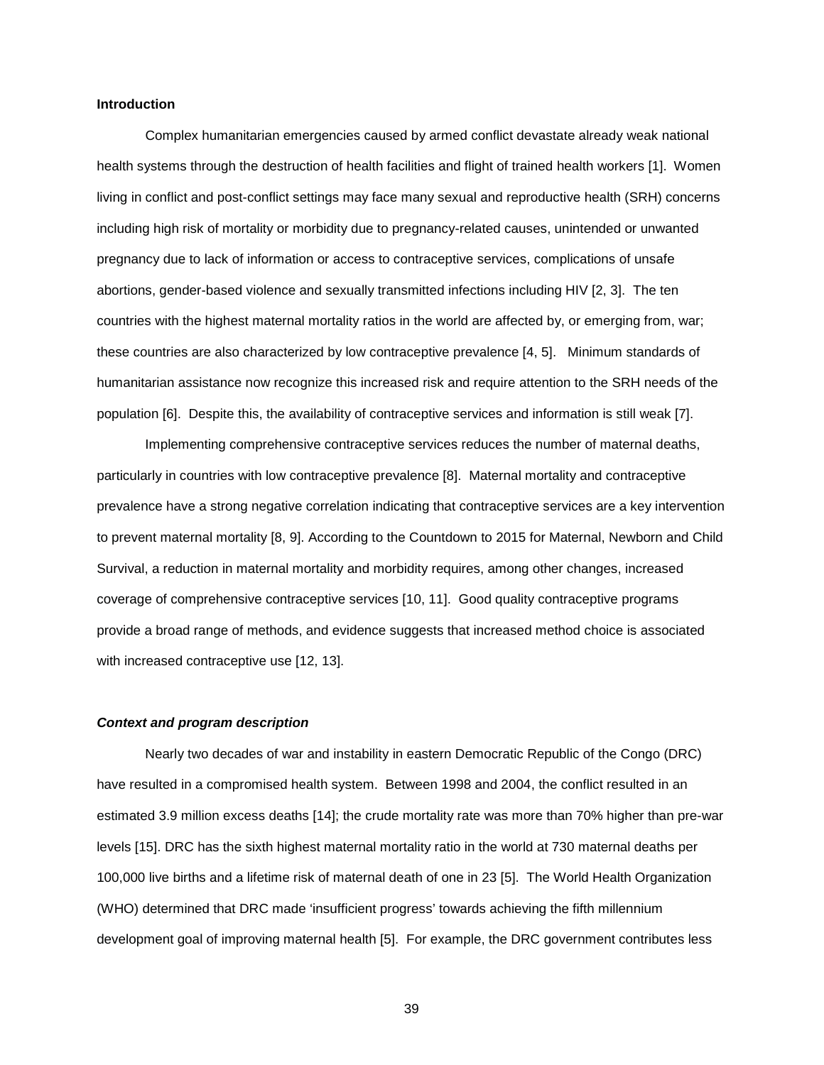# **Introduction**

Complex humanitarian emergencies caused by armed conflict devastate already weak national health systems through the destruction of health facilities and flight of trained health workers [1]. Women living in conflict and post-conflict settings may face many sexual and reproductive health (SRH) concerns including high risk of mortality or morbidity due to pregnancy-related causes, unintended or unwanted pregnancy due to lack of information or access to contraceptive services, complications of unsafe abortions, gender-based violence and sexually transmitted infections including HIV [2, 3]. The ten countries with the highest maternal mortality ratios in the world are affected by, or emerging from, war; these countries are also characterized by low contraceptive prevalence [4, 5]. Minimum standards of humanitarian assistance now recognize this increased risk and require attention to the SRH needs of the population [6]. Despite this, the availability of contraceptive services and information is still weak [7].

Implementing comprehensive contraceptive services reduces the number of maternal deaths, particularly in countries with low contraceptive prevalence [8]. Maternal mortality and contraceptive prevalence have a strong negative correlation indicating that contraceptive services are a key intervention to prevent maternal mortality [8, 9]. According to the Countdown to 2015 for Maternal, Newborn and Child Survival, a reduction in maternal mortality and morbidity requires, among other changes, increased coverage of comprehensive contraceptive services [10, 11]. Good quality contraceptive programs provide a broad range of methods, and evidence suggests that increased method choice is associated with increased contraceptive use [12, 13].

# *Context and program description*

Nearly two decades of war and instability in eastern Democratic Republic of the Congo (DRC) have resulted in a compromised health system. Between 1998 and 2004, the conflict resulted in an estimated 3.9 million excess deaths [14]; the crude mortality rate was more than 70% higher than pre-war levels [15]. DRC has the sixth highest maternal mortality ratio in the world at 730 maternal deaths per 100,000 live births and a lifetime risk of maternal death of one in 23 [5]. The World Health Organization (WHO) determined that DRC made 'insufficient progress' towards achieving the fifth millennium development goal of improving maternal health [5]. For example, the DRC government contributes less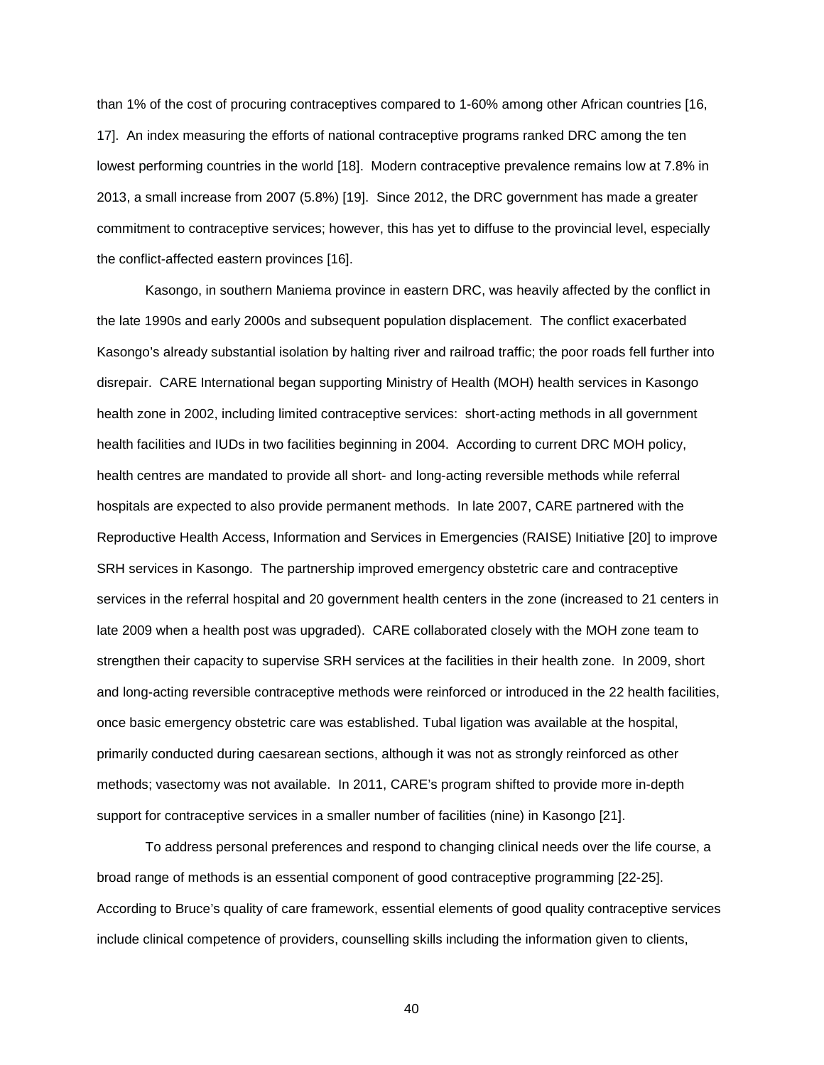than 1% of the cost of procuring contraceptives compared to 1-60% among other African countries [16, 17]. An index measuring the efforts of national contraceptive programs ranked DRC among the ten lowest performing countries in the world [18]. Modern contraceptive prevalence remains low at 7.8% in 2013, a small increase from 2007 (5.8%) [19]. Since 2012, the DRC government has made a greater commitment to contraceptive services; however, this has yet to diffuse to the provincial level, especially the conflict-affected eastern provinces [16].

Kasongo, in southern Maniema province in eastern DRC, was heavily affected by the conflict in the late 1990s and early 2000s and subsequent population displacement. The conflict exacerbated Kasongo's already substantial isolation by halting river and railroad traffic; the poor roads fell further into disrepair. CARE International began supporting Ministry of Health (MOH) health services in Kasongo health zone in 2002, including limited contraceptive services: short-acting methods in all government health facilities and IUDs in two facilities beginning in 2004. According to current DRC MOH policy, health centres are mandated to provide all short- and long-acting reversible methods while referral hospitals are expected to also provide permanent methods. In late 2007, CARE partnered with the Reproductive Health Access, Information and Services in Emergencies (RAISE) Initiative [20] to improve SRH services in Kasongo. The partnership improved emergency obstetric care and contraceptive services in the referral hospital and 20 government health centers in the zone (increased to 21 centers in late 2009 when a health post was upgraded). CARE collaborated closely with the MOH zone team to strengthen their capacity to supervise SRH services at the facilities in their health zone. In 2009, short and long-acting reversible contraceptive methods were reinforced or introduced in the 22 health facilities, once basic emergency obstetric care was established. Tubal ligation was available at the hospital, primarily conducted during caesarean sections, although it was not as strongly reinforced as other methods; vasectomy was not available. In 2011, CARE's program shifted to provide more in-depth support for contraceptive services in a smaller number of facilities (nine) in Kasongo [21].

To address personal preferences and respond to changing clinical needs over the life course, a broad range of methods is an essential component of good contraceptive programming [22-25]. According to Bruce's quality of care framework, essential elements of good quality contraceptive services include clinical competence of providers, counselling skills including the information given to clients,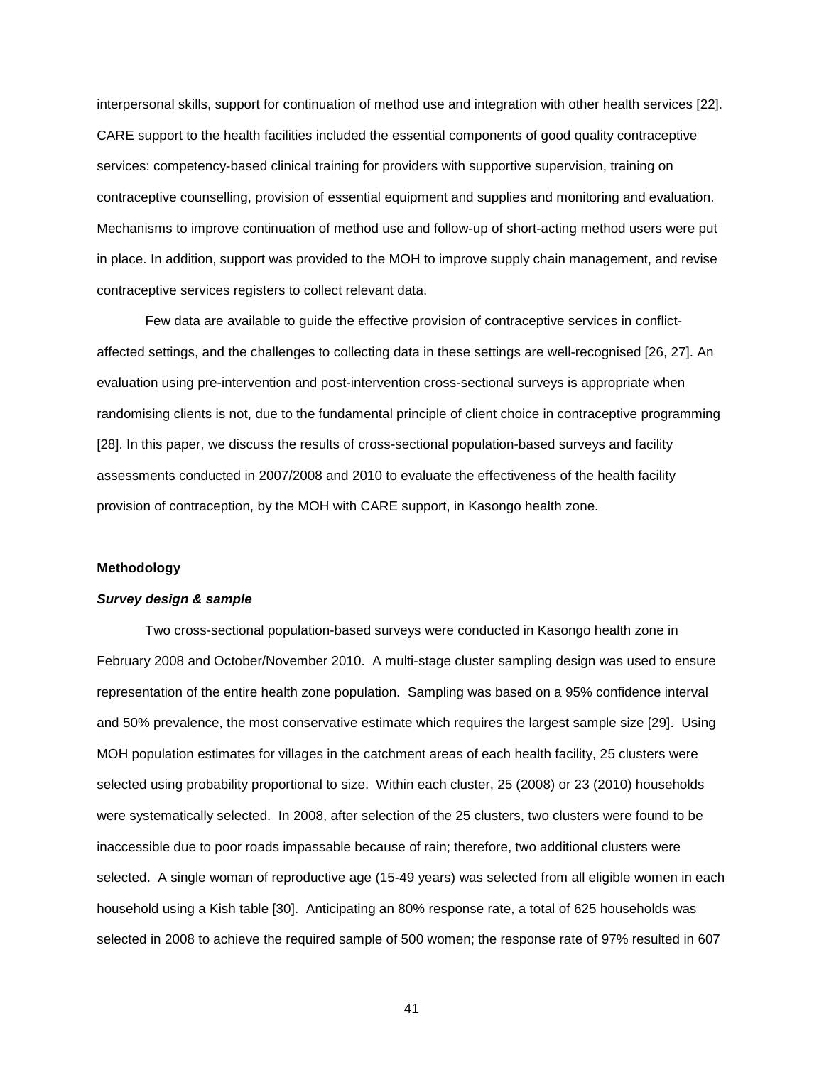interpersonal skills, support for continuation of method use and integration with other health services [22]. CARE support to the health facilities included the essential components of good quality contraceptive services: competency-based clinical training for providers with supportive supervision, training on contraceptive counselling, provision of essential equipment and supplies and monitoring and evaluation. Mechanisms to improve continuation of method use and follow-up of short-acting method users were put in place. In addition, support was provided to the MOH to improve supply chain management, and revise contraceptive services registers to collect relevant data.

Few data are available to guide the effective provision of contraceptive services in conflictaffected settings, and the challenges to collecting data in these settings are well-recognised [26, 27]. An evaluation using pre-intervention and post-intervention cross-sectional surveys is appropriate when randomising clients is not, due to the fundamental principle of client choice in contraceptive programming [28]. In this paper, we discuss the results of cross-sectional population-based surveys and facility assessments conducted in 2007/2008 and 2010 to evaluate the effectiveness of the health facility provision of contraception, by the MOH with CARE support, in Kasongo health zone.

## **Methodology**

# *Survey design & sample*

Two cross-sectional population-based surveys were conducted in Kasongo health zone in February 2008 and October/November 2010. A multi-stage cluster sampling design was used to ensure representation of the entire health zone population. Sampling was based on a 95% confidence interval and 50% prevalence, the most conservative estimate which requires the largest sample size [29]. Using MOH population estimates for villages in the catchment areas of each health facility, 25 clusters were selected using probability proportional to size. Within each cluster, 25 (2008) or 23 (2010) households were systematically selected. In 2008, after selection of the 25 clusters, two clusters were found to be inaccessible due to poor roads impassable because of rain; therefore, two additional clusters were selected. A single woman of reproductive age (15-49 years) was selected from all eligible women in each household using a Kish table [30]. Anticipating an 80% response rate, a total of 625 households was selected in 2008 to achieve the required sample of 500 women; the response rate of 97% resulted in 607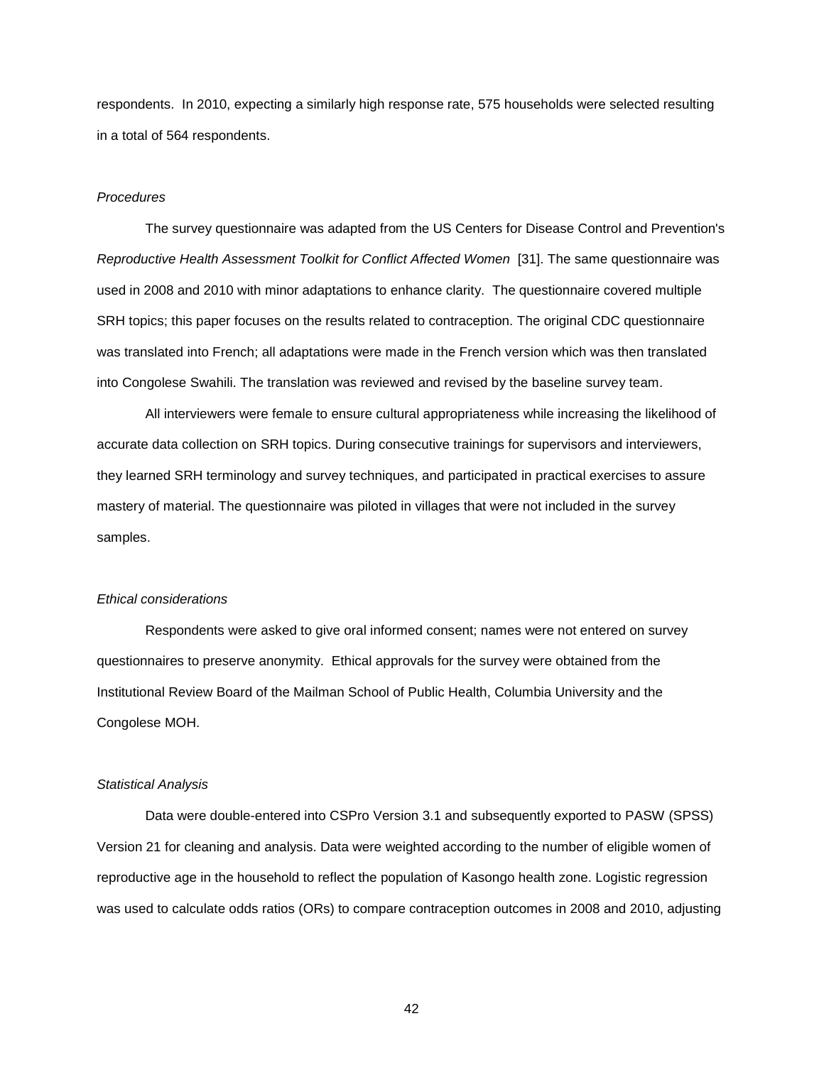respondents. In 2010, expecting a similarly high response rate, 575 households were selected resulting in a total of 564 respondents.

## *Procedures*

The survey questionnaire was adapted from the US Centers for Disease Control and Prevention's *Reproductive Health Assessment Toolkit for Conflict Affected Women* [31]. The same questionnaire was used in 2008 and 2010 with minor adaptations to enhance clarity. The questionnaire covered multiple SRH topics; this paper focuses on the results related to contraception. The original CDC questionnaire was translated into French; all adaptations were made in the French version which was then translated into Congolese Swahili. The translation was reviewed and revised by the baseline survey team.

All interviewers were female to ensure cultural appropriateness while increasing the likelihood of accurate data collection on SRH topics. During consecutive trainings for supervisors and interviewers, they learned SRH terminology and survey techniques, and participated in practical exercises to assure mastery of material. The questionnaire was piloted in villages that were not included in the survey samples.

## *Ethical considerations*

Respondents were asked to give oral informed consent; names were not entered on survey questionnaires to preserve anonymity. Ethical approvals for the survey were obtained from the Institutional Review Board of the Mailman School of Public Health, Columbia University and the Congolese MOH.

# *Statistical Analysis*

Data were double-entered into CSPro Version 3.1 and subsequently exported to PASW (SPSS) Version 21 for cleaning and analysis. Data were weighted according to the number of eligible women of reproductive age in the household to reflect the population of Kasongo health zone. Logistic regression was used to calculate odds ratios (ORs) to compare contraception outcomes in 2008 and 2010, adjusting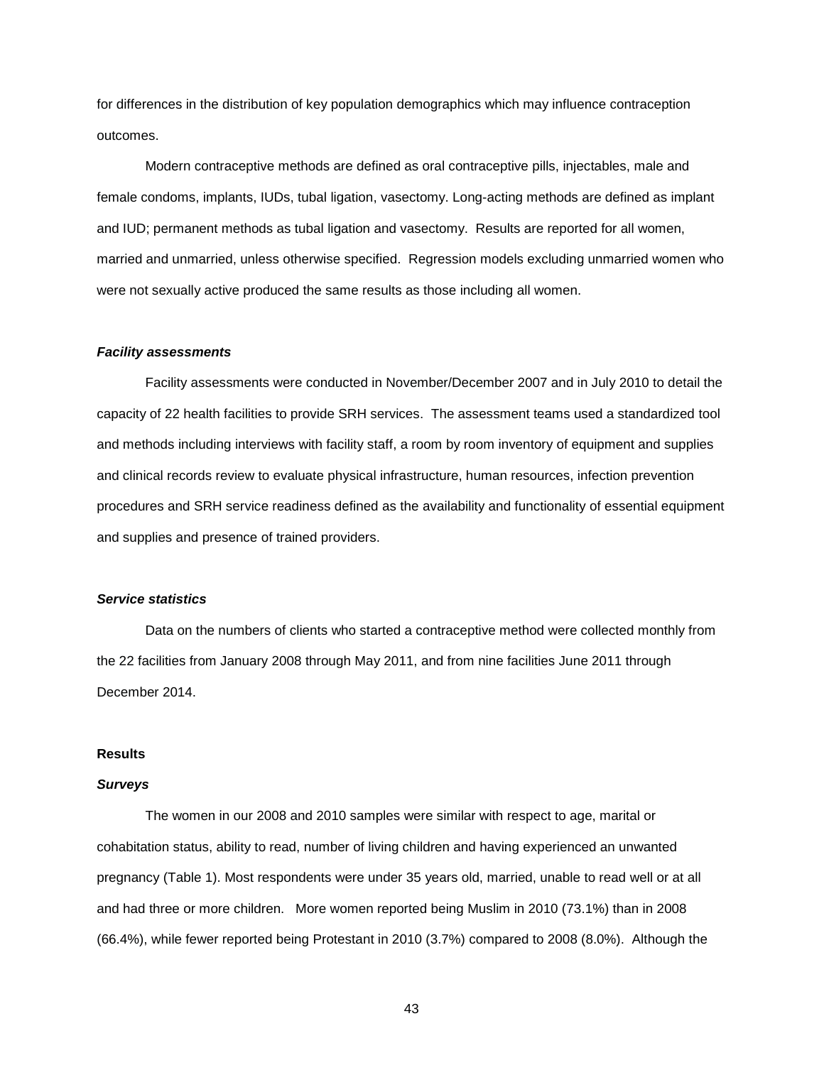for differences in the distribution of key population demographics which may influence contraception outcomes.

Modern contraceptive methods are defined as oral contraceptive pills, injectables, male and female condoms, implants, IUDs, tubal ligation, vasectomy. Long-acting methods are defined as implant and IUD; permanent methods as tubal ligation and vasectomy. Results are reported for all women, married and unmarried, unless otherwise specified. Regression models excluding unmarried women who were not sexually active produced the same results as those including all women.

# *Facility assessments*

Facility assessments were conducted in November/December 2007 and in July 2010 to detail the capacity of 22 health facilities to provide SRH services. The assessment teams used a standardized tool and methods including interviews with facility staff, a room by room inventory of equipment and supplies and clinical records review to evaluate physical infrastructure, human resources, infection prevention procedures and SRH service readiness defined as the availability and functionality of essential equipment and supplies and presence of trained providers.

# *Service statistics*

Data on the numbers of clients who started a contraceptive method were collected monthly from the 22 facilities from January 2008 through May 2011, and from nine facilities June 2011 through December 2014.

# **Results**

# *Surveys*

The women in our 2008 and 2010 samples were similar with respect to age, marital or cohabitation status, ability to read, number of living children and having experienced an unwanted pregnancy (Table 1). Most respondents were under 35 years old, married, unable to read well or at all and had three or more children. More women reported being Muslim in 2010 (73.1%) than in 2008 (66.4%), while fewer reported being Protestant in 2010 (3.7%) compared to 2008 (8.0%). Although the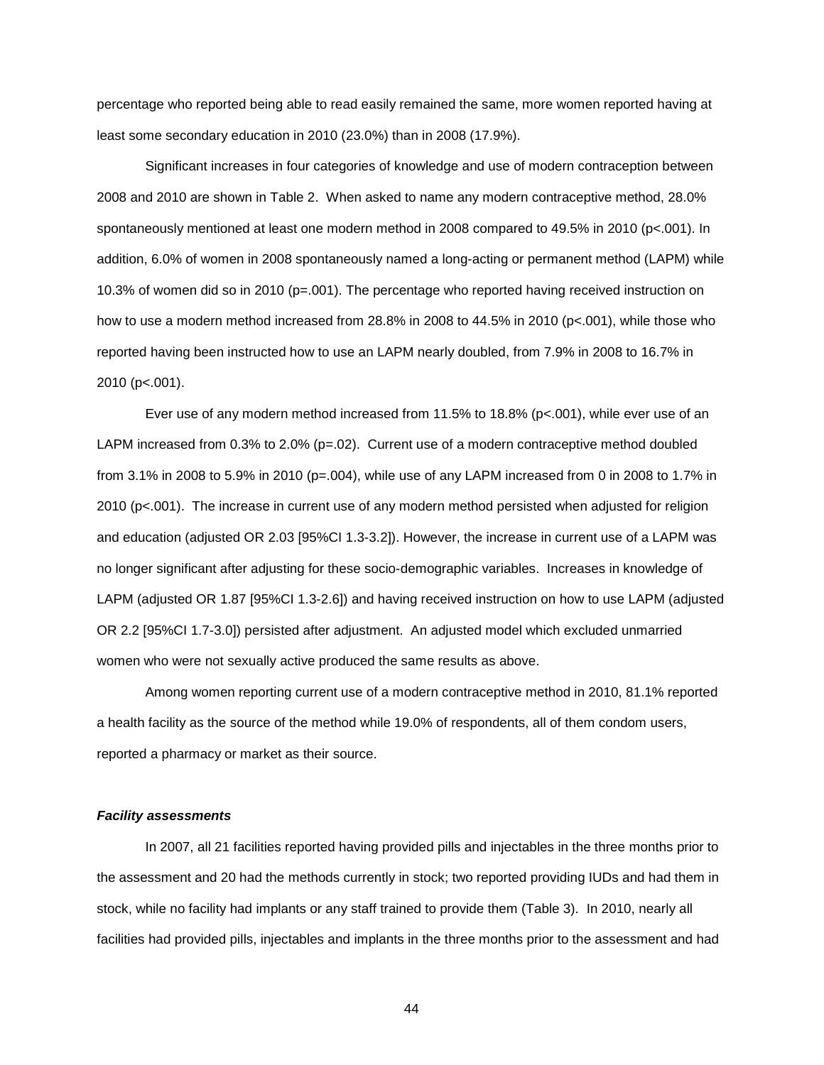percentage who reported being able to read easily remained the same, more women reported having at least some secondary education in 2010 (23.0%) than in 2008 (17.9%).

Significant increases in four categories of knowledge and use of modern contraception between 2008 and 2010 are shown in Table 2. When asked to name any modern contraceptive method, 28.0% spontaneously mentioned at least one modern method in 2008 compared to 49.5% in 2010 (p<.001). In addition, 6.0% of women in 2008 spontaneously named a long-acting or permanent method (LAPM) while 10.3% of women did so in 2010 (p=.001). The percentage who reported having received instruction on how to use a modern method increased from 28.8% in 2008 to 44.5% in 2010 (p<.001), while those who reported having been instructed how to use an LAPM nearly doubled, from 7.9% in 2008 to 16.7% in 2010 (p<.001).

Ever use of any modern method increased from 11.5% to 18.8% ( $p$ <.001), while ever use of an LAPM increased from  $0.3\%$  to  $2.0\%$  (p=.02). Current use of a modern contraceptive method doubled from 3.1% in 2008 to 5.9% in 2010 (p=.004), while use of any LAPM increased from 0 in 2008 to 1.7% in 2010 (p<.001). The increase in current use of any modern method persisted when adjusted for religion and education (adjusted OR 2.03 [95%CI 1.3-3.2]). However, the increase in current use of a LAPM was no longer significant after adjusting for these socio-demographic variables. Increases in knowledge of LAPM (adjusted OR 1.87 [95%CI 1.3-2.6]) and having received instruction on how to use LAPM (adjusted OR 2.2 [95%CI 1.7-3.0]) persisted after adjustment. An adjusted model which excluded unmarried women who were not sexually active produced the same results as above.

Among women reporting current use of a modern contraceptive method in 2010, 81.1% reported a health facility as the source of the method while 19.0% of respondents, all of them condom users, reported a pharmacy or market as their source.

#### *Facility assessments*

In 2007, all 21 facilities reported having provided pills and injectables in the three months prior to the assessment and 20 had the methods currently in stock; two reported providing IUDs and had them in stock, while no facility had implants or any staff trained to provide them (Table 3). In 2010, nearly all facilities had provided pills, injectables and implants in the three months prior to the assessment and had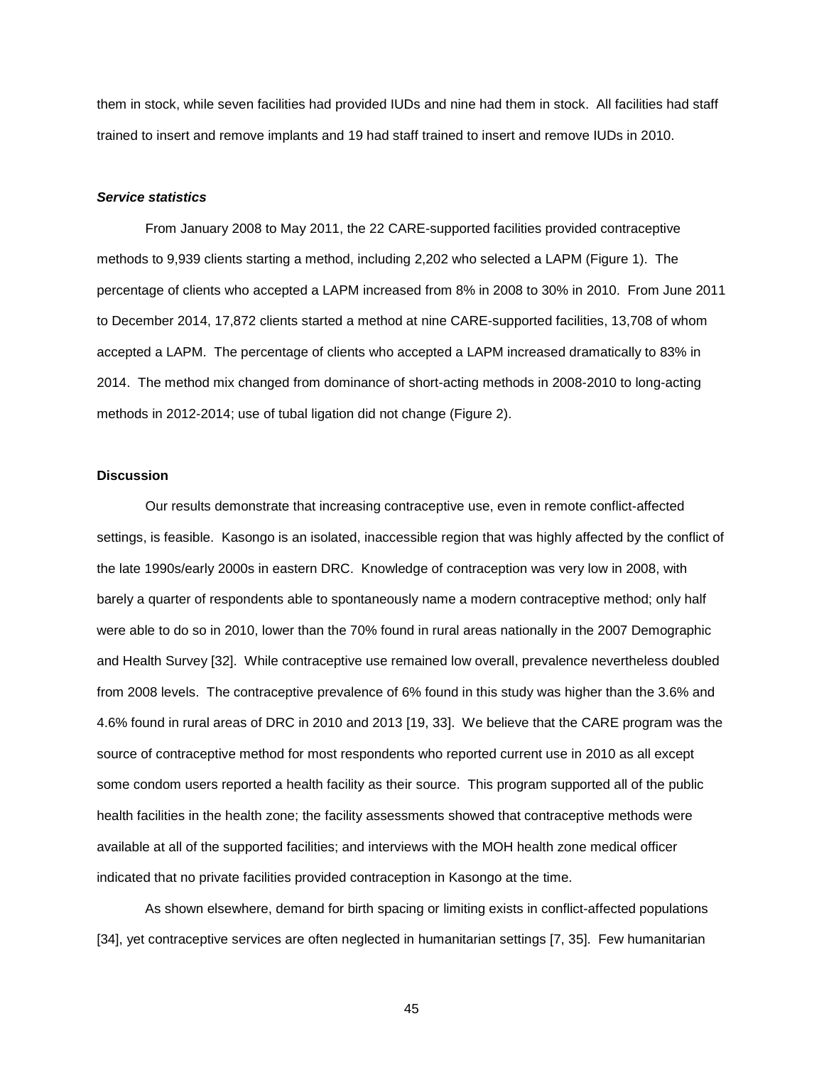them in stock, while seven facilities had provided IUDs and nine had them in stock. All facilities had staff trained to insert and remove implants and 19 had staff trained to insert and remove IUDs in 2010.

#### *Service statistics*

From January 2008 to May 2011, the 22 CARE-supported facilities provided contraceptive methods to 9,939 clients starting a method, including 2,202 who selected a LAPM (Figure 1). The percentage of clients who accepted a LAPM increased from 8% in 2008 to 30% in 2010. From June 2011 to December 2014, 17,872 clients started a method at nine CARE-supported facilities, 13,708 of whom accepted a LAPM. The percentage of clients who accepted a LAPM increased dramatically to 83% in 2014. The method mix changed from dominance of short-acting methods in 2008-2010 to long-acting methods in 2012-2014; use of tubal ligation did not change (Figure 2).

# **Discussion**

Our results demonstrate that increasing contraceptive use, even in remote conflict-affected settings, is feasible. Kasongo is an isolated, inaccessible region that was highly affected by the conflict of the late 1990s/early 2000s in eastern DRC. Knowledge of contraception was very low in 2008, with barely a quarter of respondents able to spontaneously name a modern contraceptive method; only half were able to do so in 2010, lower than the 70% found in rural areas nationally in the 2007 Demographic and Health Survey [32]. While contraceptive use remained low overall, prevalence nevertheless doubled from 2008 levels. The contraceptive prevalence of 6% found in this study was higher than the 3.6% and 4.6% found in rural areas of DRC in 2010 and 2013 [19, 33]. We believe that the CARE program was the source of contraceptive method for most respondents who reported current use in 2010 as all except some condom users reported a health facility as their source. This program supported all of the public health facilities in the health zone; the facility assessments showed that contraceptive methods were available at all of the supported facilities; and interviews with the MOH health zone medical officer indicated that no private facilities provided contraception in Kasongo at the time.

As shown elsewhere, demand for birth spacing or limiting exists in conflict-affected populations [34], yet contraceptive services are often neglected in humanitarian settings [7, 35]. Few humanitarian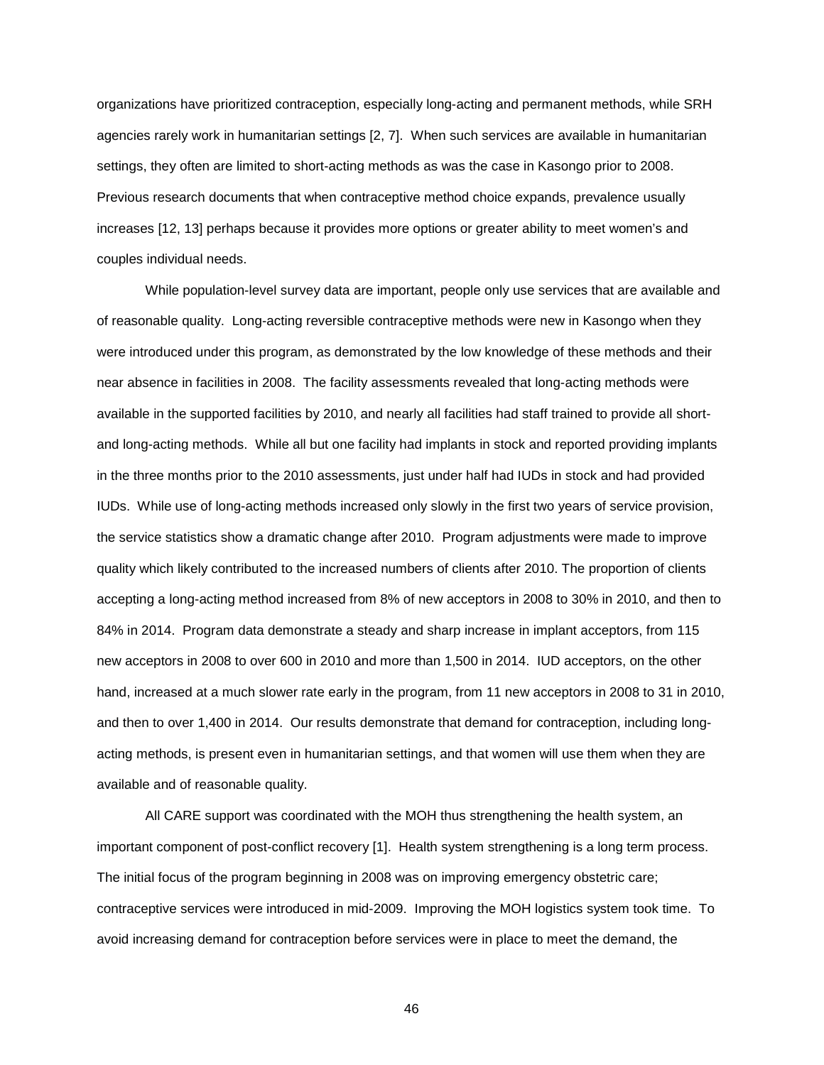organizations have prioritized contraception, especially long-acting and permanent methods, while SRH agencies rarely work in humanitarian settings [2, 7]. When such services are available in humanitarian settings, they often are limited to short-acting methods as was the case in Kasongo prior to 2008. Previous research documents that when contraceptive method choice expands, prevalence usually increases [12, 13] perhaps because it provides more options or greater ability to meet women's and couples individual needs.

While population-level survey data are important, people only use services that are available and of reasonable quality. Long-acting reversible contraceptive methods were new in Kasongo when they were introduced under this program, as demonstrated by the low knowledge of these methods and their near absence in facilities in 2008. The facility assessments revealed that long-acting methods were available in the supported facilities by 2010, and nearly all facilities had staff trained to provide all shortand long-acting methods. While all but one facility had implants in stock and reported providing implants in the three months prior to the 2010 assessments, just under half had IUDs in stock and had provided IUDs. While use of long-acting methods increased only slowly in the first two years of service provision, the service statistics show a dramatic change after 2010. Program adjustments were made to improve quality which likely contributed to the increased numbers of clients after 2010. The proportion of clients accepting a long-acting method increased from 8% of new acceptors in 2008 to 30% in 2010, and then to 84% in 2014. Program data demonstrate a steady and sharp increase in implant acceptors, from 115 new acceptors in 2008 to over 600 in 2010 and more than 1,500 in 2014. IUD acceptors, on the other hand, increased at a much slower rate early in the program, from 11 new acceptors in 2008 to 31 in 2010, and then to over 1,400 in 2014. Our results demonstrate that demand for contraception, including longacting methods, is present even in humanitarian settings, and that women will use them when they are available and of reasonable quality.

All CARE support was coordinated with the MOH thus strengthening the health system, an important component of post-conflict recovery [1]. Health system strengthening is a long term process. The initial focus of the program beginning in 2008 was on improving emergency obstetric care; contraceptive services were introduced in mid-2009. Improving the MOH logistics system took time. To avoid increasing demand for contraception before services were in place to meet the demand, the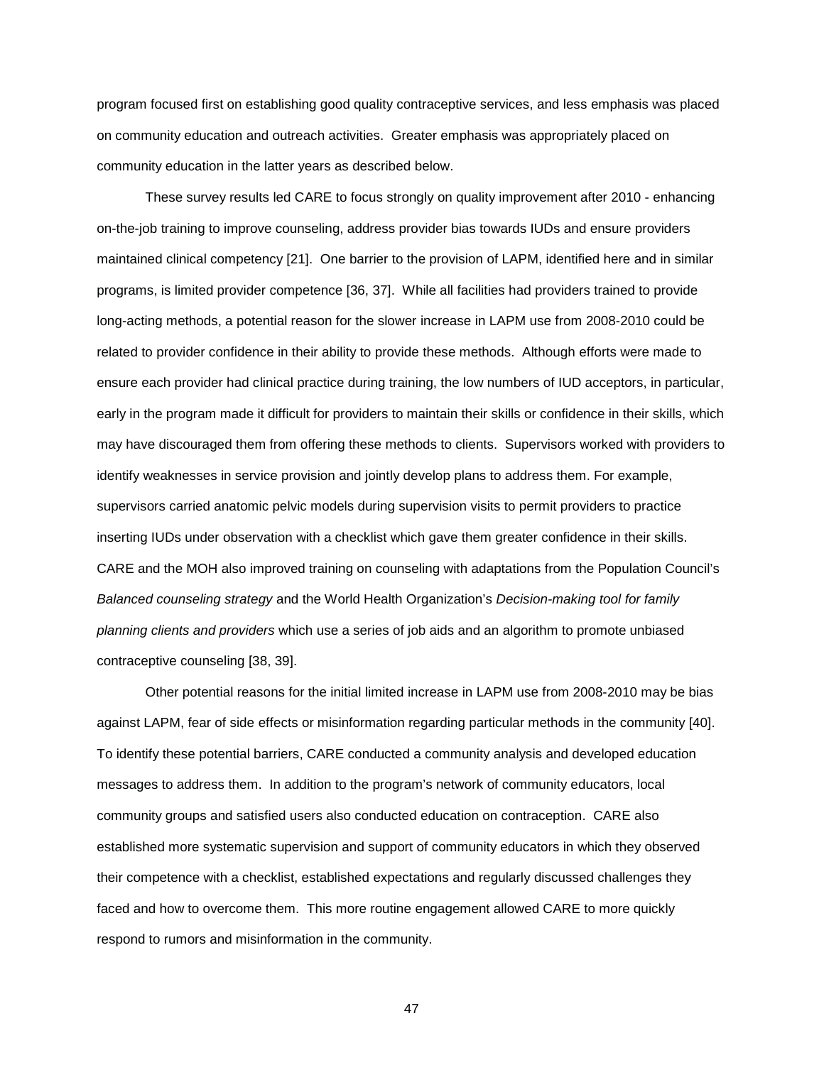program focused first on establishing good quality contraceptive services, and less emphasis was placed on community education and outreach activities. Greater emphasis was appropriately placed on community education in the latter years as described below.

These survey results led CARE to focus strongly on quality improvement after 2010 - enhancing on-the-job training to improve counseling, address provider bias towards IUDs and ensure providers maintained clinical competency [21]. One barrier to the provision of LAPM, identified here and in similar programs, is limited provider competence [36, 37]. While all facilities had providers trained to provide long-acting methods, a potential reason for the slower increase in LAPM use from 2008-2010 could be related to provider confidence in their ability to provide these methods. Although efforts were made to ensure each provider had clinical practice during training, the low numbers of IUD acceptors, in particular, early in the program made it difficult for providers to maintain their skills or confidence in their skills, which may have discouraged them from offering these methods to clients. Supervisors worked with providers to identify weaknesses in service provision and jointly develop plans to address them. For example, supervisors carried anatomic pelvic models during supervision visits to permit providers to practice inserting IUDs under observation with a checklist which gave them greater confidence in their skills. CARE and the MOH also improved training on counseling with adaptations from the Population Council's *Balanced counseling strategy* and the World Health Organization's *Decision-making tool for family planning clients and providers* which use a series of job aids and an algorithm to promote unbiased contraceptive counseling [38, 39].

Other potential reasons for the initial limited increase in LAPM use from 2008-2010 may be bias against LAPM, fear of side effects or misinformation regarding particular methods in the community [40]. To identify these potential barriers, CARE conducted a community analysis and developed education messages to address them. In addition to the program's network of community educators, local community groups and satisfied users also conducted education on contraception. CARE also established more systematic supervision and support of community educators in which they observed their competence with a checklist, established expectations and regularly discussed challenges they faced and how to overcome them. This more routine engagement allowed CARE to more quickly respond to rumors and misinformation in the community.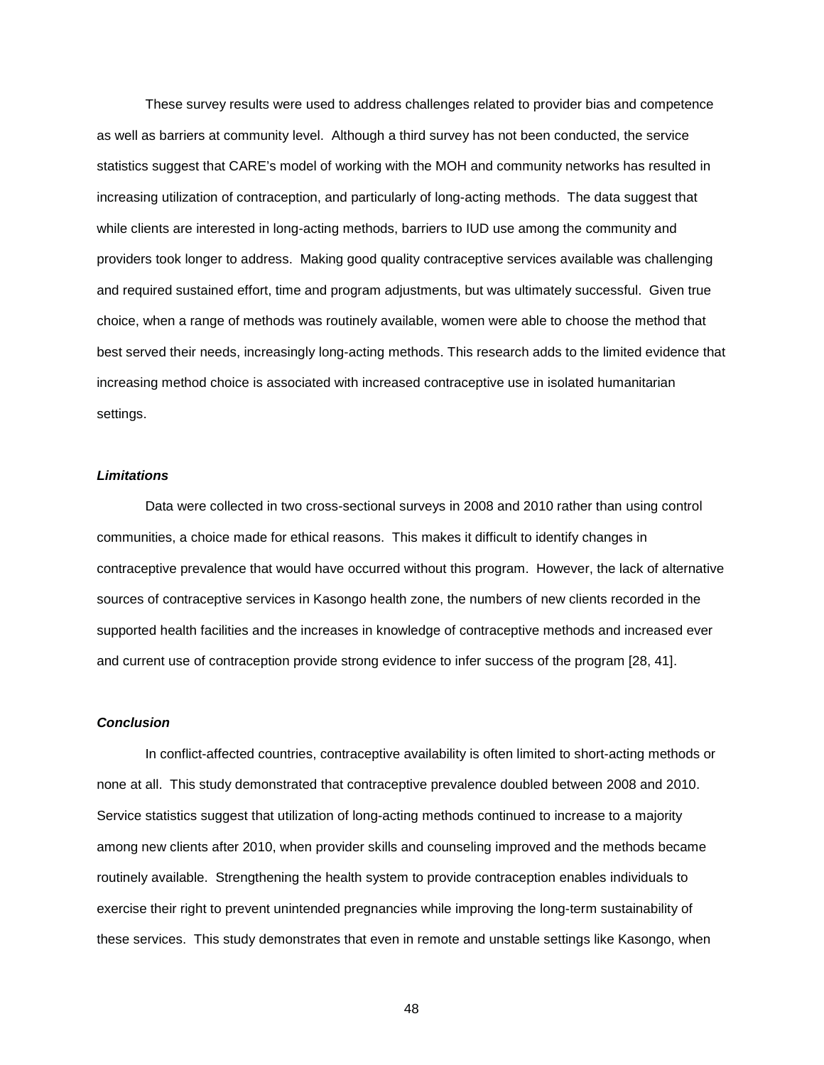These survey results were used to address challenges related to provider bias and competence as well as barriers at community level. Although a third survey has not been conducted, the service statistics suggest that CARE's model of working with the MOH and community networks has resulted in increasing utilization of contraception, and particularly of long-acting methods. The data suggest that while clients are interested in long-acting methods, barriers to IUD use among the community and providers took longer to address. Making good quality contraceptive services available was challenging and required sustained effort, time and program adjustments, but was ultimately successful. Given true choice, when a range of methods was routinely available, women were able to choose the method that best served their needs, increasingly long-acting methods. This research adds to the limited evidence that increasing method choice is associated with increased contraceptive use in isolated humanitarian settings.

# *Limitations*

Data were collected in two cross-sectional surveys in 2008 and 2010 rather than using control communities, a choice made for ethical reasons. This makes it difficult to identify changes in contraceptive prevalence that would have occurred without this program. However, the lack of alternative sources of contraceptive services in Kasongo health zone, the numbers of new clients recorded in the supported health facilities and the increases in knowledge of contraceptive methods and increased ever and current use of contraception provide strong evidence to infer success of the program [28, 41].

# *Conclusion*

In conflict-affected countries, contraceptive availability is often limited to short-acting methods or none at all. This study demonstrated that contraceptive prevalence doubled between 2008 and 2010. Service statistics suggest that utilization of long-acting methods continued to increase to a majority among new clients after 2010, when provider skills and counseling improved and the methods became routinely available. Strengthening the health system to provide contraception enables individuals to exercise their right to prevent unintended pregnancies while improving the long-term sustainability of these services. This study demonstrates that even in remote and unstable settings like Kasongo, when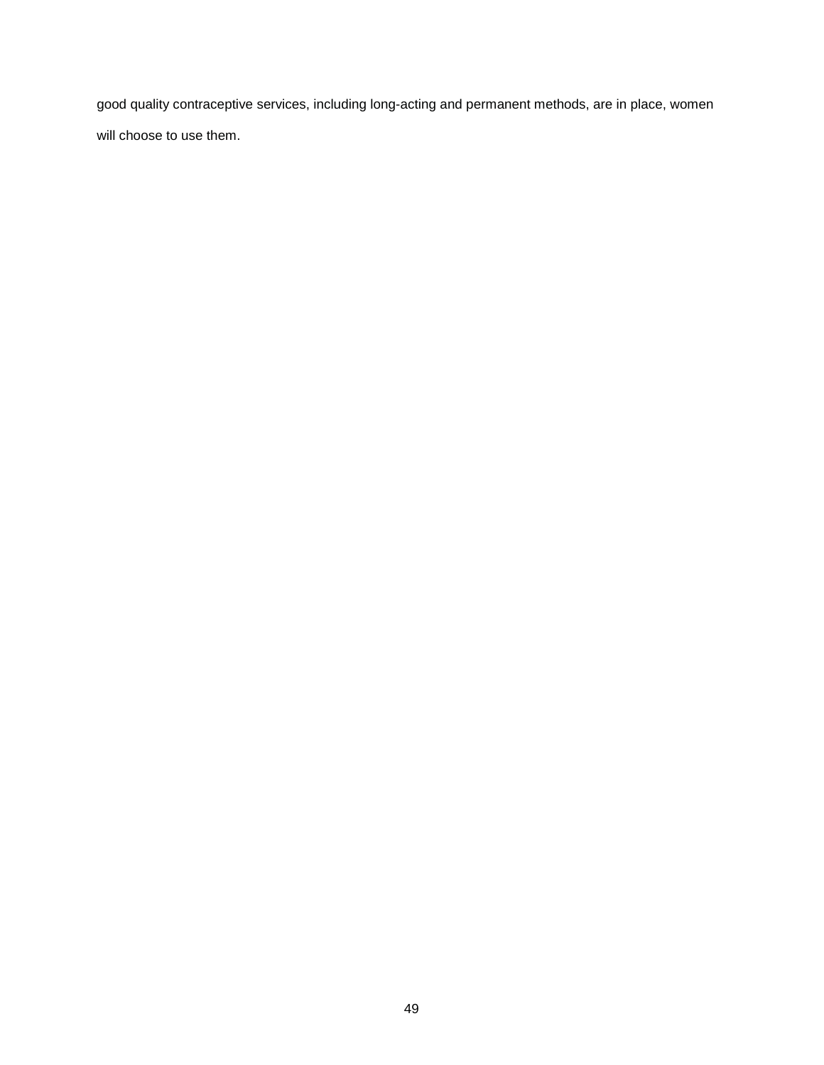good quality contraceptive services, including long-acting and permanent methods, are in place, women will choose to use them.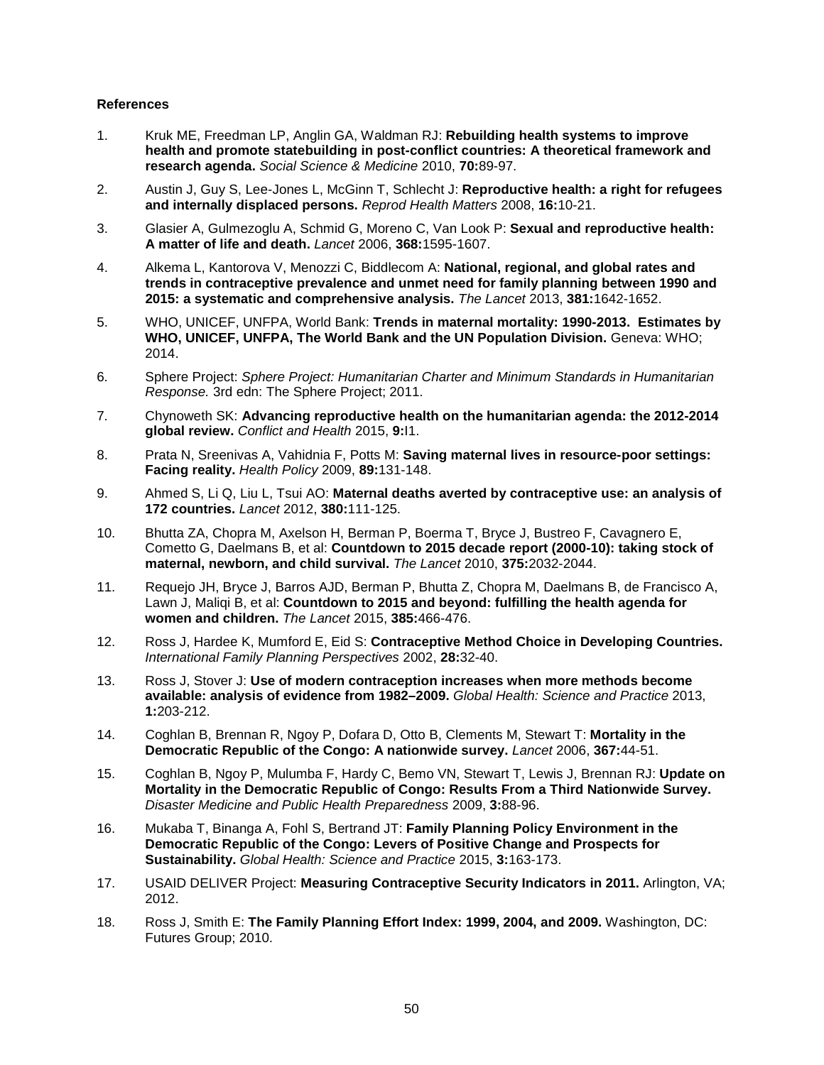# **References**

- 1. Kruk ME, Freedman LP, Anglin GA, Waldman RJ: **Rebuilding health systems to improve health and promote statebuilding in post-conflict countries: A theoretical framework and research agenda.** *Social Science & Medicine* 2010, **70:**89-97.
- 2. Austin J, Guy S, Lee-Jones L, McGinn T, Schlecht J: **Reproductive health: a right for refugees and internally displaced persons.** *Reprod Health Matters* 2008, **16:**10-21.
- 3. Glasier A, Gulmezoglu A, Schmid G, Moreno C, Van Look P: **Sexual and reproductive health: A matter of life and death.** *Lancet* 2006, **368:**1595-1607.
- 4. Alkema L, Kantorova V, Menozzi C, Biddlecom A: **National, regional, and global rates and trends in contraceptive prevalence and unmet need for family planning between 1990 and 2015: a systematic and comprehensive analysis.** *The Lancet* 2013, **381:**1642-1652.
- 5. WHO, UNICEF, UNFPA, World Bank: **Trends in maternal mortality: 1990-2013. Estimates by WHO, UNICEF, UNFPA, The World Bank and the UN Population Division.** Geneva: WHO; 2014.
- 6. Sphere Project: *Sphere Project: Humanitarian Charter and Minimum Standards in Humanitarian Response.* 3rd edn: The Sphere Project; 2011.
- 7. Chynoweth SK: **Advancing reproductive health on the humanitarian agenda: the 2012-2014 global review.** *Conflict and Health* 2015, **9:**I1.
- 8. Prata N, Sreenivas A, Vahidnia F, Potts M: **Saving maternal lives in resource-poor settings: Facing reality.** *Health Policy* 2009, **89:**131-148.
- 9. Ahmed S, Li Q, Liu L, Tsui AO: **Maternal deaths averted by contraceptive use: an analysis of 172 countries.** *Lancet* 2012, **380:**111-125.
- 10. Bhutta ZA, Chopra M, Axelson H, Berman P, Boerma T, Bryce J, Bustreo F, Cavagnero E, Cometto G, Daelmans B, et al: **Countdown to 2015 decade report (2000-10): taking stock of maternal, newborn, and child survival.** *The Lancet* 2010, **375:**2032-2044.
- 11. Requejo JH, Bryce J, Barros AJD, Berman P, Bhutta Z, Chopra M, Daelmans B, de Francisco A, Lawn J, Maliqi B, et al: **Countdown to 2015 and beyond: fulfilling the health agenda for women and children.** *The Lancet* 2015, **385:**466-476.
- 12. Ross J, Hardee K, Mumford E, Eid S: **Contraceptive Method Choice in Developing Countries.** *International Family Planning Perspectives* 2002, **28:**32-40.
- 13. Ross J, Stover J: **Use of modern contraception increases when more methods become available: analysis of evidence from 1982–2009.** *Global Health: Science and Practice* 2013, **1:**203-212.
- 14. Coghlan B, Brennan R, Ngoy P, Dofara D, Otto B, Clements M, Stewart T: **Mortality in the Democratic Republic of the Congo: A nationwide survey.** *Lancet* 2006, **367:**44-51.
- 15. Coghlan B, Ngoy P, Mulumba F, Hardy C, Bemo VN, Stewart T, Lewis J, Brennan RJ: **Update on Mortality in the Democratic Republic of Congo: Results From a Third Nationwide Survey.** *Disaster Medicine and Public Health Preparedness* 2009, **3:**88-96.
- 16. Mukaba T, Binanga A, Fohl S, Bertrand JT: **Family Planning Policy Environment in the Democratic Republic of the Congo: Levers of Positive Change and Prospects for Sustainability.** *Global Health: Science and Practice* 2015, **3:**163-173.
- 17. USAID DELIVER Project: **Measuring Contraceptive Security Indicators in 2011.** Arlington, VA; 2012.
- 18. Ross J, Smith E: **The Family Planning Effort Index: 1999, 2004, and 2009.** Washington, DC: Futures Group; 2010.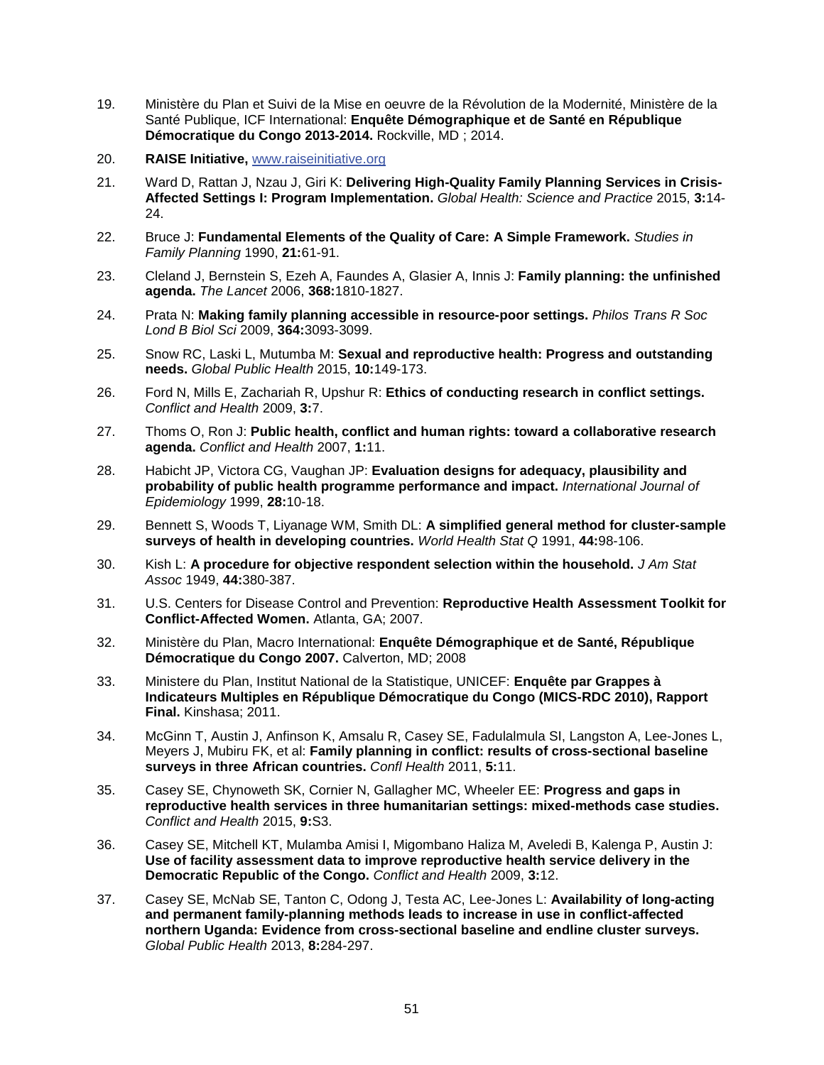- 19. Ministère du Plan et Suivi de la Mise en oeuvre de la Révolution de la Modernité, Ministère de la Santé Publique, ICF International: **Enquête Démographique et de Santé en République Démocratique du Congo 2013-2014.** Rockville, MD ; 2014.
- 20. **RAISE Initiative,** www.raiseinitiative.org
- 21. Ward D, Rattan J, Nzau J, Giri K: **Delivering High-Quality Family Planning Services in Crisis-Affected Settings I: Program Implementation.** *Global Health: Science and Practice* 2015, **3:**14- 24.
- 22. Bruce J: **Fundamental Elements of the Quality of Care: A Simple Framework.** *Studies in Family Planning* 1990, **21:**61-91.
- 23. Cleland J, Bernstein S, Ezeh A, Faundes A, Glasier A, Innis J: **Family planning: the unfinished agenda.** *The Lancet* 2006, **368:**1810-1827.
- 24. Prata N: **Making family planning accessible in resource-poor settings.** *Philos Trans R Soc Lond B Biol Sci* 2009, **364:**3093-3099.
- 25. Snow RC, Laski L, Mutumba M: **Sexual and reproductive health: Progress and outstanding needs.** *Global Public Health* 2015, **10:**149-173.
- 26. Ford N, Mills E, Zachariah R, Upshur R: **Ethics of conducting research in conflict settings.** *Conflict and Health* 2009, **3:**7.
- 27. Thoms O, Ron J: **Public health, conflict and human rights: toward a collaborative research agenda.** *Conflict and Health* 2007, **1:**11.
- 28. Habicht JP, Victora CG, Vaughan JP: **Evaluation designs for adequacy, plausibility and probability of public health programme performance and impact.** *International Journal of Epidemiology* 1999, **28:**10-18.
- 29. Bennett S, Woods T, Liyanage WM, Smith DL: **A simplified general method for cluster-sample surveys of health in developing countries.** *World Health Stat Q* 1991, **44:**98-106.
- 30. Kish L: **A procedure for objective respondent selection within the household.** *J Am Stat Assoc* 1949, **44:**380-387.
- 31. U.S. Centers for Disease Control and Prevention: **Reproductive Health Assessment Toolkit for Conflict-Affected Women.** Atlanta, GA; 2007.
- 32. Ministère du Plan, Macro International: **Enquête Démographique et de Santé, République Démocratique du Congo 2007.** Calverton, MD; 2008
- 33. Ministere du Plan, Institut National de la Statistique, UNICEF: **Enquête par Grappes à Indicateurs Multiples en République Démocratique du Congo (MICS-RDC 2010), Rapport Final.** Kinshasa; 2011.
- 34. McGinn T, Austin J, Anfinson K, Amsalu R, Casey SE, Fadulalmula SI, Langston A, Lee-Jones L, Meyers J, Mubiru FK, et al: **Family planning in conflict: results of cross-sectional baseline surveys in three African countries.** *Confl Health* 2011, **5:**11.
- 35. Casey SE, Chynoweth SK, Cornier N, Gallagher MC, Wheeler EE: **Progress and gaps in reproductive health services in three humanitarian settings: mixed-methods case studies.** *Conflict and Health* 2015, **9:**S3.
- 36. Casey SE, Mitchell KT, Mulamba Amisi I, Migombano Haliza M, Aveledi B, Kalenga P, Austin J: **Use of facility assessment data to improve reproductive health service delivery in the Democratic Republic of the Congo.** *Conflict and Health* 2009, **3:**12.
- 37. Casey SE, McNab SE, Tanton C, Odong J, Testa AC, Lee-Jones L: **Availability of long-acting and permanent family-planning methods leads to increase in use in conflict-affected northern Uganda: Evidence from cross-sectional baseline and endline cluster surveys.** *Global Public Health* 2013, **8:**284-297.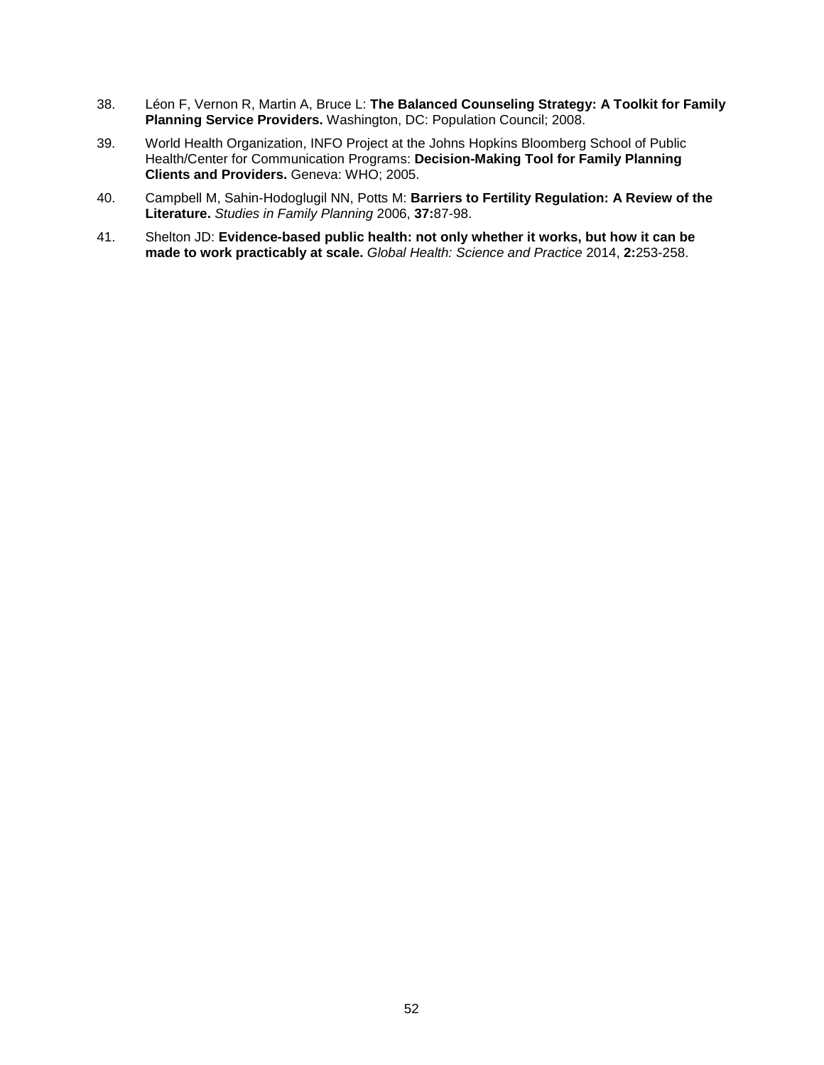- 38. Léon F, Vernon R, Martin A, Bruce L: **The Balanced Counseling Strategy: A Toolkit for Family Planning Service Providers.** Washington, DC: Population Council; 2008.
- 39. World Health Organization, INFO Project at the Johns Hopkins Bloomberg School of Public Health/Center for Communication Programs: **Decision-Making Tool for Family Planning Clients and Providers.** Geneva: WHO; 2005.
- 40. Campbell M, Sahin-Hodoglugil NN, Potts M: **Barriers to Fertility Regulation: A Review of the Literature.** *Studies in Family Planning* 2006, **37:**87-98.
- 41. Shelton JD: **Evidence-based public health: not only whether it works, but how it can be made to work practicably at scale.** *Global Health: Science and Practice* 2014, **2:**253-258.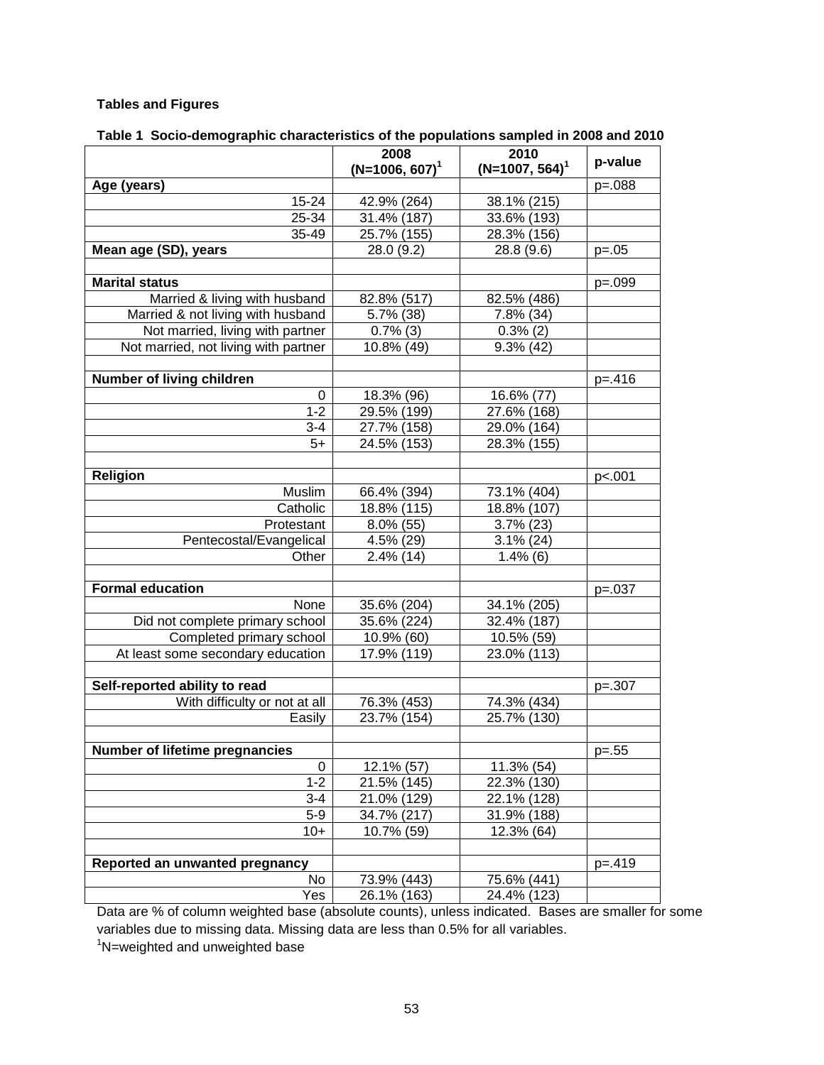# **Tables and Figures**

|                                      | 2008              | 2010                     |             |
|--------------------------------------|-------------------|--------------------------|-------------|
|                                      | $(N=1006, 607)^1$ | $(N=1007, 564)^1$        | p-value     |
| Age (years)                          |                   |                          | p=.088      |
| $15 - 24$                            | 42.9% (264)       | 38.1% (215)              |             |
| $25 - 34$                            | $31.4\%$ (187)    | 33.6% (193)              |             |
| 35-49                                | 25.7% (155)       | 28.3% (156)              |             |
| Mean age (SD), years                 | 28.0 (9.2)        | 28.8 (9.6)               | $p = 0.05$  |
|                                      |                   |                          |             |
| <b>Marital status</b>                |                   |                          | $p=.099$    |
| Married & living with husband        | 82.8% (517)       | 82.5% (486)              |             |
| Married & not living with husband    | 5.7% (38)         | 7.8% (34)                |             |
| Not married, living with partner     | $0.7\%$ (3)       | $0.3\%$ (2)              |             |
| Not married, not living with partner | 10.8% (49)        | $9.3\%$ (42)             |             |
|                                      |                   |                          |             |
| Number of living children            |                   |                          | $p = 0.416$ |
| 0                                    | $18.3\%$ (96)     | 16.6% (77)               |             |
| $1 - 2$                              | 29.5% (199)       | 27.6% (168)              |             |
| $3 - 4$                              | 27.7% (158)       | 29.0% (164)              |             |
| $5+$                                 | 24.5% (153)       | 28.3% (155)              |             |
|                                      |                   |                          |             |
| <b>Religion</b>                      |                   |                          | p<.001      |
| Muslim                               | 66.4% (394)       | 73.1% (404)              |             |
| Catholic                             | 18.8% (115)       | 18.8% (107)              |             |
| Protestant                           | $8.0\%$ (55)      | $3.7\%$ (23)             |             |
| Pentecostal/Evangelical              | 4.5% (29)         | $\overline{3.1\%}$ (24)  |             |
| Other                                | $2.4\%$ (14)      | $1.4\%$ (6)              |             |
|                                      |                   |                          |             |
| <b>Formal education</b>              |                   |                          | $p = 0.037$ |
| None                                 | 35.6% (204)       | 34.1% (205)              |             |
| Did not complete primary school      | 35.6% (224)       | 32.4% (187)              |             |
| Completed primary school             | 10.9% (60)        | 10.5% (59)               |             |
| At least some secondary education    | 17.9% (119)       | 23.0% (113)              |             |
|                                      |                   |                          |             |
| Self-reported ability to read        |                   |                          | $p=.307$    |
| With difficulty or not at all        | 76.3% (453)       | 74.3% (434)              |             |
| Easily                               | 23.7% (154)       | 25.7% (130)              |             |
|                                      |                   |                          |             |
| Number of lifetime pregnancies       |                   |                          | $p = .55$   |
| 0                                    | 12.1% (57)        | 11.3% (54)               |             |
| $1 - 2$                              | 21.5% (145)       | 22.3% (130)              |             |
| $3 - 4$                              | 21.0% (129)       | 22.1% (128)              |             |
| $5-9$                                | 34.7% (217)       | 31.9% (188)              |             |
| $10+$                                | 10.7% (59)        | $\overline{12.3\%}$ (64) |             |
|                                      |                   |                          |             |
| Reported an unwanted pregnancy       |                   |                          | $p = 0.419$ |
| No                                   | 73.9% (443)       | 75.6% (441)              |             |
| Yes                                  | 26.1% (163)       | 24.4% (123)              |             |

# **Table 1 Socio-demographic characteristics of the populations sampled in 2008 and 2010**

Data are % of column weighted base (absolute counts), unless indicated. Bases are smaller for some variables due to missing data. Missing data are less than 0.5% for all variables.

<sup>1</sup>N=weighted and unweighted base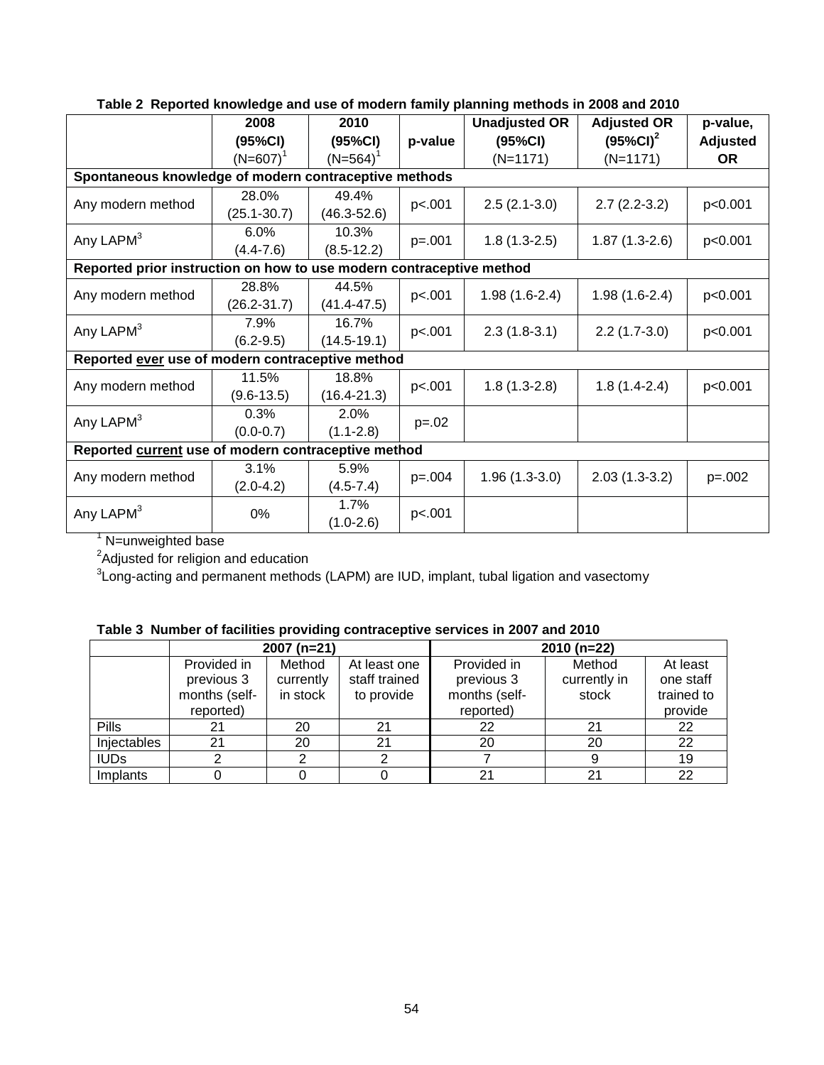|                                                                      | 2008            | 2010            |             | <b>Unadjusted OR</b> | <b>Adjusted OR</b> | p-value,        |
|----------------------------------------------------------------------|-----------------|-----------------|-------------|----------------------|--------------------|-----------------|
|                                                                      | (95%CI)         | (95%CI)         | p-value     | (95%CI)              | $(95\%CI)^2$       | <b>Adjusted</b> |
|                                                                      | $(N=607)^1$     | $(N=564)^1$     |             | $(N=1171)$           | $(N=1171)$         | <b>OR</b>       |
| Spontaneous knowledge of modern contraceptive methods                |                 |                 |             |                      |                    |                 |
| Any modern method                                                    | 28.0%           | 49.4%           | p<.001      | $2.5(2.1-3.0)$       | $2.7(2.2-3.2)$     | p<0.001         |
|                                                                      | $(25.1 - 30.7)$ | $(46.3 - 52.6)$ |             |                      |                    |                 |
| Any LAPM <sup>3</sup>                                                | 6.0%            | 10.3%           |             |                      |                    | p<0.001         |
|                                                                      | $(4.4 - 7.6)$   | $(8.5 - 12.2)$  | $p = 0.001$ | $1.8(1.3-2.5)$       | $1.87(1.3-2.6)$    |                 |
| Reported prior instruction on how to use modern contraceptive method |                 |                 |             |                      |                    |                 |
| Any modern method                                                    | 28.8%           | 44.5%           | p<.001      | $1.98(1.6-2.4)$      | $1.98(1.6-2.4)$    | p<0.001         |
|                                                                      | $(26.2 - 31.7)$ | $(41.4 - 47.5)$ |             |                      |                    |                 |
| Any LAPM <sup>3</sup>                                                | 7.9%            | 16.7%           | p<.001      | $2.3(1.8-3.1)$       | $2.2(1.7-3.0)$     | p<0.001         |
|                                                                      | $(6.2 - 9.5)$   | $(14.5 - 19.1)$ |             |                      |                    |                 |
| Reported ever use of modern contraceptive method                     |                 |                 |             |                      |                    |                 |
| Any modern method                                                    | 11.5%           | 18.8%           | p<.001      | $1.8(1.3-2.8)$       | $1.8(1.4-2.4)$     | p<0.001         |
|                                                                      | $(9.6 - 13.5)$  | $(16.4 - 21.3)$ |             |                      |                    |                 |
| Any LAPM <sup>3</sup>                                                | 0.3%            | 2.0%            | $p = 0.02$  |                      |                    |                 |
|                                                                      | $(0.0 - 0.7)$   | $(1.1 - 2.8)$   |             |                      |                    |                 |
| Reported current use of modern contraceptive method                  |                 |                 |             |                      |                    |                 |
| Any modern method                                                    | 3.1%            | 5.9%            | $p = 0.004$ | $1.96(1.3-3.0)$      | $2.03(1.3-3.2)$    | $p = 0.002$     |
|                                                                      | $(2.0 - 4.2)$   | $(4.5 - 7.4)$   |             |                      |                    |                 |
| Any LAPM <sup>3</sup>                                                | 0%              | 1.7%            | p<.001      |                      |                    |                 |
|                                                                      |                 | $(1.0 - 2.6)$   |             |                      |                    |                 |

# **Table 2 Reported knowledge and use of modern family planning methods in 2008 and 2010**

<sup>1</sup> N=unweighted base

<sup>2</sup>Adjusted for religion and education

 $3$ Long-acting and permanent methods (LAPM) are IUD, implant, tubal ligation and vasectomy

# **Table 3 Number of facilities providing contraceptive services in 2007 and 2010**

|              |               | 2007 (n=21) |               |               | $2010(n=22)$ |            |
|--------------|---------------|-------------|---------------|---------------|--------------|------------|
|              | Provided in   | Method      | At least one  | Provided in   | Method       | At least   |
|              | previous 3    | currently   | staff trained | previous 3    | currently in | one staff  |
|              | months (self- | in stock    | to provide    | months (self- | stock        | trained to |
|              | reported)     |             |               | reported)     |              | provide    |
| <b>Pills</b> |               | 20          | 21            | 22            |              | 22         |
| Injectables  | 21            | 20          | 21            | 20            | 20           | 22         |
| <b>IUDs</b>  |               |             |               |               |              | 19         |
| Implants     |               |             |               | 21            |              | 22         |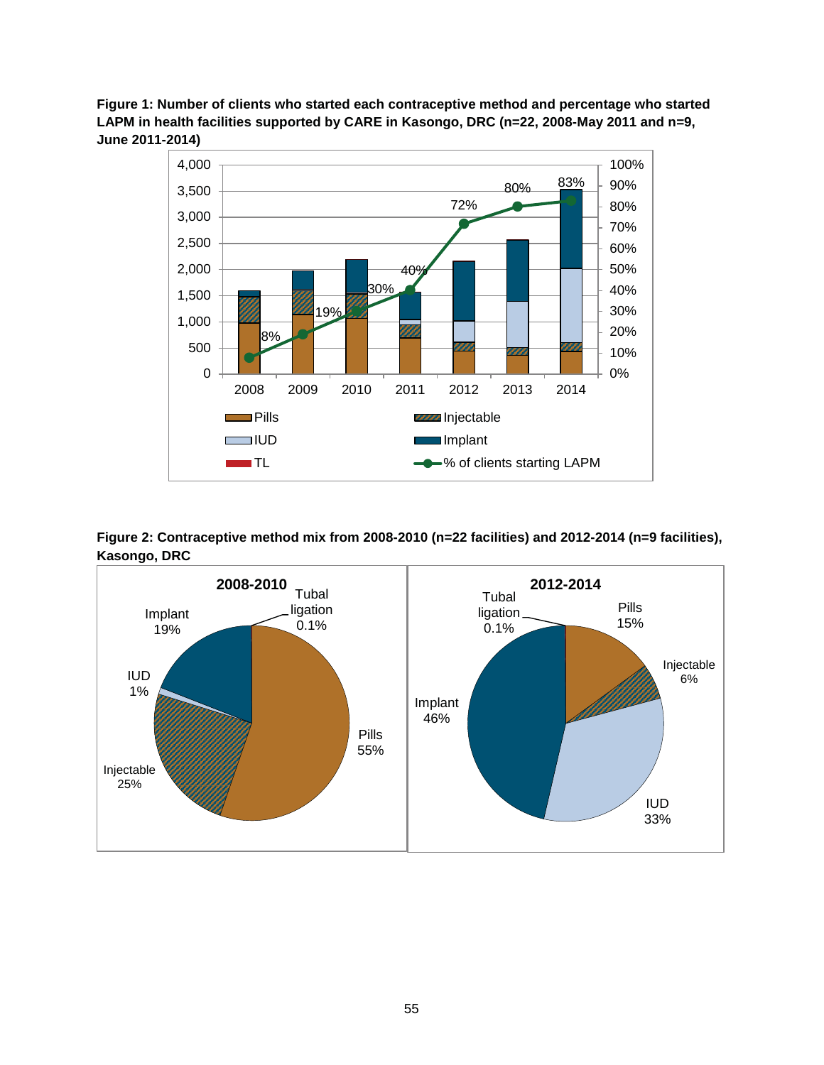**Figure 1: Number of clients who started each contraceptive method and percentage who started LAPM in health facilities supported by CARE in Kasongo, DRC (n=22, 2008-May 2011 and n=9, June 2011-2014)**



**Figure 2: Contraceptive method mix from 2008-2010 (n=22 facilities) and 2012-2014 (n=9 facilities), Kasongo, DRC**

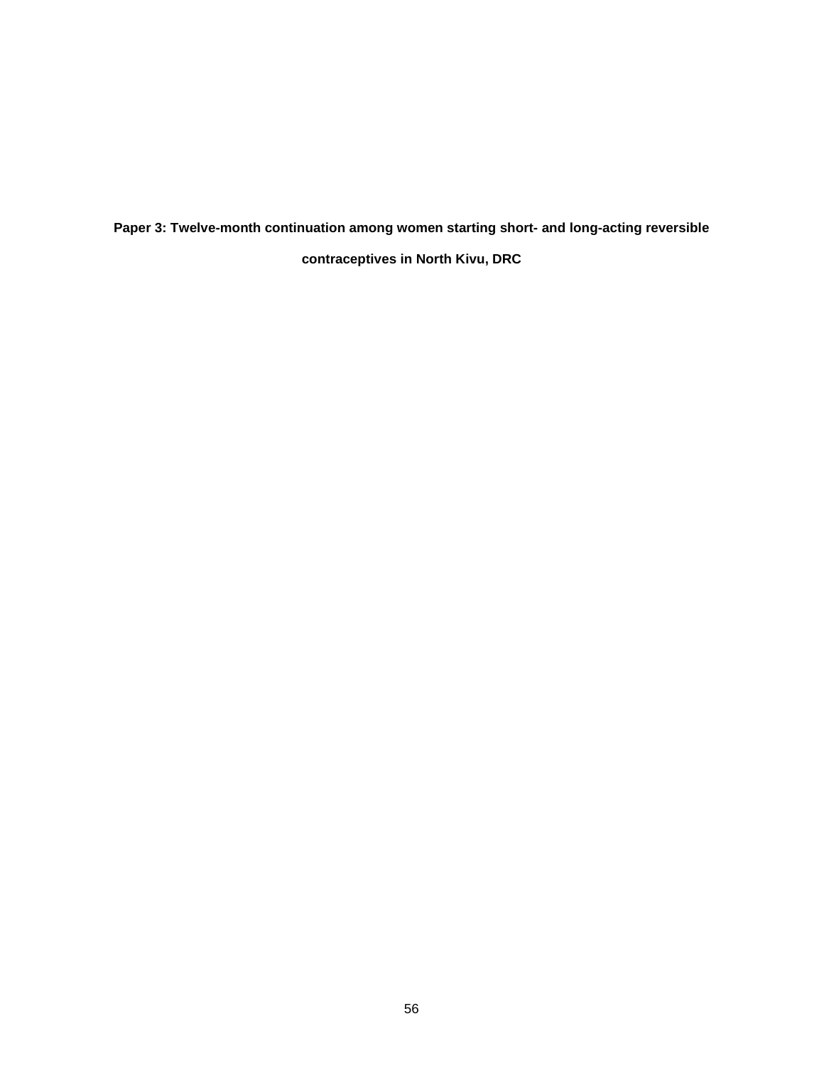# **Paper 3: Twelve-month continuation among women starting short- and long-acting reversible contraceptives in North Kivu, DRC**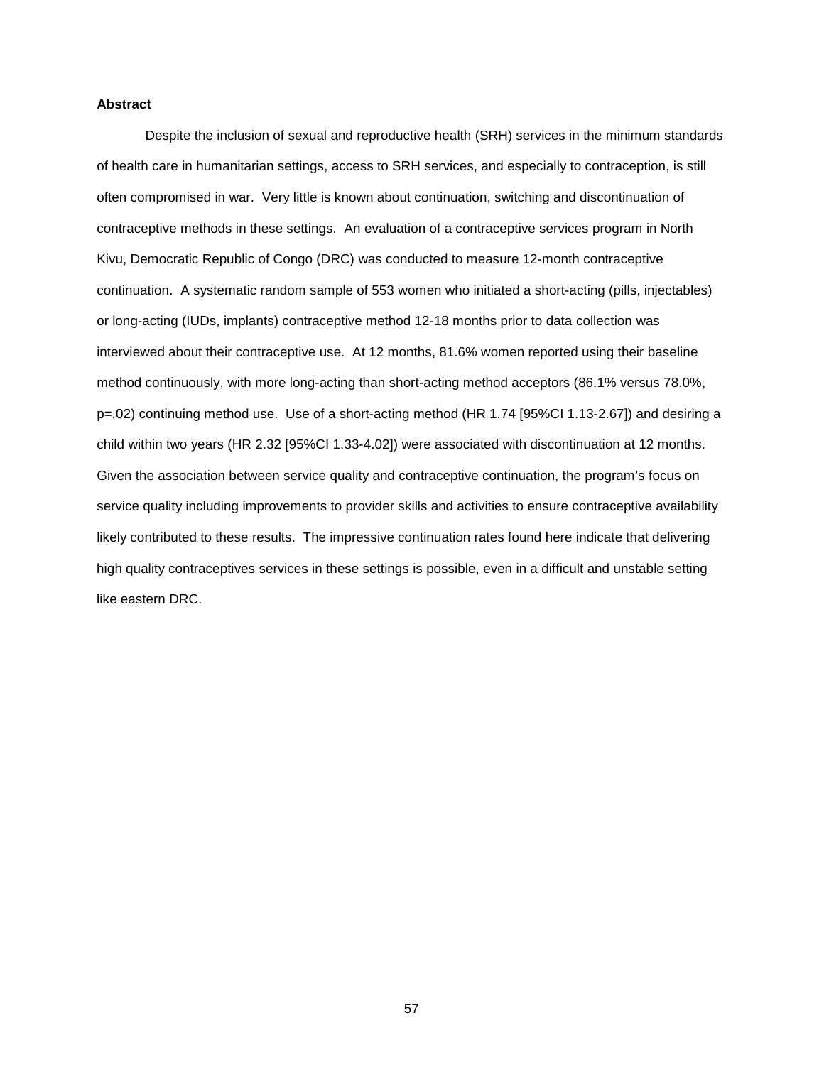# **Abstract**

Despite the inclusion of sexual and reproductive health (SRH) services in the minimum standards of health care in humanitarian settings, access to SRH services, and especially to contraception, is still often compromised in war. Very little is known about continuation, switching and discontinuation of contraceptive methods in these settings. An evaluation of a contraceptive services program in North Kivu, Democratic Republic of Congo (DRC) was conducted to measure 12-month contraceptive continuation. A systematic random sample of 553 women who initiated a short-acting (pills, injectables) or long-acting (IUDs, implants) contraceptive method 12-18 months prior to data collection was interviewed about their contraceptive use. At 12 months, 81.6% women reported using their baseline method continuously, with more long-acting than short-acting method acceptors (86.1% versus 78.0%, p=.02) continuing method use. Use of a short-acting method (HR 1.74 [95%CI 1.13-2.67]) and desiring a child within two years (HR 2.32 [95%CI 1.33-4.02]) were associated with discontinuation at 12 months. Given the association between service quality and contraceptive continuation, the program's focus on service quality including improvements to provider skills and activities to ensure contraceptive availability likely contributed to these results. The impressive continuation rates found here indicate that delivering high quality contraceptives services in these settings is possible, even in a difficult and unstable setting like eastern DRC.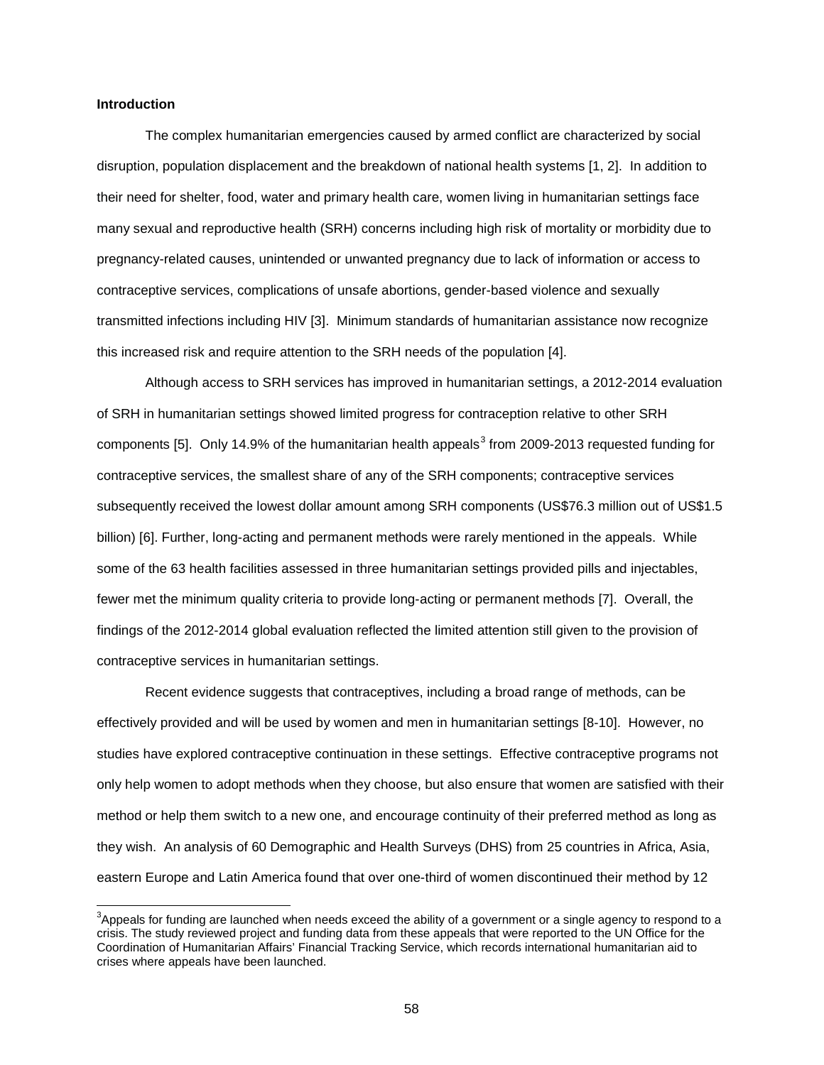# **Introduction**

The complex humanitarian emergencies caused by armed conflict are characterized by social disruption, population displacement and the breakdown of national health systems [1, 2]. In addition to their need for shelter, food, water and primary health care, women living in humanitarian settings face many sexual and reproductive health (SRH) concerns including high risk of mortality or morbidity due to pregnancy-related causes, unintended or unwanted pregnancy due to lack of information or access to contraceptive services, complications of unsafe abortions, gender-based violence and sexually transmitted infections including HIV [3]. Minimum standards of humanitarian assistance now recognize this increased risk and require attention to the SRH needs of the population [4].

Although access to SRH services has improved in humanitarian settings, a 2012-2014 evaluation of SRH in humanitarian settings showed limited progress for contraception relative to other SRH components [5]. Only 14.9% of the humanitarian health appeals $3$  from 2009-2013 requested funding for contraceptive services, the smallest share of any of the SRH components; contraceptive services subsequently received the lowest dollar amount among SRH components (US\$76.3 million out of US\$1.5 billion) [6]. Further, long-acting and permanent methods were rarely mentioned in the appeals. While some of the 63 health facilities assessed in three humanitarian settings provided pills and injectables, fewer met the minimum quality criteria to provide long-acting or permanent methods [7]. Overall, the findings of the 2012-2014 global evaluation reflected the limited attention still given to the provision of contraceptive services in humanitarian settings.

Recent evidence suggests that contraceptives, including a broad range of methods, can be effectively provided and will be used by women and men in humanitarian settings [8-10]. However, no studies have explored contraceptive continuation in these settings. Effective contraceptive programs not only help women to adopt methods when they choose, but also ensure that women are satisfied with their method or help them switch to a new one, and encourage continuity of their preferred method as long as they wish. An analysis of 60 Demographic and Health Surveys (DHS) from 25 countries in Africa, Asia, eastern Europe and Latin America found that over one-third of women discontinued their method by 12

 $3$ Appeals for funding are launched when needs exceed the ability of a government or a single agency to respond to a crisis. The study reviewed project and funding data from these appeals that were reported to the UN Office for the Coordination of Humanitarian Affairs' Financial Tracking Service, which records international humanitarian aid to crises where appeals have been launched.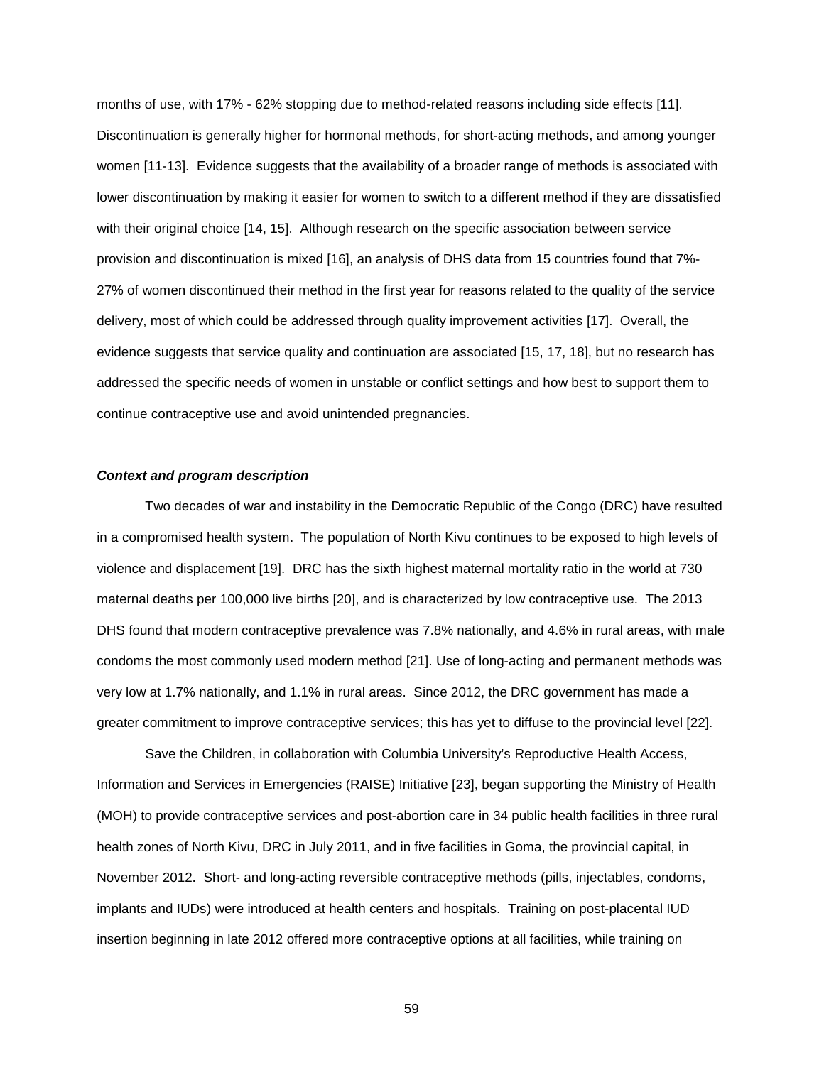months of use, with 17% - 62% stopping due to method-related reasons including side effects [11]. Discontinuation is generally higher for hormonal methods, for short-acting methods, and among younger women [11-13]. Evidence suggests that the availability of a broader range of methods is associated with lower discontinuation by making it easier for women to switch to a different method if they are dissatisfied with their original choice [14, 15]. Although research on the specific association between service provision and discontinuation is mixed [16], an analysis of DHS data from 15 countries found that 7%- 27% of women discontinued their method in the first year for reasons related to the quality of the service delivery, most of which could be addressed through quality improvement activities [17]. Overall, the evidence suggests that service quality and continuation are associated [15, 17, 18], but no research has addressed the specific needs of women in unstable or conflict settings and how best to support them to continue contraceptive use and avoid unintended pregnancies.

# *Context and program description*

Two decades of war and instability in the Democratic Republic of the Congo (DRC) have resulted in a compromised health system. The population of North Kivu continues to be exposed to high levels of violence and displacement [19]. DRC has the sixth highest maternal mortality ratio in the world at 730 maternal deaths per 100,000 live births [20], and is characterized by low contraceptive use. The 2013 DHS found that modern contraceptive prevalence was 7.8% nationally, and 4.6% in rural areas, with male condoms the most commonly used modern method [21]. Use of long-acting and permanent methods was very low at 1.7% nationally, and 1.1% in rural areas. Since 2012, the DRC government has made a greater commitment to improve contraceptive services; this has yet to diffuse to the provincial level [22].

Save the Children, in collaboration with Columbia University's Reproductive Health Access, Information and Services in Emergencies (RAISE) Initiative [23], began supporting the Ministry of Health (MOH) to provide contraceptive services and post-abortion care in 34 public health facilities in three rural health zones of North Kivu, DRC in July 2011, and in five facilities in Goma, the provincial capital, in November 2012. Short- and long-acting reversible contraceptive methods (pills, injectables, condoms, implants and IUDs) were introduced at health centers and hospitals. Training on post-placental IUD insertion beginning in late 2012 offered more contraceptive options at all facilities, while training on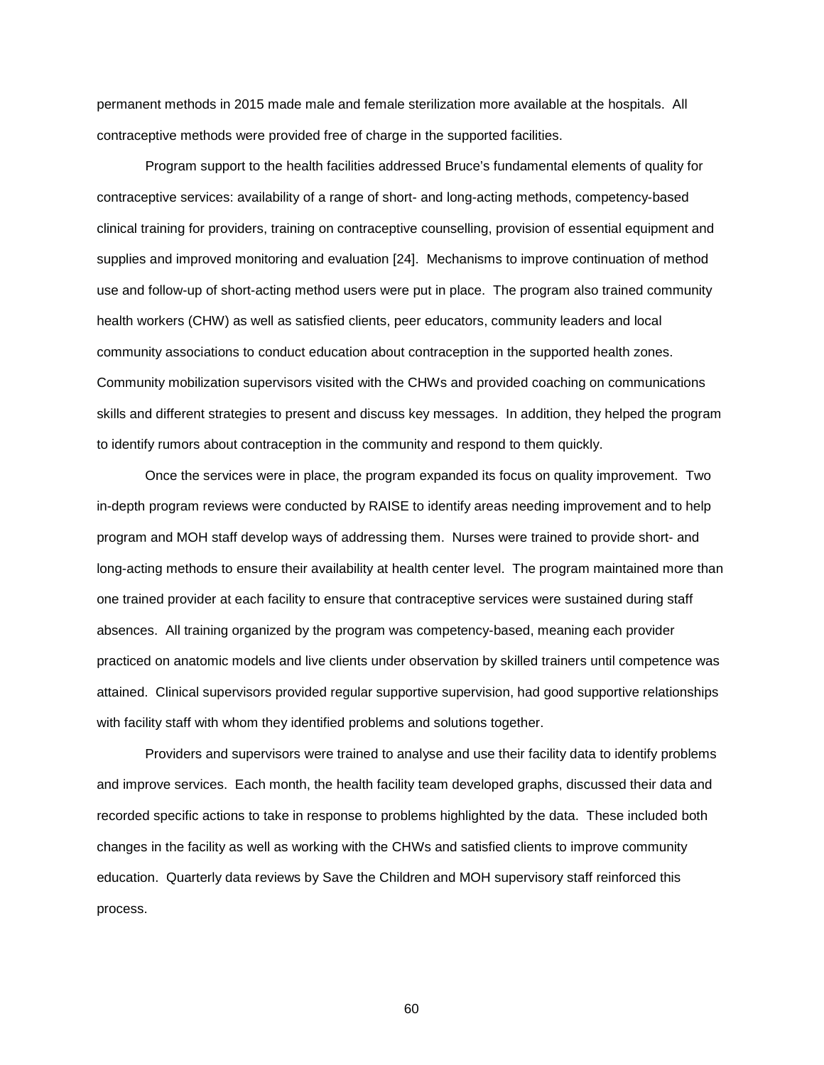permanent methods in 2015 made male and female sterilization more available at the hospitals. All contraceptive methods were provided free of charge in the supported facilities.

Program support to the health facilities addressed Bruce's fundamental elements of quality for contraceptive services: availability of a range of short- and long-acting methods, competency-based clinical training for providers, training on contraceptive counselling, provision of essential equipment and supplies and improved monitoring and evaluation [24]. Mechanisms to improve continuation of method use and follow-up of short-acting method users were put in place. The program also trained community health workers (CHW) as well as satisfied clients, peer educators, community leaders and local community associations to conduct education about contraception in the supported health zones. Community mobilization supervisors visited with the CHWs and provided coaching on communications skills and different strategies to present and discuss key messages. In addition, they helped the program to identify rumors about contraception in the community and respond to them quickly.

Once the services were in place, the program expanded its focus on quality improvement. Two in-depth program reviews were conducted by RAISE to identify areas needing improvement and to help program and MOH staff develop ways of addressing them. Nurses were trained to provide short- and long-acting methods to ensure their availability at health center level. The program maintained more than one trained provider at each facility to ensure that contraceptive services were sustained during staff absences. All training organized by the program was competency-based, meaning each provider practiced on anatomic models and live clients under observation by skilled trainers until competence was attained. Clinical supervisors provided regular supportive supervision, had good supportive relationships with facility staff with whom they identified problems and solutions together.

Providers and supervisors were trained to analyse and use their facility data to identify problems and improve services. Each month, the health facility team developed graphs, discussed their data and recorded specific actions to take in response to problems highlighted by the data. These included both changes in the facility as well as working with the CHWs and satisfied clients to improve community education. Quarterly data reviews by Save the Children and MOH supervisory staff reinforced this process.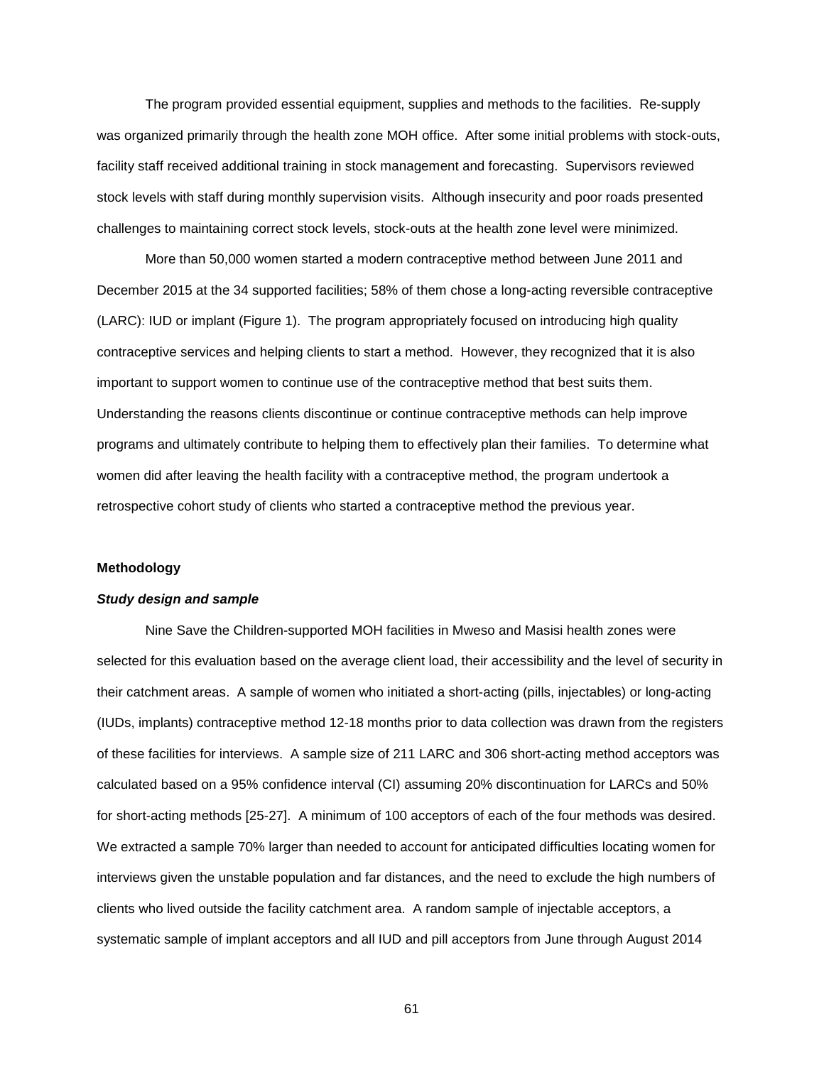The program provided essential equipment, supplies and methods to the facilities. Re-supply was organized primarily through the health zone MOH office. After some initial problems with stock-outs, facility staff received additional training in stock management and forecasting. Supervisors reviewed stock levels with staff during monthly supervision visits. Although insecurity and poor roads presented challenges to maintaining correct stock levels, stock-outs at the health zone level were minimized.

More than 50,000 women started a modern contraceptive method between June 2011 and December 2015 at the 34 supported facilities; 58% of them chose a long-acting reversible contraceptive (LARC): IUD or implant (Figure 1). The program appropriately focused on introducing high quality contraceptive services and helping clients to start a method. However, they recognized that it is also important to support women to continue use of the contraceptive method that best suits them. Understanding the reasons clients discontinue or continue contraceptive methods can help improve programs and ultimately contribute to helping them to effectively plan their families. To determine what women did after leaving the health facility with a contraceptive method, the program undertook a retrospective cohort study of clients who started a contraceptive method the previous year.

## **Methodology**

# *Study design and sample*

Nine Save the Children-supported MOH facilities in Mweso and Masisi health zones were selected for this evaluation based on the average client load, their accessibility and the level of security in their catchment areas. A sample of women who initiated a short-acting (pills, injectables) or long-acting (IUDs, implants) contraceptive method 12-18 months prior to data collection was drawn from the registers of these facilities for interviews. A sample size of 211 LARC and 306 short-acting method acceptors was calculated based on a 95% confidence interval (CI) assuming 20% discontinuation for LARCs and 50% for short-acting methods [25-27]. A minimum of 100 acceptors of each of the four methods was desired. We extracted a sample 70% larger than needed to account for anticipated difficulties locating women for interviews given the unstable population and far distances, and the need to exclude the high numbers of clients who lived outside the facility catchment area. A random sample of injectable acceptors, a systematic sample of implant acceptors and all IUD and pill acceptors from June through August 2014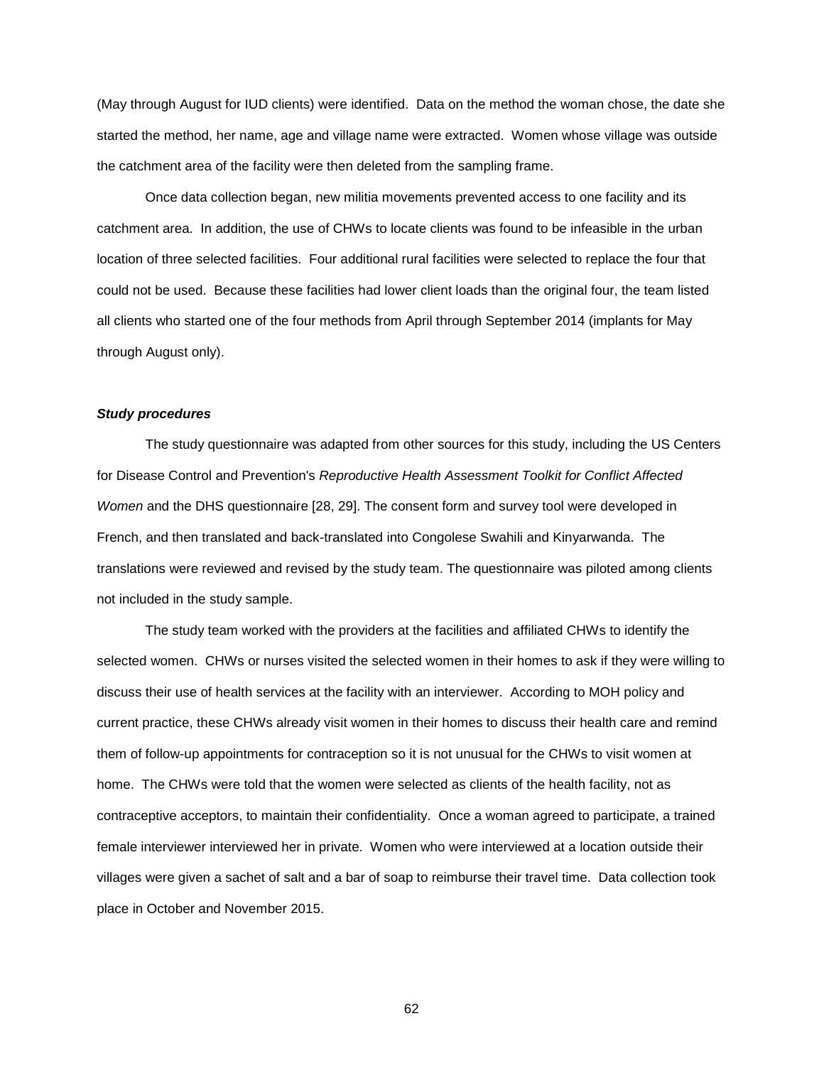(May through August for IUD clients) were identified. Data on the method the woman chose, the date she started the method, her name, age and village name were extracted. Women whose village was outside the catchment area of the facility were then deleted from the sampling frame.

Once data collection began, new militia movements prevented access to one facility and its catchment area. In addition, the use of CHWs to locate clients was found to be infeasible in the urban location of three selected facilities. Four additional rural facilities were selected to replace the four that could not be used. Because these facilities had lower client loads than the original four, the team listed all clients who started one of the four methods from April through September 2014 (implants for May through August only).

# *Study procedures*

The study questionnaire was adapted from other sources for this study, including the US Centers for Disease Control and Prevention's *Reproductive Health Assessment Toolkit for Conflict Affected Women* and the DHS questionnaire [28, 29]. The consent form and survey tool were developed in French, and then translated and back-translated into Congolese Swahili and Kinyarwanda. The translations were reviewed and revised by the study team. The questionnaire was piloted among clients not included in the study sample.

The study team worked with the providers at the facilities and affiliated CHWs to identify the selected women. CHWs or nurses visited the selected women in their homes to ask if they were willing to discuss their use of health services at the facility with an interviewer. According to MOH policy and current practice, these CHWs already visit women in their homes to discuss their health care and remind them of follow-up appointments for contraception so it is not unusual for the CHWs to visit women at home. The CHWs were told that the women were selected as clients of the health facility, not as contraceptive acceptors, to maintain their confidentiality. Once a woman agreed to participate, a trained female interviewer interviewed her in private. Women who were interviewed at a location outside their villages were given a sachet of salt and a bar of soap to reimburse their travel time. Data collection took place in October and November 2015.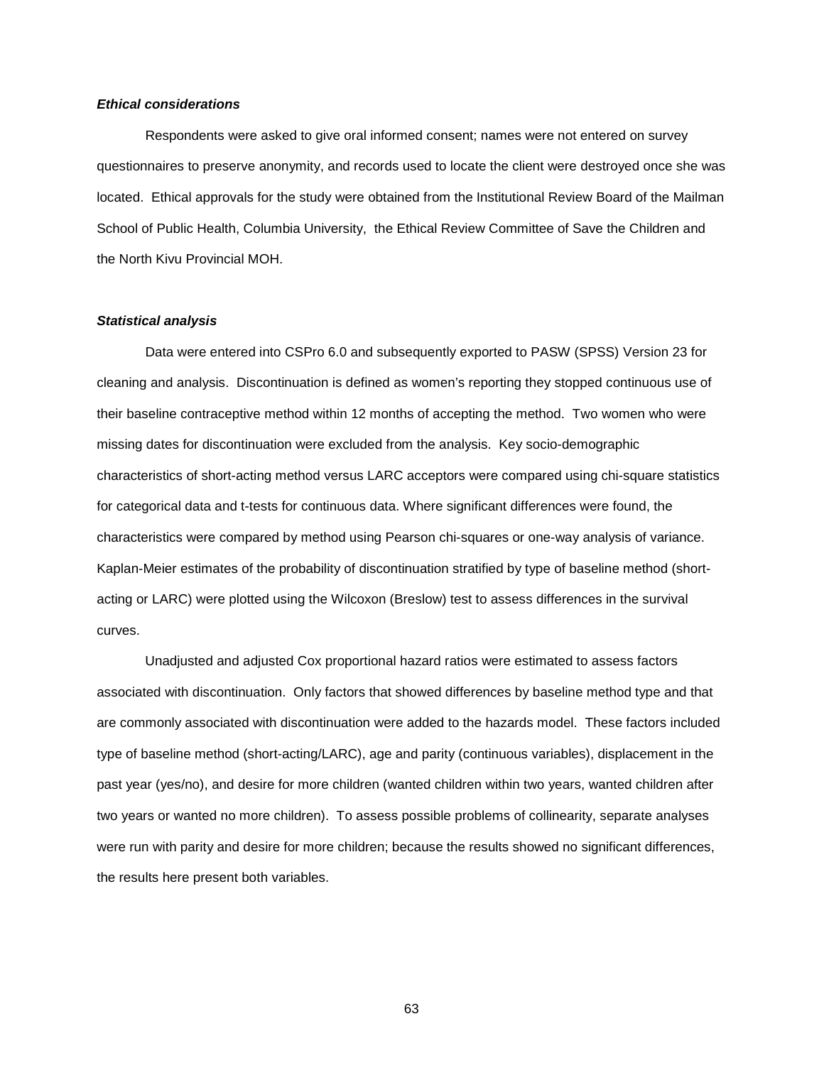# *Ethical considerations*

Respondents were asked to give oral informed consent; names were not entered on survey questionnaires to preserve anonymity, and records used to locate the client were destroyed once she was located. Ethical approvals for the study were obtained from the Institutional Review Board of the Mailman School of Public Health, Columbia University, the Ethical Review Committee of Save the Children and the North Kivu Provincial MOH.

# *Statistical analysis*

Data were entered into CSPro 6.0 and subsequently exported to PASW (SPSS) Version 23 for cleaning and analysis. Discontinuation is defined as women's reporting they stopped continuous use of their baseline contraceptive method within 12 months of accepting the method. Two women who were missing dates for discontinuation were excluded from the analysis. Key socio-demographic characteristics of short-acting method versus LARC acceptors were compared using chi-square statistics for categorical data and t-tests for continuous data. Where significant differences were found, the characteristics were compared by method using Pearson chi-squares or one-way analysis of variance. Kaplan-Meier estimates of the probability of discontinuation stratified by type of baseline method (shortacting or LARC) were plotted using the Wilcoxon (Breslow) test to assess differences in the survival curves.

Unadjusted and adjusted Cox proportional hazard ratios were estimated to assess factors associated with discontinuation. Only factors that showed differences by baseline method type and that are commonly associated with discontinuation were added to the hazards model. These factors included type of baseline method (short-acting/LARC), age and parity (continuous variables), displacement in the past year (yes/no), and desire for more children (wanted children within two years, wanted children after two years or wanted no more children). To assess possible problems of collinearity, separate analyses were run with parity and desire for more children; because the results showed no significant differences, the results here present both variables.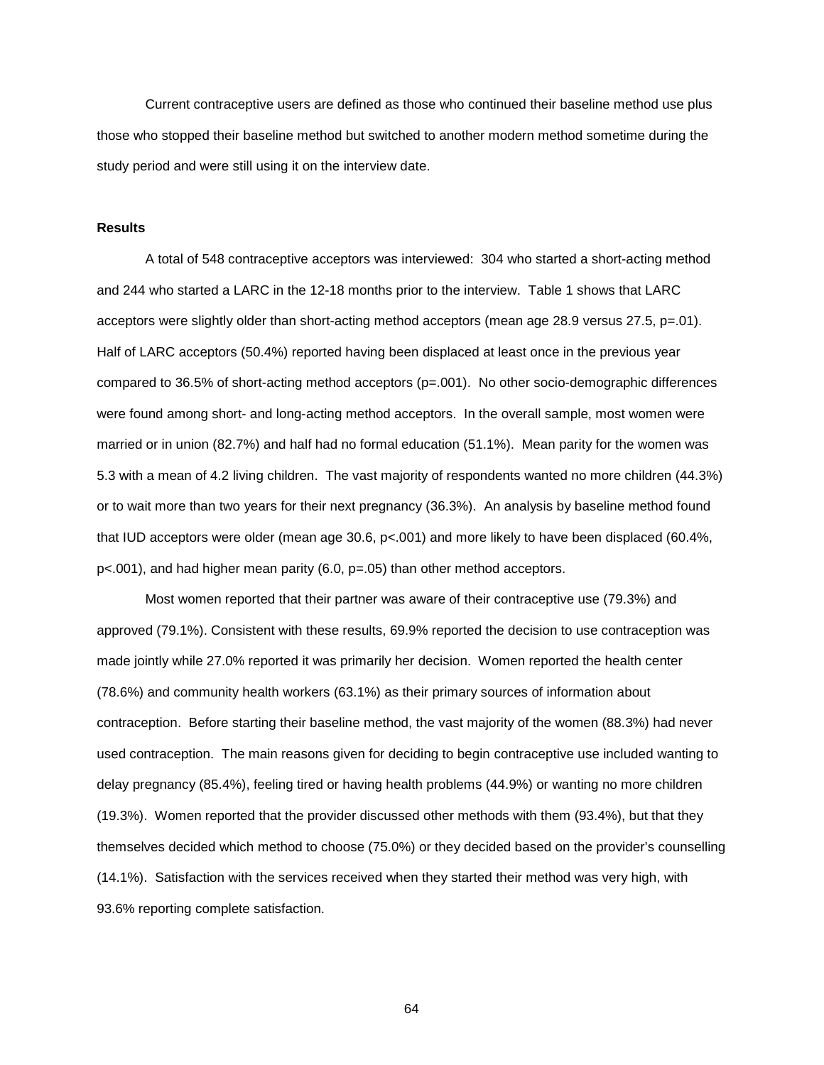Current contraceptive users are defined as those who continued their baseline method use plus those who stopped their baseline method but switched to another modern method sometime during the study period and were still using it on the interview date.

## **Results**

A total of 548 contraceptive acceptors was interviewed: 304 who started a short-acting method and 244 who started a LARC in the 12-18 months prior to the interview. Table 1 shows that LARC acceptors were slightly older than short-acting method acceptors (mean age 28.9 versus 27.5, p=.01). Half of LARC acceptors (50.4%) reported having been displaced at least once in the previous year compared to 36.5% of short-acting method acceptors (p=.001). No other socio-demographic differences were found among short- and long-acting method acceptors. In the overall sample, most women were married or in union (82.7%) and half had no formal education (51.1%). Mean parity for the women was 5.3 with a mean of 4.2 living children. The vast majority of respondents wanted no more children (44.3%) or to wait more than two years for their next pregnancy (36.3%). An analysis by baseline method found that IUD acceptors were older (mean age 30.6, p<.001) and more likely to have been displaced (60.4%, p<.001), and had higher mean parity (6.0, p=.05) than other method acceptors.

Most women reported that their partner was aware of their contraceptive use (79.3%) and approved (79.1%). Consistent with these results, 69.9% reported the decision to use contraception was made jointly while 27.0% reported it was primarily her decision. Women reported the health center (78.6%) and community health workers (63.1%) as their primary sources of information about contraception. Before starting their baseline method, the vast majority of the women (88.3%) had never used contraception. The main reasons given for deciding to begin contraceptive use included wanting to delay pregnancy (85.4%), feeling tired or having health problems (44.9%) or wanting no more children (19.3%). Women reported that the provider discussed other methods with them (93.4%), but that they themselves decided which method to choose (75.0%) or they decided based on the provider's counselling (14.1%). Satisfaction with the services received when they started their method was very high, with 93.6% reporting complete satisfaction.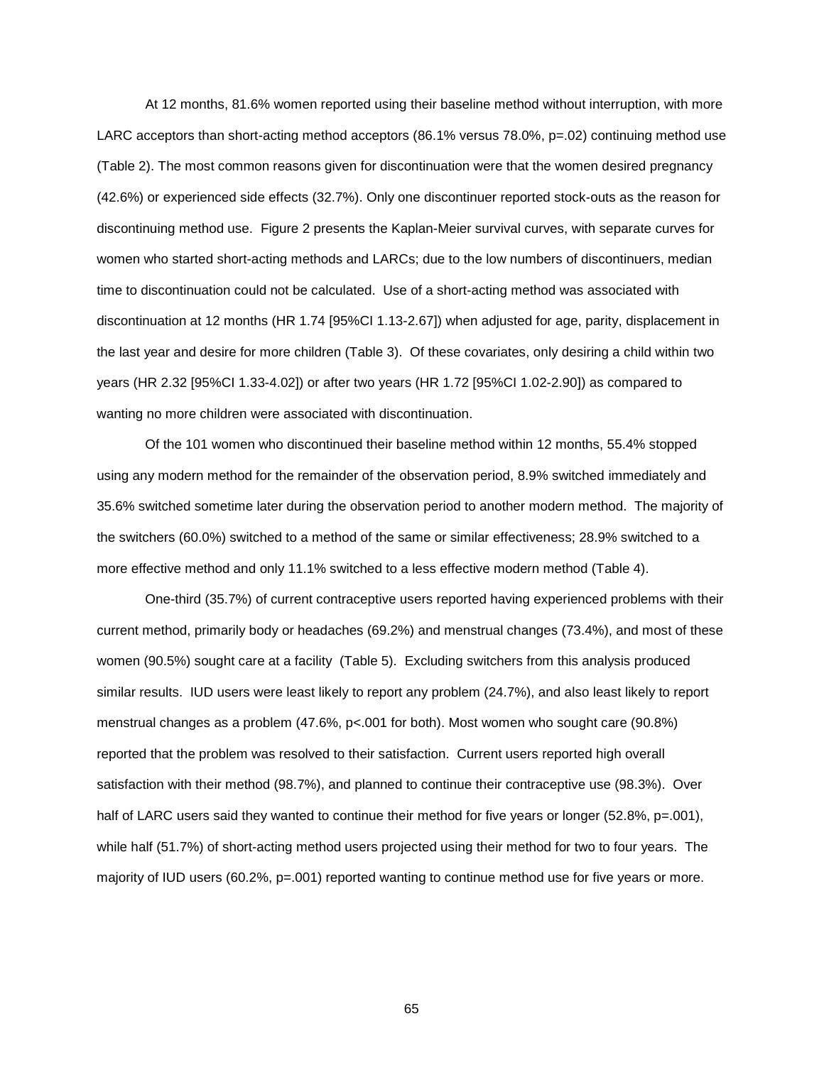At 12 months, 81.6% women reported using their baseline method without interruption, with more LARC acceptors than short-acting method acceptors  $(86.1\%$  versus 78.0%, p=.02) continuing method use (Table 2). The most common reasons given for discontinuation were that the women desired pregnancy (42.6%) or experienced side effects (32.7%). Only one discontinuer reported stock-outs as the reason for discontinuing method use. Figure 2 presents the Kaplan-Meier survival curves, with separate curves for women who started short-acting methods and LARCs; due to the low numbers of discontinuers, median time to discontinuation could not be calculated. Use of a short-acting method was associated with discontinuation at 12 months (HR 1.74 [95%CI 1.13-2.67]) when adjusted for age, parity, displacement in the last year and desire for more children (Table 3). Of these covariates, only desiring a child within two years (HR 2.32 [95%CI 1.33-4.02]) or after two years (HR 1.72 [95%CI 1.02-2.90]) as compared to wanting no more children were associated with discontinuation.

Of the 101 women who discontinued their baseline method within 12 months, 55.4% stopped using any modern method for the remainder of the observation period, 8.9% switched immediately and 35.6% switched sometime later during the observation period to another modern method. The majority of the switchers (60.0%) switched to a method of the same or similar effectiveness; 28.9% switched to a more effective method and only 11.1% switched to a less effective modern method (Table 4).

One-third (35.7%) of current contraceptive users reported having experienced problems with their current method, primarily body or headaches (69.2%) and menstrual changes (73.4%), and most of these women (90.5%) sought care at a facility (Table 5). Excluding switchers from this analysis produced similar results. IUD users were least likely to report any problem (24.7%), and also least likely to report menstrual changes as a problem (47.6%, p<.001 for both). Most women who sought care (90.8%) reported that the problem was resolved to their satisfaction. Current users reported high overall satisfaction with their method (98.7%), and planned to continue their contraceptive use (98.3%). Over half of LARC users said they wanted to continue their method for five years or longer (52.8%, p=.001), while half (51.7%) of short-acting method users projected using their method for two to four years. The majority of IUD users (60.2%, p=.001) reported wanting to continue method use for five years or more.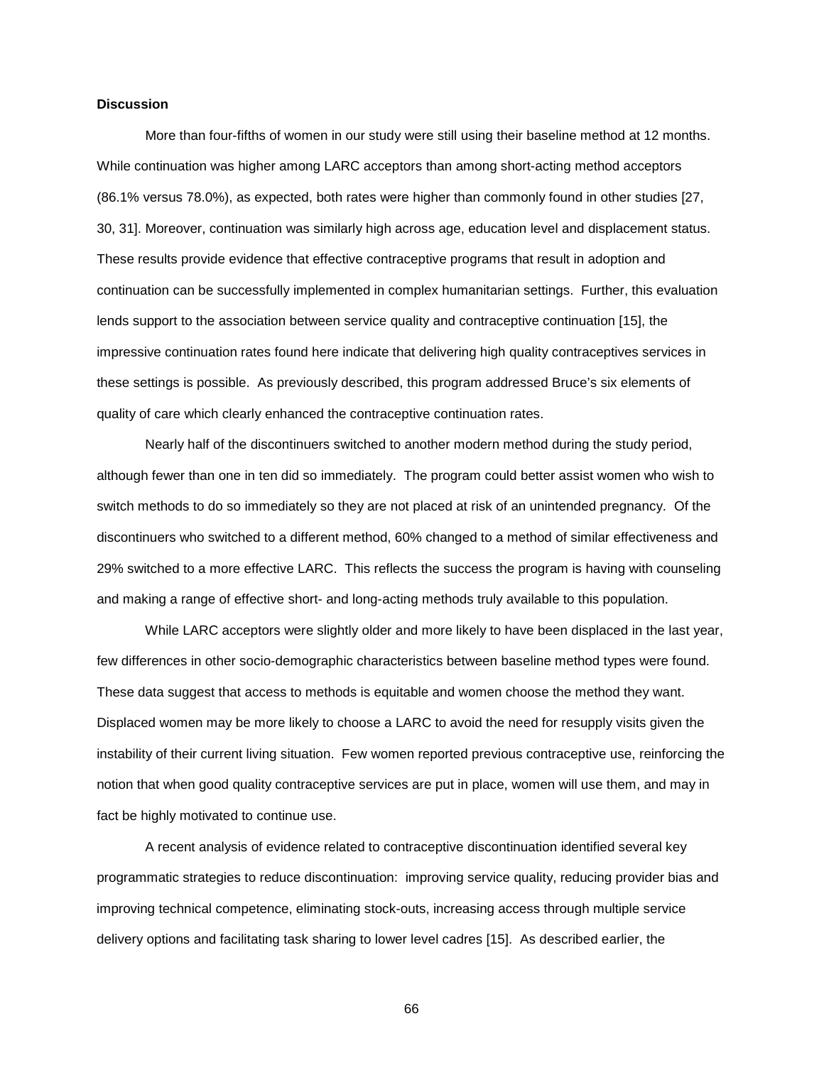#### **Discussion**

More than four-fifths of women in our study were still using their baseline method at 12 months. While continuation was higher among LARC acceptors than among short-acting method acceptors (86.1% versus 78.0%), as expected, both rates were higher than commonly found in other studies [27, 30, 31]. Moreover, continuation was similarly high across age, education level and displacement status. These results provide evidence that effective contraceptive programs that result in adoption and continuation can be successfully implemented in complex humanitarian settings. Further, this evaluation lends support to the association between service quality and contraceptive continuation [15], the impressive continuation rates found here indicate that delivering high quality contraceptives services in these settings is possible. As previously described, this program addressed Bruce's six elements of quality of care which clearly enhanced the contraceptive continuation rates.

Nearly half of the discontinuers switched to another modern method during the study period, although fewer than one in ten did so immediately. The program could better assist women who wish to switch methods to do so immediately so they are not placed at risk of an unintended pregnancy. Of the discontinuers who switched to a different method, 60% changed to a method of similar effectiveness and 29% switched to a more effective LARC. This reflects the success the program is having with counseling and making a range of effective short- and long-acting methods truly available to this population.

While LARC acceptors were slightly older and more likely to have been displaced in the last year, few differences in other socio-demographic characteristics between baseline method types were found. These data suggest that access to methods is equitable and women choose the method they want. Displaced women may be more likely to choose a LARC to avoid the need for resupply visits given the instability of their current living situation. Few women reported previous contraceptive use, reinforcing the notion that when good quality contraceptive services are put in place, women will use them, and may in fact be highly motivated to continue use.

A recent analysis of evidence related to contraceptive discontinuation identified several key programmatic strategies to reduce discontinuation: improving service quality, reducing provider bias and improving technical competence, eliminating stock-outs, increasing access through multiple service delivery options and facilitating task sharing to lower level cadres [15]. As described earlier, the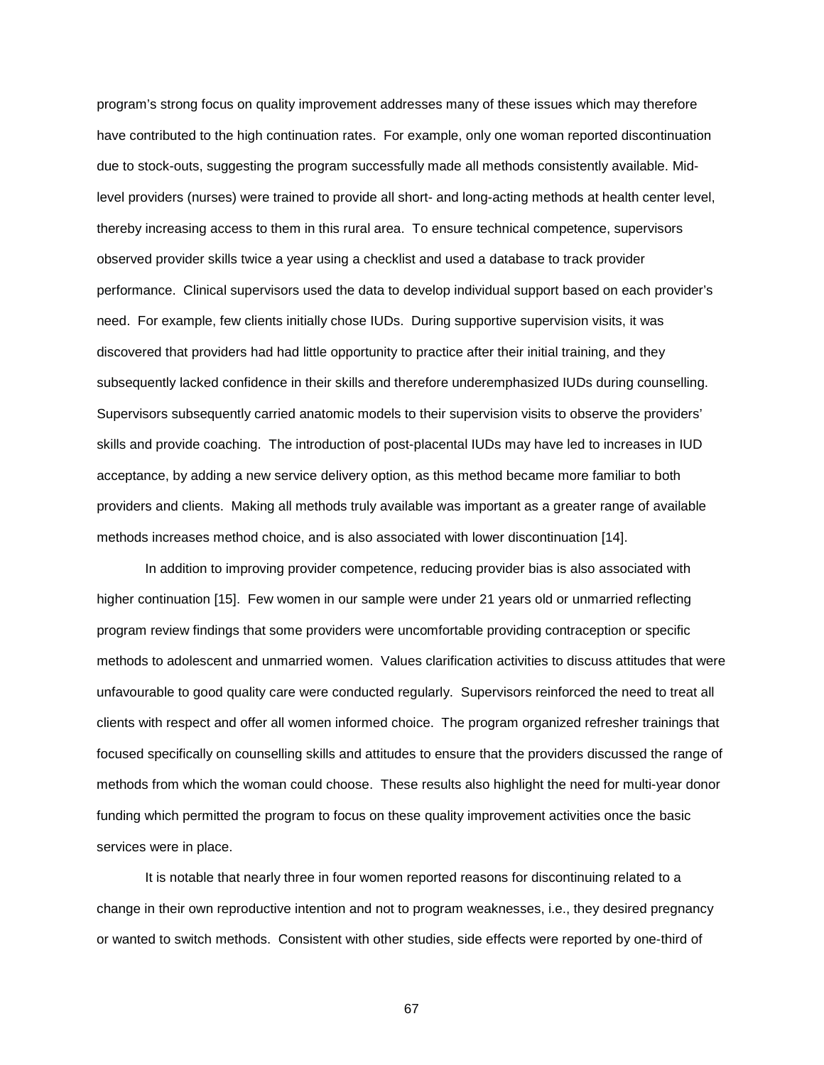program's strong focus on quality improvement addresses many of these issues which may therefore have contributed to the high continuation rates. For example, only one woman reported discontinuation due to stock-outs, suggesting the program successfully made all methods consistently available. Midlevel providers (nurses) were trained to provide all short- and long-acting methods at health center level, thereby increasing access to them in this rural area. To ensure technical competence, supervisors observed provider skills twice a year using a checklist and used a database to track provider performance. Clinical supervisors used the data to develop individual support based on each provider's need. For example, few clients initially chose IUDs. During supportive supervision visits, it was discovered that providers had had little opportunity to practice after their initial training, and they subsequently lacked confidence in their skills and therefore underemphasized IUDs during counselling. Supervisors subsequently carried anatomic models to their supervision visits to observe the providers' skills and provide coaching. The introduction of post-placental IUDs may have led to increases in IUD acceptance, by adding a new service delivery option, as this method became more familiar to both providers and clients. Making all methods truly available was important as a greater range of available methods increases method choice, and is also associated with lower discontinuation [14].

In addition to improving provider competence, reducing provider bias is also associated with higher continuation [15]. Few women in our sample were under 21 years old or unmarried reflecting program review findings that some providers were uncomfortable providing contraception or specific methods to adolescent and unmarried women. Values clarification activities to discuss attitudes that were unfavourable to good quality care were conducted regularly. Supervisors reinforced the need to treat all clients with respect and offer all women informed choice. The program organized refresher trainings that focused specifically on counselling skills and attitudes to ensure that the providers discussed the range of methods from which the woman could choose. These results also highlight the need for multi-year donor funding which permitted the program to focus on these quality improvement activities once the basic services were in place.

It is notable that nearly three in four women reported reasons for discontinuing related to a change in their own reproductive intention and not to program weaknesses, i.e., they desired pregnancy or wanted to switch methods. Consistent with other studies, side effects were reported by one-third of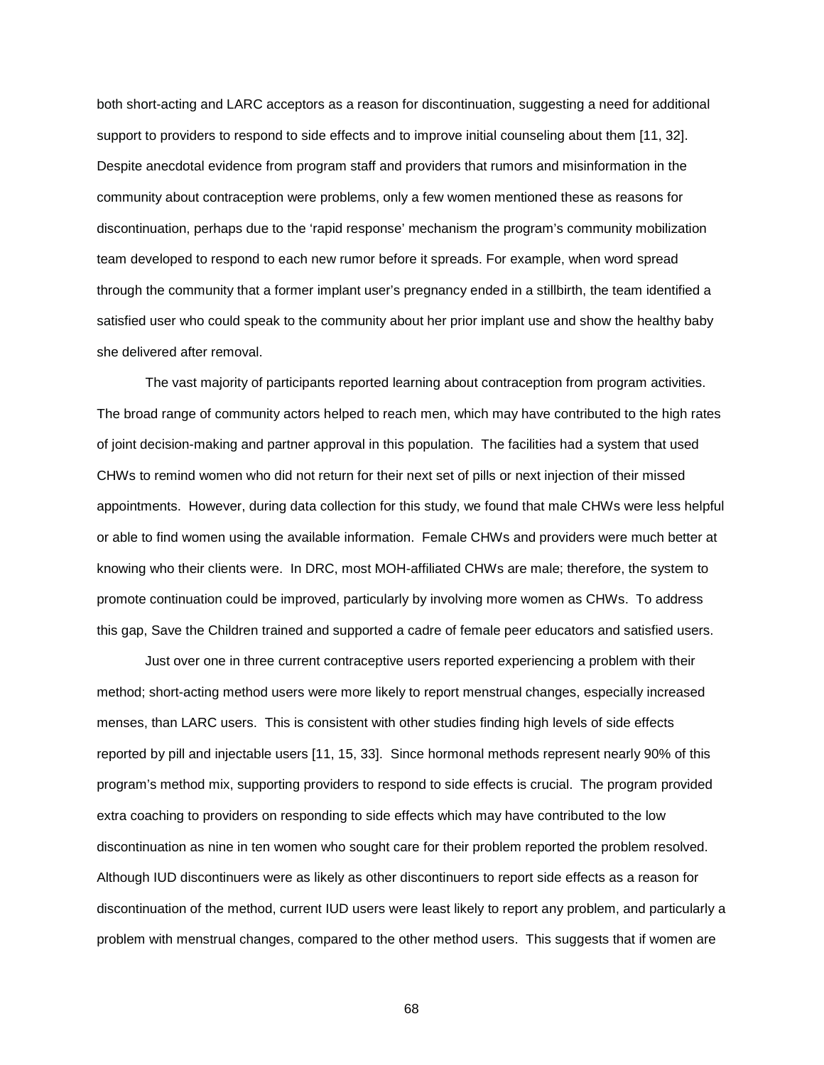both short-acting and LARC acceptors as a reason for discontinuation, suggesting a need for additional support to providers to respond to side effects and to improve initial counseling about them [11, 32]. Despite anecdotal evidence from program staff and providers that rumors and misinformation in the community about contraception were problems, only a few women mentioned these as reasons for discontinuation, perhaps due to the 'rapid response' mechanism the program's community mobilization team developed to respond to each new rumor before it spreads. For example, when word spread through the community that a former implant user's pregnancy ended in a stillbirth, the team identified a satisfied user who could speak to the community about her prior implant use and show the healthy baby she delivered after removal.

The vast majority of participants reported learning about contraception from program activities. The broad range of community actors helped to reach men, which may have contributed to the high rates of joint decision-making and partner approval in this population. The facilities had a system that used CHWs to remind women who did not return for their next set of pills or next injection of their missed appointments. However, during data collection for this study, we found that male CHWs were less helpful or able to find women using the available information. Female CHWs and providers were much better at knowing who their clients were. In DRC, most MOH-affiliated CHWs are male; therefore, the system to promote continuation could be improved, particularly by involving more women as CHWs. To address this gap, Save the Children trained and supported a cadre of female peer educators and satisfied users.

Just over one in three current contraceptive users reported experiencing a problem with their method; short-acting method users were more likely to report menstrual changes, especially increased menses, than LARC users. This is consistent with other studies finding high levels of side effects reported by pill and injectable users [11, 15, 33]. Since hormonal methods represent nearly 90% of this program's method mix, supporting providers to respond to side effects is crucial. The program provided extra coaching to providers on responding to side effects which may have contributed to the low discontinuation as nine in ten women who sought care for their problem reported the problem resolved. Although IUD discontinuers were as likely as other discontinuers to report side effects as a reason for discontinuation of the method, current IUD users were least likely to report any problem, and particularly a problem with menstrual changes, compared to the other method users. This suggests that if women are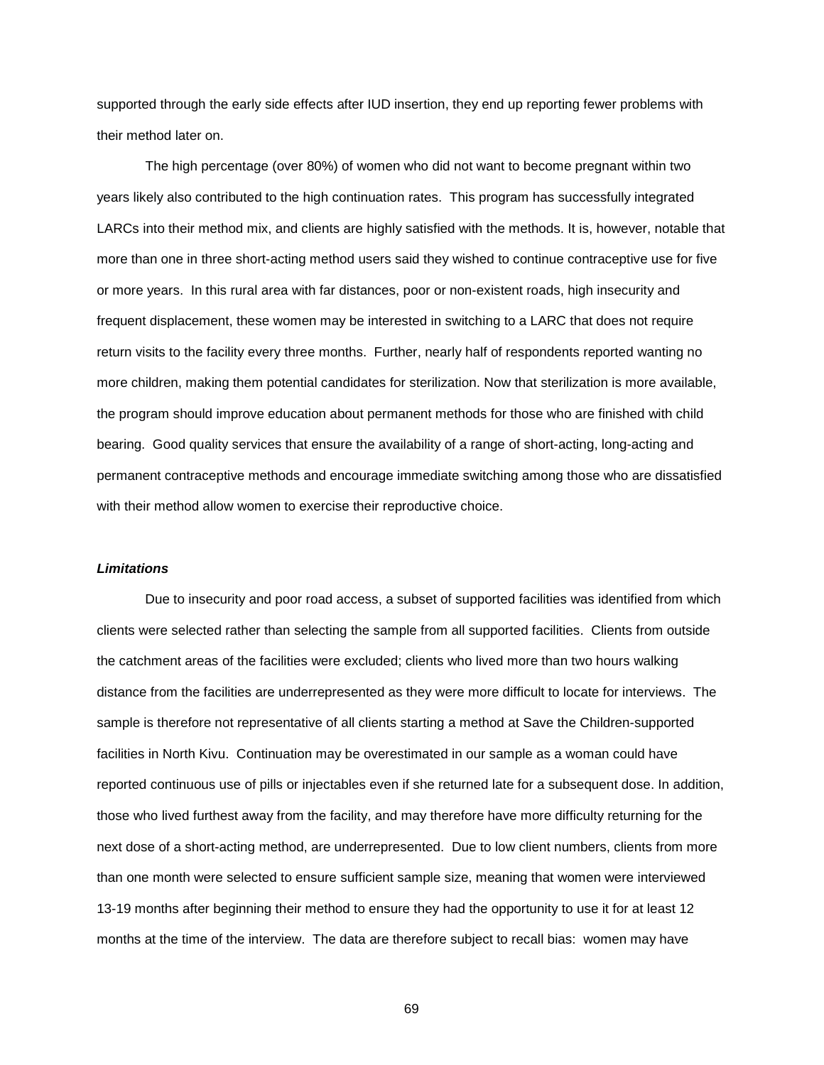supported through the early side effects after IUD insertion, they end up reporting fewer problems with their method later on.

The high percentage (over 80%) of women who did not want to become pregnant within two years likely also contributed to the high continuation rates. This program has successfully integrated LARCs into their method mix, and clients are highly satisfied with the methods. It is, however, notable that more than one in three short-acting method users said they wished to continue contraceptive use for five or more years. In this rural area with far distances, poor or non-existent roads, high insecurity and frequent displacement, these women may be interested in switching to a LARC that does not require return visits to the facility every three months. Further, nearly half of respondents reported wanting no more children, making them potential candidates for sterilization. Now that sterilization is more available, the program should improve education about permanent methods for those who are finished with child bearing. Good quality services that ensure the availability of a range of short-acting, long-acting and permanent contraceptive methods and encourage immediate switching among those who are dissatisfied with their method allow women to exercise their reproductive choice.

#### *Limitations*

Due to insecurity and poor road access, a subset of supported facilities was identified from which clients were selected rather than selecting the sample from all supported facilities. Clients from outside the catchment areas of the facilities were excluded; clients who lived more than two hours walking distance from the facilities are underrepresented as they were more difficult to locate for interviews. The sample is therefore not representative of all clients starting a method at Save the Children-supported facilities in North Kivu. Continuation may be overestimated in our sample as a woman could have reported continuous use of pills or injectables even if she returned late for a subsequent dose. In addition, those who lived furthest away from the facility, and may therefore have more difficulty returning for the next dose of a short-acting method, are underrepresented. Due to low client numbers, clients from more than one month were selected to ensure sufficient sample size, meaning that women were interviewed 13-19 months after beginning their method to ensure they had the opportunity to use it for at least 12 months at the time of the interview. The data are therefore subject to recall bias: women may have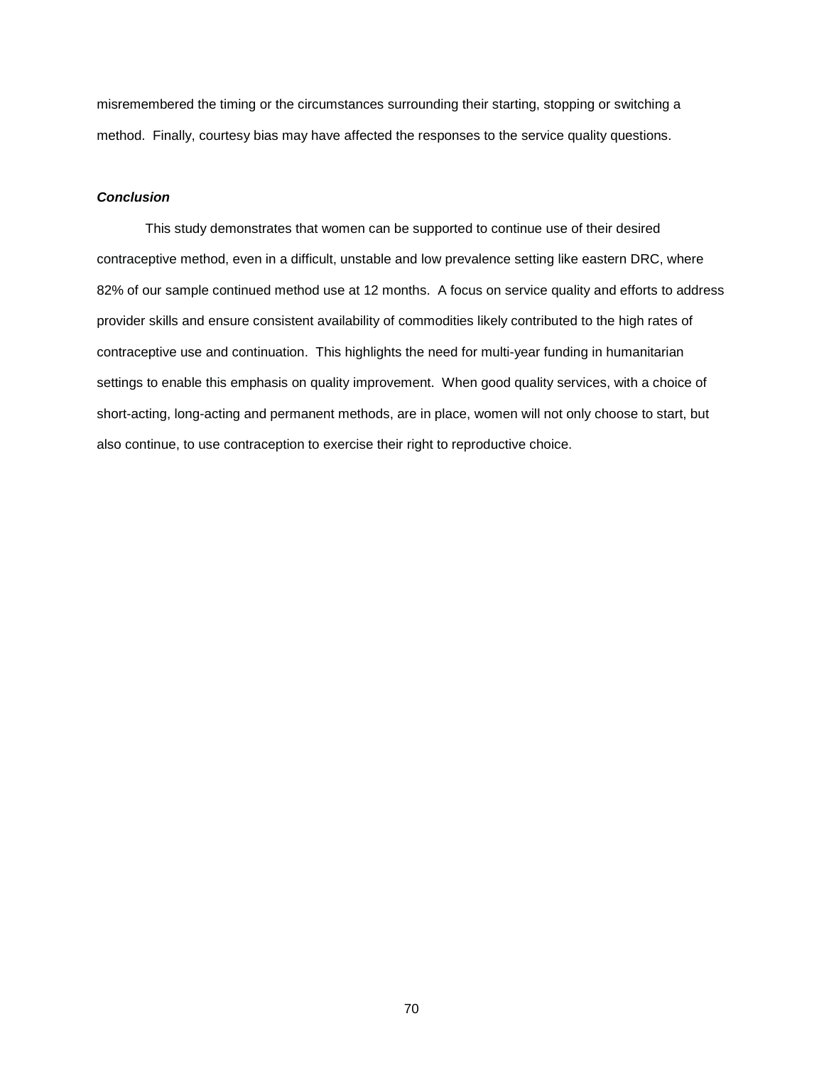misremembered the timing or the circumstances surrounding their starting, stopping or switching a method. Finally, courtesy bias may have affected the responses to the service quality questions.

## *Conclusion*

This study demonstrates that women can be supported to continue use of their desired contraceptive method, even in a difficult, unstable and low prevalence setting like eastern DRC, where 82% of our sample continued method use at 12 months. A focus on service quality and efforts to address provider skills and ensure consistent availability of commodities likely contributed to the high rates of contraceptive use and continuation. This highlights the need for multi-year funding in humanitarian settings to enable this emphasis on quality improvement. When good quality services, with a choice of short-acting, long-acting and permanent methods, are in place, women will not only choose to start, but also continue, to use contraception to exercise their right to reproductive choice.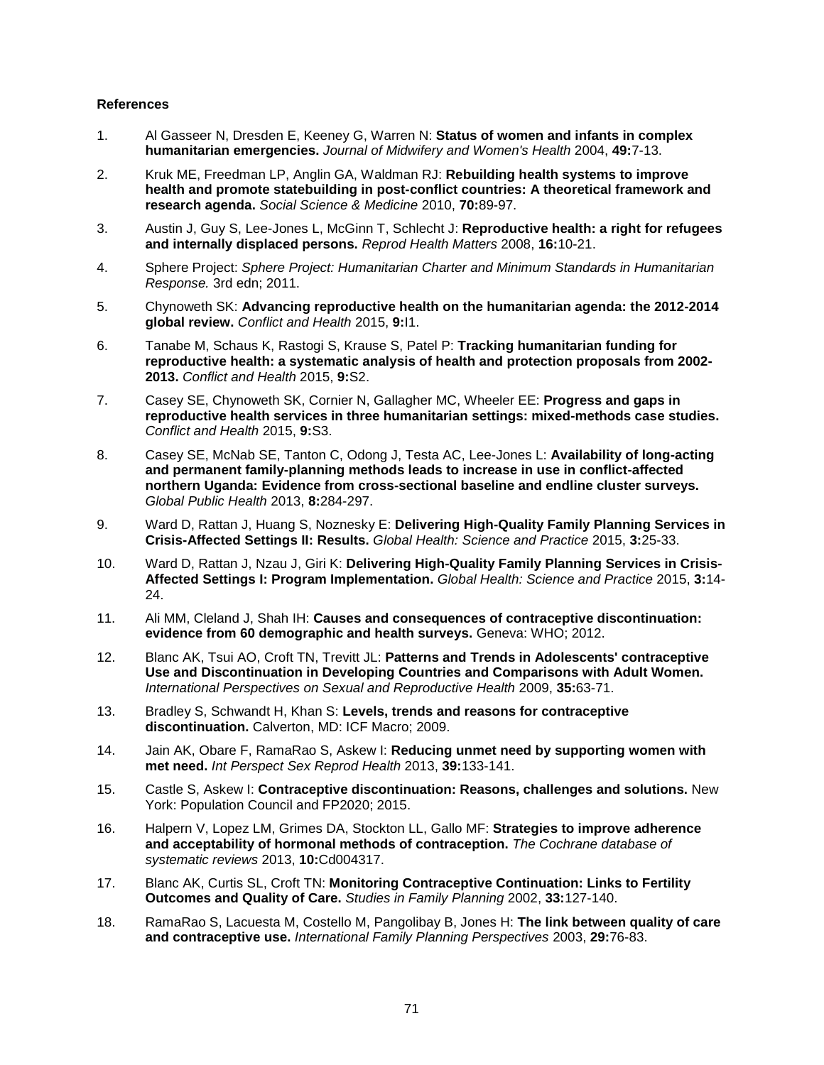## **References**

- 1. Al Gasseer N, Dresden E, Keeney G, Warren N: **Status of women and infants in complex humanitarian emergencies.** *Journal of Midwifery and Women's Health* 2004, **49:**7-13.
- 2. Kruk ME, Freedman LP, Anglin GA, Waldman RJ: **Rebuilding health systems to improve health and promote statebuilding in post-conflict countries: A theoretical framework and research agenda.** *Social Science & Medicine* 2010, **70:**89-97.
- 3. Austin J, Guy S, Lee-Jones L, McGinn T, Schlecht J: **Reproductive health: a right for refugees and internally displaced persons.** *Reprod Health Matters* 2008, **16:**10-21.
- 4. Sphere Project: *Sphere Project: Humanitarian Charter and Minimum Standards in Humanitarian Response.* 3rd edn; 2011.
- 5. Chynoweth SK: **Advancing reproductive health on the humanitarian agenda: the 2012-2014 global review.** *Conflict and Health* 2015, **9:**I1.
- 6. Tanabe M, Schaus K, Rastogi S, Krause S, Patel P: **Tracking humanitarian funding for reproductive health: a systematic analysis of health and protection proposals from 2002- 2013.** *Conflict and Health* 2015, **9:**S2.
- 7. Casey SE, Chynoweth SK, Cornier N, Gallagher MC, Wheeler EE: **Progress and gaps in reproductive health services in three humanitarian settings: mixed-methods case studies.** *Conflict and Health* 2015, **9:**S3.
- 8. Casey SE, McNab SE, Tanton C, Odong J, Testa AC, Lee-Jones L: **Availability of long-acting and permanent family-planning methods leads to increase in use in conflict-affected northern Uganda: Evidence from cross-sectional baseline and endline cluster surveys.** *Global Public Health* 2013, **8:**284-297.
- 9. Ward D, Rattan J, Huang S, Noznesky E: **Delivering High-Quality Family Planning Services in Crisis-Affected Settings II: Results.** *Global Health: Science and Practice* 2015, **3:**25-33.
- 10. Ward D, Rattan J, Nzau J, Giri K: **Delivering High-Quality Family Planning Services in Crisis-Affected Settings I: Program Implementation.** *Global Health: Science and Practice* 2015, **3:**14- 24.
- 11. Ali MM, Cleland J, Shah IH: **Causes and consequences of contraceptive discontinuation: evidence from 60 demographic and health surveys.** Geneva: WHO; 2012.
- 12. Blanc AK, Tsui AO, Croft TN, Trevitt JL: **Patterns and Trends in Adolescents' contraceptive Use and Discontinuation in Developing Countries and Comparisons with Adult Women.** *International Perspectives on Sexual and Reproductive Health* 2009, **35:**63-71.
- 13. Bradley S, Schwandt H, Khan S: **Levels, trends and reasons for contraceptive discontinuation.** Calverton, MD: ICF Macro; 2009.
- 14. Jain AK, Obare F, RamaRao S, Askew I: **Reducing unmet need by supporting women with met need.** *Int Perspect Sex Reprod Health* 2013, **39:**133-141.
- 15. Castle S, Askew I: **Contraceptive discontinuation: Reasons, challenges and solutions.** New York: Population Council and FP2020; 2015.
- 16. Halpern V, Lopez LM, Grimes DA, Stockton LL, Gallo MF: **Strategies to improve adherence and acceptability of hormonal methods of contraception.** *The Cochrane database of systematic reviews* 2013, **10:**Cd004317.
- 17. Blanc AK, Curtis SL, Croft TN: **Monitoring Contraceptive Continuation: Links to Fertility Outcomes and Quality of Care.** *Studies in Family Planning* 2002, **33:**127-140.
- 18. RamaRao S, Lacuesta M, Costello M, Pangolibay B, Jones H: **The link between quality of care and contraceptive use.** *International Family Planning Perspectives* 2003, **29:**76-83.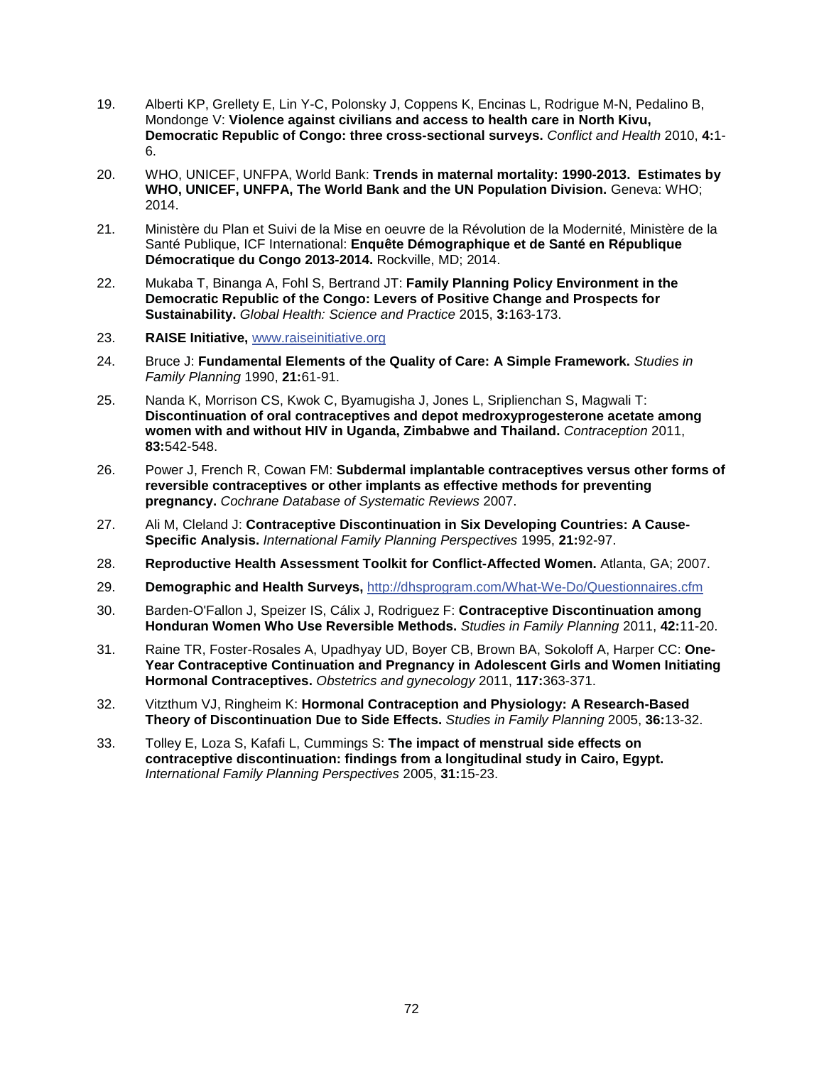- 19. Alberti KP, Grellety E, Lin Y-C, Polonsky J, Coppens K, Encinas L, Rodrigue M-N, Pedalino B, Mondonge V: **Violence against civilians and access to health care in North Kivu, Democratic Republic of Congo: three cross-sectional surveys.** *Conflict and Health* 2010, **4:**1- 6.
- 20. WHO, UNICEF, UNFPA, World Bank: **Trends in maternal mortality: 1990-2013. Estimates by WHO, UNICEF, UNFPA, The World Bank and the UN Population Division.** Geneva: WHO; 2014.
- 21. Ministère du Plan et Suivi de la Mise en oeuvre de la Révolution de la Modernité, Ministère de la Santé Publique, ICF International: **Enquête Démographique et de Santé en République Démocratique du Congo 2013-2014.** Rockville, MD; 2014.
- 22. Mukaba T, Binanga A, Fohl S, Bertrand JT: **Family Planning Policy Environment in the Democratic Republic of the Congo: Levers of Positive Change and Prospects for Sustainability.** *Global Health: Science and Practice* 2015, **3:**163-173.
- 23. **RAISE Initiative,** www.raiseinitiative.org
- 24. Bruce J: **Fundamental Elements of the Quality of Care: A Simple Framework.** *Studies in Family Planning* 1990, **21:**61-91.
- 25. Nanda K, Morrison CS, Kwok C, Byamugisha J, Jones L, Sriplienchan S, Magwali T: **Discontinuation of oral contraceptives and depot medroxyprogesterone acetate among women with and without HIV in Uganda, Zimbabwe and Thailand.** *Contraception* 2011, **83:**542-548.
- 26. Power J, French R, Cowan FM: **Subdermal implantable contraceptives versus other forms of reversible contraceptives or other implants as effective methods for preventing pregnancy.** *Cochrane Database of Systematic Reviews* 2007.
- 27. Ali M, Cleland J: **Contraceptive Discontinuation in Six Developing Countries: A Cause-Specific Analysis.** *International Family Planning Perspectives* 1995, **21:**92-97.
- 28. **Reproductive Health Assessment Toolkit for Conflict-Affected Women.** Atlanta, GA; 2007.
- 29. **Demographic and Health Surveys,** http://dhsprogram.com/What-We-Do/Questionnaires.cfm
- 30. Barden-O'Fallon J, Speizer IS, Cálix J, Rodriguez F: **Contraceptive Discontinuation among Honduran Women Who Use Reversible Methods.** *Studies in Family Planning* 2011, **42:**11-20.
- 31. Raine TR, Foster-Rosales A, Upadhyay UD, Boyer CB, Brown BA, Sokoloff A, Harper CC: **One-Year Contraceptive Continuation and Pregnancy in Adolescent Girls and Women Initiating Hormonal Contraceptives.** *Obstetrics and gynecology* 2011, **117:**363-371.
- 32. Vitzthum VJ, Ringheim K: **Hormonal Contraception and Physiology: A Research-Based Theory of Discontinuation Due to Side Effects.** *Studies in Family Planning* 2005, **36:**13-32.
- 33. Tolley E, Loza S, Kafafi L, Cummings S: **The impact of menstrual side effects on contraceptive discontinuation: findings from a longitudinal study in Cairo, Egypt.** *International Family Planning Perspectives* 2005, **31:**15-23.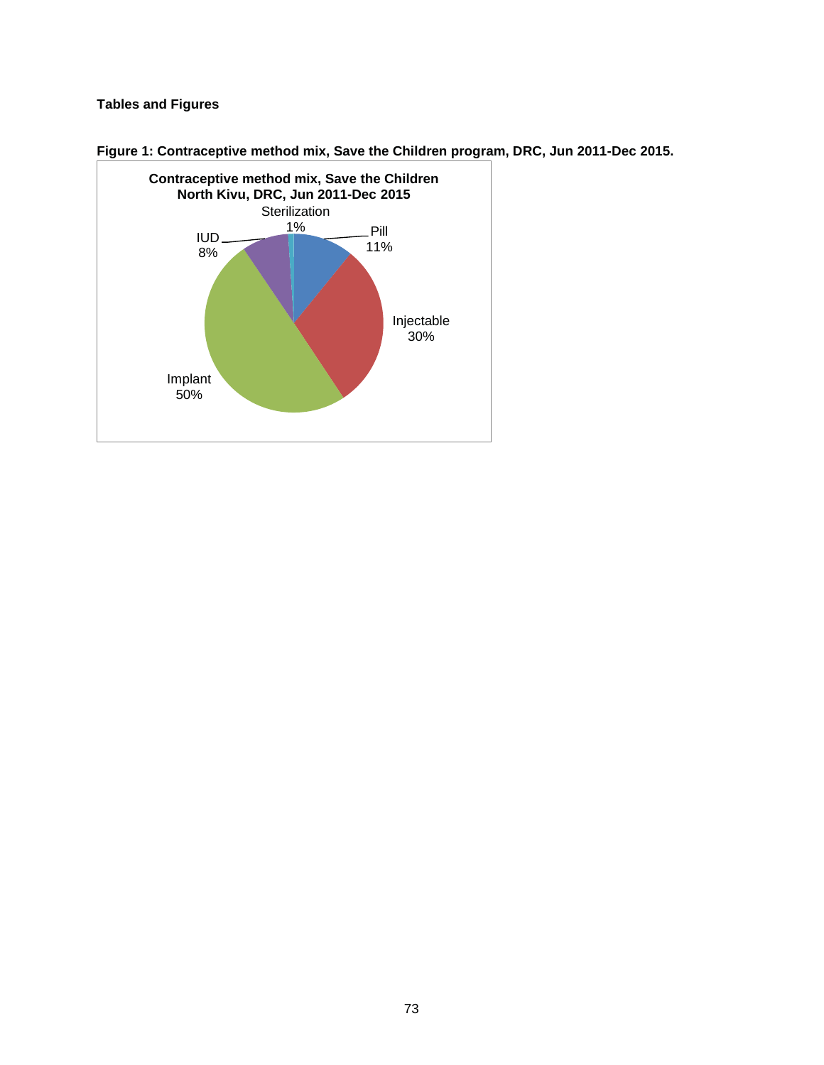# **Tables and Figures**



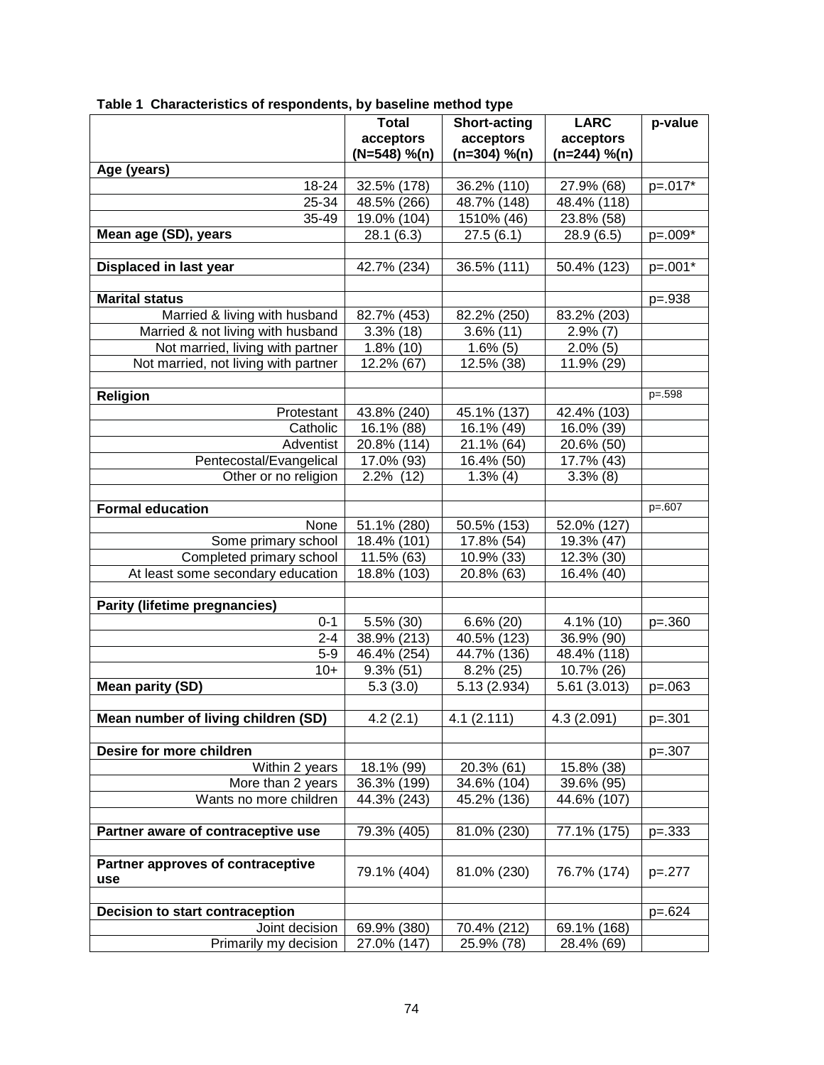|                                        | <b>Total</b>   | <b>Short-acting</b> | <b>LARC</b>    | p-value     |
|----------------------------------------|----------------|---------------------|----------------|-------------|
|                                        | acceptors      | acceptors           | acceptors      |             |
|                                        | $(N=548)$ %(n) | $(n=304)$ %(n)      | $(n=244) %(n)$ |             |
| Age (years)                            |                |                     |                |             |
| 18-24                                  | 32.5% (178)    | 36.2% (110)         | 27.9% (68)     | $p=.017*$   |
| 25-34                                  | 48.5% (266)    | 48.7% (148)         | 48.4% (118)    |             |
| 35-49                                  | 19.0% (104)    | 1510% (46)          | 23.8% (58)     |             |
| Mean age (SD), years                   | 28.1(6.3)      | 27.5(6.1)           | 28.9(6.5)      | p=.009*     |
|                                        |                |                     |                |             |
| Displaced in last year                 | 42.7% (234)    | 36.5% (111)         | 50.4% (123)    | p=.001*     |
|                                        |                |                     |                |             |
| <b>Marital status</b>                  |                |                     |                | $p = .938$  |
| Married & living with husband          | 82.7% (453)    | 82.2% (250)         | 83.2% (203)    |             |
| Married & not living with husband      | $3.3\%$ (18)   | $3.6\%$ (11)        | $2.9\%$ (7)    |             |
| Not married, living with partner       | $1.8\%$ (10)   | $1.6\%$ (5)         | $2.0\%$ (5)    |             |
| Not married, not living with partner   | 12.2% (67)     | 12.5% (38)          | 11.9% (29)     |             |
|                                        |                |                     |                |             |
| Religion                               |                |                     |                | $p = .598$  |
| Protestant                             | 43.8% (240)    | 45.1% (137)         | 42.4% (103)    |             |
| Catholic                               | 16.1% (88)     | 16.1% (49)          | 16.0% (39)     |             |
| Adventist                              | 20.8% (114)    | 21.1% (64)          | 20.6% (50)     |             |
| Pentecostal/Evangelical                | 17.0% (93)     | 16.4% (50)          | 17.7% (43)     |             |
| Other or no religion                   | 2.2% (12)      | $1.3\%$ (4)         | $3.3\%$ (8)    |             |
|                                        |                |                     |                |             |
| <b>Formal education</b>                |                |                     |                | $p=.607$    |
| None                                   | 51.1% (280)    | 50.5% (153)         | 52.0% (127)    |             |
| Some primary school                    | 18.4% (101)    | 17.8% (54)          | 19.3% (47)     |             |
| Completed primary school               | 11.5% (63)     | 10.9% (33)          | 12.3% (30)     |             |
| At least some secondary education      | 18.8% (103)    | 20.8% (63)          | 16.4% (40)     |             |
|                                        |                |                     |                |             |
| <b>Parity (lifetime pregnancies)</b>   |                |                     |                |             |
| $0 - 1$                                | 5.5% (30)      | $6.6\%$ (20)        | $4.1\%$ (10)   | $p=.360$    |
| $2 - 4$                                | 38.9% (213)    | 40.5% (123)         | 36.9% (90)     |             |
| $5-9$                                  | 46.4% (254)    | 44.7% (136)         | 48.4% (118)    |             |
| $10+$                                  | $9.3\%$ (51)   | $8.2\%$ (25)        | 10.7% (26)     |             |
| <b>Mean parity (SD)</b>                | 5.3(3.0)       | 5.13 (2.934)        | 5.61 (3.013)   | $p = 0.063$ |
|                                        |                |                     |                |             |
| Mean number of living children (SD)    | 4.2(2.1)       | 4.1(2.111)          | 4.3(2.091)     | p=.301      |
|                                        |                |                     |                |             |
| Desire for more children               |                |                     |                | $p=.307$    |
| Within 2 years                         | 18.1% (99)     | 20.3% (61)          | 15.8% (38)     |             |
| More than 2 years                      | 36.3% (199)    | 34.6% (104)         | 39.6% (95)     |             |
| Wants no more children                 | 44.3% (243)    | 45.2% (136)         | 44.6% (107)    |             |
|                                        |                |                     |                |             |
| Partner aware of contraceptive use     | 79.3% (405)    | 81.0% (230)         | 77.1% (175)    | $p = 0.333$ |
|                                        |                |                     |                |             |
| Partner approves of contraceptive      |                |                     |                |             |
| use                                    | 79.1% (404)    | 81.0% (230)         | 76.7% (174)    | $p=.277$    |
|                                        |                |                     |                |             |
| <b>Decision to start contraception</b> |                |                     |                | $p = 624$   |
| Joint decision                         | 69.9% (380)    | 70.4% (212)         | 69.1% (168)    |             |
| Primarily my decision                  | 27.0% (147)    | 25.9% (78)          | 28.4% (69)     |             |

| Table 1 Characteristics of respondents, by baseline method type |  |  |
|-----------------------------------------------------------------|--|--|
|                                                                 |  |  |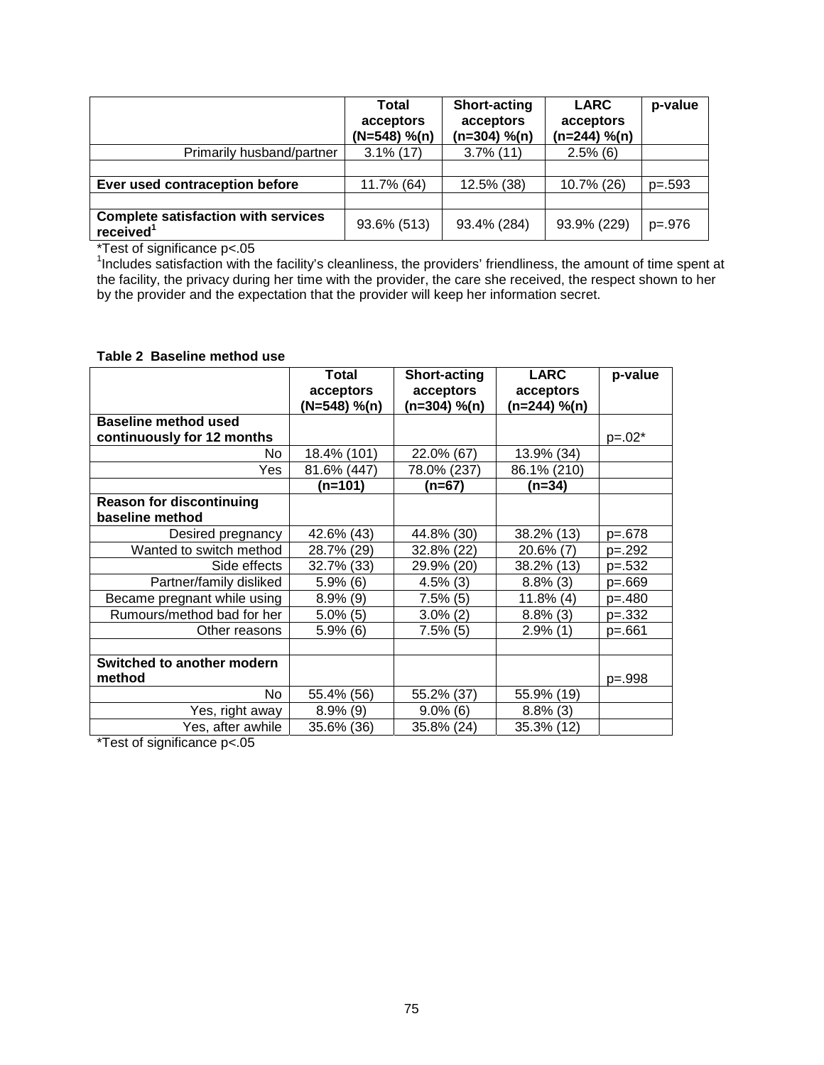|                                                                     | Total<br>acceptors<br>$(N=548)$ %(n) | <b>Short-acting</b><br>acceptors<br>$(n=304) %(n)$ | <b>LARC</b><br>acceptors<br>$(n=244) %(n)$ | p-value     |
|---------------------------------------------------------------------|--------------------------------------|----------------------------------------------------|--------------------------------------------|-------------|
| Primarily husband/partner                                           | $3.1\%$ (17)                         | $3.7\%$ (11)                                       | $2.5\%$ (6)                                |             |
|                                                                     |                                      |                                                    |                                            |             |
| Ever used contraception before                                      | 11.7% (64)                           | 12.5% (38)                                         | 10.7% (26)                                 | $p=.593$    |
|                                                                     |                                      |                                                    |                                            |             |
| <b>Complete satisfaction with services</b><br>received <sup>1</sup> | 93.6% (513)                          | 93.4% (284)                                        | 93.9% (229)                                | $p = 0.976$ |

\*Test of significance p<.05 1 Includes satisfaction with the facility's cleanliness, the providers' friendliness, the amount of time spent at the facility, the privacy during her time with the provider, the care she received, the respect shown to her by the provider and the expectation that the provider will keep her information secret.

## **Table 2 Baseline method use**

|                                 | Total                     | <b>Short-acting</b>       | <b>LARC</b>               | p-value   |
|---------------------------------|---------------------------|---------------------------|---------------------------|-----------|
|                                 | acceptors<br>(N=548) %(n) | acceptors<br>(n=304) %(n) | acceptors<br>(n=244) %(n) |           |
| Baseline method used            |                           |                           |                           |           |
| continuously for 12 months      |                           |                           |                           | $p=.02*$  |
| No.                             | 18.4% (101)               | 22.0% (67)                | 13.9% (34)                |           |
| Yes                             | 81.6% (447)               | 78.0% (237)               | 86.1% (210)               |           |
|                                 | $(n=101)$                 | $(n=67)$                  | (n=34)                    |           |
| <b>Reason for discontinuing</b> |                           |                           |                           |           |
| baseline method                 |                           |                           |                           |           |
| Desired pregnancy               | 42.6% (43)                | 44.8% (30)                | 38.2% (13)                | $p=.678$  |
| Wanted to switch method         | 28.7% (29)                | 32.8% (22)                | $20.6\%$ (7)              | $p=.292$  |
| Side effects                    | 32.7% (33)                | 29.9% (20)                | 38.2% (13)                | $p=.532$  |
| Partner/family disliked         | $5.9\%$ (6)               | $4.5\%$ (3)               | $8.8\%$ (3)               | $p = 669$ |
| Became pregnant while using     | $8.9\%$ (9)               | $7.5\%$ (5)               | $11.8\%$ (4)              | $p = 480$ |
| Rumours/method bad for her      | $5.0\%$ (5)               | $3.0\%$ (2)               | $8.8\%$ (3)               | $p = 332$ |
| Other reasons                   | $5.9\%$ (6)               | $7.5\%$ (5)               | $2.9\%$ (1)               | $p = 661$ |
|                                 |                           |                           |                           |           |
| Switched to another modern      |                           |                           |                           |           |
| method                          |                           |                           |                           | p=.998    |
| N <sub>o</sub>                  | 55.4% (56)                | 55.2% (37)                | 55.9% (19)                |           |
| Yes, right away                 | $8.9\%$ (9)               | $9.0\%$ (6)               | $8.8\%$ (3)               |           |
| Yes, after awhile               | 35.6% (36)                | 35.8% (24)                | 35.3% (12)                |           |

\*Test of significance p<.05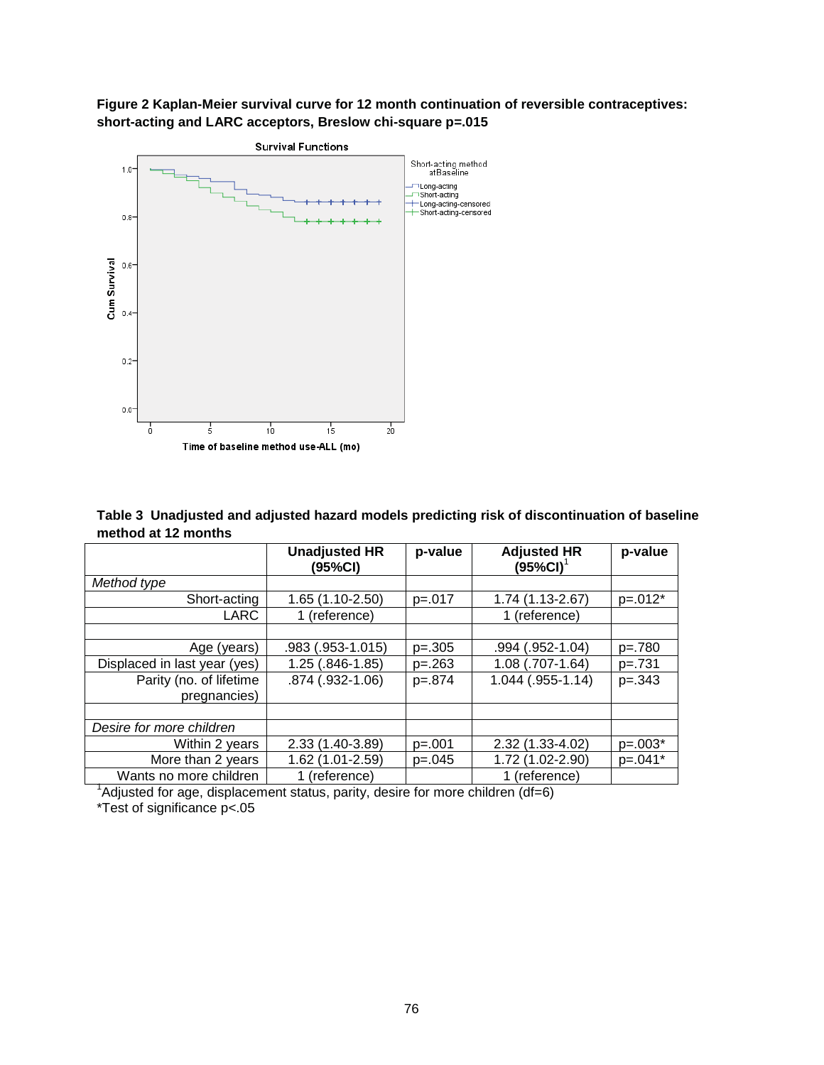



|                     | Table 3 Unadjusted and adjusted hazard models predicting risk of discontinuation of baseline |  |
|---------------------|----------------------------------------------------------------------------------------------|--|
| method at 12 months |                                                                                              |  |

|                              | <b>Unadjusted HR</b><br>(95%CI) | p-value     | <b>Adjusted HR</b><br>$(95\%CI)^{1}$ | p-value     |
|------------------------------|---------------------------------|-------------|--------------------------------------|-------------|
| Method type                  |                                 |             |                                      |             |
| Short-acting                 | $1.65(1.10-2.50)$               | $p = 017$   | 1.74 (1.13-2.67)                     | $p=.012*$   |
| LARC                         | 1 (reference)                   |             | 1 (reference)                        |             |
|                              |                                 |             |                                      |             |
| Age (years)                  | .983 (.953-1.015)               | $p=.305$    | .994 (.952-1.04)                     | $p=.780$    |
| Displaced in last year (yes) | 1.25 (.846-1.85)                | $p = 0.263$ | $1.08$ $(.707-1.64)$                 | $p=.731$    |
| Parity (no. of lifetime      | .874 (.932-1.06)                | $p = 874$   | 1.044 (.955-1.14)                    | $p = 0.343$ |
| pregnancies)                 |                                 |             |                                      |             |
|                              |                                 |             |                                      |             |
| Desire for more children     |                                 |             |                                      |             |
| Within 2 years               | 2.33 (1.40-3.89)                | $p=.001$    | 2.32 (1.33-4.02)                     | $p=.003*$   |
| More than 2 years            | 1.62 (1.01-2.59)                | $p = 0.045$ | 1.72 (1.02-2.90)                     | $p=.041*$   |
| Wants no more children       | 1 (reference)                   |             | 1 (reference)                        |             |

<sup>1</sup>Adjusted for age, displacement status, parity, desire for more children (df=6)

\*Test of significance p<.05

 $\frac{1}{5}$ 

Time of baseline method use-ALL (mo)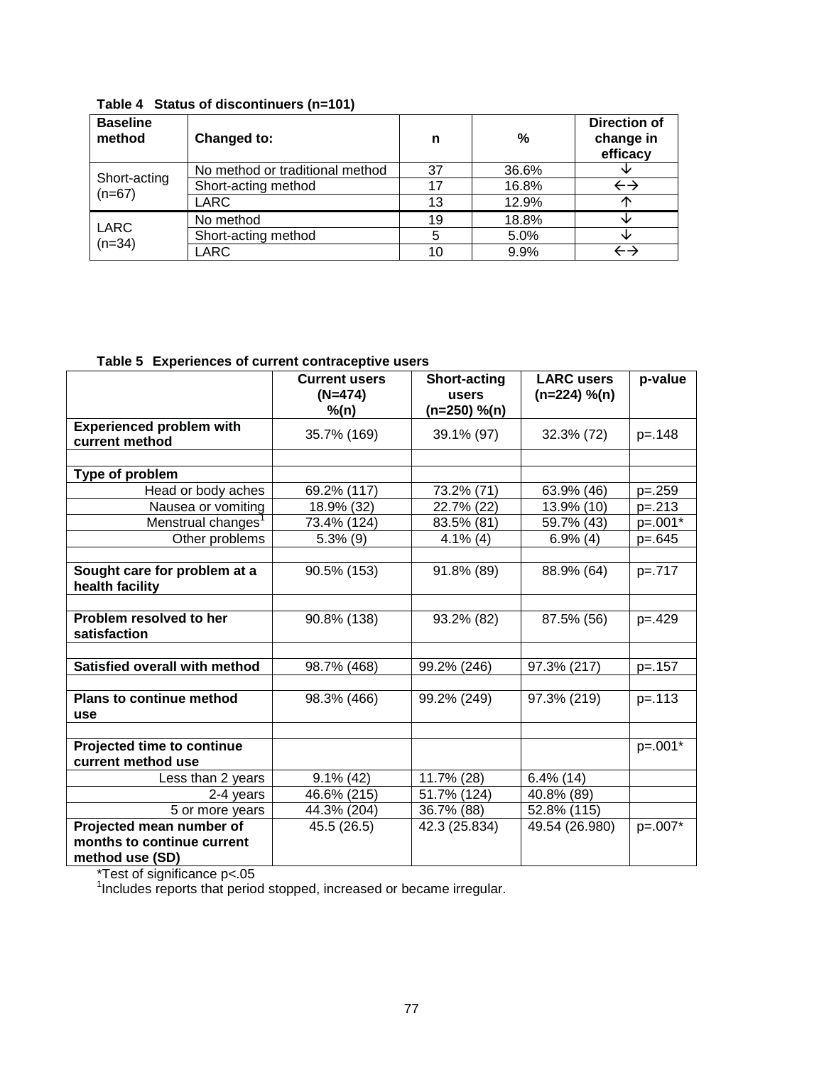| <b>Baseline</b><br>method | Changed to:                     | n  | %     | <b>Direction of</b><br>change in<br>efficacy |
|---------------------------|---------------------------------|----|-------|----------------------------------------------|
| Short-acting<br>$(n=67)$  | No method or traditional method | 37 | 36.6% | ◡                                            |
|                           | Short-acting method             | 17 | 16.8% | $\leftrightarrow$                            |
|                           | LARC                            | 13 | 12.9% | ∧                                            |
| LARC<br>$(n=34)$          | No method                       | 19 | 18.8% | ◡                                            |
|                           | Short-acting method             | 5  | 5.0%  | ◡                                            |
|                           | LARC                            | 10 | 9.9%  | $\leftarrow$ $\rightarrow$                   |

# **Table 4 Status of discontinuers (n=101)**

**Table 5 Experiences of current contraceptive users**

|                                                   | <b>Current users</b><br>$(N=474)$<br>$%$ (n) | <b>Short-acting</b><br>users<br>$(n=250) % (n)$ | <b>LARC</b> users<br>$(n=224) %(n)$ | p-value     |
|---------------------------------------------------|----------------------------------------------|-------------------------------------------------|-------------------------------------|-------------|
| <b>Experienced problem with</b><br>current method | 35.7% (169)                                  | 39.1% (97)                                      | 32.3% (72)                          | $p = 148$   |
|                                                   |                                              |                                                 |                                     |             |
| Type of problem                                   |                                              |                                                 |                                     |             |
| Head or body aches                                | 69.2% (117)                                  | 73.2% (71)                                      | 63.9% (46)                          | $p = 0.259$ |
| Nausea or vomiting                                | 18.9% (32)                                   | 22.7% (22)                                      | 13.9% (10)                          | $p = 0.213$ |
| Menstrual changes                                 | 73.4% (124)                                  | 83.5% (81)                                      | 59.7% (43)                          | $p=.001*$   |
| Other problems                                    | $5.3\%$ (9)                                  | $4.1\%$ (4)                                     | $6.9\%$ (4)                         | $p = 645$   |
|                                                   |                                              |                                                 |                                     |             |
| Sought care for problem at a<br>health facility   | 90.5% (153)                                  | 91.8% (89)                                      | 88.9% (64)                          | $p = 717$   |
|                                                   |                                              |                                                 |                                     |             |
| Problem resolved to her<br>satisfaction           | 90.8% (138)                                  | 93.2% (82)                                      | 87.5% (56)                          | $p = 429$   |
|                                                   |                                              |                                                 |                                     |             |
| Satisfied overall with method                     | 98.7% (468)                                  | 99.2% (246)                                     | 97.3% (217)                         | $p = 0.157$ |
|                                                   |                                              |                                                 |                                     |             |
| <b>Plans to continue method</b><br>use            | 98.3% (466)                                  | 99.2% (249)                                     | 97.3% (219)                         | $p = 0.113$ |
|                                                   |                                              |                                                 |                                     |             |
| Projected time to continue<br>current method use  |                                              |                                                 |                                     | $p=.001*$   |
| Less than 2 years                                 | $9.1\%$ (42)                                 | 11.7% (28)                                      | $6.4\%$ (14)                        |             |
| 2-4 years                                         | 46.6% (215)                                  | 51.7% (124)                                     | 40.8% (89)                          |             |
| 5 or more years                                   | 44.3% (204)                                  | 36.7% (88)                                      | 52.8% (115)                         |             |
| Projected mean number of                          | 45.5 (26.5)                                  | 42.3 (25.834)                                   | 49.54 (26.980)                      | p=.007*     |
| months to continue current<br>method use (SD)     |                                              |                                                 |                                     |             |

\*Test of significance p<.05 1 Includes reports that period stopped, increased or became irregular.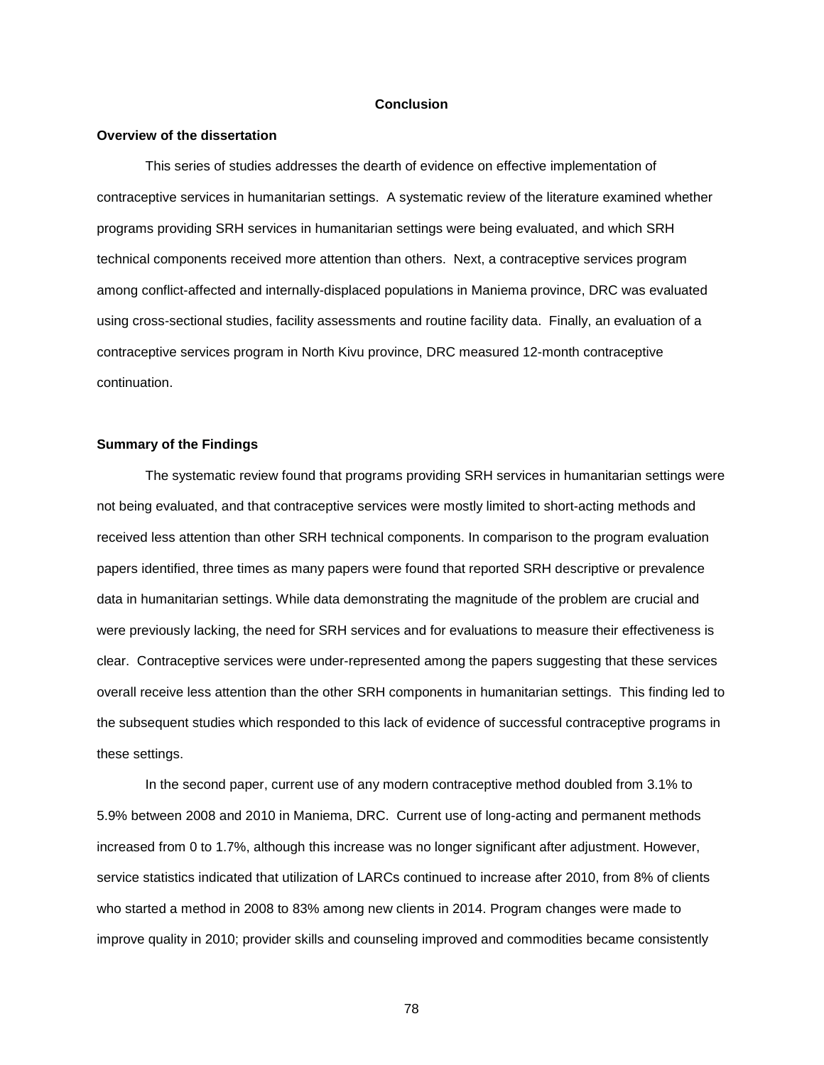#### **Conclusion**

#### **Overview of the dissertation**

This series of studies addresses the dearth of evidence on effective implementation of contraceptive services in humanitarian settings. A systematic review of the literature examined whether programs providing SRH services in humanitarian settings were being evaluated, and which SRH technical components received more attention than others. Next, a contraceptive services program among conflict-affected and internally-displaced populations in Maniema province, DRC was evaluated using cross-sectional studies, facility assessments and routine facility data. Finally, an evaluation of a contraceptive services program in North Kivu province, DRC measured 12-month contraceptive continuation.

### **Summary of the Findings**

The systematic review found that programs providing SRH services in humanitarian settings were not being evaluated, and that contraceptive services were mostly limited to short-acting methods and received less attention than other SRH technical components. In comparison to the program evaluation papers identified, three times as many papers were found that reported SRH descriptive or prevalence data in humanitarian settings. While data demonstrating the magnitude of the problem are crucial and were previously lacking, the need for SRH services and for evaluations to measure their effectiveness is clear. Contraceptive services were under-represented among the papers suggesting that these services overall receive less attention than the other SRH components in humanitarian settings. This finding led to the subsequent studies which responded to this lack of evidence of successful contraceptive programs in these settings.

In the second paper, current use of any modern contraceptive method doubled from 3.1% to 5.9% between 2008 and 2010 in Maniema, DRC. Current use of long-acting and permanent methods increased from 0 to 1.7%, although this increase was no longer significant after adjustment. However, service statistics indicated that utilization of LARCs continued to increase after 2010, from 8% of clients who started a method in 2008 to 83% among new clients in 2014. Program changes were made to improve quality in 2010; provider skills and counseling improved and commodities became consistently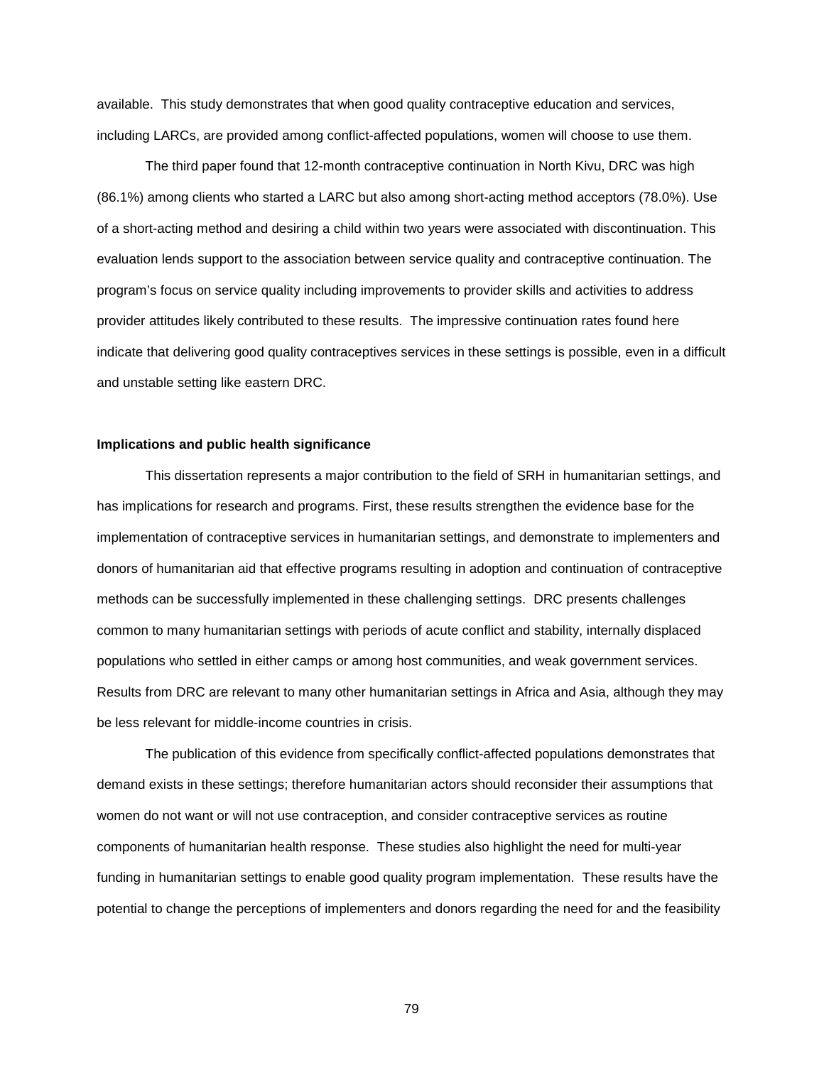available. This study demonstrates that when good quality contraceptive education and services, including LARCs, are provided among conflict-affected populations, women will choose to use them.

The third paper found that 12-month contraceptive continuation in North Kivu, DRC was high (86.1%) among clients who started a LARC but also among short-acting method acceptors (78.0%). Use of a short-acting method and desiring a child within two years were associated with discontinuation. This evaluation lends support to the association between service quality and contraceptive continuation. The program's focus on service quality including improvements to provider skills and activities to address provider attitudes likely contributed to these results. The impressive continuation rates found here indicate that delivering good quality contraceptives services in these settings is possible, even in a difficult and unstable setting like eastern DRC.

### **Implications and public health significance**

This dissertation represents a major contribution to the field of SRH in humanitarian settings, and has implications for research and programs. First, these results strengthen the evidence base for the implementation of contraceptive services in humanitarian settings, and demonstrate to implementers and donors of humanitarian aid that effective programs resulting in adoption and continuation of contraceptive methods can be successfully implemented in these challenging settings. DRC presents challenges common to many humanitarian settings with periods of acute conflict and stability, internally displaced populations who settled in either camps or among host communities, and weak government services. Results from DRC are relevant to many other humanitarian settings in Africa and Asia, although they may be less relevant for middle-income countries in crisis.

The publication of this evidence from specifically conflict-affected populations demonstrates that demand exists in these settings; therefore humanitarian actors should reconsider their assumptions that women do not want or will not use contraception, and consider contraceptive services as routine components of humanitarian health response. These studies also highlight the need for multi-year funding in humanitarian settings to enable good quality program implementation. These results have the potential to change the perceptions of implementers and donors regarding the need for and the feasibility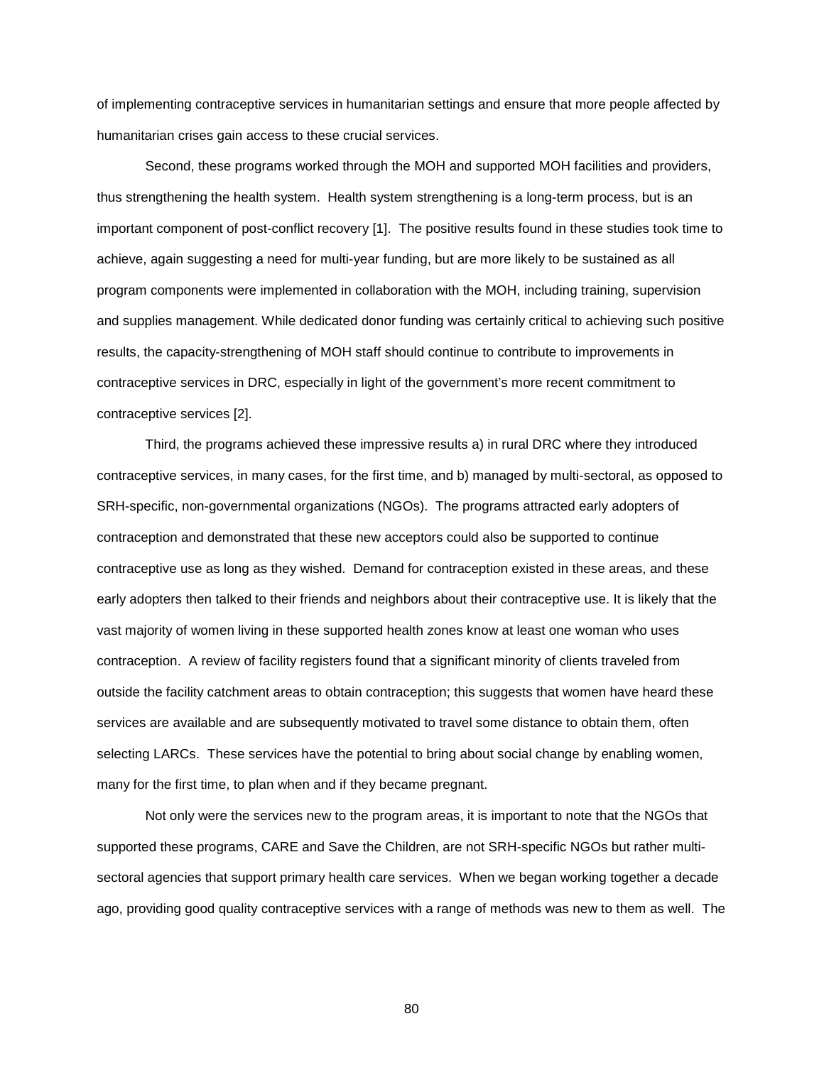of implementing contraceptive services in humanitarian settings and ensure that more people affected by humanitarian crises gain access to these crucial services.

Second, these programs worked through the MOH and supported MOH facilities and providers, thus strengthening the health system. Health system strengthening is a long-term process, but is an important component of post-conflict recovery [1]. The positive results found in these studies took time to achieve, again suggesting a need for multi-year funding, but are more likely to be sustained as all program components were implemented in collaboration with the MOH, including training, supervision and supplies management. While dedicated donor funding was certainly critical to achieving such positive results, the capacity-strengthening of MOH staff should continue to contribute to improvements in contraceptive services in DRC, especially in light of the government's more recent commitment to contraceptive services [2].

Third, the programs achieved these impressive results a) in rural DRC where they introduced contraceptive services, in many cases, for the first time, and b) managed by multi-sectoral, as opposed to SRH-specific, non-governmental organizations (NGOs). The programs attracted early adopters of contraception and demonstrated that these new acceptors could also be supported to continue contraceptive use as long as they wished. Demand for contraception existed in these areas, and these early adopters then talked to their friends and neighbors about their contraceptive use. It is likely that the vast majority of women living in these supported health zones know at least one woman who uses contraception. A review of facility registers found that a significant minority of clients traveled from outside the facility catchment areas to obtain contraception; this suggests that women have heard these services are available and are subsequently motivated to travel some distance to obtain them, often selecting LARCs. These services have the potential to bring about social change by enabling women, many for the first time, to plan when and if they became pregnant.

Not only were the services new to the program areas, it is important to note that the NGOs that supported these programs, CARE and Save the Children, are not SRH-specific NGOs but rather multisectoral agencies that support primary health care services. When we began working together a decade ago, providing good quality contraceptive services with a range of methods was new to them as well. The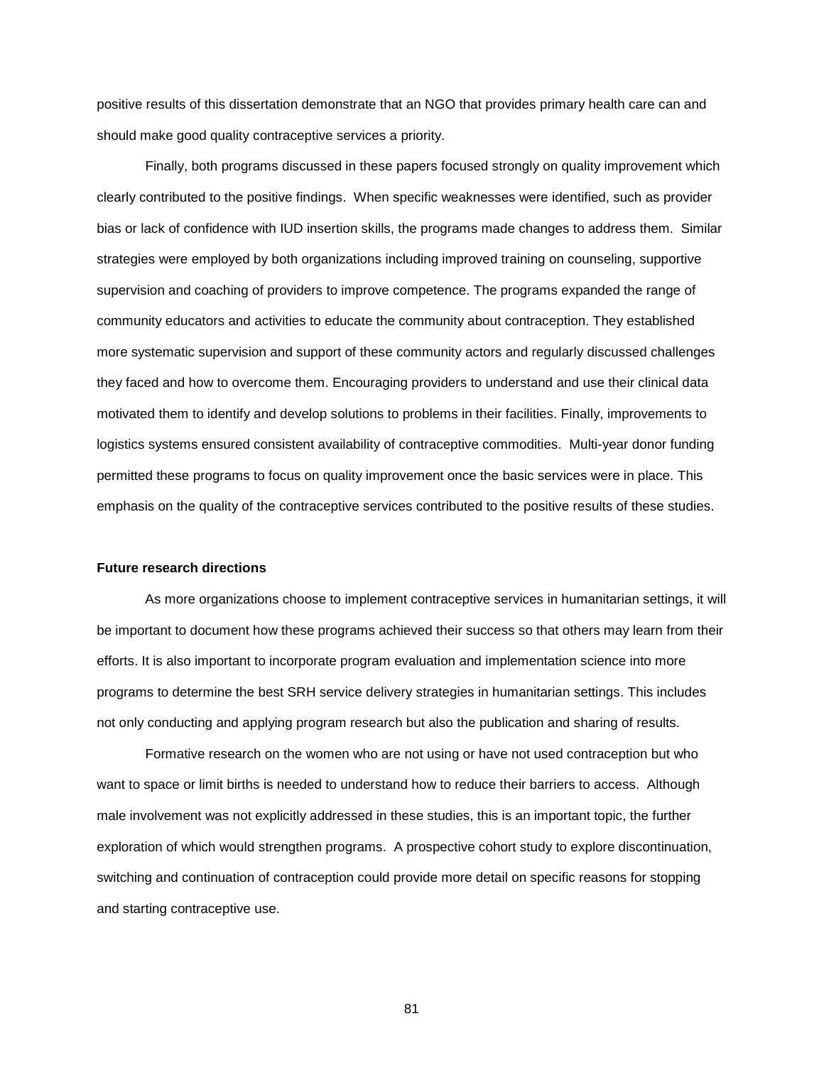positive results of this dissertation demonstrate that an NGO that provides primary health care can and should make good quality contraceptive services a priority.

Finally, both programs discussed in these papers focused strongly on quality improvement which clearly contributed to the positive findings. When specific weaknesses were identified, such as provider bias or lack of confidence with IUD insertion skills, the programs made changes to address them. Similar strategies were employed by both organizations including improved training on counseling, supportive supervision and coaching of providers to improve competence. The programs expanded the range of community educators and activities to educate the community about contraception. They established more systematic supervision and support of these community actors and regularly discussed challenges they faced and how to overcome them. Encouraging providers to understand and use their clinical data motivated them to identify and develop solutions to problems in their facilities. Finally, improvements to logistics systems ensured consistent availability of contraceptive commodities. Multi-year donor funding permitted these programs to focus on quality improvement once the basic services were in place. This emphasis on the quality of the contraceptive services contributed to the positive results of these studies.

#### **Future research directions**

As more organizations choose to implement contraceptive services in humanitarian settings, it will be important to document how these programs achieved their success so that others may learn from their efforts. It is also important to incorporate program evaluation and implementation science into more programs to determine the best SRH service delivery strategies in humanitarian settings. This includes not only conducting and applying program research but also the publication and sharing of results.

Formative research on the women who are not using or have not used contraception but who want to space or limit births is needed to understand how to reduce their barriers to access. Although male involvement was not explicitly addressed in these studies, this is an important topic, the further exploration of which would strengthen programs. A prospective cohort study to explore discontinuation, switching and continuation of contraception could provide more detail on specific reasons for stopping and starting contraceptive use.